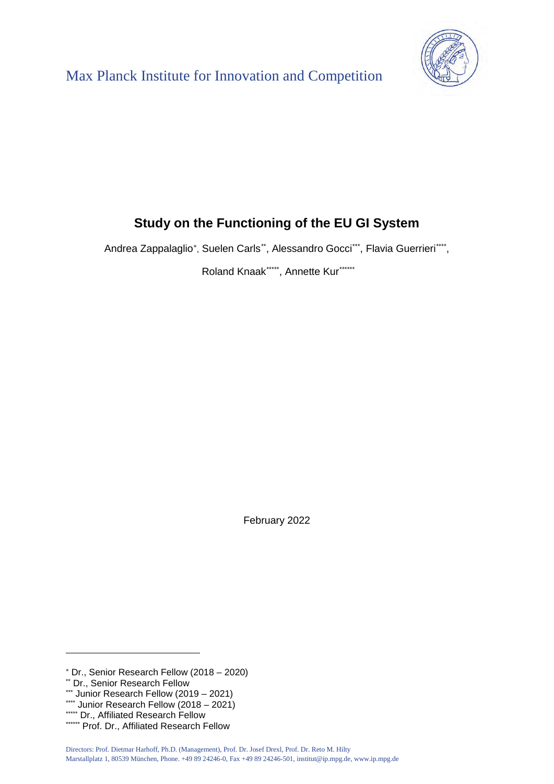



# **Study on the Functioning of the EU GI System**

Andrea Zappalaglio\*, Suelen Carls<sup>[\\*\\*](#page-0-1)</sup>, Alessandro Gocci[\\*\\*\\*](#page-0-2), Flavia Guerrieri[\\*\\*\\*\\*,](#page-0-3)

Roland Knaak[\\*\\*\\*\\*\\*](#page-0-4), Annette Kur[\\*\\*\\*\\*\\*\\*](#page-0-5)

February 2022

<span id="page-0-1"></span><span id="page-0-0"></span><sup>∗</sup> Dr., Senior Research Fellow (2018 – 2020) \*\* Dr., Senior Research Fellow

<span id="page-0-4"></span><span id="page-0-3"></span><span id="page-0-2"></span><sup>\*\*\*</sup> Junior Research Fellow (2018 – 2021)<br>""Dr., Affiliated Research Fellow<br>"""" Prof. Dr., Affiliated Research Fellow

<span id="page-0-5"></span>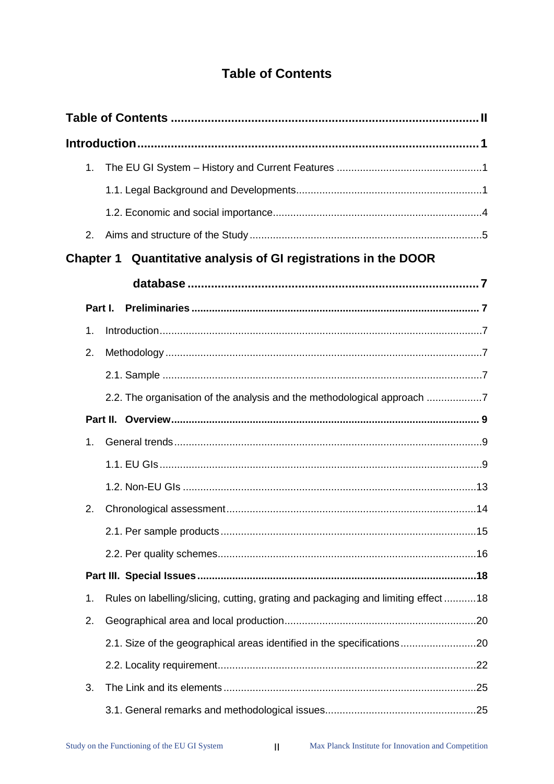# **Table of Contents**

<span id="page-1-0"></span>

| 1. |         |                                                                                   |  |
|----|---------|-----------------------------------------------------------------------------------|--|
|    |         |                                                                                   |  |
|    |         |                                                                                   |  |
| 2. |         |                                                                                   |  |
|    |         | Chapter 1 Quantitative analysis of GI registrations in the DOOR                   |  |
|    |         |                                                                                   |  |
|    | Part I. |                                                                                   |  |
| 1. |         |                                                                                   |  |
| 2. |         |                                                                                   |  |
|    |         |                                                                                   |  |
|    |         | 2.2. The organisation of the analysis and the methodological approach 7           |  |
|    |         |                                                                                   |  |
| 1. |         |                                                                                   |  |
|    |         |                                                                                   |  |
|    |         |                                                                                   |  |
| 2. |         |                                                                                   |  |
|    |         |                                                                                   |  |
|    |         |                                                                                   |  |
|    |         |                                                                                   |  |
| 1. |         | Rules on labelling/slicing, cutting, grating and packaging and limiting effect 18 |  |
| 2. |         |                                                                                   |  |
|    |         | 2.1. Size of the geographical areas identified in the specifications              |  |
|    |         |                                                                                   |  |
| 3. |         |                                                                                   |  |
|    |         |                                                                                   |  |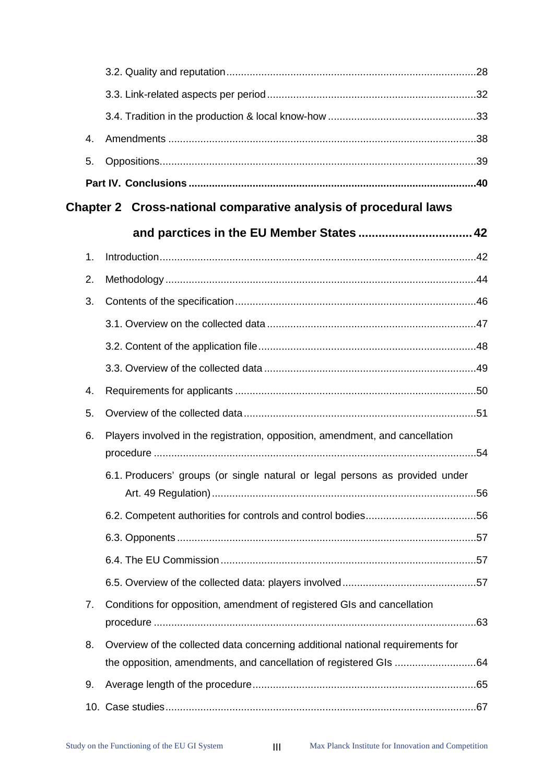| 4. |                                                                                |  |
|----|--------------------------------------------------------------------------------|--|
| 5. |                                                                                |  |
|    |                                                                                |  |
|    | Chapter 2 Cross-national comparative analysis of procedural laws               |  |
|    |                                                                                |  |
| 1. |                                                                                |  |
| 2. |                                                                                |  |
| 3. |                                                                                |  |
|    |                                                                                |  |
|    |                                                                                |  |
|    |                                                                                |  |
| 4. |                                                                                |  |
| 5. |                                                                                |  |
| 6. | Players involved in the registration, opposition, amendment, and cancellation  |  |
|    | 6.1. Producers' groups (or single natural or legal persons as provided under   |  |
|    |                                                                                |  |
|    |                                                                                |  |
|    |                                                                                |  |
|    |                                                                                |  |
|    |                                                                                |  |
| 7. | Conditions for opposition, amendment of registered GIs and cancellation        |  |
| 8. | Overview of the collected data concerning additional national requirements for |  |
|    |                                                                                |  |
| 9. |                                                                                |  |
|    |                                                                                |  |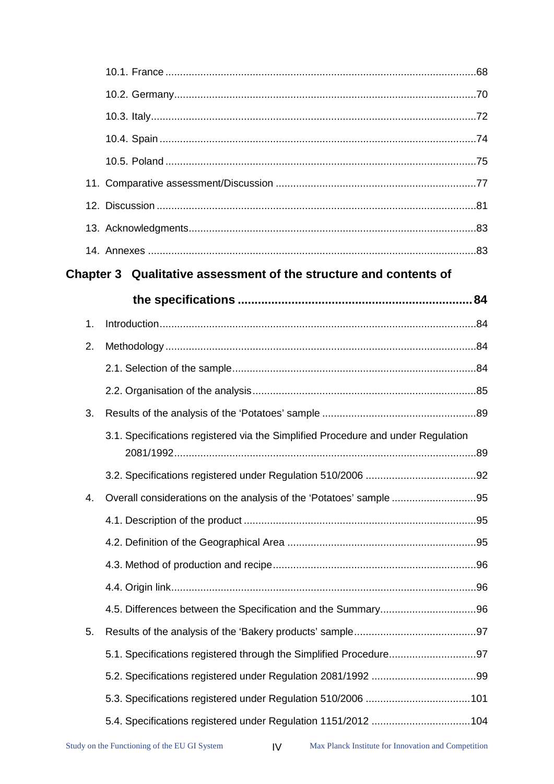|    | Chapter 3 Qualitative assessment of the structure and contents of                |  |
|----|----------------------------------------------------------------------------------|--|
|    |                                                                                  |  |
| 1. |                                                                                  |  |
| 2. |                                                                                  |  |
|    |                                                                                  |  |
|    |                                                                                  |  |
| 3. |                                                                                  |  |
|    | 3.1. Specifications registered via the Simplified Procedure and under Regulation |  |
|    |                                                                                  |  |
| 4. | Overall considerations on the analysis of the 'Potatoes' sample 95               |  |
|    |                                                                                  |  |
|    |                                                                                  |  |
|    |                                                                                  |  |
|    |                                                                                  |  |
|    |                                                                                  |  |
| 5. |                                                                                  |  |
|    |                                                                                  |  |
|    |                                                                                  |  |
|    |                                                                                  |  |
|    | 5.4. Specifications registered under Regulation 1151/2012 104                    |  |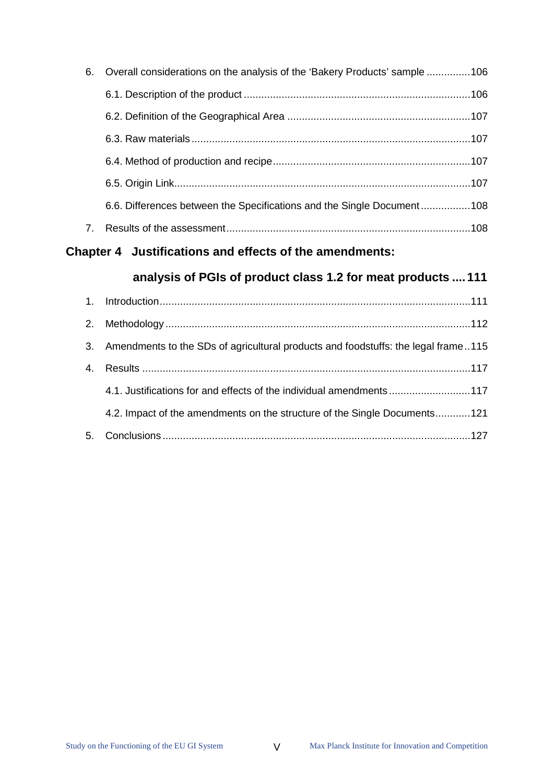| 6.           | Overall considerations on the analysis of the 'Bakery Products' sample 106 |  |
|--------------|----------------------------------------------------------------------------|--|
|              |                                                                            |  |
|              |                                                                            |  |
|              |                                                                            |  |
|              |                                                                            |  |
|              |                                                                            |  |
|              | 6.6. Differences between the Specifications and the Single Document108     |  |
| $\mathbf{7}$ |                                                                            |  |

# **[Chapter 4 Justifications and effects of the amendments:](#page-115-0)**

# **[analysis of PGIs of product class 1.2 for meat products .... 111](#page-115-0)**

| 3. Amendments to the SDs of agricultural products and foodstuffs: the legal frame115 |
|--------------------------------------------------------------------------------------|
|                                                                                      |
| 4.1. Justifications for and effects of the individual amendments117                  |
| 4.2. Impact of the amendments on the structure of the Single Documents121            |
|                                                                                      |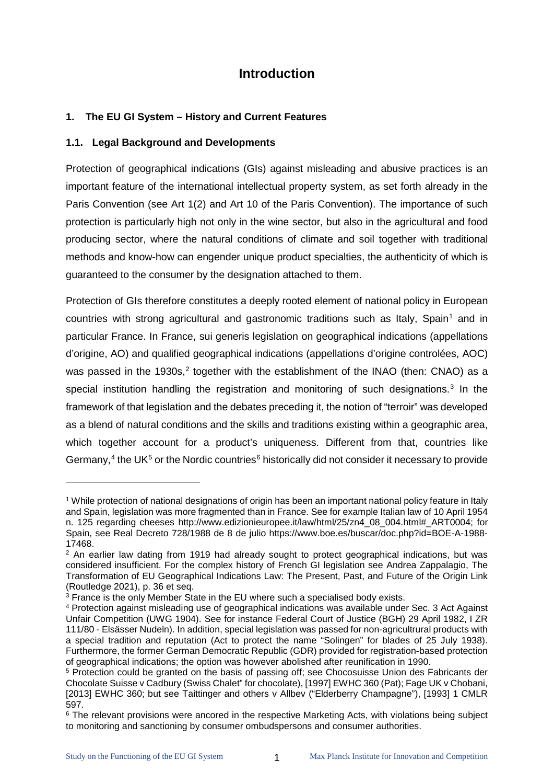# **Introduction**

# <span id="page-5-1"></span><span id="page-5-0"></span>**1. The EU GI System – History and Current Features**

# <span id="page-5-2"></span>**1.1. Legal Background and Developments**

Protection of geographical indications (GIs) against misleading and abusive practices is an important feature of the international intellectual property system, as set forth already in the Paris Convention (see Art 1(2) and Art 10 of the Paris Convention). The importance of such protection is particularly high not only in the wine sector, but also in the agricultural and food producing sector, where the natural conditions of climate and soil together with traditional methods and know-how can engender unique product specialties, the authenticity of which is guaranteed to the consumer by the designation attached to them.

Protection of GIs therefore constitutes a deeply rooted element of national policy in European countries with strong agricultural and gastronomic traditions such as Italy, Spain<sup>[1](#page-5-3)</sup> and in particular France. In France, sui generis legislation on geographical indications (appellations d'origine, AO) and qualified geographical indications (appellations d'origine controlées, AOC) was passed in the 1930s, $2$  together with the establishment of the INAO (then: CNAO) as a special institution handling the registration and monitoring of such designations.<sup>[3](#page-5-5)</sup> In the framework of that legislation and the debates preceding it, the notion of "terroir" was developed as a blend of natural conditions and the skills and traditions existing within a geographic area, which together account for a product's uniqueness. Different from that, countries like Germany,<sup>[4](#page-5-6)</sup> the UK<sup>[5](#page-5-7)</sup> or the Nordic countries<sup>[6](#page-5-8)</sup> historically did not consider it necessary to provide

<span id="page-5-3"></span><sup>1</sup> While protection of national designations of origin has been an important national policy feature in Italy and Spain, legislation was more fragmented than in France. See for example Italian law of 10 April 1954 n. 125 regarding cheeses [http://www.edizionieuropee.it/law/html/25/zn4\\_08\\_004.html#\\_ART0004;](http://www.edizionieuropee.it/law/html/25/zn4_08_004.html#_ART0004) for Spain, see Real Decreto 728/1988 de 8 de julio https://www.boe.es/buscar/doc.php?id=BOE-A-1988-

<span id="page-5-4"></span><sup>&</sup>lt;sup>2</sup> An earlier law dating from 1919 had already sought to protect geographical indications, but was considered insufficient. For the complex history of French GI legislation see Andrea Zappalagio, The Transformation of EU Geographical Indications Law: The Present, Past, and Future of the Origin Link

<span id="page-5-5"></span> $\frac{3}{3}$  France is the only Member State in the EU where such a specialised body exists.

<span id="page-5-6"></span><sup>4</sup> Protection against misleading use of geographical indications was available under Sec. 3 Act Against Unfair Competition (UWG 1904). See for instance Federal Court of Justice (BGH) 29 April 1982, I ZR 111/80 - Elsässer Nudeln). In addition, special legislation was passed for non-agricultrural products with a special tradition and reputation (Act to protect the name "Solingen" for blades of 25 July 1938). Furthermore, the former German Democratic Republic (GDR) provided for registration-based protection of geographical indications; the option was however abolished after reunification in 1990.

<span id="page-5-7"></span><sup>&</sup>lt;sup>5</sup> Protection could be granted on the basis of passing off; see Chocosuisse Union des Fabricants der Chocolate Suisse v Cadbury (Swiss Chalet" for chocolate), [1997] EWHC 360 (Pat); Fage UK v Chobani, [2013] EWHC 360; but see Taittinger and others v Allbev ("Elderberry Champagne"), [1993] 1 CMLR 597.

<span id="page-5-8"></span><sup>&</sup>lt;sup>6</sup> The relevant provisions were ancored in the respective Marketing Acts, with violations being subject to monitoring and sanctioning by consumer ombudspersons and consumer authorities.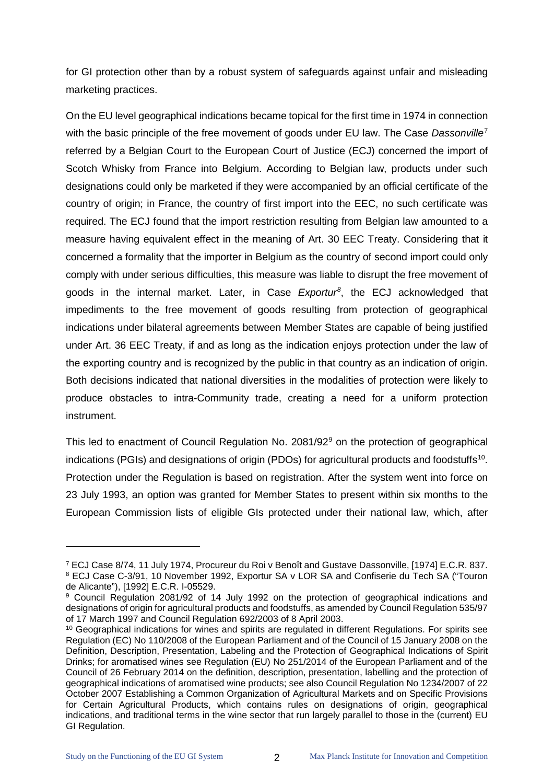for GI protection other than by a robust system of safeguards against unfair and misleading marketing practices.

On the EU level geographical indications became topical for the first time in 1974 in connection with the basic principle of the free movement of goods under EU law. The Case *Dassonville*[7](#page-6-0) referred by a Belgian Court to the European Court of Justice (ECJ) concerned the import of Scotch Whisky from France into Belgium. According to Belgian law, products under such designations could only be marketed if they were accompanied by an official certificate of the country of origin; in France, the country of first import into the EEC, no such certificate was required. The ECJ found that the import restriction resulting from Belgian law amounted to a measure having equivalent effect in the meaning of Art. 30 EEC Treaty. Considering that it concerned a formality that the importer in Belgium as the country of second import could only comply with under serious difficulties, this measure was liable to disrupt the free movement of goods in the internal market. Later, in Case *Exportur[8](#page-6-1)* , the ECJ acknowledged that impediments to the free movement of goods resulting from protection of geographical indications under bilateral agreements between Member States are capable of being justified under Art. 36 EEC Treaty, if and as long as the indication enjoys protection under the law of the exporting country and is recognized by the public in that country as an indication of origin. Both decisions indicated that national diversities in the modalities of protection were likely to produce obstacles to intra-Community trade, creating a need for a uniform protection instrument.

This led to enactment of Council Regulation No. 2081/[9](#page-6-2)2<sup>9</sup> on the protection of geographical indications (PGIs) and designations of origin (PDOs) for agricultural products and foodstuffs<sup>[10](#page-6-3)</sup>. Protection under the Regulation is based on registration. After the system went into force on 23 July 1993, an option was granted for Member States to present within six months to the European Commission lists of eligible GIs protected under their national law, which, after

<span id="page-6-1"></span><span id="page-6-0"></span><sup>7</sup> ECJ Case 8/74, 11 July 1974, Procureur du Roi v Benoît and Gustave Dassonville, [1974] E.C.R. 837. <sup>8</sup> ECJ Case C-3/91, 10 November 1992, Exportur SA v LOR SA and Confiserie du Tech SA ("Touron de Alicante"), [1992] E.C.R. I-05529.

<span id="page-6-2"></span><sup>&</sup>lt;sup>9</sup> Council Regulation 2081/92 of 14 July 1992 on the protection of geographical indications and designations of origin for agricultural products and foodstuffs, as amended by Council Regulation 535/97 of 17 March 1997 and Council Regulation 692/2003 of 8 April 2003.

<span id="page-6-3"></span><sup>&</sup>lt;sup>10</sup> Geographical indications for wines and spirits are regulated in different Regulations. For spirits see Regulation (EC) No 110/2008 of the European Parliament and of the Council of 15 January 2008 on the Definition, Description, Presentation, Labeling and the Protection of Geographical Indications of Spirit Drinks; for aromatised wines see Regulation (EU) No 251/2014 of the European Parliament and of the Council of 26 February 2014 on the definition, description, presentation, labelling and the protection of geographical indications of aromatised wine products; see also Council Regulation No 1234/2007 of 22 October 2007 Establishing a Common Organization of Agricultural Markets and on Specific Provisions for Certain Agricultural Products, which contains rules on designations of origin, geographical indications, and traditional terms in the wine sector that run largely parallel to those in the (current) EU GI Regulation.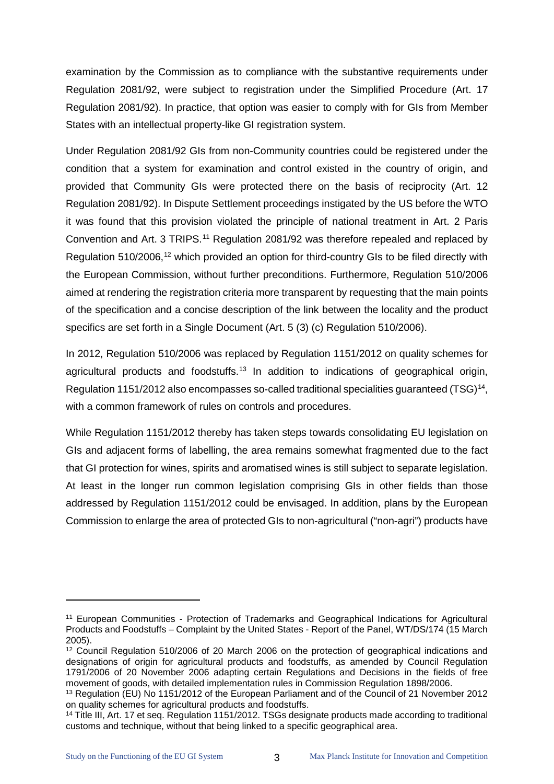examination by the Commission as to compliance with the substantive requirements under Regulation 2081/92, were subject to registration under the Simplified Procedure (Art. 17 Regulation 2081/92). In practice, that option was easier to comply with for GIs from Member States with an intellectual property-like GI registration system.

Under Regulation 2081/92 GIs from non-Community countries could be registered under the condition that a system for examination and control existed in the country of origin, and provided that Community GIs were protected there on the basis of reciprocity (Art. 12 Regulation 2081/92). In Dispute Settlement proceedings instigated by the US before the WTO it was found that this provision violated the principle of national treatment in Art. 2 Paris Convention and Art. 3 TRIPS.<sup>[11](#page-7-0)</sup> Regulation 2081/92 was therefore repealed and replaced by Regulation 510/2006,<sup>[12](#page-7-1)</sup> which provided an option for third-country GIs to be filed directly with the European Commission, without further preconditions. Furthermore, Regulation 510/2006 aimed at rendering the registration criteria more transparent by requesting that the main points of the specification and a concise description of the link between the locality and the product specifics are set forth in a Single Document (Art. 5 (3) (c) Regulation 510/2006).

In 2012, Regulation 510/2006 was replaced by Regulation 1151/2012 on quality schemes for agricultural products and foodstuffs.<sup>[13](#page-7-2)</sup> In addition to indications of geographical origin, Regulation 1151/2012 also encompasses so-called traditional specialities guaranteed  $(TSG)^{14}$  $(TSG)^{14}$  $(TSG)^{14}$ , with a common framework of rules on controls and procedures.

While Regulation 1151/2012 thereby has taken steps towards consolidating EU legislation on GIs and adjacent forms of labelling, the area remains somewhat fragmented due to the fact that GI protection for wines, spirits and aromatised wines is still subject to separate legislation. At least in the longer run common legislation comprising GIs in other fields than those addressed by Regulation 1151/2012 could be envisaged. In addition, plans by the European Commission to enlarge the area of protected GIs to non-agricultural ("non-agri") products have

<span id="page-7-0"></span><sup>11</sup> European Communities - Protection of Trademarks and Geographical Indications for Agricultural Products and Foodstuffs – Complaint by the United States - Report of the Panel, WT/DS/174 (15 March 2005).

<span id="page-7-1"></span><sup>&</sup>lt;sup>12</sup> Council Regulation 510/2006 of 20 March 2006 on the protection of geographical indications and designations of origin for agricultural products and foodstuffs, as amended by Council Regulation 1791/2006 of 20 November 2006 adapting certain Regulations and Decisions in the fields of free movement of goods, with detailed implementation rules in Commission Regulation 1898/2006.

<span id="page-7-2"></span><sup>&</sup>lt;sup>13</sup> Regulation (EU) No 1151/2012 of the European Parliament and of the Council of 21 November 2012<br>on quality schemes for agricultural products and foodstuffs.

<span id="page-7-3"></span><sup>&</sup>lt;sup>14</sup> Title III, Art. 17 et seq. Regulation 1151/2012. TSGs designate products made according to traditional customs and technique, without that being linked to a specific geographical area.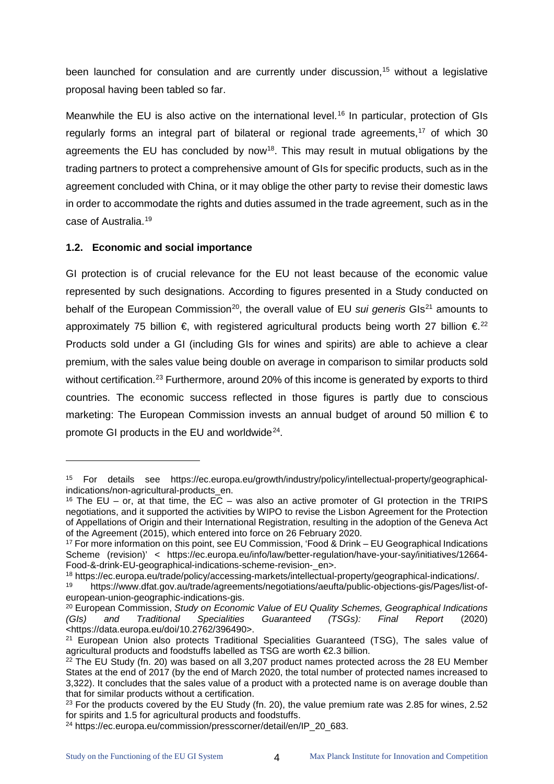been launched for consulation and are currently under discussion, [15](#page-8-1) without a legislative proposal having been tabled so far.

Meanwhile the EU is also active on the international level.<sup>[16](#page-8-2)</sup> In particular, protection of GIs regularly forms an integral part of bilateral or regional trade agreements,<sup>[17](#page-8-3)</sup> of which 30 agreements the EU has concluded by now<sup>18</sup>. This may result in mutual obligations by the trading partners to protect a comprehensive amount of GIs for specific products, such as in the agreement concluded with China, or it may oblige the other party to revise their domestic laws in order to accommodate the rights and duties assumed in the trade agreement, such as in the case of Australia. [19](#page-8-5)

#### <span id="page-8-0"></span>**1.2. Economic and social importance**

 $\ddot{\phantom{a}}$ 

GI protection is of crucial relevance for the EU not least because of the economic value represented by such designations. According to figures presented in a Study conducted on behalf of the European Commission<sup>20</sup>, the overall value of EU *sui generis* GIs<sup>[21](#page-8-7)</sup> amounts to approximately 75 billion  $\epsilon$ , with registered agricultural products being worth 27 billion  $\epsilon^{22}$  $\epsilon^{22}$  $\epsilon^{22}$ Products sold under a GI (including GIs for wines and spirits) are able to achieve a clear premium, with the sales value being double on average in comparison to similar products sold without certification.<sup>[23](#page-8-9)</sup> Furthermore, around 20% of this income is generated by exports to third countries. The economic success reflected in those figures is partly due to conscious marketing: The European Commission invests an annual budget of around 50 million  $\epsilon$  to promote GI products in the EU and worldwide<sup>24</sup>.

<span id="page-8-1"></span><sup>15</sup> For details see https://ec.europa.eu/growth/industry/policy/intellectual-property/geographicalindications/non-agricultural-products\_en.

<span id="page-8-2"></span><sup>&</sup>lt;sup>16</sup> The EU – or, at that time, the EC – was also an active promoter of GI protection in the TRIPS negotiations, and it supported the activities by WIPO to revise the Lisbon Agreement for the Protection of Appellations of Origin and their International Registration, resulting in the adoption of the Geneva Act of the Agreement (2015), which entered into force on 26 February 2020.

<span id="page-8-3"></span><sup>17</sup> For more information on this point, see EU Commission, 'Food & Drink – EU Geographical Indications Scheme (revision)' < https://ec.europa.eu/info/law/better-regulation/have-your-say/initiatives/12664- Food-&-drink-EU-geographical-indications-scheme-revision-\_en>.<br><sup>18</sup> https://ec.europa.eu/trade/policy/accessing-markets/intellectual-property/geographical-indications/.

<span id="page-8-4"></span>

<span id="page-8-5"></span><sup>&</sup>lt;sup>19</sup> https://www.dfat.gov.au/trade/agreements/negotiations/aeufta/public-objections-gis/Pages/list-of-<br>european-union-geographic-indications-gis.

<span id="page-8-6"></span><sup>&</sup>lt;sup>20</sup> European Commission, Study on Economic Value of EU Quality Schemes, Geographical Indications *(GIs) and Traditional Specialities Guaranteed (TSGs): Final Report* (2020) <https://data.europa.eu/doi/10.2762/396490>.

<span id="page-8-7"></span><sup>&</sup>lt;sup>21</sup> European Union also protects Traditional Specialities Guaranteed (TSG), The sales value of agricultural products and foodstuffs labelled as TSG are worth €2.3 billion.

<span id="page-8-8"></span> $22$  The EU Study (fn. 20) was based on all 3,207 product names protected across the 28 EU Member States at the end of 2017 (by the end of March 2020, the total number of protected names increased to 3,322). It concludes that the sales value of a product with a protected name is on average double than that for similar products without a certification.

<span id="page-8-9"></span> $23$  For the products covered by the EU Study (fn. 20), the value premium rate was 2.85 for wines, 2.52 for spirits and 1.5 for agricultural products and foodstuffs.

<span id="page-8-10"></span><sup>&</sup>lt;sup>24</sup> https://ec.europa.eu/commission/presscorner/detail/en/IP\_20\_683.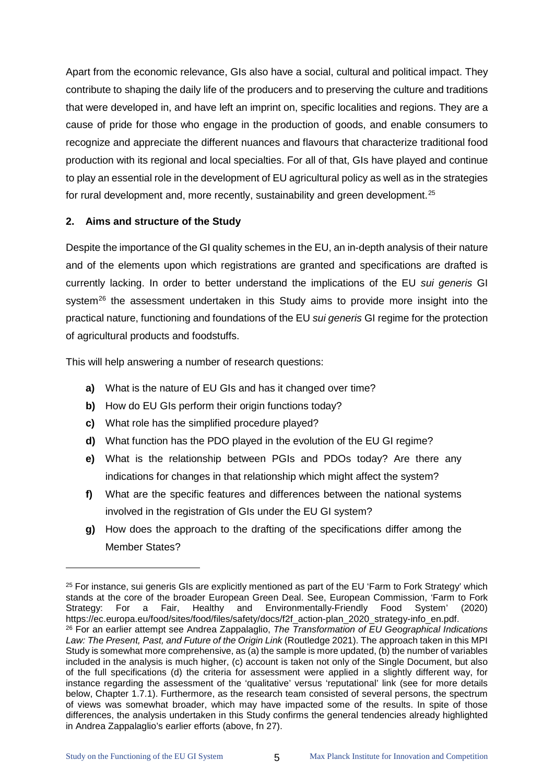Apart from the economic relevance, GIs also have a social, cultural and political impact. They contribute to shaping the daily life of the producers and to preserving the culture and traditions that were developed in, and have left an imprint on, specific localities and regions. They are a cause of pride for those who engage in the production of goods, and enable consumers to recognize and appreciate the different nuances and flavours that characterize traditional food production with its regional and local specialties. For all of that, GIs have played and continue to play an essential role in the development of EU agricultural policy as well as in the strategies for rural development and, more recently, sustainability and green development.<sup>[25](#page-9-1)</sup>

#### <span id="page-9-0"></span>**2. Aims and structure of the Study**

Despite the importance of the GI quality schemes in the EU, an in-depth analysis of their nature and of the elements upon which registrations are granted and specifications are drafted is currently lacking. In order to better understand the implications of the EU *sui generis* GI system<sup>26</sup> the assessment undertaken in this Study aims to provide more insight into the practical nature, functioning and foundations of the EU *sui generis* GI regime for the protection of agricultural products and foodstuffs.

This will help answering a number of research questions:

- **a)** What is the nature of EU GIs and has it changed over time?
- **b)** How do EU GIs perform their origin functions today?
- **c)** What role has the simplified procedure played?
- **d)** What function has the PDO played in the evolution of the EU GI regime?
- **e)** What is the relationship between PGIs and PDOs today? Are there any indications for changes in that relationship which might affect the system?
- **f)** What are the specific features and differences between the national systems involved in the registration of GIs under the EU GI system?
- **g)** How does the approach to the drafting of the specifications differ among the Member States?

<span id="page-9-2"></span><span id="page-9-1"></span> $25$  For instance, sui generis GIs are explicitly mentioned as part of the EU 'Farm to Fork Strategy' which stands at the core of the broader European Green Deal. See, European Commission, 'Farm to Fork<br>Strategy: For a Fair, Healthy and Environmentally-Friendly Food System' (2020) For a Fair, Healthy and Environmentally-Friendly Food System' (2020) https://ec.europa.eu/food/sites/food/files/safety/docs/f2f\_action-plan\_2020\_strategy-info\_en.pdf. <sup>26</sup> For an earlier attempt see Andrea Zappalaglio, *The Transformation of EU Geographical Indications Law: The Present, Past, and Future of the Origin Link* (Routledge 2021). The approach taken in this MPI Study is somewhat more comprehensive, as (a) the sample is more updated, (b) the number of variables included in the analysis is much higher, (c) account is taken not only of the Single Document, but also of the full specifications (d) the criteria for assessment were applied in a slightly different way, for instance regarding the assessment of the 'qualitative' versus 'reputational' link (see for more details below, Chapter 1.7.1). Furthermore, as the research team consisted of several persons, the spectrum of views was somewhat broader, which may have impacted some of the results. In spite of those differences, the analysis undertaken in this Study confirms the general tendencies already highlighted in Andrea Zappalaglio's earlier efforts (above, fn 27).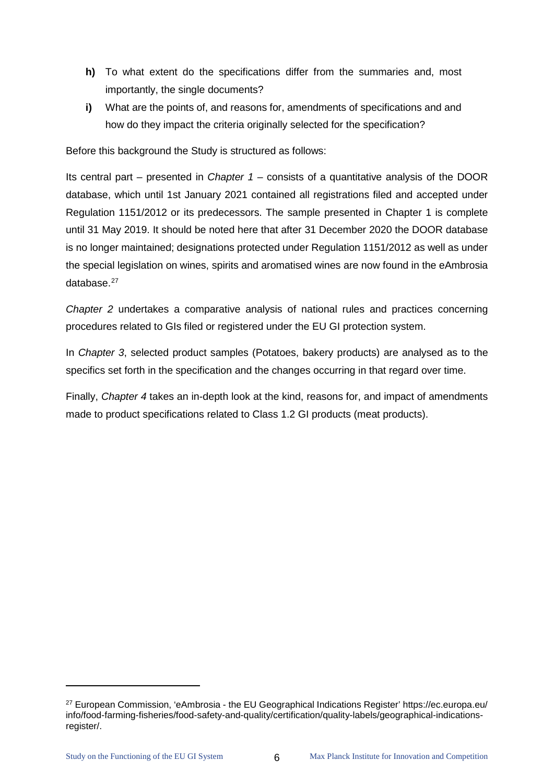- **h)** To what extent do the specifications differ from the summaries and, most importantly, the single documents?
- **i)** What are the points of, and reasons for, amendments of specifications and and how do they impact the criteria originally selected for the specification?

Before this background the Study is structured as follows:

Its central part – presented in *Chapter 1* – consists of a quantitative analysis of the DOOR database, which until 1st January 2021 contained all registrations filed and accepted under Regulation 1151/2012 or its predecessors. The sample presented in Chapter 1 is complete until 31 May 2019. It should be noted here that after 31 December 2020 the DOOR database is no longer maintained; designations protected under Regulation 1151/2012 as well as under the special legislation on wines, spirits and aromatised wines are now found in the eAmbrosia database.[27](#page-10-0)

*Chapter 2* undertakes a comparative analysis of national rules and practices concerning procedures related to GIs filed or registered under the EU GI protection system.

In *Chapter 3*, selected product samples (Potatoes, bakery products) are analysed as to the specifics set forth in the specification and the changes occurring in that regard over time.

Finally, *Chapter 4* takes an in-depth look at the kind, reasons for, and impact of amendments made to product specifications related to Class 1.2 GI products (meat products).

 $\ddot{\phantom{a}}$ 

<span id="page-10-0"></span><sup>27</sup> European Commission, 'eAmbrosia - the EU Geographical Indications Register' https://ec.europa.eu/ info/food-farming-fisheries/food-safety-and-quality/certification/quality-labels/geographical-indicationsregister/.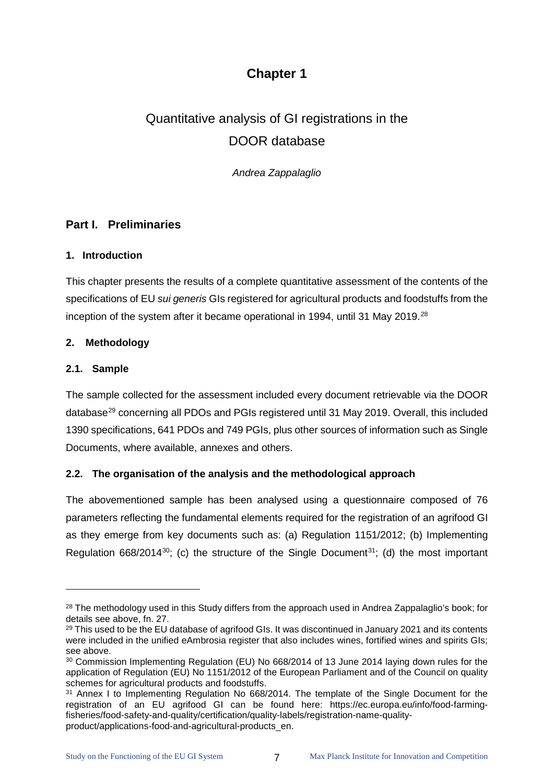# **Chapter 1**

# <span id="page-11-0"></span>Quantitative analysis of GI registrations in the DOOR database

*Andrea Zappalaglio*

# <span id="page-11-1"></span>**Part I. Preliminaries**

# <span id="page-11-2"></span>**1. Introduction**

This chapter presents the results of a complete quantitative assessment of the contents of the specifications of EU *sui generis* GIs registered for agricultural products and foodstuffs from the inception of the system after it became operational in 1994, until 31 May 2019.<sup>[28](#page-11-6)</sup>

# <span id="page-11-3"></span>**2. Methodology**

#### <span id="page-11-4"></span>**2.1. Sample**

 $\ddot{\phantom{a}}$ 

The sample collected for the assessment included every document retrievable via the DOOR database<sup>[29](#page-11-7)</sup> concerning all PDOs and PGIs registered until 31 May 2019. Overall, this included 1390 specifications, 641 PDOs and 749 PGIs, plus other sources of information such as Single Documents, where available, annexes and others.

# <span id="page-11-5"></span>**2.2. The organisation of the analysis and the methodological approach**

The abovementioned sample has been analysed using a questionnaire composed of 76 parameters reflecting the fundamental elements required for the registration of an agrifood GI as they emerge from key documents such as: (a) Regulation 1151/2012; (b) Implementing Regulation 668/2014 $^{30}$  $^{30}$  $^{30}$ ; (c) the structure of the Single Document $^{31}$  $^{31}$  $^{31}$ ; (d) the most important

<span id="page-11-6"></span><sup>&</sup>lt;sup>28</sup> The methodology used in this Study differs from the approach used in Andrea Zappalaglio's book; for details see above, fn. 27.

<span id="page-11-7"></span><sup>&</sup>lt;sup>29</sup> This used to be the EU database of agrifood GIs. It was discontinued in January 2021 and its contents were included in the unified eAmbrosia register that also includes wines, fortified wines and spirits GIs; see above.

<span id="page-11-8"></span><sup>30</sup> Commission Implementing Regulation (EU) No 668/2014 of 13 June 2014 laying down rules for the application of Regulation (EU) No 1151/2012 of the European Parliament and of the Council on quality schemes for agricultural products and foodstuffs.

<span id="page-11-9"></span><sup>&</sup>lt;sup>31</sup> Annex I to Implementing Regulation No 668/2014. The template of the Single Document for the registration of an EU agrifood GI can be found here: [https://ec.europa.eu/info/food-farming](https://ec.europa.eu/info/food-farming-fisheries/food-safety-and-quality/certification/quality-labels/registration-name-quality-product/applications-food-and-agricultural-products_en)[fisheries/food-safety-and-quality/certification/quality-labels/registration-name-quality](https://ec.europa.eu/info/food-farming-fisheries/food-safety-and-quality/certification/quality-labels/registration-name-quality-product/applications-food-and-agricultural-products_en)[product/applications-food-and-agricultural-products\\_en.](https://ec.europa.eu/info/food-farming-fisheries/food-safety-and-quality/certification/quality-labels/registration-name-quality-product/applications-food-and-agricultural-products_en)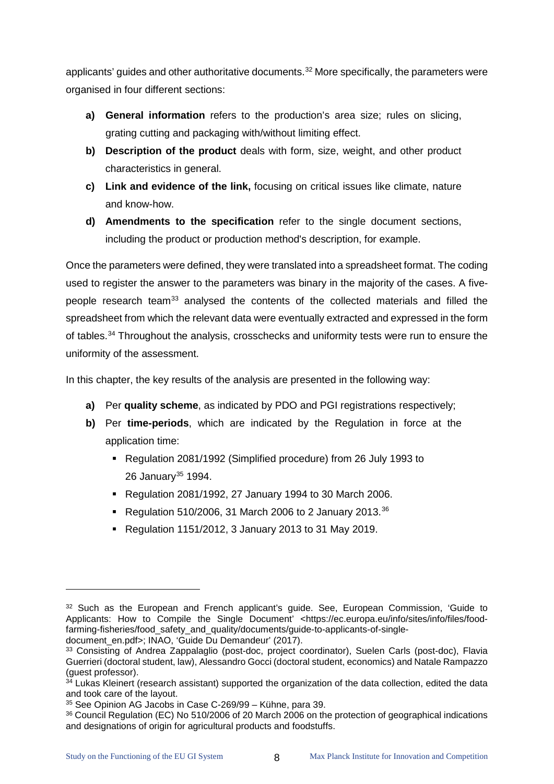applicants' guides and other authoritative documents.<sup>[32](#page-12-0)</sup> More specifically, the parameters were organised in four different sections:

- **a) General information** refers to the production's area size; rules on slicing, grating cutting and packaging with/without limiting effect.
- **b) Description of the product** deals with form, size, weight, and other product characteristics in general.
- **c) Link and evidence of the link,** focusing on critical issues like climate, nature and know-how.
- **d) Amendments to the specification** refer to the single document sections, including the product or production method's description, for example.

Once the parameters were defined, they were translated into a spreadsheet format. The coding used to register the answer to the parameters was binary in the majority of the cases. A five-people research team<sup>[33](#page-12-1)</sup> analysed the contents of the collected materials and filled the spreadsheet from which the relevant data were eventually extracted and expressed in the form of tables.<sup>[34](#page-12-2)</sup> Throughout the analysis, crosschecks and uniformity tests were run to ensure the uniformity of the assessment.

In this chapter, the key results of the analysis are presented in the following way:

- **a)** Per **quality scheme**, as indicated by PDO and PGI registrations respectively;
- **b)** Per **time-periods**, which are indicated by the Regulation in force at the application time:
	- Regulation 2081/1992 (Simplified procedure) from 26 July 1993 to 26 January<sup>[35](#page-12-3)</sup> 1994.
	- Regulation 2081/1992, 27 January 1994 to 30 March 2006.
	- Regulation 510/2006, 31 March 2006 to 2 January 2013.<sup>[36](#page-12-4)</sup>
	- Regulation 1151/2012, 3 January 2013 to 31 May 2019.

 $\ddot{\phantom{a}}$ 

<span id="page-12-0"></span><sup>&</sup>lt;sup>32</sup> Such as the European and French applicant's quide. See, European Commission, 'Guide to Applicants: How to Compile the Single Document' <https://ec.europa.eu/info/sites/info/files/foodfarming-fisheries/food\_safety\_and\_quality/documents/guide-to-applicants-of-single-

document\_en.pdf>; INAO, 'Guide Du Demandeur' (2017).

<span id="page-12-1"></span><sup>33</sup> Consisting of Andrea Zappalaglio (post-doc, project coordinator), Suelen Carls (post-doc), Flavia Guerrieri (doctoral student, law), Alessandro Gocci (doctoral student, economics) and Natale Rampazzo<br>(guest professor).

<span id="page-12-2"></span><sup>34</sup> Lukas Kleinert (research assistant) supported the organization of the data collection, edited the data and took care of the layout.

<span id="page-12-3"></span><sup>35</sup> See Opinion AG Jacobs in Case C-269/99 – Kühne, para 39.

<span id="page-12-4"></span><sup>36</sup> Council Regulation (EC) No 510/2006 of 20 March 2006 on the protection of geographical indications and designations of origin for agricultural products and foodstuffs.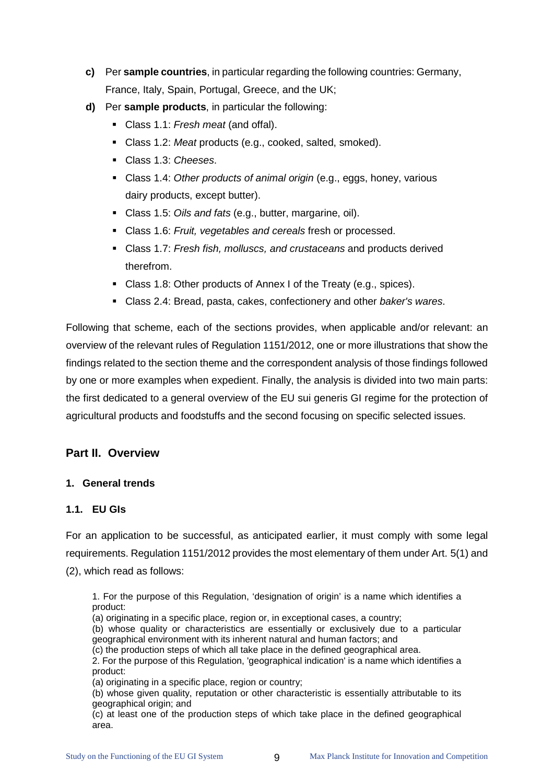- **c)** Per **sample countries**, in particular regarding the following countries: Germany, France, Italy, Spain, Portugal, Greece, and the UK;
- **d)** Per **sample products**, in particular the following:
	- Class 1.1: *Fresh meat* (and offal).
	- Class 1.2: *Meat* products (e.g., cooked, salted, smoked).
	- Class 1.3: *Cheeses*.
	- Class 1.4: *Other products of animal origin* (e.g., eggs, honey, various dairy products, except butter).
	- Class 1.5: *Oils and fats* (e.g., butter, margarine, oil).
	- Class 1.6: *Fruit, vegetables and cereals* fresh or processed.
	- Class 1.7: *Fresh fish, molluscs, and crustaceans* and products derived therefrom.
	- Class 1.8: Other products of Annex I of the Treaty (e.g., spices).
	- Class 2.4: Bread, pasta, cakes, confectionery and other *baker's wares*.

Following that scheme, each of the sections provides, when applicable and/or relevant: an overview of the relevant rules of Regulation 1151/2012, one or more illustrations that show the findings related to the section theme and the correspondent analysis of those findings followed by one or more examples when expedient. Finally, the analysis is divided into two main parts: the first dedicated to a general overview of the EU sui generis GI regime for the protection of agricultural products and foodstuffs and the second focusing on specific selected issues.

# <span id="page-13-0"></span>**Part II. Overview**

#### <span id="page-13-1"></span>**1. General trends**

#### <span id="page-13-2"></span>**1.1. EU GIs**

For an application to be successful, as anticipated earlier, it must comply with some legal requirements. Regulation 1151/2012 provides the most elementary of them under Art. 5(1) and (2), which read as follows:

1. For the purpose of this Regulation, 'designation of origin' is a name which identifies a product:

(a) originating in a specific place, region or, in exceptional cases, a country;

(b) whose quality or characteristics are essentially or exclusively due to a particular geographical environment with its inherent natural and human factors; and

(c) the production steps of which all take place in the defined geographical area.

2. For the purpose of this Regulation, 'geographical indication' is a name which identifies a product:

(a) originating in a specific place, region or country;

(b) whose given quality, reputation or other characteristic is essentially attributable to its geographical origin; and

(c) at least one of the production steps of which take place in the defined geographical area.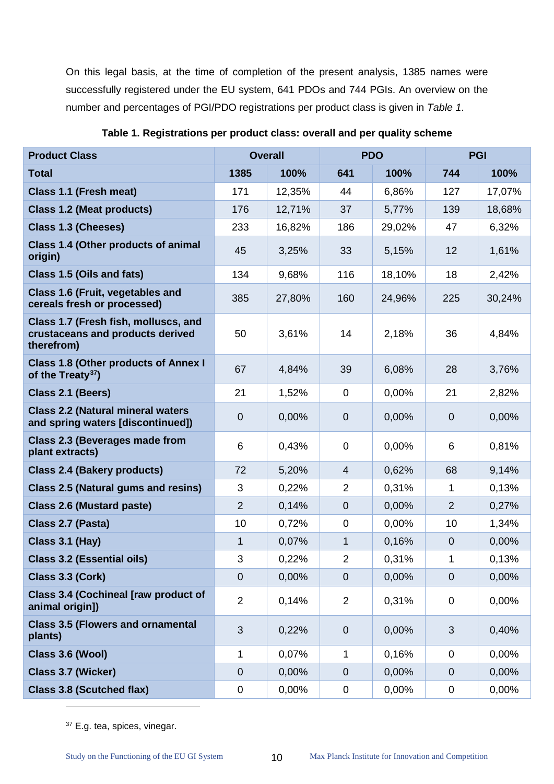On this legal basis, at the time of completion of the present analysis, 1385 names were successfully registered under the EU system, 641 PDOs and 744 PGIs. An overview on the number and percentages of PGI/PDO registrations per product class is given in *[Table 1](#page-14-0)*.

| <b>Product Class</b>                                                                   | <b>Overall</b> |        | <b>PDO</b>     |        | <b>PGI</b>     |        |
|----------------------------------------------------------------------------------------|----------------|--------|----------------|--------|----------------|--------|
| <b>Total</b>                                                                           | 1385           | 100%   | 641            | 100%   | 744            | 100%   |
| Class 1.1 (Fresh meat)                                                                 | 171            | 12,35% | 44             | 6,86%  | 127            | 17,07% |
| <b>Class 1.2 (Meat products)</b>                                                       | 176            | 12,71% | 37             | 5,77%  | 139            | 18,68% |
| <b>Class 1.3 (Cheeses)</b>                                                             | 233            | 16,82% | 186            | 29,02% | 47             | 6,32%  |
| Class 1.4 (Other products of animal<br>origin)                                         | 45             | 3,25%  | 33             | 5,15%  | 12             | 1,61%  |
| Class 1.5 (Oils and fats)                                                              | 134            | 9,68%  | 116            | 18,10% | 18             | 2,42%  |
| Class 1.6 (Fruit, vegetables and<br>cereals fresh or processed)                        | 385            | 27,80% | 160            | 24,96% | 225            | 30,24% |
| Class 1.7 (Fresh fish, molluscs, and<br>crustaceans and products derived<br>therefrom) | 50             | 3,61%  | 14             | 2,18%  | 36             | 4,84%  |
| <b>Class 1.8 (Other products of Annex I</b><br>of the Treaty <sup>37</sup> )           | 67             | 4,84%  | 39             | 6,08%  | 28             | 3,76%  |
| Class 2.1 (Beers)                                                                      | 21             | 1,52%  | $\mathbf 0$    | 0,00%  | 21             | 2,82%  |
| <b>Class 2.2 (Natural mineral waters</b><br>and spring waters [discontinued])          | $\overline{0}$ | 0,00%  | $\mathbf 0$    | 0,00%  | $\mathbf 0$    | 0,00%  |
| <b>Class 2.3 (Beverages made from</b><br>plant extracts)                               | 6              | 0,43%  | $\mathbf 0$    | 0,00%  | 6              | 0,81%  |
| <b>Class 2.4 (Bakery products)</b>                                                     | 72             | 5,20%  | $\overline{4}$ | 0,62%  | 68             | 9,14%  |
| <b>Class 2.5 (Natural gums and resins)</b>                                             | 3              | 0,22%  | $\overline{2}$ | 0,31%  | 1              | 0,13%  |
| <b>Class 2.6 (Mustard paste)</b>                                                       | $\overline{2}$ | 0,14%  | $\overline{0}$ | 0,00%  | $\overline{2}$ | 0,27%  |
| Class 2.7 (Pasta)                                                                      | 10             | 0,72%  | 0              | 0,00%  | 10             | 1,34%  |
| Class 3.1 (Hay)                                                                        | $\mathbf{1}$   | 0,07%  | 1              | 0,16%  | $\overline{0}$ | 0,00%  |
| <b>Class 3.2 (Essential oils)</b>                                                      | 3              | 0,22%  | $\overline{2}$ | 0,31%  | 1              | 0,13%  |
| Class 3.3 (Cork)                                                                       | $\overline{0}$ | 0,00%  | $\overline{0}$ | 0,00%  | $\overline{0}$ | 0,00%  |
| Class 3.4 (Cochineal [raw product of<br>animal origin])                                | $\overline{2}$ | 0,14%  | $\overline{2}$ | 0,31%  | $\mathbf 0$    | 0,00%  |
| <b>Class 3.5 (Flowers and ornamental</b><br>plants)                                    | 3              | 0,22%  | $\overline{0}$ | 0,00%  | $\mathfrak{S}$ | 0,40%  |
| Class 3.6 (Wool)                                                                       | 1              | 0,07%  | 1              | 0,16%  | $\mathbf 0$    | 0,00%  |
| Class 3.7 (Wicker)                                                                     | $\overline{0}$ | 0,00%  | $\mathbf{0}$   | 0,00%  | $\overline{0}$ | 0,00%  |
| <b>Class 3.8 (Scutched flax)</b>                                                       | 0              | 0,00%  | $\pmb{0}$      | 0,00%  | 0              | 0,00%  |

<span id="page-14-0"></span>**Table 1. Registrations per product class: overall and per quality scheme**

<span id="page-14-1"></span><sup>37</sup> E.g. tea, spices, vinegar.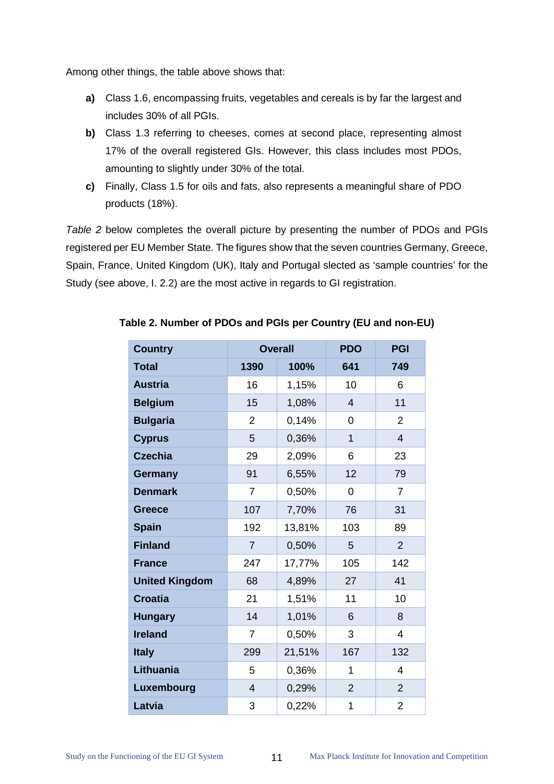Among other things, the table above shows that:

- **a)** Class 1.6, encompassing fruits, vegetables and cereals is by far the largest and includes 30% of all PGIs.
- **b)** Class 1.3 referring to cheeses, comes at second place, representing almost 17% of the overall registered GIs. However, this class includes most PDOs, amounting to slightly under 30% of the total.
- **c)** Finally, Class 1.5 for oils and fats, also represents a meaningful share of PDO products (18%).

*[Table 2](#page-15-0)* below completes the overall picture by presenting the number of PDOs and PGIs registered per EU Member State. The figures show that the seven countries Germany, Greece, Spain, France, United Kingdom (UK), Italy and Portugal slected as 'sample countries' for the Study (see above, I. 2.2) are the most active in regards to GI registration.

| <b>Country</b>        | <b>Overall</b> |        | <b>PDO</b>     | <b>PGI</b>     |
|-----------------------|----------------|--------|----------------|----------------|
| <b>Total</b>          | 1390           | 100%   | 641            | 749            |
| <b>Austria</b>        | 16             | 1,15%  | 10             | 6              |
| <b>Belgium</b>        | 15             | 1,08%  | $\overline{4}$ | 11             |
| <b>Bulgaria</b>       | $\overline{2}$ | 0,14%  | 0              | $\overline{2}$ |
| <b>Cyprus</b>         | 5              | 0,36%  | 1              | $\overline{4}$ |
| <b>Czechia</b>        | 29             | 2,09%  | 6              | 23             |
| <b>Germany</b>        | 91             | 6,55%  | 12             | 79             |
| <b>Denmark</b>        | $\overline{7}$ | 0,50%  | 0              | $\overline{7}$ |
| <b>Greece</b>         | 107            | 7,70%  | 76             | 31             |
| <b>Spain</b>          | 192            | 13,81% | 103            | 89             |
| <b>Finland</b>        | $\overline{7}$ | 0,50%  | 5              | $\overline{2}$ |
| <b>France</b>         | 247            | 17,77% | 105            | 142            |
| <b>United Kingdom</b> | 68             | 4,89%  | 27             | 41             |
| <b>Croatia</b>        | 21             | 1,51%  | 11             | 10             |
| <b>Hungary</b>        | 14             | 1,01%  | 6              | 8              |
| <b>Ireland</b>        | $\overline{7}$ | 0,50%  | 3              | 4              |
| <b>Italy</b>          | 299            | 21,51% | 167            | 132            |
| Lithuania             | 5              | 0,36%  | 1              | 4              |
| Luxembourg            | $\overline{4}$ | 0,29%  | $\overline{2}$ | $\overline{2}$ |
| Latvia                | 3              | 0,22%  | 1              | $\overline{2}$ |

#### <span id="page-15-0"></span>**Table 2. Number of PDOs and PGIs per Country (EU and non-EU)**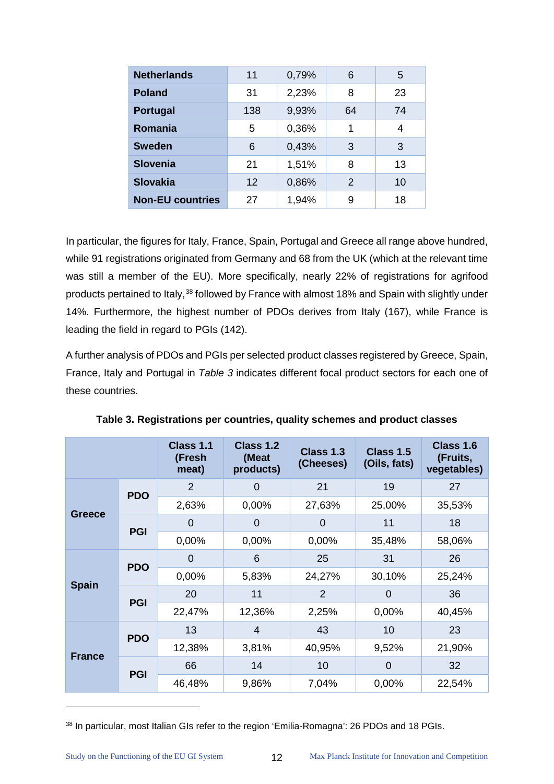| <b>Netherlands</b>      | 11  | 0,79% | 6  | 5  |
|-------------------------|-----|-------|----|----|
| <b>Poland</b>           | 31  | 2,23% | 8  | 23 |
| Portugal                | 138 | 9,93% | 64 | 74 |
| Romania                 | 5   | 0,36% | 1  | 4  |
| <b>Sweden</b>           | 6   | 0,43% | 3  | 3  |
| <b>Slovenia</b>         | 21  | 1,51% | 8  | 13 |
| <b>Slovakia</b>         | 12  | 0,86% | 2  | 10 |
| <b>Non-EU countries</b> | 27  | 1,94% | 9  | 18 |

In particular, the figures for Italy, France, Spain, Portugal and Greece all range above hundred, while 91 registrations originated from Germany and 68 from the UK (which at the relevant time was still a member of the EU). More specifically, nearly 22% of registrations for agrifood products pertained to Italy,<sup>[38](#page-16-1)</sup> followed by France with almost 18% and Spain with slightly under 14%. Furthermore, the highest number of PDOs derives from Italy (167), while France is leading the field in regard to PGIs (142).

A further analysis of PDOs and PGIs per selected product classes registered by Greece, Spain, France, Italy and Portugal in *[Table 3](#page-16-0)* indicates different focal product sectors for each one of these countries.

<span id="page-16-0"></span>

|               |            | Class 1.1<br>(Fresh<br>meat) | Class 1.2<br>(Meat<br>products) | Class 1.3<br>(Cheeses) | Class 1.5<br>(Oils, fats) | Class 1.6<br>(Fruits,<br>vegetables) |
|---------------|------------|------------------------------|---------------------------------|------------------------|---------------------------|--------------------------------------|
|               | <b>PDO</b> | 2                            | 0                               | 21                     | 19                        | 27                                   |
|               |            | 2,63%                        | 0,00%                           | 27,63%                 | 25,00%                    | 35,53%                               |
| Greece        | <b>PGI</b> | 0                            | 0                               | $\Omega$               | 11                        | 18                                   |
|               |            | 0,00%                        | 0,00%                           | 0,00%                  | 35,48%                    | 58,06%                               |
|               | <b>PDO</b> | 0                            | 6                               | 25                     | 31                        | 26                                   |
|               |            | 0,00%                        | 5,83%                           | 24,27%                 | 30,10%                    | 25,24%                               |
| <b>Spain</b>  | <b>PGI</b> | 20                           | 11                              | 2                      | 0                         | 36                                   |
|               |            | 22,47%                       | 12,36%                          | 2,25%                  | 0,00%                     | 40,45%                               |
|               | <b>PDO</b> | 13                           | $\overline{4}$                  | 43                     | 10                        | 23                                   |
|               |            | 12,38%                       | 3,81%                           | 40,95%                 | 9,52%                     | 21,90%                               |
| <b>France</b> | <b>PGI</b> | 66                           | 14                              | 10                     | $\Omega$                  | 32                                   |
|               |            | 46,48%                       | 9,86%                           | 7,04%                  | 0,00%                     | 22,54%                               |

**Table 3. Registrations per countries, quality schemes and product classes**

<span id="page-16-1"></span><sup>38</sup> In particular, most Italian GIs refer to the region 'Emilia-Romagna': 26 PDOs and 18 PGIs.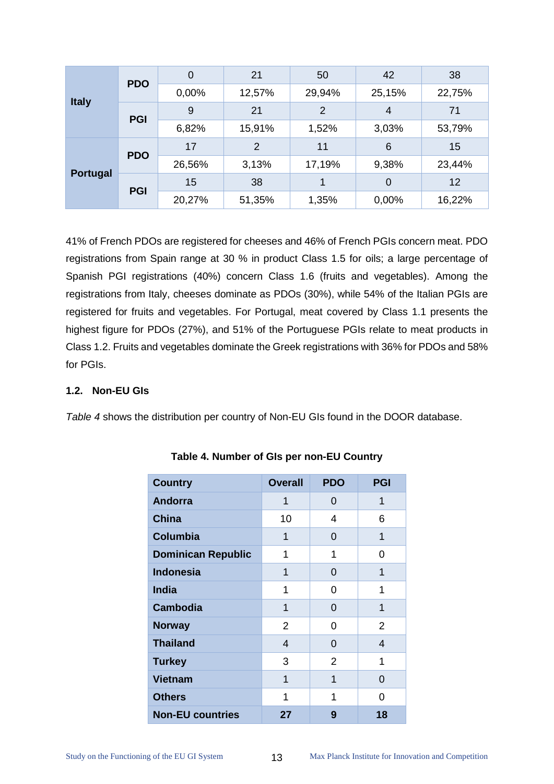|                 | <b>PDO</b> | $\overline{0}$ | 21             | 50             | 42             | 38     |
|-----------------|------------|----------------|----------------|----------------|----------------|--------|
|                 |            | 0,00%          | 12,57%         | 29,94%         | 25,15%         | 22,75% |
| <b>Italy</b>    | <b>PGI</b> | 9              | 21             | $\overline{2}$ | $\overline{4}$ | 71     |
|                 |            | 6,82%          | 15,91%         | 1,52%          | 3,03%          | 53,79% |
|                 | <b>PDO</b> | 17             | $\overline{2}$ | 11             | 6              | 15     |
|                 |            | 26,56%         | 3,13%          | 17,19%         | 9,38%          | 23,44% |
| <b>Portugal</b> | <b>PGI</b> | 15             | 38             | 1              | $\Omega$       | 12     |
|                 |            | 20,27%         | 51,35%         | 1,35%          | 0,00%          | 16,22% |

41% of French PDOs are registered for cheeses and 46% of French PGIs concern meat. PDO registrations from Spain range at 30 % in product Class 1.5 for oils; a large percentage of Spanish PGI registrations (40%) concern Class 1.6 (fruits and vegetables). Among the registrations from Italy, cheeses dominate as PDOs (30%), while 54% of the Italian PGIs are registered for fruits and vegetables. For Portugal, meat covered by Class 1.1 presents the highest figure for PDOs (27%), and 51% of the Portuguese PGIs relate to meat products in Class 1.2. Fruits and vegetables dominate the Greek registrations with 36% for PDOs and 58% for PGIs.

# <span id="page-17-0"></span>**1.2. Non-EU GIs**

<span id="page-17-1"></span>*[Table 4](#page-17-1)* shows the distribution per country of Non-EU GIs found in the DOOR database.

| <b>Country</b>            | <b>Overall</b> | <b>PDO</b> | <b>PGI</b>     |
|---------------------------|----------------|------------|----------------|
| <b>Andorra</b>            | 1              | 0          | 1              |
| <b>China</b>              | 10             | 4          | 6              |
| <b>Columbia</b>           | 1              | 0          | 1              |
| <b>Dominican Republic</b> | 1              | 1          | 0              |
| <b>Indonesia</b>          | 1              | 0          | 1              |
| <b>India</b>              | 1              | 0          | 1              |
| <b>Cambodia</b>           | 1              | 0          | 1              |
| <b>Norway</b>             | $\overline{2}$ | 0          | $\overline{2}$ |
| <b>Thailand</b>           | 4              | 0          | 4              |
| <b>Turkey</b>             | 3              | 2          | 1              |
| <b>Vietnam</b>            | 1              | 1          | 0              |
| <b>Others</b>             | 1              | 1          | 0              |
| <b>Non-EU countries</b>   | 27             | 9          | 18             |

# **Table 4. Number of GIs per non-EU Country**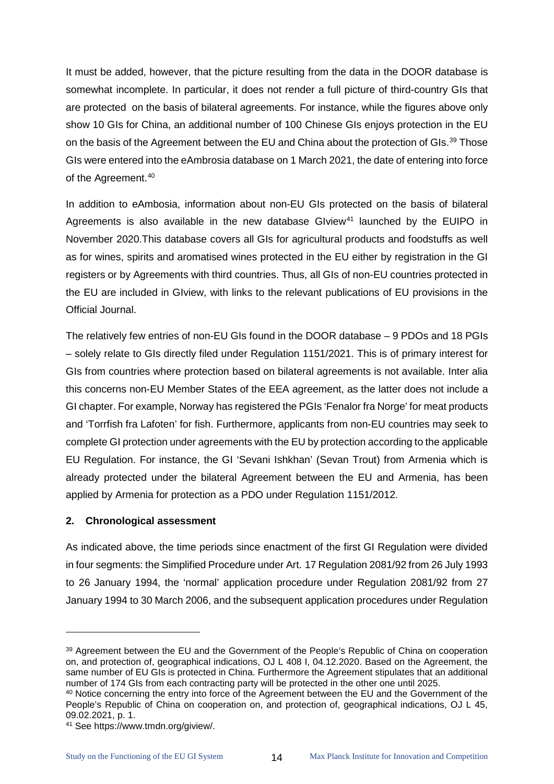It must be added, however, that the picture resulting from the data in the DOOR database is somewhat incomplete. In particular, it does not render a full picture of third-country GIs that are protected on the basis of bilateral agreements. For instance, while the figures above only show 10 GIs for China, an additional number of 100 Chinese GIs enjoys protection in the EU on the basis of the Agreement between the EU and China about the protection of GIs.<sup>39</sup> Those GIs were entered into the eAmbrosia database on 1 March 2021, the date of entering into force of the Agreement. [40](#page-18-2)

In addition to eAmbosia, information about non-EU GIs protected on the basis of bilateral Agreements is also available in the new database GIview<sup>[41](#page-18-3)</sup> launched by the EUIPO in November 2020.This database covers all GIs for agricultural products and foodstuffs as well as for wines, spirits and aromatised wines protected in the EU either by registration in the GI registers or by Agreements with third countries. Thus, all GIs of non-EU countries protected in the EU are included in GIview, with links to the relevant publications of EU provisions in the Official Journal.

The relatively few entries of non-EU GIs found in the DOOR database – 9 PDOs and 18 PGIs – solely relate to GIs directly filed under Regulation 1151/2021. This is of primary interest for GIs from countries where protection based on bilateral agreements is not available. Inter alia this concerns non-EU Member States of the EEA agreement, as the latter does not include a GI chapter. For example, Norway has registered the PGIs 'Fenalor fra Norge' for meat products and 'Torrfish fra Lafoten' for fish. Furthermore, applicants from non-EU countries may seek to complete GI protection under agreements with the EU by protection according to the applicable EU Regulation. For instance, the GI 'Sevani Ishkhan' (Sevan Trout) from Armenia which is already protected under the bilateral Agreement between the EU and Armenia, has been applied by Armenia for protection as a PDO under Regulation 1151/2012.

# <span id="page-18-0"></span>**2. Chronological assessment**

As indicated above, the time periods since enactment of the first GI Regulation were divided in four segments: the Simplified Procedure under Art. 17 Regulation 2081/92 from 26 July 1993 to 26 January 1994, the 'normal' application procedure under Regulation 2081/92 from 27 January 1994 to 30 March 2006, and the subsequent application procedures under Regulation

 $\ddot{\phantom{a}}$ 

<span id="page-18-1"></span><sup>&</sup>lt;sup>39</sup> Agreement between the EU and the Government of the People's Republic of China on cooperation on, and protection of, geographical indications, OJ L 408 I, 04.12.2020. Based on the Agreement, the same number of EU GIs is protected in China. Furthermore the Agreement stipulates that an additional number of 174 GIs from each contracting party will be protected in the other one until 2025.

<span id="page-18-2"></span><sup>40</sup> Notice concerning the entry into force of the Agreement between the EU and the Government of the People's Republic of China on cooperation on, and protection of, geographical indications, OJ L 45, 09.02.2021, p. 1.

<span id="page-18-3"></span><sup>&</sup>lt;sup>41</sup> See [https://www.tmdn.org/giview/.](https://www.tmdn.org/giview/)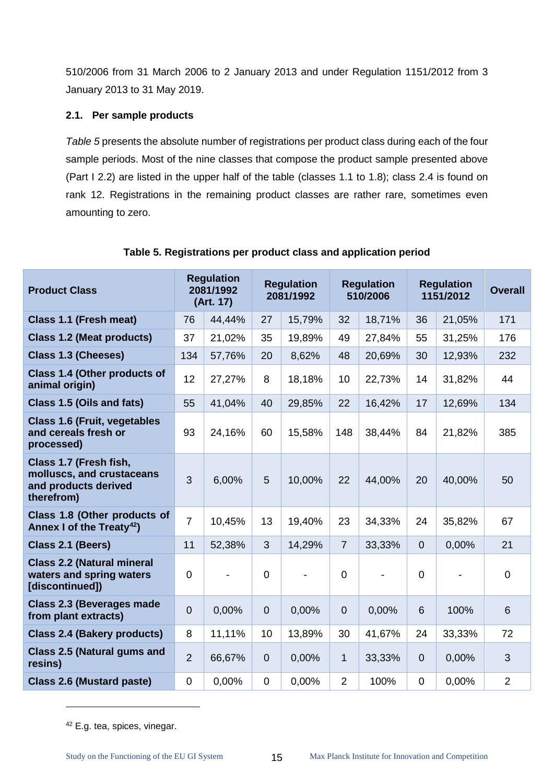510/2006 from 31 March 2006 to 2 January 2013 and under Regulation 1151/2012 from 3 January 2013 to 31 May 2019.

# <span id="page-19-0"></span>**2.1. Per sample products**

*[Table 5](#page-19-1)* presents the absolute number of registrations per product class during each of the four sample periods. Most of the nine classes that compose the product sample presented above (Part I 2.2) are listed in the upper half of the table (classes 1.1 to 1.8); class 2.4 is found on rank 12. Registrations in the remaining product classes are rather rare, sometimes even amounting to zero.

<span id="page-19-1"></span>

| <b>Product Class</b>                                                                      | <b>Regulation</b><br>2081/1992<br>(Art. 17) |        | <b>Regulation</b><br>2081/1992 |        | <b>Regulation</b><br>510/2006 |        | <b>Regulation</b><br>1151/2012 |        | <b>Overall</b> |
|-------------------------------------------------------------------------------------------|---------------------------------------------|--------|--------------------------------|--------|-------------------------------|--------|--------------------------------|--------|----------------|
| Class 1.1 (Fresh meat)                                                                    | 76                                          | 44,44% | 27                             | 15,79% | 32                            | 18,71% | 36                             | 21,05% | 171            |
| <b>Class 1.2 (Meat products)</b>                                                          | 37                                          | 21,02% | 35                             | 19,89% | 49                            | 27,84% | 55                             | 31,25% | 176            |
| <b>Class 1.3 (Cheeses)</b>                                                                | 134                                         | 57,76% | 20                             | 8,62%  | 48                            | 20,69% | 30                             | 12,93% | 232            |
| Class 1.4 (Other products of<br>animal origin)                                            | 12                                          | 27,27% | 8                              | 18,18% | 10                            | 22,73% | 14                             | 31,82% | 44             |
| Class 1.5 (Oils and fats)                                                                 | 55                                          | 41,04% | 40                             | 29,85% | 22                            | 16,42% | 17                             | 12,69% | 134            |
| <b>Class 1.6 (Fruit, vegetables</b><br>and cereals fresh or<br>processed)                 | 93                                          | 24,16% | 60                             | 15,58% | 148                           | 38,44% | 84                             | 21,82% | 385            |
| Class 1.7 (Fresh fish,<br>molluscs, and crustaceans<br>and products derived<br>therefrom) | 3                                           | 6,00%  | 5                              | 10,00% | 22                            | 44,00% | 20                             | 40,00% | 50             |
| Class 1.8 (Other products of<br>Annex I of the Treaty <sup>42</sup> )                     | $\overline{7}$                              | 10,45% | 13                             | 19,40% | 23                            | 34,33% | 24                             | 35,82% | 67             |
| Class 2.1 (Beers)                                                                         | 11                                          | 52,38% | 3                              | 14,29% | $\overline{7}$                | 33,33% | $\overline{0}$                 | 0,00%  | 21             |
| <b>Class 2.2 (Natural mineral</b><br>waters and spring waters<br>[discontinued])          | $\mathbf 0$                                 |        | $\overline{0}$                 |        | $\overline{0}$                |        | $\mathbf 0$                    |        | $\mathbf 0$    |
| <b>Class 2.3 (Beverages made</b><br>from plant extracts)                                  | $\overline{0}$                              | 0,00%  | $\overline{0}$                 | 0,00%  | $\overline{0}$                | 0,00%  | 6                              | 100%   | 6              |
| <b>Class 2.4 (Bakery products)</b>                                                        | 8                                           | 11,11% | 10                             | 13,89% | 30                            | 41,67% | 24                             | 33,33% | 72             |
| <b>Class 2.5 (Natural gums and</b><br>resins)                                             | $\overline{2}$                              | 66,67% | $\mathbf 0$                    | 0,00%  | $\mathbf{1}$                  | 33,33% | $\mathbf 0$                    | 0,00%  | 3              |
| <b>Class 2.6 (Mustard paste)</b>                                                          | $\overline{0}$                              | 0,00%  | $\overline{0}$                 | 0,00%  | $\overline{2}$                | 100%   | $\mathbf 0$                    | 0,00%  | $\overline{2}$ |

#### **Table 5. Registrations per product class and application period**

<span id="page-19-2"></span><sup>&</sup>lt;sup>42</sup> E.g. tea, spices, vinegar.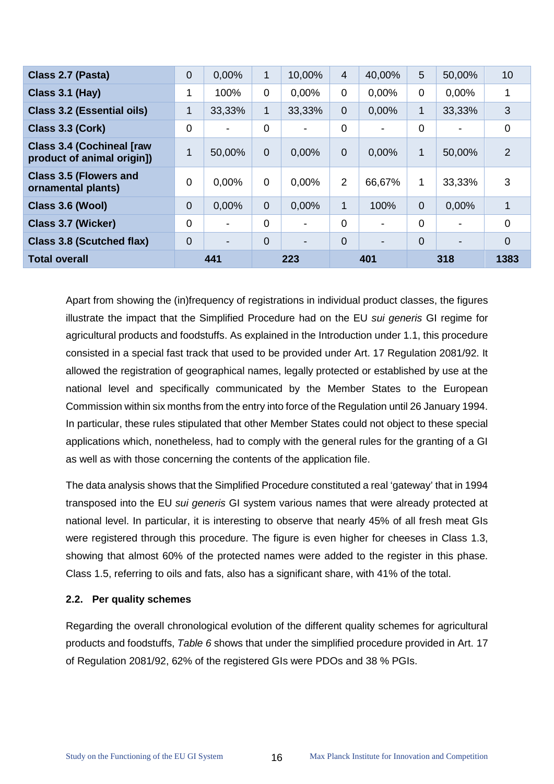| Class 2.7 (Pasta)                                              | $\overline{0}$ | 0,00%          | 1              | 10,00%                   | $\overline{4}$ | 40,00%                   | 5              | 50,00%                   | 10             |
|----------------------------------------------------------------|----------------|----------------|----------------|--------------------------|----------------|--------------------------|----------------|--------------------------|----------------|
| Class 3.1 (Hay)                                                | 1              | 100%           | $\overline{0}$ | 0.00%                    | $\Omega$       | 0.00%                    | $\mathbf 0$    | 0.00%                    | 1              |
| <b>Class 3.2 (Essential oils)</b>                              | $\mathbf{1}$   | 33,33%         | 1              | 33,33%                   | $\overline{0}$ | 0,00%                    | 1              | 33,33%                   | 3              |
| Class 3.3 (Cork)                                               | $\overline{0}$ |                | $\overline{0}$ | $\overline{\phantom{a}}$ | $\Omega$       |                          | $\overline{0}$ | $\blacksquare$           | $\mathbf 0$    |
| <b>Class 3.4 (Cochineal [raw</b><br>product of animal origin]) | 1              | 50,00%         | $\overline{0}$ | 0.00%                    | $\Omega$       | 0.00%                    | $\mathbf{1}$   | 50,00%                   | $\overline{2}$ |
| <b>Class 3.5 (Flowers and</b><br>ornamental plants)            | $\Omega$       | 0.00%          | $\Omega$       | 0,00%                    | 2              | 66,67%                   | 1              | 33,33%                   | 3              |
| Class 3.6 (Wool)                                               | $\overline{0}$ | 0.00%          | $\Omega$       | 0.00%                    | $\mathbf{1}$   | 100%                     | $\overline{0}$ | 0,00%                    |                |
| Class 3.7 (Wicker)                                             | $\Omega$       | $\blacksquare$ | $\Omega$       | $\overline{\phantom{a}}$ | $\Omega$       | $\overline{\phantom{0}}$ | $\Omega$       | $\overline{\phantom{0}}$ | $\Omega$       |
| Class 3.8 (Scutched flax)                                      | $\Omega$       |                | $\Omega$       | $\overline{\phantom{0}}$ | 0              | $\overline{\phantom{0}}$ | $\Omega$       | $\overline{\phantom{0}}$ | 0              |
| <b>Total overall</b>                                           |                | 441            |                | 223                      |                | 401                      | 318            |                          | 1383           |

Apart from showing the (in)frequency of registrations in individual product classes, the figures illustrate the impact that the Simplified Procedure had on the EU *sui generis* GI regime for agricultural products and foodstuffs. As explained in the Introduction under 1.1, this procedure consisted in a special fast track that used to be provided under Art. 17 Regulation 2081/92. It allowed the registration of geographical names, legally protected or established by use at the national level and specifically communicated by the Member States to the European Commission within six months from the entry into force of the Regulation until 26 January 1994. In particular, these rules stipulated that other Member States could not object to these special applications which, nonetheless, had to comply with the general rules for the granting of a GI as well as with those concerning the contents of the application file.

The data analysis shows that the Simplified Procedure constituted a real 'gateway' that in 1994 transposed into the EU *sui generis* GI system various names that were already protected at national level. In particular, it is interesting to observe that nearly 45% of all fresh meat GIs were registered through this procedure. The figure is even higher for cheeses in Class 1.3, showing that almost 60% of the protected names were added to the register in this phase. Class 1.5, referring to oils and fats, also has a significant share, with 41% of the total.

#### <span id="page-20-0"></span>**2.2. Per quality schemes**

Regarding the overall chronological evolution of the different quality schemes for agricultural products and foodstuffs, *[Table 6](#page-21-0)* shows that under the simplified procedure provided in Art. 17 of Regulation 2081/92, 62% of the registered GIs were PDOs and 38 % PGIs.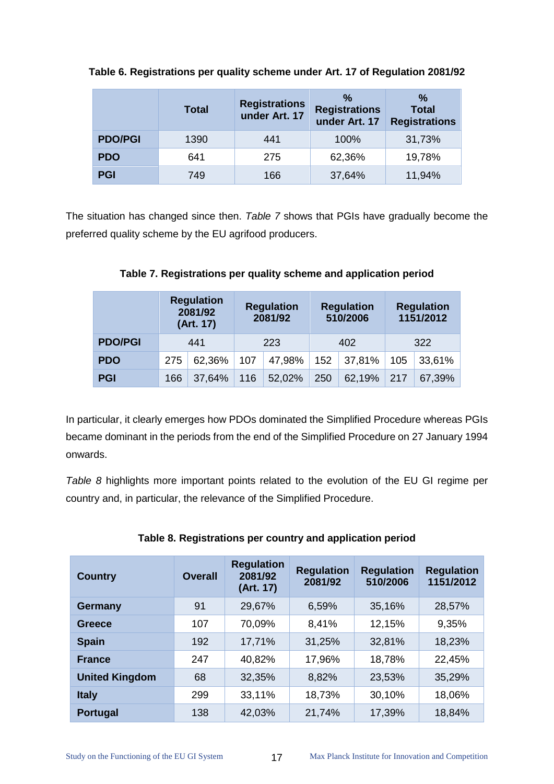|                | <b>Total</b> | <b>Registrations</b><br>under Art. 17 | %<br><b>Registrations</b><br>under Art. 17 | %<br><b>Total</b><br><b>Registrations</b> |
|----------------|--------------|---------------------------------------|--------------------------------------------|-------------------------------------------|
| <b>PDO/PGI</b> | 1390         | 441                                   | 100%                                       | 31,73%                                    |
| <b>PDO</b>     | 641          | 275                                   | 62,36%                                     | 19,78%                                    |
| <b>PGI</b>     | 749          | 166                                   | 37,64%                                     | 11,94%                                    |

<span id="page-21-0"></span>**Table 6. Registrations per quality scheme under Art. 17 of Regulation 2081/92** 

<span id="page-21-1"></span>The situation has changed since then. *[Table 7](#page-21-1)* shows that PGIs have gradually become the preferred quality scheme by the EU agrifood producers.

|                |     | <b>Regulation</b><br>2081/92<br>(Art. 17) | <b>Regulation</b><br>2081/92 |        | <b>Regulation</b><br>510/2006 |        | <b>Regulation</b><br>1151/2012 |        |  |
|----------------|-----|-------------------------------------------|------------------------------|--------|-------------------------------|--------|--------------------------------|--------|--|
| <b>PDO/PGI</b> |     | 441                                       |                              | 223    |                               | 402    |                                | 322    |  |
| <b>PDO</b>     | 275 | 62,36%                                    | 107                          | 47,98% | 152                           | 37,81% | 105                            | 33,61% |  |
| <b>PGI</b>     | 166 | 37,64%                                    | 116                          | 52,02% | 250                           | 62,19% | 217                            | 67,39% |  |

**Table 7. Registrations per quality scheme and application period**

In particular, it clearly emerges how PDOs dominated the Simplified Procedure whereas PGIs became dominant in the periods from the end of the Simplified Procedure on 27 January 1994 onwards.

*[Table 8](#page-21-2)* highlights more important points related to the evolution of the EU GI regime per country and, in particular, the relevance of the Simplified Procedure.

<span id="page-21-2"></span>

| <b>Country</b>        | <b>Overall</b> | <b>Regulation</b><br>2081/92<br>(Art. 17) | <b>Regulation</b><br>2081/92 | <b>Regulation</b><br>510/2006 | <b>Regulation</b><br>1151/2012 |
|-----------------------|----------------|-------------------------------------------|------------------------------|-------------------------------|--------------------------------|
| <b>Germany</b>        | 91             | 29,67%                                    | 6,59%                        | 35,16%                        | 28,57%                         |
| Greece                | 107            | 70,09%                                    | 8,41%                        | 12,15%                        | 9,35%                          |
| <b>Spain</b>          | 192            | 17,71%                                    | 31,25%                       | 32,81%                        | 18,23%                         |
| <b>France</b>         | 247            | 40,82%                                    | 17,96%                       | 18,78%                        | 22,45%                         |
| <b>United Kingdom</b> | 68             | 32,35%                                    | 8,82%                        | 23,53%                        | 35,29%                         |
| <b>Italy</b>          | 299            | 33,11%                                    | 18,73%                       | 30,10%                        | 18,06%                         |
| <b>Portugal</b>       | 138            | 42,03%                                    | 21,74%                       | 17,39%                        | 18,84%                         |

# **Table 8. Registrations per country and application period**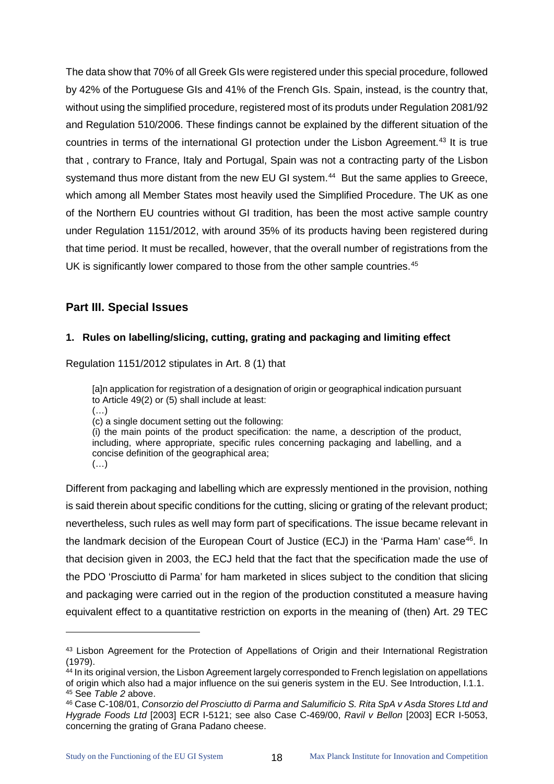The data show that 70% of all Greek GIs were registered under this special procedure, followed by 42% of the Portuguese GIs and 41% of the French GIs. Spain, instead, is the country that, without using the simplified procedure, registered most of its produts under Regulation 2081/92 and Regulation 510/2006. These findings cannot be explained by the different situation of the countries in terms of the international GI protection under the Lisbon Agreement.<sup>[43](#page-22-2)</sup> It is true that , contrary to France, Italy and Portugal, Spain was not a contracting party of the Lisbon systemand thus more distant from the new EU GI system.<sup>44</sup> But the same applies to Greece, which among all Member States most heavily used the Simplified Procedure. The UK as one of the Northern EU countries without GI tradition, has been the most active sample country under Regulation 1151/2012, with around 35% of its products having been registered during that time period. It must be recalled, however, that the overall number of registrations from the UK is significantly lower compared to those from the other sample countries. [45](#page-22-4) 

# <span id="page-22-0"></span>**Part III. Special Issues**

#### <span id="page-22-1"></span>**1. Rules on labelling/slicing, cutting, grating and packaging and limiting effect**

Regulation 1151/2012 stipulates in Art. 8 (1) that

[a]n application for registration of a designation of origin or geographical indication pursuant to Article 49(2) or (5) shall include at least: (…)

(c) a single document setting out the following:

(i) the main points of the product specification: the name, a description of the product, including, where appropriate, specific rules concerning packaging and labelling, and a concise definition of the geographical area;

(…)

 $\ddot{\phantom{a}}$ 

Different from packaging and labelling which are expressly mentioned in the provision, nothing is said therein about specific conditions for the cutting, slicing or grating of the relevant product; nevertheless, such rules as well may form part of specifications. The issue became relevant in the landmark decision of the European Court of Justice (ECJ) in the 'Parma Ham' case<sup>[46](#page-22-5)</sup>. In that decision given in 2003, the ECJ held that the fact that the specification made the use of the PDO 'Prosciutto di Parma' for ham marketed in slices subject to the condition that slicing and packaging were carried out in the region of the production constituted a measure having equivalent effect to a quantitative restriction on exports in the meaning of (then) Art. 29 TEC

<span id="page-22-2"></span><sup>43</sup> Lisbon Agreement for the Protection of Appellations of Origin and their International Registration (1979).

<span id="page-22-3"></span><sup>&</sup>lt;sup>44</sup> In its original version, the Lisbon Agreement largely corresponded to French legislation on appellations of origin which also had a major influence on the sui generis system in the EU. See Introduction, I.1.1. <sup>45</sup> See *[Table 2](#page-15-0)* above.

<span id="page-22-5"></span><span id="page-22-4"></span><sup>46</sup> Case C-108/01, *Consorzio del Prosciutto di Parma and Salumificio S. Rita SpA v Asda Stores Ltd and Hygrade Foods Ltd* [2003] ECR I-5121; see also Case C-469/00, *Ravil v Bellon* [2003] ECR I-5053, concerning the grating of Grana Padano cheese.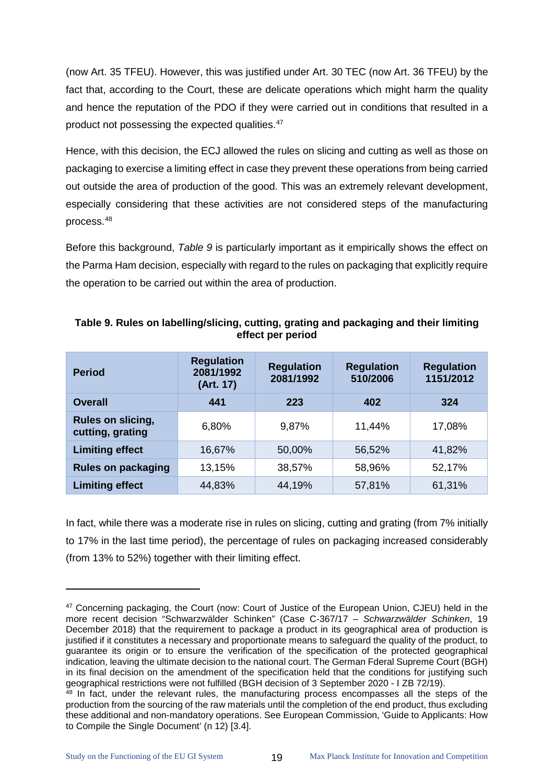(now Art. 35 TFEU). However, this was justified under Art. 30 TEC (now Art. 36 TFEU) by the fact that, according to the Court, these are delicate operations which might harm the quality and hence the reputation of the PDO if they were carried out in conditions that resulted in a product not possessing the expected qualities.<sup>[47](#page-23-1)</sup>

Hence, with this decision, the ECJ allowed the rules on slicing and cutting as well as those on packaging to exercise a limiting effect in case they prevent these operations from being carried out outside the area of production of the good. This was an extremely relevant development, especially considering that these activities are not considered steps of the manufacturing process.[48](#page-23-2)

Before this background, *[Table 9](#page-23-0)* is particularly important as it empirically shows the effect on the Parma Ham decision, especially with regard to the rules on packaging that explicitly require the operation to be carried out within the area of production.

| <b>Period</b>                         | <b>Regulation</b><br>2081/1992<br>(Art. 17) | <b>Regulation</b><br>2081/1992 | <b>Regulation</b><br>510/2006 | <b>Regulation</b><br>1151/2012 |
|---------------------------------------|---------------------------------------------|--------------------------------|-------------------------------|--------------------------------|
| <b>Overall</b>                        | 441                                         | 223                            | 402                           | 324                            |
| Rules on slicing,<br>cutting, grating | 6,80%                                       | 9,87%                          | 11,44%                        | 17,08%                         |
| <b>Limiting effect</b>                | 16,67%                                      | 50,00%                         | 56,52%                        | 41,82%                         |
| <b>Rules on packaging</b>             | 13,15%                                      | 38,57%                         | 58,96%                        | 52,17%                         |
| <b>Limiting effect</b>                | 44,83%                                      | 44,19%                         | 57,81%                        | 61,31%                         |

<span id="page-23-0"></span>

| Table 9. Rules on labelling/slicing, cutting, grating and packaging and their limiting |
|----------------------------------------------------------------------------------------|
| effect per period                                                                      |

In fact, while there was a moderate rise in rules on slicing, cutting and grating (from 7% initially to 17% in the last time period), the percentage of rules on packaging increased considerably (from 13% to 52%) together with their limiting effect.

<span id="page-23-1"></span><sup>&</sup>lt;sup>47</sup> Concerning packaging, the Court (now: Court of Justice of the European Union, CJEU) held in the more recent decision "Schwarzwälder Schinken" (Case C‑367/17 – *Schwarzwälder Schinken*, 19 December 2018) that the requirement to package a product in its geographical area of production is justified if it constitutes a necessary and proportionate means to safeguard the quality of the product, to guarantee its origin or to ensure the verification of the specification of the protected geographical indication, leaving the ultimate decision to the national court. The German Fderal Supreme Court (BGH) in its final decision on the amendment of the specification held that the conditions for justifying such geographical restrictions were not fulfilled (BGH decision of 3 September 2020 - I ZB 72/19).

<span id="page-23-2"></span> $48$  In fact, under the relevant rules, the manufacturing process encompasses all the steps of the production from the sourcing of the raw materials until the completion of the end product, thus excluding these additional and non-mandatory operations. See European Commission, 'Guide to Applicants: How to Compile the Single Document' (n 12) [3.4].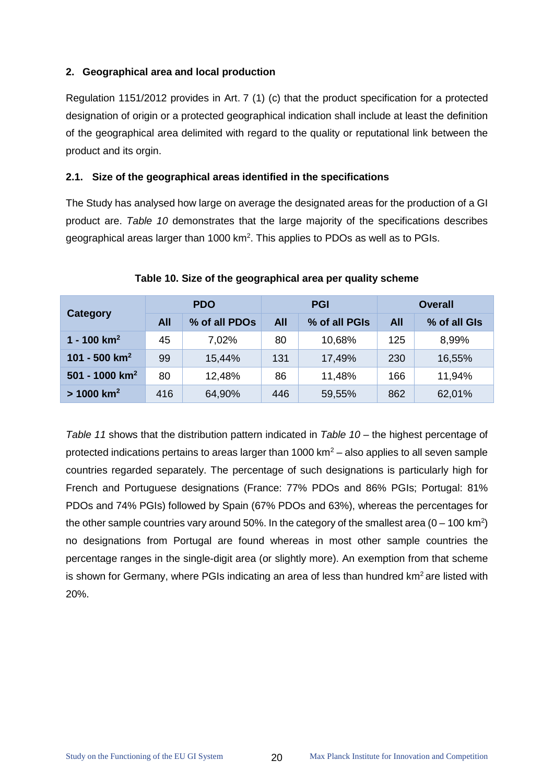#### <span id="page-24-0"></span>**2. Geographical area and local production**

Regulation 1151/2012 provides in Art. 7 (1) (c) that the product specification for a protected designation of origin or a protected geographical indication shall include at least the definition of the geographical area delimited with regard to the quality or reputational link between the product and its orgin.

#### <span id="page-24-1"></span>**2.1. Size of the geographical areas identified in the specifications**

The Study has analysed how large on average the designated areas for the production of a GI product are. *[Table 10](#page-24-2)* demonstrates that the large majority of the specifications describes geographical areas larger than 1000 km<sup>2</sup>. This applies to PDOs as well as to PGIs.

<span id="page-24-2"></span>

|                            | <b>PDO</b> |               |            | <b>PGI</b>    | <b>Overall</b> |              |
|----------------------------|------------|---------------|------------|---------------|----------------|--------------|
| <b>Category</b>            | <b>All</b> | % of all PDOs | <b>All</b> | % of all PGIs | <b>All</b>     | % of all GIs |
| 1 - 100 $km^2$             | 45         | 7,02%         | 80         | 10,68%        | 125            | 8,99%        |
| 101 - 500 $km^2$           | 99         | 15,44%        | 131        | 17,49%        | 230            | 16,55%       |
| 501 - 1000 km <sup>2</sup> | 80         | 12,48%        | 86         | 11,48%        | 166            | 11,94%       |
| $> 1000$ km <sup>2</sup>   | 416        | 64,90%        | 446        | 59,55%        | 862            | 62,01%       |

#### **Table 10. Size of the geographical area per quality scheme**

*[Table 11](#page-25-0)* shows that the distribution pattern indicated in *[Table 10](#page-24-2)* – the highest percentage of protected indications pertains to areas larger than 1000  $km^2$  – also applies to all seven sample countries regarded separately. The percentage of such designations is particularly high for French and Portuguese designations (France: 77% PDOs and 86% PGIs; Portugal: 81% PDOs and 74% PGIs) followed by Spain (67% PDOs and 63%), whereas the percentages for the other sample countries vary around 50%. In the category of the smallest area  $(0 - 100 \text{ km}^2)$ no designations from Portugal are found whereas in most other sample countries the percentage ranges in the single-digit area (or slightly more). An exemption from that scheme is shown for Germany, where PGIs indicating an area of less than hundred  $km^2$  are listed with 20%.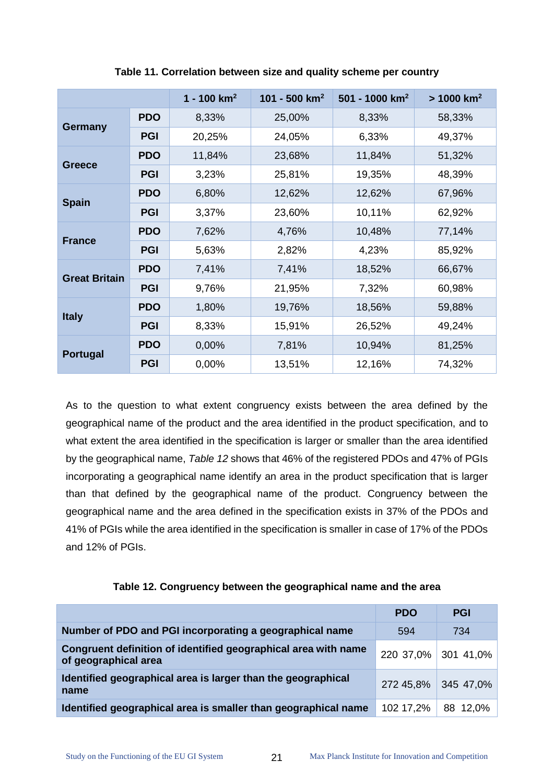<span id="page-25-0"></span>

|                      |            | 1 - 100 $km^2$ | 101 - 500 $km^2$ | 501 - 1000 $km^2$ | $> 1000$ km <sup>2</sup> |
|----------------------|------------|----------------|------------------|-------------------|--------------------------|
|                      | <b>PDO</b> | 8,33%          | 25,00%           | 8,33%             | 58,33%                   |
| <b>Germany</b>       | <b>PGI</b> | 20,25%         | 24,05%           | 6,33%             | 49,37%                   |
|                      | <b>PDO</b> | 11,84%         | 23,68%           | 11,84%            | 51,32%                   |
| <b>Greece</b>        | <b>PGI</b> | 3,23%          | 25,81%           | 19,35%            | 48,39%                   |
|                      | <b>PDO</b> | 6,80%          | 12,62%           | 12,62%            | 67,96%                   |
| <b>Spain</b>         | <b>PGI</b> | 3,37%          | 23,60%           | 10,11%            | 62,92%                   |
|                      | <b>PDO</b> | 7,62%          | 4,76%            | 10,48%            | 77,14%                   |
| <b>France</b>        | <b>PGI</b> | 5,63%          | 2,82%            | 4,23%             | 85,92%                   |
| <b>Great Britain</b> | <b>PDO</b> | 7,41%          | 7,41%            | 18,52%            | 66,67%                   |
|                      | <b>PGI</b> | 9,76%          | 21,95%           | 7,32%             | 60,98%                   |
|                      | <b>PDO</b> | 1,80%          | 19,76%           | 18,56%            | 59,88%                   |
| <b>Italy</b>         | <b>PGI</b> | 8,33%          | 15,91%           | 26,52%            | 49,24%                   |
| Portugal             | <b>PDO</b> | 0,00%          | 7,81%            | 10,94%            | 81,25%                   |
|                      | <b>PGI</b> | 0,00%          | 13,51%           | 12,16%            | 74,32%                   |

**Table 11. Correlation between size and quality scheme per country**

As to the question to what extent congruency exists between the area defined by the geographical name of the product and the area identified in the product specification, and to what extent the area identified in the specification is larger or smaller than the area identified by the geographical name, *[Table 12](#page-25-1)* shows that 46% of the registered PDOs and 47% of PGIs incorporating a geographical name identify an area in the product specification that is larger than that defined by the geographical name of the product. Congruency between the geographical name and the area defined in the specification exists in 37% of the PDOs and 41% of PGIs while the area identified in the specification is smaller in case of 17% of the PDOs and 12% of PGIs.

<span id="page-25-1"></span>

|                                                                                        | <b>PDO</b> | <b>PGI</b>          |
|----------------------------------------------------------------------------------------|------------|---------------------|
| Number of PDO and PGI incorporating a geographical name                                | 594        | 734                 |
| Congruent definition of identified geographical area with name<br>of geographical area |            | 220 37,0% 301 41,0% |
| Identified geographical area is larger than the geographical<br>name                   |            | 272 45,8% 345 47,0% |
| Identified geographical area is smaller than geographical name                         | 102 17,2%  | 88 12,0%            |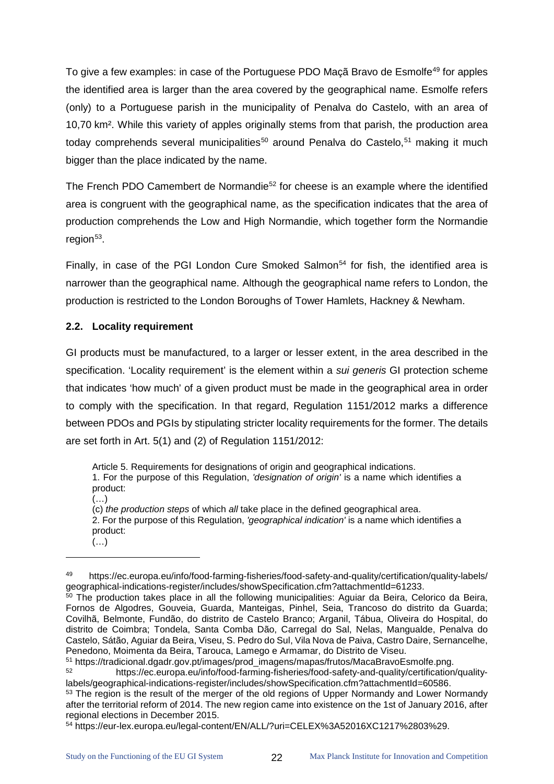To give a few examples: in case of the Portuguese PDO Maçã Bravo de Esmolfe<sup>[49](#page-26-1)</sup> for apples the identified area is larger than the area covered by the geographical name. Esmolfe refers (only) to a Portuguese parish in the municipality of Penalva do Castelo, with an area of 10,70 km². While this variety of apples originally stems from that parish, the production area today comprehends several municipalities<sup>[50](#page-26-2)</sup> around Penalva do Castelo,<sup>[51](#page-26-3)</sup> making it much bigger than the place indicated by the name.

The French PDO Camembert de Normandie<sup>[52](#page-26-4)</sup> for cheese is an example where the identified area is congruent with the geographical name, as the specification indicates that the area of production comprehends the Low and High Normandie, which together form the Normandie region $53$ .

Finally, in case of the PGI London Cure Smoked Salmon<sup>[54](#page-26-6)</sup> for fish, the identified area is narrower than the geographical name. Although the geographical name refers to London, the production is restricted to the London Boroughs of Tower Hamlets, Hackney & Newham.

#### <span id="page-26-0"></span>**2.2. Locality requirement**

 $\ddot{\phantom{a}}$ 

GI products must be manufactured, to a larger or lesser extent, in the area described in the specification. 'Locality requirement' is the element within a *sui generis* GI protection scheme that indicates 'how much' of a given product must be made in the geographical area in order to comply with the specification. In that regard, Regulation 1151/2012 marks a difference between PDOs and PGIs by stipulating stricter locality requirements for the former. The details are set forth in Art. 5(1) and (2) of Regulation 1151/2012:

Article 5. Requirements for designations of origin and geographical indications.

1. For the purpose of this Regulation, *'designation of origin'* is a name which identifies a product:

 $(\ldots)$ (c) *the production steps* of which *all* take place in the defined geographical area. 2. For the purpose of this Regulation, *'geographical indication'* is a name which identifies a product: (…)

<span id="page-26-1"></span><sup>49</sup> https://ec.europa.eu/info/food-farming-fisheries/food-safety-and-quality/certification/quality-labels/<br>geographical-indications-register/includes/showSpecification.cfm?attachmentId=61233.

<span id="page-26-2"></span> $50$  The production takes place in all the following municipalities: Aguiar da Beira, Celorico da Beira, Fornos de Algodres, Gouveia, Guarda, Manteigas, Pinhel, Seia, Trancoso do distrito da Guarda; Covilhã, Belmonte, Fundão, do distrito de Castelo Branco; Arganil, Tábua, Oliveira do Hospital, do distrito de Coimbra; Tondela, Santa Comba Dão, Carregal do Sal, Nelas, Mangualde, Penalva do Castelo, Sátão, Aguiar da Beira, Viseu, S. Pedro do Sul, Vila Nova de Paiva, Castro Daire, Sernancelhe, Penedono, Moimenta da Beira, Tarouca, Lamego e Armamar, do Distrito de Viseu.

<span id="page-26-3"></span><sup>&</sup>lt;sup>51</sup> https://tradicional.dgadr.gov.pt/images/prod\_imagens/mapas/frutos/MacaBravoEsmolfe.png.<br>bttps://ee.europe.eu/ipfe/feed.ferming.fieberiee/feed.eefsty.end.guelity/eertifieetien.

<span id="page-26-4"></span><sup>52</sup> https://ec.europa.eu/info/food-farming-fisheries/food-safety-and-quality/certification/qualitylabels/geographical-indications-register/includes/showSpecification.cfm?attachmentId=60586.

<span id="page-26-5"></span><sup>&</sup>lt;sup>53</sup> The region is the result of the merger of the old regions of Upper Normandy and Lower Normandy after the territorial reform of 2014. The new region came into existence on the 1st of January 2016, after regional elections in December 2015.

<span id="page-26-6"></span><sup>54</sup> https://eur-lex.europa.eu/legal-content/EN/ALL/?uri=CELEX%3A52016XC1217%2803%29.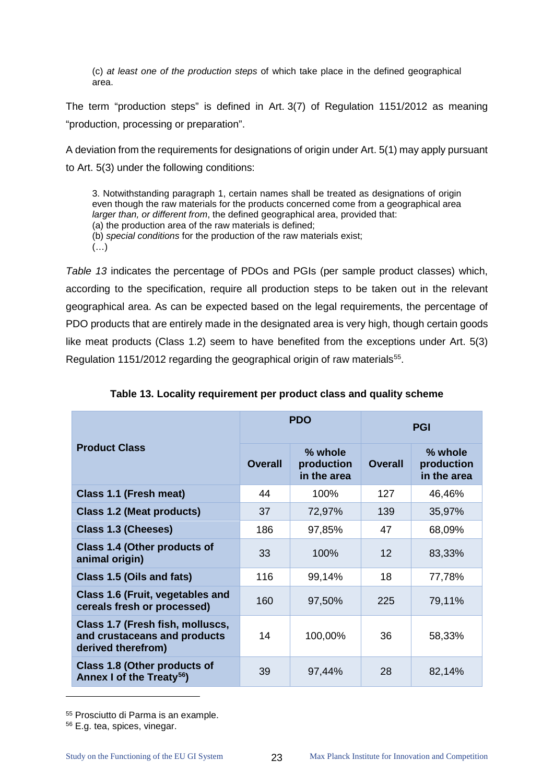(c) *at least one of the production steps* of which take place in the defined geographical area.

The term "production steps" is defined in Art. 3(7) of Regulation 1151/2012 as meaning "production, processing or preparation".

A deviation from the requirements for designations of origin under Art. 5(1) may apply pursuant to Art. 5(3) under the following conditions:

3. Notwithstanding paragraph 1, certain names shall be treated as designations of origin even though the raw materials for the products concerned come from a geographical area *larger than, or different from*, the defined geographical area, provided that: (a) the production area of the raw materials is defined; (b) *special conditions* for the production of the raw materials exist;  $(\ldots)$ 

*[Table 13](#page-27-0)* indicates the percentage of PDOs and PGIs (per sample product classes) which, according to the specification, require all production steps to be taken out in the relevant geographical area. As can be expected based on the legal requirements, the percentage of PDO products that are entirely made in the designated area is very high, though certain goods like meat products (Class 1.2) seem to have benefited from the exceptions under Art. 5(3) Regulation 1151/2012 regarding the geographical origin of raw materials<sup>55</sup>.

<span id="page-27-0"></span>

|                                                                                        |                | <b>PDO</b>                           | <b>PGI</b>     |                                      |  |
|----------------------------------------------------------------------------------------|----------------|--------------------------------------|----------------|--------------------------------------|--|
| <b>Product Class</b>                                                                   | <b>Overall</b> | % whole<br>production<br>in the area | <b>Overall</b> | % whole<br>production<br>in the area |  |
| Class 1.1 (Fresh meat)                                                                 | 44             | 100%                                 | 127            | 46,46%                               |  |
| <b>Class 1.2 (Meat products)</b>                                                       | 37             | 72,97%                               | 139            | 35,97%                               |  |
| <b>Class 1.3 (Cheeses)</b>                                                             | 186            | 97,85%                               | 47             | 68,09%                               |  |
| Class 1.4 (Other products of<br>animal origin)                                         | 33             | 100%                                 | 12             | 83,33%                               |  |
| Class 1.5 (Oils and fats)                                                              | 116            | 99,14%                               | 18             | 77,78%                               |  |
| Class 1.6 (Fruit, vegetables and<br>cereals fresh or processed)                        | 160            | 97,50%                               | 225            | 79,11%                               |  |
| Class 1.7 (Fresh fish, molluscs,<br>and crustaceans and products<br>derived therefrom) | 14             | 100,00%                              | 36             | 58,33%                               |  |
| Class 1.8 (Other products of<br>Annex I of the Treaty <sup>56</sup> )                  | 39             | 97,44%                               | 28             | 82,14%                               |  |

**Table 13. Locality requirement per product class and quality scheme**

 $\ddot{\phantom{a}}$ 

<span id="page-27-1"></span><sup>55</sup> Prosciutto di Parma is an example.

<span id="page-27-2"></span><sup>56</sup> E.g. tea, spices, vinegar.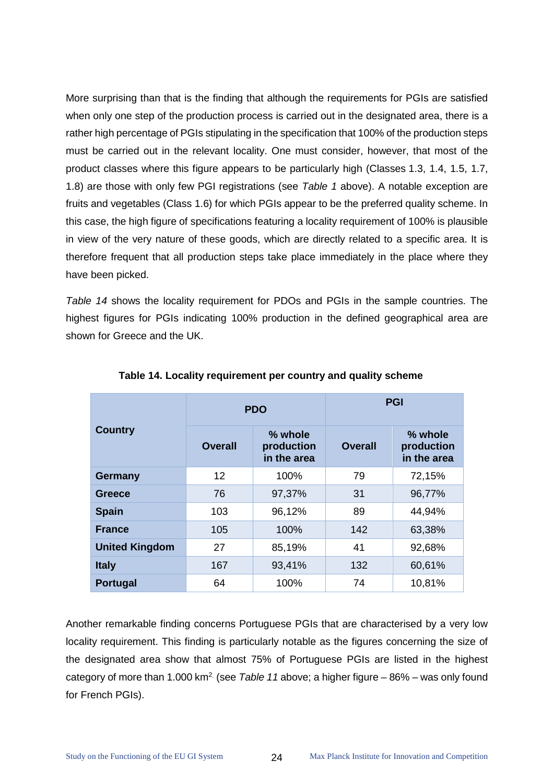More surprising than that is the finding that although the requirements for PGIs are satisfied when only one step of the production process is carried out in the designated area, there is a rather high percentage of PGIs stipulating in the specification that 100% of the production steps must be carried out in the relevant locality. One must consider, however, that most of the product classes where this figure appears to be particularly high (Classes 1.3, 1.4, 1.5, 1.7, 1.8) are those with only few PGI registrations (see *[Table 1](#page-14-0)* above). A notable exception are fruits and vegetables (Class 1.6) for which PGIs appear to be the preferred quality scheme. In this case, the high figure of specifications featuring a locality requirement of 100% is plausible in view of the very nature of these goods, which are directly related to a specific area. It is therefore frequent that all production steps take place immediately in the place where they have been picked.

*[Table 14](#page-28-0)* shows the locality requirement for PDOs and PGIs in the sample countries. The highest figures for PGIs indicating 100% production in the defined geographical area are shown for Greece and the UK.

<span id="page-28-0"></span>

|                       |                | <b>PDO</b>                           | <b>PGI</b>     |                                      |  |
|-----------------------|----------------|--------------------------------------|----------------|--------------------------------------|--|
| <b>Country</b>        | <b>Overall</b> | % whole<br>production<br>in the area | <b>Overall</b> | % whole<br>production<br>in the area |  |
| <b>Germany</b>        | 12             | 100%                                 | 79             | 72,15%                               |  |
| <b>Greece</b>         | 76             | 97,37%                               | 31             | 96,77%                               |  |
| <b>Spain</b>          | 103            | 96,12%                               | 89             | 44,94%                               |  |
| <b>France</b>         | 105            | 100%                                 | 142            | 63,38%                               |  |
| <b>United Kingdom</b> | 27             | 85,19%                               | 41             | 92,68%                               |  |
| <b>Italy</b>          | 167            | 93,41%                               | 132            | 60,61%                               |  |
| <b>Portugal</b>       | 64             | 100%                                 | 74             | 10,81%                               |  |

#### **Table 14. Locality requirement per country and quality scheme**

Another remarkable finding concerns Portuguese PGIs that are characterised by a very low locality requirement. This finding is particularly notable as the figures concerning the size of the designated area show that almost 75% of Portuguese PGIs are listed in the highest category of more than 1.000 km<sup>2</sup> (see *[Table 11](#page-25-0)* above; a higher figure – 86% – was only found for French PGIs).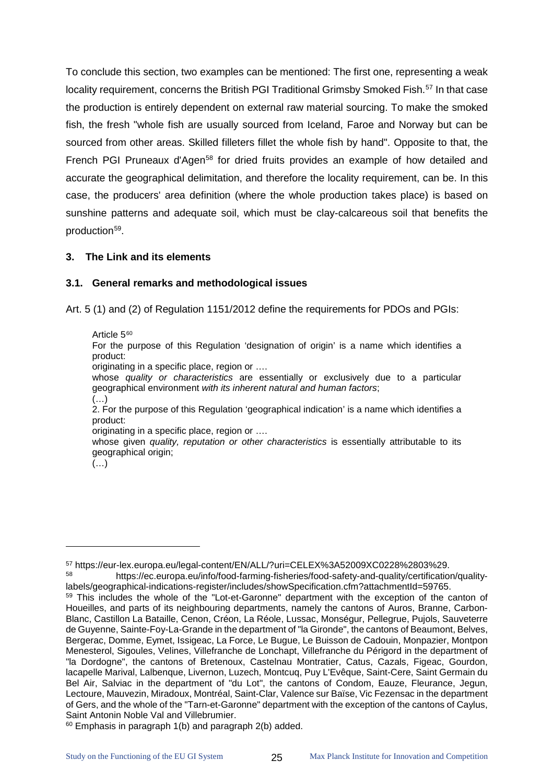To conclude this section, two examples can be mentioned: The first one, representing a weak locality requirement, concerns the British PGI Traditional Grimsby Smoked Fish.<sup>[57](#page-29-2)</sup> In that case the production is entirely dependent on external raw material sourcing. To make the smoked fish, the fresh "whole fish are usually sourced from Iceland, Faroe and Norway but can be sourced from other areas. Skilled filleters fillet the whole fish by hand". Opposite to that, the French PGI Pruneaux d'Agen<sup>[58](#page-29-3)</sup> for dried fruits provides an example of how detailed and accurate the geographical delimitation, and therefore the locality requirement, can be. In this case, the producers' area definition (where the whole production takes place) is based on sunshine patterns and adequate soil, which must be clay-calcareous soil that benefits the production<sup>[59](#page-29-4)</sup>.

#### <span id="page-29-0"></span>**3. The Link and its elements**

#### <span id="page-29-1"></span>**3.1. General remarks and methodological issues**

Art. 5 (1) and (2) of Regulation 1151/2012 define the requirements for PDOs and PGIs:

Article 5<sup>[60](#page-29-5)</sup>

For the purpose of this Regulation 'designation of origin' is a name which identifies a product:

originating in a specific place, region or ….

whose *quality or characteristics* are essentially or exclusively due to a particular geographical environment *with its inherent natural and human factors*; (…)

2. For the purpose of this Regulation 'geographical indication' is a name which identifies a product:

originating in a specific place, region or ….

whose given *quality, reputation or other characteristics* is essentially attributable to its geographical origin;

 $\left(\ldots\right)^{7}$ 

<span id="page-29-2"></span><sup>57</sup> https://eur-lex.europa.eu/legal-content/EN/ALL/?uri=CELEX%3A52009XC0228%2803%29.

<span id="page-29-3"></span><sup>58</sup> https://ec.europa.eu/info/food-farming-fisheries/food-safety-and-quality/certification/qualitylabels/geographical-indications-register/includes/showSpecification.cfm?attachmentId=59765.

<span id="page-29-4"></span><sup>59</sup> This includes the whole of the "Lot-et-Garonne" department with the exception of the canton of Houeilles, and parts of its neighbouring departments, namely the cantons of Auros, Branne, Carbon-Blanc, Castillon La Bataille, Cenon, Créon, La Réole, Lussac, Monségur, Pellegrue, Pujols, Sauveterre de Guyenne, Sainte-Foy-La-Grande in the department of "la Gironde", the cantons of Beaumont, Belves, Bergerac, Domme, Eymet, Issigeac, La Force, Le Bugue, Le Buisson de Cadouin, Monpazier, Montpon Menesterol, Sigoules, Velines, Villefranche de Lonchapt, Villefranche du Périgord in the department of "la Dordogne", the cantons of Bretenoux, Castelnau Montratier, Catus, Cazals, Figeac, Gourdon, lacapelle Marival, Lalbenque, Livernon, Luzech, Montcuq, Puy L'Evêque, Saint-Cere, Saint Germain du Bel Air, Salviac in the department of "du Lot", the cantons of Condom, Eauze, Fleurance, Jegun, Lectoure, Mauvezin, Miradoux, Montréal, Saint-Clar, Valence sur Baïse, Vic Fezensac in the department of Gers, and the whole of the "Tarn-et-Garonne" department with the exception of the cantons of Caylus, Saint Antonin Noble Val and Villebrumier.

<span id="page-29-5"></span> $60$  Emphasis in paragraph 1(b) and paragraph 2(b) added.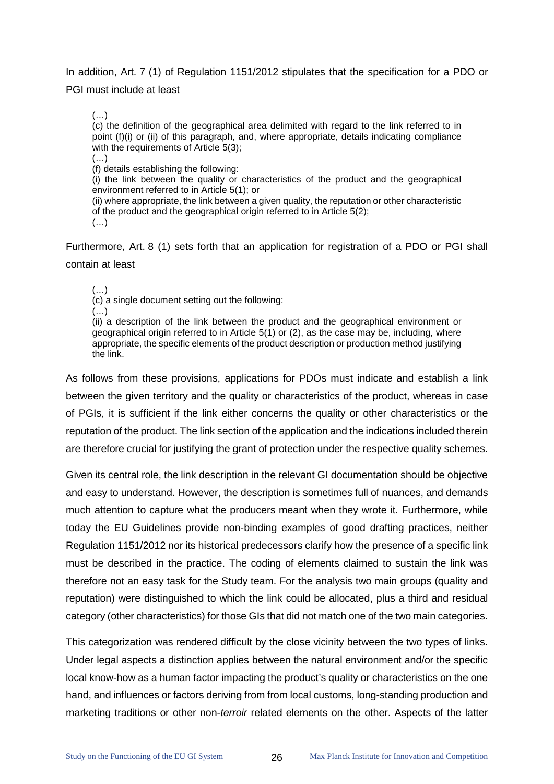In addition, Art. 7 (1) of Regulation 1151/2012 stipulates that the specification for a PDO or PGI must include at least

(…)

(c) the definition of the geographical area delimited with regard to the link referred to in point (f)(i) or (ii) of this paragraph, and, where appropriate, details indicating compliance with the requirements of Article 5(3);

 $(\ldots)$ (f) details establishing the following:

(i) the link between the quality or characteristics of the product and the geographical environment referred to in Article 5(1); or

(ii) where appropriate, the link between a given quality, the reputation or other characteristic of the product and the geographical origin referred to in Article 5(2); (…)

Furthermore, Art. 8 (1) sets forth that an application for registration of a PDO or PGI shall contain at least

(…)

(c) a single document setting out the following:

(…)

(ii) a description of the link between the product and the geographical environment or geographical origin referred to in Article 5(1) or (2), as the case may be, including, where appropriate, the specific elements of the product description or production method justifying the link.

As follows from these provisions, applications for PDOs must indicate and establish a link between the given territory and the quality or characteristics of the product, whereas in case of PGIs, it is sufficient if the link either concerns the quality or other characteristics or the reputation of the product. The link section of the application and the indications included therein are therefore crucial for justifying the grant of protection under the respective quality schemes.

Given its central role, the link description in the relevant GI documentation should be objective and easy to understand. However, the description is sometimes full of nuances, and demands much attention to capture what the producers meant when they wrote it. Furthermore, while today the EU Guidelines provide non-binding examples of good drafting practices, neither Regulation 1151/2012 nor its historical predecessors clarify how the presence of a specific link must be described in the practice. The coding of elements claimed to sustain the link was therefore not an easy task for the Study team. For the analysis two main groups (quality and reputation) were distinguished to which the link could be allocated, plus a third and residual category (other characteristics) for those GIs that did not match one of the two main categories.

This categorization was rendered difficult by the close vicinity between the two types of links. Under legal aspects a distinction applies between the natural environment and/or the specific local know-how as a human factor impacting the product's quality or characteristics on the one hand, and influences or factors deriving from from local customs, long-standing production and marketing traditions or other non-*terroir* related elements on the other. Aspects of the latter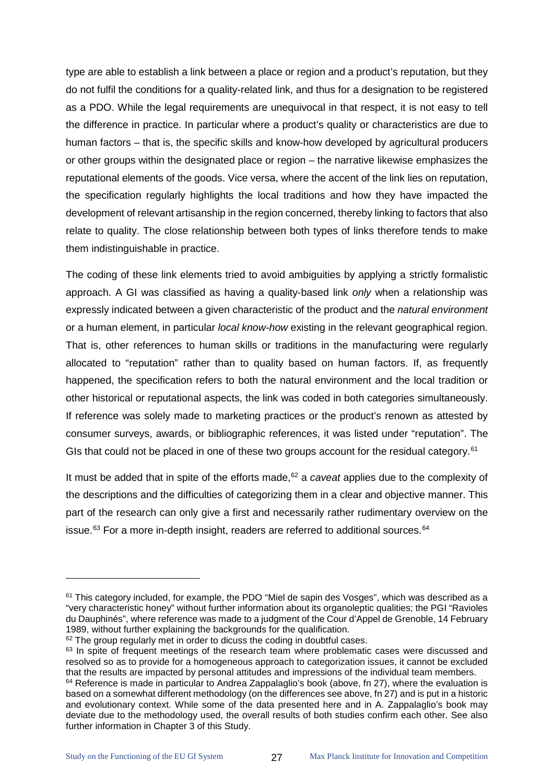type are able to establish a link between a place or region and a product's reputation, but they do not fulfil the conditions for a quality-related link, and thus for a designation to be registered as a PDO. While the legal requirements are unequivocal in that respect, it is not easy to tell the difference in practice. In particular where a product's quality or characteristics are due to human factors – that is, the specific skills and know-how developed by agricultural producers or other groups within the designated place or region – the narrative likewise emphasizes the reputational elements of the goods. Vice versa, where the accent of the link lies on reputation, the specification regularly highlights the local traditions and how they have impacted the development of relevant artisanship in the region concerned, thereby linking to factors that also relate to quality. The close relationship between both types of links therefore tends to make them indistinguishable in practice.

The coding of these link elements tried to avoid ambiguities by applying a strictly formalistic approach. A GI was classified as having a quality-based link *only* when a relationship was expressly indicated between a given characteristic of the product and the *natural environment* or a human element, in particular *local know-how* existing in the relevant geographical region. That is, other references to human skills or traditions in the manufacturing were regularly allocated to "reputation" rather than to quality based on human factors. If, as frequently happened, the specification refers to both the natural environment and the local tradition or other historical or reputational aspects, the link was coded in both categories simultaneously. If reference was solely made to marketing practices or the product's renown as attested by consumer surveys, awards, or bibliographic references, it was listed under "reputation". The GIs that could not be placed in one of these two groups account for the residual category.<sup>[61](#page-31-0)</sup>

It must be added that in spite of the efforts made, [62](#page-31-1) a *caveat* applies due to the complexity of the descriptions and the difficulties of categorizing them in a clear and objective manner. This part of the research can only give a first and necessarily rather rudimentary overview on the issue. $63$  For a more in-depth insight, readers are referred to additional sources.  $64$ 

 $\ddot{\phantom{a}}$ 

<span id="page-31-0"></span><sup>61</sup> This category included, for example, the PDO "Miel de sapin des Vosges", which was described as a "very characteristic honey" without further information about its organoleptic qualities; the PGI "Ravioles du Dauphinés", where reference was made to a judgment of the Cour d'Appel de Grenoble, 14 February 1989, without further explaining the backgrounds for the qualification.

<span id="page-31-1"></span><sup>&</sup>lt;sup>62</sup> The group regularly met in order to dicuss the coding in doubtful cases.

<span id="page-31-2"></span><sup>&</sup>lt;sup>63</sup> In spite of frequent meetings of the research team where problematic cases were discussed and resolved so as to provide for a homogeneous approach to categorization issues, it cannot be excluded that the results are impacted by personal attitudes and impressions of the individual team members.

<span id="page-31-3"></span><sup>&</sup>lt;sup>64</sup> Reference is made in particular to Andrea Zappalaglio's book (above, fn 27), where the evaluation is based on a somewhat different methodology (on the differences see above, fn 27) and is put in a historic and evolutionary context. While some of the data presented here and in A. Zappalaglio's book may deviate due to the methodology used, the overall results of both studies confirm each other. See also further information in Chapter 3 of this Study.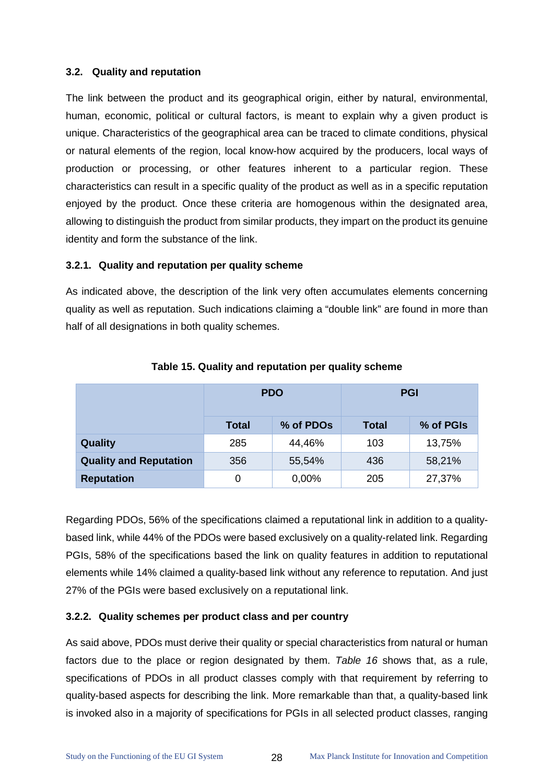#### <span id="page-32-0"></span>**3.2. Quality and reputation**

The link between the product and its geographical origin, either by natural, environmental, human, economic, political or cultural factors, is meant to explain why a given product is unique. Characteristics of the geographical area can be traced to climate conditions, physical or natural elements of the region, local know-how acquired by the producers, local ways of production or processing, or other features inherent to a particular region. These characteristics can result in a specific quality of the product as well as in a specific reputation enjoyed by the product. Once these criteria are homogenous within the designated area, allowing to distinguish the product from similar products, they impart on the product its genuine identity and form the substance of the link.

#### **3.2.1. Quality and reputation per quality scheme**

As indicated above, the description of the link very often accumulates elements concerning quality as well as reputation. Such indications claiming a "double link" are found in more than half of all designations in both quality schemes.

|                               |              | <b>PDO</b> | <b>PGI</b>   |           |  |
|-------------------------------|--------------|------------|--------------|-----------|--|
|                               | <b>Total</b> | % of PDOs  | <b>Total</b> | % of PGIs |  |
| Quality                       | 285          | 44,46%     | 103          | 13,75%    |  |
| <b>Quality and Reputation</b> | 356          | 55,54%     | 436          | 58,21%    |  |
| <b>Reputation</b>             | 0            | 0,00%      | 205          | 27,37%    |  |

#### **Table 15. Quality and reputation per quality scheme**

Regarding PDOs, 56% of the specifications claimed a reputational link in addition to a qualitybased link, while 44% of the PDOs were based exclusively on a quality-related link. Regarding PGIs, 58% of the specifications based the link on quality features in addition to reputational elements while 14% claimed a quality-based link without any reference to reputation. And just 27% of the PGIs were based exclusively on a reputational link.

#### **3.2.2. Quality schemes per product class and per country**

As said above, PDOs must derive their quality or special characteristics from natural or human factors due to the place or region designated by them. *[Table 16](#page-33-0)* shows that, as a rule, specifications of PDOs in all product classes comply with that requirement by referring to quality-based aspects for describing the link. More remarkable than that, a quality-based link is invoked also in a majority of specifications for PGIs in all selected product classes, ranging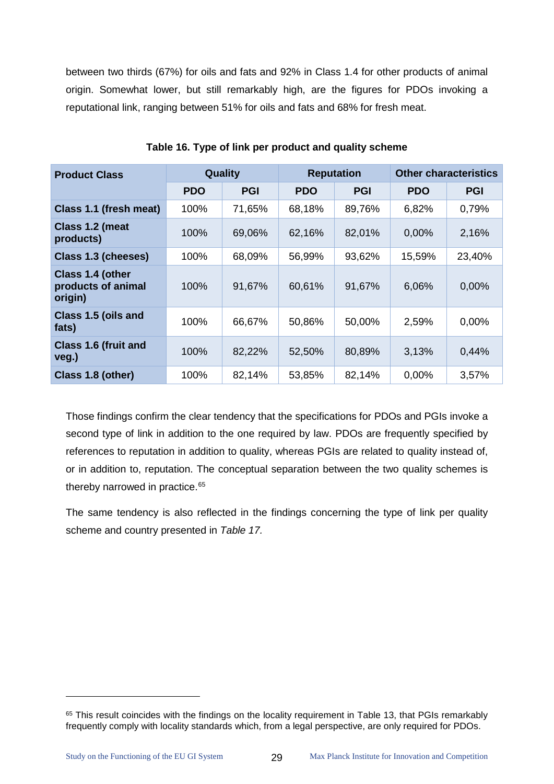between two thirds (67%) for oils and fats and 92% in Class 1.4 for other products of animal origin. Somewhat lower, but still remarkably high, are the figures for PDOs invoking a reputational link, ranging between 51% for oils and fats and 68% for fresh meat.

<span id="page-33-0"></span>

| <b>Product Class</b>                              | <b>Quality</b> |            | <b>Reputation</b> |            | <b>Other characteristics</b> |            |
|---------------------------------------------------|----------------|------------|-------------------|------------|------------------------------|------------|
|                                                   | <b>PDO</b>     | <b>PGI</b> | <b>PDO</b>        | <b>PGI</b> | <b>PDO</b>                   | <b>PGI</b> |
| Class 1.1 (fresh meat)                            | 100%           | 71,65%     | 68,18%            | 89,76%     | 6,82%                        | 0,79%      |
| Class 1.2 (meat<br>products)                      | 100%           | 69,06%     | 62,16%            | 82,01%     | 0,00%                        | 2,16%      |
| Class 1.3 (cheeses)                               | 100%           | 68,09%     | 56,99%            | 93,62%     | 15,59%                       | 23,40%     |
| Class 1.4 (other<br>products of animal<br>origin) | 100%           | 91,67%     | 60,61%            | 91,67%     | 6,06%                        | 0,00%      |
| Class 1.5 (oils and<br>fats)                      | 100%           | 66,67%     | 50,86%            | 50,00%     | 2,59%                        | 0,00%      |
| <b>Class 1.6 (fruit and</b><br>veg.)              | 100%           | 82,22%     | 52,50%            | 80,89%     | 3,13%                        | 0,44%      |
| Class 1.8 (other)                                 | 100%           | 82,14%     | 53,85%            | 82,14%     | 0,00%                        | 3,57%      |

**Table 16. Type of link per product and quality scheme**

Those findings confirm the clear tendency that the specifications for PDOs and PGIs invoke a second type of link in addition to the one required by law. PDOs are frequently specified by references to reputation in addition to quality, whereas PGIs are related to quality instead of, or in addition to, reputation. The conceptual separation between the two quality schemes is thereby narrowed in practice.<sup>[65](#page-33-1)</sup>

The same tendency is also reflected in the findings concerning the type of link per quality scheme and country presented in *Table 17.*

 $\ddot{\phantom{a}}$ 

<span id="page-33-1"></span><sup>&</sup>lt;sup>65</sup> This result coincides with the findings on the locality requirement in Table 13, that PGIs remarkably frequently comply with locality standards which, from a legal perspective, are only required for PDOs.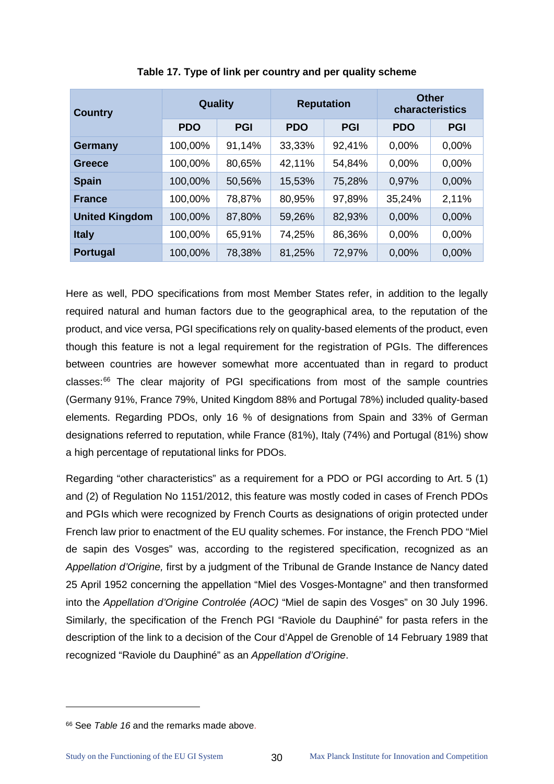| <b>Country</b>        | Quality    |            | <b>Reputation</b> |            | <b>Other</b><br>characteristics |            |
|-----------------------|------------|------------|-------------------|------------|---------------------------------|------------|
|                       | <b>PDO</b> | <b>PGI</b> | <b>PDO</b>        | <b>PGI</b> | <b>PDO</b>                      | <b>PGI</b> |
| <b>Germany</b>        | 100,00%    | 91,14%     | 33,33%            | 92,41%     | 0,00%                           | 0,00%      |
| Greece                | 100,00%    | 80,65%     | 42,11%            | 54,84%     | 0.00%                           | 0,00%      |
| <b>Spain</b>          | 100,00%    | 50,56%     | 15,53%            | 75,28%     | 0,97%                           | 0,00%      |
| <b>France</b>         | 100,00%    | 78,87%     | 80,95%            | 97,89%     | 35,24%                          | 2,11%      |
| <b>United Kingdom</b> | 100,00%    | 87,80%     | 59,26%            | 82,93%     | 0,00%                           | 0,00%      |
| <b>Italy</b>          | 100,00%    | 65,91%     | 74,25%            | 86,36%     | 0,00%                           | 0,00%      |
| <b>Portugal</b>       | 100,00%    | 78,38%     | 81,25%            | 72,97%     | 0,00%                           | 0,00%      |

**Table 17. Type of link per country and per quality scheme**

Here as well, PDO specifications from most Member States refer, in addition to the legally required natural and human factors due to the geographical area, to the reputation of the product, and vice versa, PGI specifications rely on quality-based elements of the product, even though this feature is not a legal requirement for the registration of PGIs. The differences between countries are however somewhat more accentuated than in regard to product classes:<sup>66</sup> The clear majority of PGI specifications from most of the sample countries (Germany 91%, France 79%, United Kingdom 88% and Portugal 78%) included quality-based elements. Regarding PDOs, only 16 % of designations from Spain and 33% of German designations referred to reputation, while France (81%), Italy (74%) and Portugal (81%) show a high percentage of reputational links for PDOs.

Regarding "other characteristics" as a requirement for a PDO or PGI according to Art. 5 (1) and (2) of Regulation No 1151/2012, this feature was mostly coded in cases of French PDOs and PGIs which were recognized by French Courts as designations of origin protected under French law prior to enactment of the EU quality schemes. For instance, the French PDO "Miel de sapin des Vosges" was, according to the registered specification, recognized as an *Appellation d'Origine,* first by a judgment of the Tribunal de Grande Instance de Nancy dated 25 April 1952 concerning the appellation "Miel des Vosges-Montagne" and then transformed into the *Appellation d'Origine Controlée (AOC)* "Miel de sapin des Vosges" on 30 July 1996. Similarly, the specification of the French PGI "Raviole du Dauphiné" for pasta refers in the description of the link to a decision of the Cour d'Appel de Grenoble of 14 February 1989 that recognized "Raviole du Dauphiné" as an *Appellation d'Origine*.

<span id="page-34-0"></span><sup>66</sup> See *[Table 16](#page-33-0)* and the remarks made above.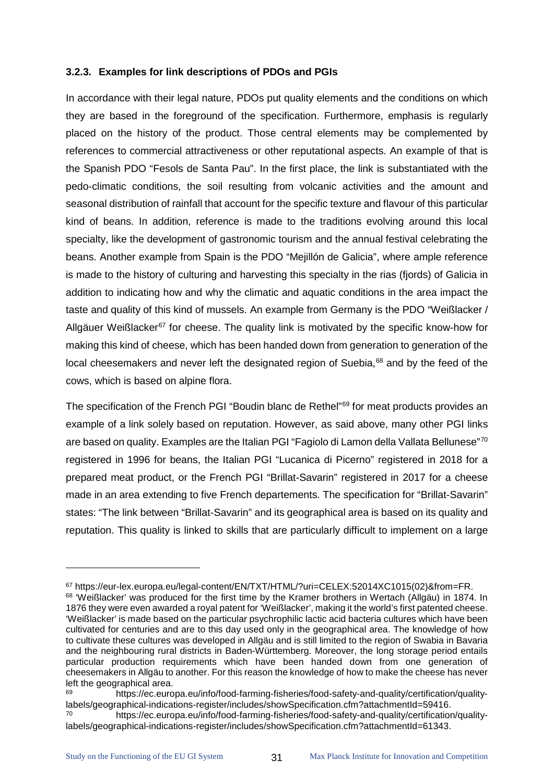#### **3.2.3. Examples for link descriptions of PDOs and PGIs**

In accordance with their legal nature, PDOs put quality elements and the conditions on which they are based in the foreground of the specification. Furthermore, emphasis is regularly placed on the history of the product. Those central elements may be complemented by references to commercial attractiveness or other reputational aspects. An example of that is the Spanish PDO "Fesols de Santa Pau". In the first place, the link is substantiated with the pedo-climatic conditions, the soil resulting from volcanic activities and the amount and seasonal distribution of rainfall that account for the specific texture and flavour of this particular kind of beans. In addition, reference is made to the traditions evolving around this local specialty, like the development of gastronomic tourism and the annual festival celebrating the beans. Another example from Spain is the PDO "Mejillón de Galicia", where ample reference is made to the history of culturing and harvesting this specialty in the rias (fjords) of Galicia in addition to indicating how and why the climatic and aquatic conditions in the area impact the taste and quality of this kind of mussels. An example from Germany is the PDO "Weißlacker / Allgäuer Weißlacker $67$  for cheese. The quality link is motivated by the specific know-how for making this kind of cheese, which has been handed down from generation to generation of the local cheesemakers and never left the designated region of Suebia,<sup>[68](#page-35-1)</sup> and by the feed of the cows, which is based on alpine flora.

The specification of the French PGI "Boudin blanc de Rethel"<sup>[69](#page-35-2)</sup> for meat products provides an example of a link solely based on reputation. However, as said above, many other PGI links are based on quality. Examples are the Italian PGI "Fagiolo di Lamon della Vallata Bellunese"<sup>[70](#page-35-3)</sup> registered in 1996 for beans, the Italian PGI "Lucanica di Picerno" registered in 2018 for a prepared meat product, or the French PGI "Brillat-Savarin" registered in 2017 for a cheese made in an area extending to five French departements. The specification for "Brillat-Savarin" states: "The link between "Brillat-Savarin" and its geographical area is based on its quality and reputation. This quality is linked to skills that are particularly difficult to implement on a large

<span id="page-35-0"></span> $67$  https://eur-lex.europa.eu/legal-content/EN/TXT/HTML/?uri=CELEX:52014XC1015(02)&from=FR.  $68$  'Weißlacker' was produced for the first time by the Kramer brothers in Wertach (Allgäu) in 1874. In

<span id="page-35-1"></span><sup>1876</sup> they were even awarded a royal patent for 'Weißlacker', making it the world's first patented cheese. 'Weißlacker' is made based on the particular psychrophilic lactic acid bacteria cultures which have been cultivated for centuries and are to this day used only in the geographical area. The knowledge of how to cultivate these cultures was developed in Allgäu and is still limited to the region of Swabia in Bavaria and the neighbouring rural districts in Baden-Württemberg. Moreover, the long storage period entails particular production requirements which have been handed down from one generation of cheesemakers in Allgäu to another. For this reason the knowledge of how to make the cheese has never left the geographical area.

<span id="page-35-2"></span><sup>69</sup> https://ec.europa.eu/info/food-farming-fisheries/food-safety-and-quality/certification/qualitylabels/geographical-indications-register/includes/showSpecification.cfm?attachmentId=59416.

<span id="page-35-3"></span><sup>70</sup> https://ec.europa.eu/info/food-farming-fisheries/food-safety-and-quality/certification/qualitylabels/geographical-indications-register/includes/showSpecification.cfm?attachmentId=61343.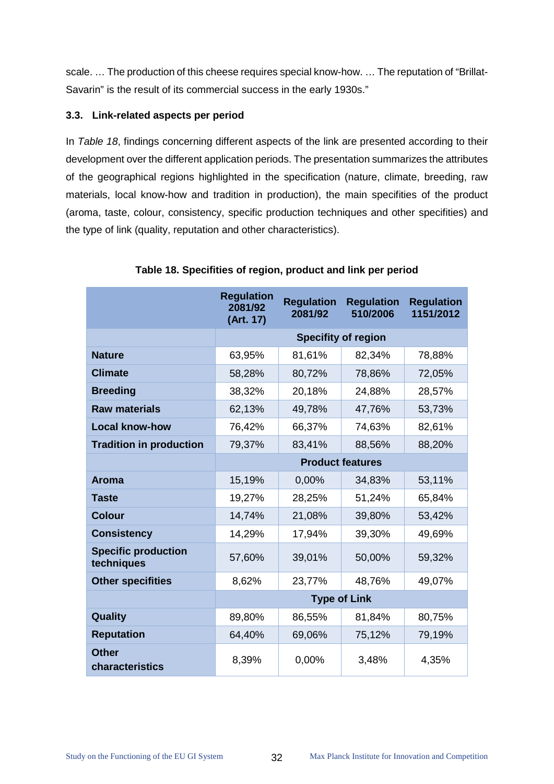scale. … The production of this cheese requires special know-how. … The reputation of "Brillat-Savarin" is the result of its commercial success in the early 1930s."

# **3.3. Link-related aspects per period**

In *[Table 18](#page-36-0)*, findings concerning different aspects of the link are presented according to their development over the different application periods. The presentation summarizes the attributes of the geographical regions highlighted in the specification (nature, climate, breeding, raw materials, local know-how and tradition in production), the main specifities of the product (aroma, taste, colour, consistency, specific production techniques and other specifities) and the type of link (quality, reputation and other characteristics).

<span id="page-36-0"></span>

|                                          | <b>Regulation</b><br>2081/92<br>(Art. 17) | <b>Regulation</b><br>2081/92 | <b>Regulation</b><br>510/2006 | <b>Regulation</b><br>1151/2012 |  |
|------------------------------------------|-------------------------------------------|------------------------------|-------------------------------|--------------------------------|--|
|                                          |                                           | <b>Specifity of region</b>   |                               |                                |  |
| <b>Nature</b>                            | 63,95%                                    | 81,61%                       | 82,34%                        | 78,88%                         |  |
| <b>Climate</b>                           | 58,28%                                    | 80,72%                       | 78,86%                        | 72,05%                         |  |
| <b>Breeding</b>                          | 38,32%                                    | 20,18%                       | 24,88%                        | 28,57%                         |  |
| <b>Raw materials</b>                     | 62,13%                                    | 49,78%                       | 47,76%                        | 53,73%                         |  |
| <b>Local know-how</b>                    | 76,42%                                    | 66,37%                       | 74,63%                        | 82,61%                         |  |
| <b>Tradition in production</b>           | 79,37%                                    | 83,41%                       | 88,56%                        | 88,20%                         |  |
|                                          |                                           | <b>Product features</b>      |                               |                                |  |
| <b>Aroma</b>                             | 15,19%                                    | 0,00%                        | 34,83%                        | 53,11%                         |  |
| <b>Taste</b>                             | 19,27%                                    | 28,25%                       | 51,24%                        | 65,84%                         |  |
| <b>Colour</b>                            | 14,74%                                    | 21,08%                       | 39,80%                        | 53,42%                         |  |
| <b>Consistency</b>                       | 14,29%                                    | 17,94%                       | 39,30%                        | 49,69%                         |  |
| <b>Specific production</b><br>techniques | 57,60%                                    | 39,01%                       | 50,00%                        | 59,32%                         |  |
| <b>Other specifities</b>                 | 8,62%                                     | 23,77%                       | 48,76%                        | 49,07%                         |  |
|                                          | <b>Type of Link</b>                       |                              |                               |                                |  |
| Quality                                  | 89,80%                                    | 86,55%                       | 81,84%                        | 80,75%                         |  |
| <b>Reputation</b>                        | 64,40%                                    | 69,06%                       | 75,12%                        | 79,19%                         |  |
| <b>Other</b><br>characteristics          | 8,39%                                     | 0,00%                        | 3,48%                         | 4,35%                          |  |

#### **Table 18. Specifities of region, product and link per period**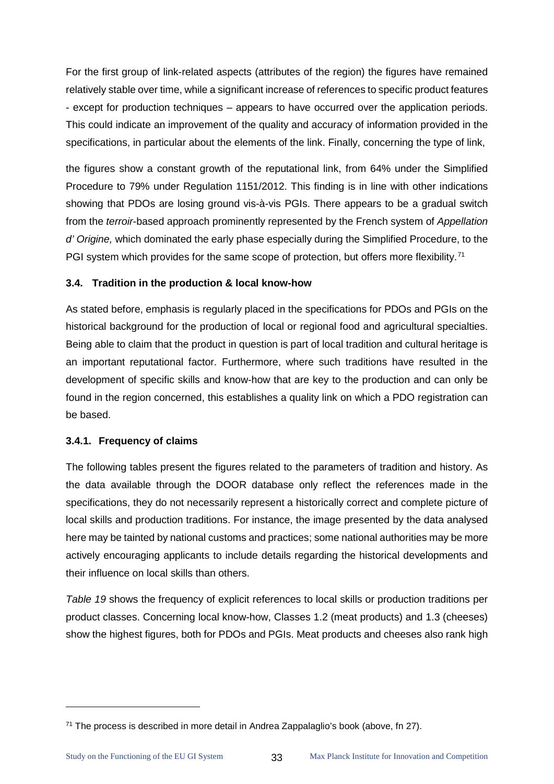For the first group of link-related aspects (attributes of the region) the figures have remained relatively stable over time, while a significant increase of references to specific product features - except for production techniques – appears to have occurred over the application periods. This could indicate an improvement of the quality and accuracy of information provided in the specifications, in particular about the elements of the link. Finally, concerning the type of link,

the figures show a constant growth of the reputational link, from 64% under the Simplified Procedure to 79% under Regulation 1151/2012. This finding is in line with other indications showing that PDOs are losing ground vis-à-vis PGIs. There appears to be a gradual switch from the *terroir*-based approach prominently represented by the French system of *Appellation d' Origine,* which dominated the early phase especially during the Simplified Procedure, to the PGI system which provides for the same scope of protection, but offers more flexibility.<sup>[71](#page-37-0)</sup>

# **3.4. Tradition in the production & local know-how**

As stated before, emphasis is regularly placed in the specifications for PDOs and PGIs on the historical background for the production of local or regional food and agricultural specialties. Being able to claim that the product in question is part of local tradition and cultural heritage is an important reputational factor. Furthermore, where such traditions have resulted in the development of specific skills and know-how that are key to the production and can only be found in the region concerned, this establishes a quality link on which a PDO registration can be based.

#### **3.4.1. Frequency of claims**

The following tables present the figures related to the parameters of tradition and history. As the data available through the DOOR database only reflect the references made in the specifications, they do not necessarily represent a historically correct and complete picture of local skills and production traditions. For instance, the image presented by the data analysed here may be tainted by national customs and practices; some national authorities may be more actively encouraging applicants to include details regarding the historical developments and their influence on local skills than others.

*[Table 19](#page-38-0)* shows the frequency of explicit references to local skills or production traditions per product classes. Concerning local know-how, Classes 1.2 (meat products) and 1.3 (cheeses) show the highest figures, both for PDOs and PGIs. Meat products and cheeses also rank high

<span id="page-37-0"></span> $71$  The process is described in more detail in Andrea Zappalaglio's book (above, fn 27).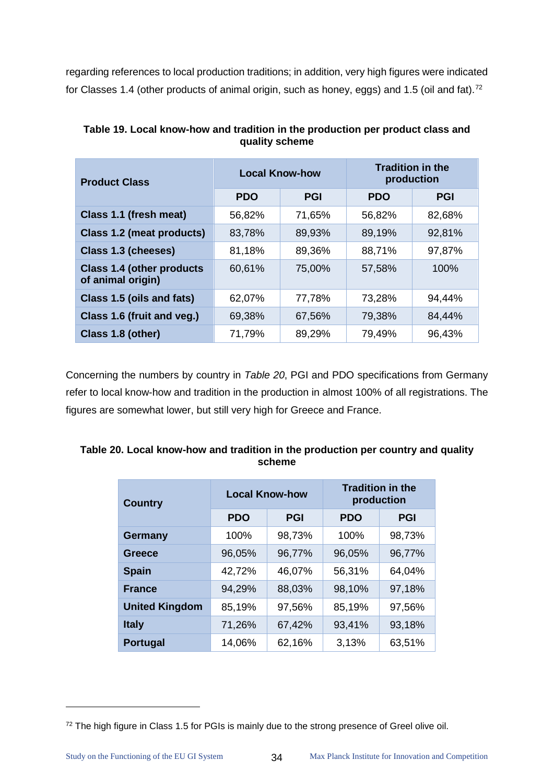regarding references to local production traditions; in addition, very high figures were indicated for Classes 1.4 (other products of animal origin, such as honey, eggs) and 1.5 (oil and fat).<sup>[72](#page-38-2)</sup>

| <b>Product Class</b>                                  | <b>Local Know-how</b> |            | <b>Tradition in the</b><br>production |            |
|-------------------------------------------------------|-----------------------|------------|---------------------------------------|------------|
|                                                       | <b>PDO</b>            | <b>PGI</b> | <b>PDO</b>                            | <b>PGI</b> |
| Class 1.1 (fresh meat)                                | 56,82%                | 71,65%     | 56,82%                                | 82,68%     |
| <b>Class 1.2 (meat products)</b>                      | 83,78%                | 89,93%     | 89,19%                                | 92,81%     |
| Class 1.3 (cheeses)                                   | 81,18%                | 89,36%     | 88,71%                                | 97,87%     |
| <b>Class 1.4 (other products</b><br>of animal origin) | 60,61%                | 75,00%     | 57,58%                                | 100%       |
| Class 1.5 (oils and fats)                             | 62,07%                | 77,78%     | 73,28%                                | 94,44%     |
| Class 1.6 (fruit and veg.)                            | 69,38%                | 67,56%     | 79,38%                                | 84,44%     |
| Class 1.8 (other)                                     | 71,79%                | 89,29%     | 79,49%                                | 96,43%     |

<span id="page-38-0"></span>**Table 19. Local know-how and tradition in the production per product class and quality scheme**

Concerning the numbers by country in *[Table 20](#page-38-1)*, PGI and PDO specifications from Germany refer to local know-how and tradition in the production in almost 100% of all registrations. The figures are somewhat lower, but still very high for Greece and France.

| <b>Country</b>        | <b>Local Know-how</b> |            | <b>Tradition in the</b><br>production |            |  |
|-----------------------|-----------------------|------------|---------------------------------------|------------|--|
|                       | <b>PDO</b>            | <b>PGI</b> | <b>PDO</b>                            | <b>PGI</b> |  |
| <b>Germany</b>        | 100%                  | 98,73%     | 100%                                  | 98,73%     |  |
| Greece                | 96,05%                | 96,77%     | 96,05%                                | 96,77%     |  |
| <b>Spain</b>          | 42,72%                | 46,07%     | 56,31%                                | 64,04%     |  |
| <b>France</b>         | 94,29%                | 88,03%     | 98,10%                                | 97,18%     |  |
| <b>United Kingdom</b> | 85,19%                | 97,56%     | 85,19%                                | 97,56%     |  |
| <b>Italy</b>          | 71,26%                | 67,42%     | 93,41%                                | 93,18%     |  |
| <b>Portugal</b>       | 14,06%                | 62,16%     | 3,13%                                 | 63,51%     |  |

<span id="page-38-1"></span>**Table 20. Local know-how and tradition in the production per country and quality scheme**

<span id="page-38-2"></span><sup>&</sup>lt;sup>72</sup> The high figure in Class 1.5 for PGIs is mainly due to the strong presence of Greel olive oil.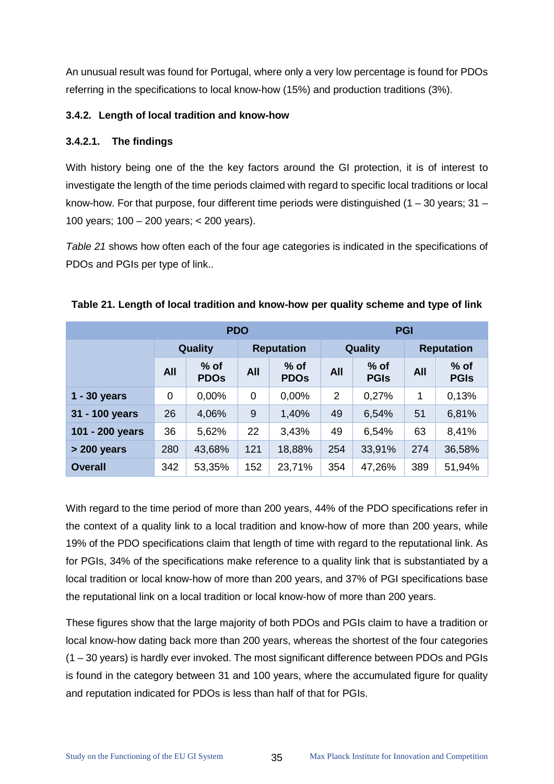An unusual result was found for Portugal, where only a very low percentage is found for PDOs referring in the specifications to local know-how (15%) and production traditions (3%).

# **3.4.2. Length of local tradition and know-how**

# **3.4.2.1. The findings**

With history being one of the the key factors around the GI protection, it is of interest to investigate the length of the time periods claimed with regard to specific local traditions or local know-how. For that purpose, four different time periods were distinguished  $(1 - 30 \text{ years}; 31 -$ 100 years; 100 – 200 years; < 200 years).

*[Table 21](#page-39-0)* shows how often each of the four age categories is indicated in the specifications of PDOs and PGIs per type of link..

| <b>PDO</b>      |            |                       |                   | <b>PGI</b>            |                |                       |                   |                       |
|-----------------|------------|-----------------------|-------------------|-----------------------|----------------|-----------------------|-------------------|-----------------------|
|                 | Quality    |                       | <b>Reputation</b> |                       | <b>Quality</b> |                       | <b>Reputation</b> |                       |
|                 | <b>All</b> | $%$ of<br><b>PDOs</b> | <b>All</b>        | $%$ of<br><b>PDOs</b> | <b>All</b>     | $%$ of<br><b>PGIs</b> | <b>All</b>        | $%$ of<br><b>PGIS</b> |
| $1 - 30$ years  | 0          | 0,00%                 | 0                 | 0,00%                 | $\overline{2}$ | 0,27%                 | 1                 | 0,13%                 |
| 31 - 100 years  | 26         | 4,06%                 | 9                 | 1,40%                 | 49             | 6,54%                 | 51                | 6,81%                 |
| 101 - 200 years | 36         | 5,62%                 | 22                | 3,43%                 | 49             | 6,54%                 | 63                | 8,41%                 |
| > 200 years     | 280        | 43,68%                | 121               | 18,88%                | 254            | 33,91%                | 274               | 36,58%                |
| <b>Overall</b>  | 342        | 53,35%                | 152               | 23,71%                | 354            | 47,26%                | 389               | 51,94%                |

# <span id="page-39-0"></span>**Table 21. Length of local tradition and know-how per quality scheme and type of link**

With regard to the time period of more than 200 years, 44% of the PDO specifications refer in the context of a quality link to a local tradition and know-how of more than 200 years, while 19% of the PDO specifications claim that length of time with regard to the reputational link. As for PGIs, 34% of the specifications make reference to a quality link that is substantiated by a local tradition or local know-how of more than 200 years, and 37% of PGI specifications base the reputational link on a local tradition or local know-how of more than 200 years.

These figures show that the large majority of both PDOs and PGIs claim to have a tradition or local know-how dating back more than 200 years, whereas the shortest of the four categories (1 – 30 years) is hardly ever invoked. The most significant difference between PDOs and PGIs is found in the category between 31 and 100 years, where the accumulated figure for quality and reputation indicated for PDOs is less than half of that for PGIs.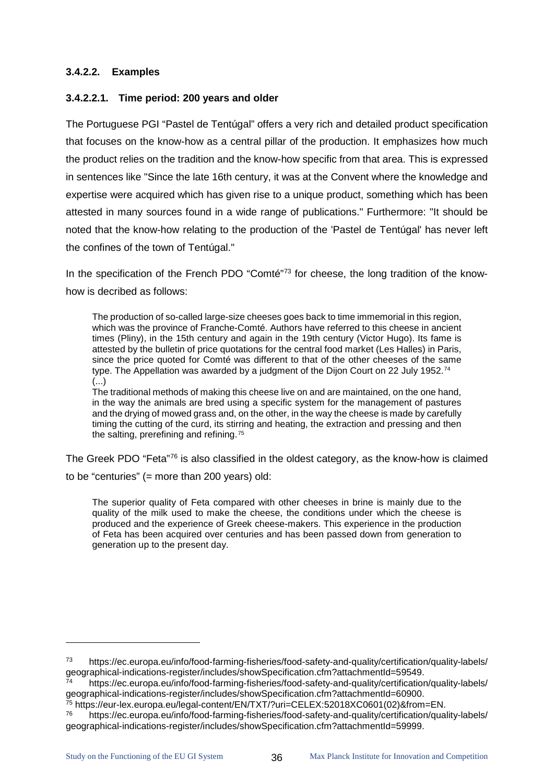# **3.4.2.2. Examples**

# **3.4.2.2.1. Time period: 200 years and older**

The Portuguese PGI "Pastel de Tentúgal" offers a very rich and detailed product specification that focuses on the know-how as a central pillar of the production. It emphasizes how much the product relies on the tradition and the know-how specific from that area. This is expressed in sentences like "Since the late 16th century, it was at the Convent where the knowledge and expertise were acquired which has given rise to a unique product, something which has been attested in many sources found in a wide range of publications." Furthermore: "It should be noted that the know-how relating to the production of the 'Pastel de Tentúgal' has never left the confines of the town of Tentúgal."

In the specification of the French PDO "Comté"<sup>[73](#page-40-0)</sup> for cheese, the long tradition of the knowhow is decribed as follows:

The production of so-called large-size cheeses goes back to time immemorial in this region, which was the province of Franche-Comté. Authors have referred to this cheese in ancient times (Pliny), in the 15th century and again in the 19th century (Victor Hugo). Its fame is attested by the bulletin of price quotations for the central food market (Les Halles) in Paris, since the price quoted for Comté was different to that of the other cheeses of the same type. The Appellation was awarded by a judgment of the Dijon Court on 22 July 1952.<sup>[74](#page-40-1)</sup> (...)

The traditional methods of making this cheese live on and are maintained, on the one hand, in the way the animals are bred using a specific system for the management of pastures and the drying of mowed grass and, on the other, in the way the cheese is made by carefully timing the cutting of the curd, its stirring and heating, the extraction and pressing and then the salting, prerefining and refining.<sup>[75](#page-40-2)</sup>

The Greek PDO "Feta"<sup>[76](#page-40-3)</sup> is also classified in the oldest category, as the know-how is claimed to be "centuries" (= more than 200 years) old:

The superior quality of Feta compared with other cheeses in brine is mainly due to the quality of the milk used to make the cheese, the conditions under which the cheese is produced and the experience of Greek cheese-makers. This experience in the production of Feta has been acquired over centuries and has been passed down from generation to generation up to the present day.

<span id="page-40-0"></span><sup>73</sup> https://ec.europa.eu/info/food-farming-fisheries/food-safety-and-quality/certification/quality-labels/<br>geographical-indications-register/includes/showSpecification.cfm?attachmentId=59549.

<span id="page-40-1"></span><sup>74</sup> https://ec.europa.eu/info/food-farming-fisheries/food-safety-and-quality/certification/quality-labels/<br>geographical-indications-register/includes/showSpecification.cfm?attachmentId=60900.

<span id="page-40-2"></span><sup>75</sup> https://eur-lex.europa.eu/legal-content/EN/TXT/?uri=CELEX:52018XC0601(02)&from=EN.<br>76 https://ec.europa.eu/info/food-farming-fisheries/food-safety-and-quality/certification/quality-labels/

<span id="page-40-3"></span>geographical-indications-register/includes/showSpecification.cfm?attachmentId=59999.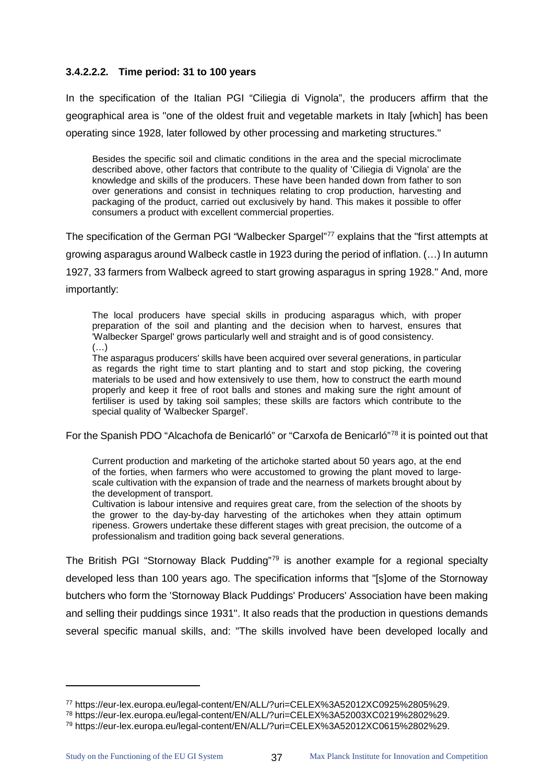#### **3.4.2.2.2. Time period: 31 to 100 years**

In the specification of the Italian PGI "Ciliegia di Vignola", the producers affirm that the geographical area is "one of the oldest fruit and vegetable markets in Italy [which] has been operating since 1928, later followed by other processing and marketing structures."

Besides the specific soil and climatic conditions in the area and the special microclimate described above, other factors that contribute to the quality of 'Ciliegia di Vignola' are the knowledge and skills of the producers. These have been handed down from father to son over generations and consist in techniques relating to crop production, harvesting and packaging of the product, carried out exclusively by hand. This makes it possible to offer consumers a product with excellent commercial properties.

The specification of the German PGI "Walbecker Spargel"<sup>[77](#page-41-0)</sup> explains that the "first attempts at growing asparagus around Walbeck castle in 1923 during the period of inflation. (…) In autumn 1927, 33 farmers from Walbeck agreed to start growing asparagus in spring 1928." And, more importantly:

The local producers have special skills in producing asparagus which, with proper preparation of the soil and planting and the decision when to harvest, ensures that 'Walbecker Spargel' grows particularly well and straight and is of good consistency.  $(\ldots)$ 

The asparagus producers' skills have been acquired over several generations, in particular as regards the right time to start planting and to start and stop picking, the covering materials to be used and how extensively to use them, how to construct the earth mound properly and keep it free of root balls and stones and making sure the right amount of fertiliser is used by taking soil samples; these skills are factors which contribute to the special quality of 'Walbecker Spargel'.

For the Spanish PDO "Alcachofa de Benicarló" or "Carxofa de Benicarló"[78](#page-41-1) it is pointed out that

Current production and marketing of the artichoke started about 50 years ago, at the end of the forties, when farmers who were accustomed to growing the plant moved to largescale cultivation with the expansion of trade and the nearness of markets brought about by the development of transport.

Cultivation is labour intensive and requires great care, from the selection of the shoots by the grower to the day-by-day harvesting of the artichokes when they attain optimum ripeness. Growers undertake these different stages with great precision, the outcome of a professionalism and tradition going back several generations.

The British PGI "Stornoway Black Pudding"<sup>79</sup> is another example for a regional specialty developed less than 100 years ago. The specification informs that "[s]ome of the Stornoway butchers who form the 'Stornoway Black Puddings' Producers' Association have been making and selling their puddings since 1931". It also reads that the production in questions demands several specific manual skills, and: "The skills involved have been developed locally and

<span id="page-41-0"></span><sup>77</sup> https://eur-lex.europa.eu/legal-content/EN/ALL/?uri=CELEX%3A52012XC0925%2805%29.<br><sup>78</sup> https://eur-lex.europa.eu/legal-content/EN/ALL/?uri=CELEX%3A52003XC0219%2802%29.<br><sup>79</sup> https://eur-lex.europa.eu/legal-content/EN/ALL/

<span id="page-41-2"></span><span id="page-41-1"></span>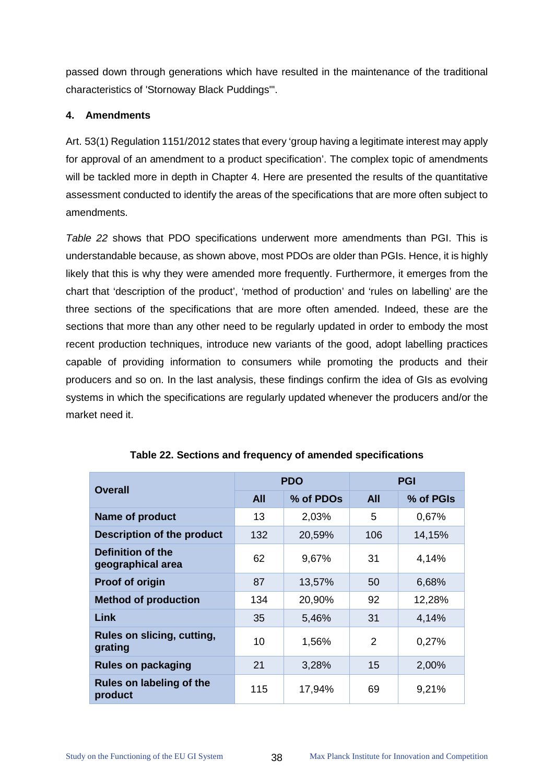passed down through generations which have resulted in the maintenance of the traditional characteristics of 'Stornoway Black Puddings'".

# **4. Amendments**

Art. 53(1) Regulation 1151/2012 states that every 'group having a legitimate interest may apply for approval of an amendment to a product specification'. The complex topic of amendments will be tackled more in depth in Chapter 4. Here are presented the results of the quantitative assessment conducted to identify the areas of the specifications that are more often subject to amendments.

*[Table 22](#page-42-0)* shows that PDO specifications underwent more amendments than PGI. This is understandable because, as shown above, most PDOs are older than PGIs. Hence, it is highly likely that this is why they were amended more frequently. Furthermore, it emerges from the chart that 'description of the product', 'method of production' and 'rules on labelling' are the three sections of the specifications that are more often amended. Indeed, these are the sections that more than any other need to be regularly updated in order to embody the most recent production techniques, introduce new variants of the good, adopt labelling practices capable of providing information to consumers while promoting the products and their producers and so on. In the last analysis, these findings confirm the idea of GIs as evolving systems in which the specifications are regularly updated whenever the producers and/or the market need it.

<span id="page-42-0"></span>

| <b>Overall</b>                         |            | <b>PDO</b> | <b>PGI</b> |           |
|----------------------------------------|------------|------------|------------|-----------|
|                                        | <b>All</b> | % of PDOs  | <b>All</b> | % of PGIs |
| Name of product                        | 13         | 2,03%      | 5          | 0,67%     |
| <b>Description of the product</b>      | 132        | 20,59%     | 106        | 14,15%    |
| Definition of the<br>geographical area | 62         | 9,67%      | 31         | 4,14%     |
| Proof of origin                        | 87         | 13,57%     | 50         | 6,68%     |
| <b>Method of production</b>            | 134        | 20,90%     | 92         | 12,28%    |
| Link                                   | 35         | 5,46%      | 31         | 4,14%     |
| Rules on slicing, cutting,<br>grating  | 10         | 1,56%      | 2          | 0,27%     |
| <b>Rules on packaging</b>              | 21         | 3,28%      | 15         | 2,00%     |
| Rules on labeling of the<br>product    | 115        | 17,94%     | 69         | 9,21%     |

# **Table 22. Sections and frequency of amended specifications**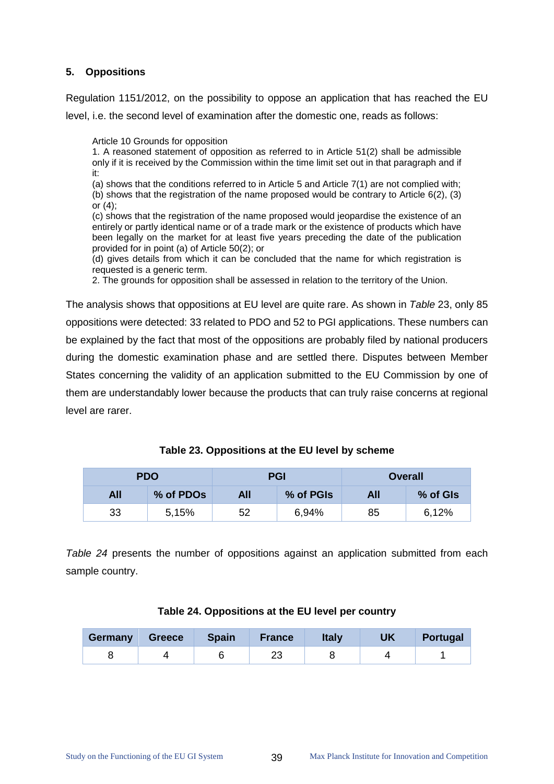# **5. Oppositions**

Regulation 1151/2012, on the possibility to oppose an application that has reached the EU level, i.e. the second level of examination after the domestic one, reads as follows:

Article 10 Grounds for opposition

1. A reasoned statement of opposition as referred to in Article 51(2) shall be admissible only if it is received by the Commission within the time limit set out in that paragraph and if it:

(a) shows that the conditions referred to in Article 5 and Article 7(1) are not complied with; (b) shows that the registration of the name proposed would be contrary to Article 6(2), (3) or (4);

(c) shows that the registration of the name proposed would jeopardise the existence of an entirely or partly identical name or of a trade mark or the existence of products which have been legally on the market for at least five years preceding the date of the publication provided for in point (a) of Article 50(2); or

(d) gives details from which it can be concluded that the name for which registration is requested is a generic term.

2. The grounds for opposition shall be assessed in relation to the territory of the Union.

The analysis shows that oppositions at EU level are quite rare. As shown in *[Table](#page-43-0)* 23, only 85 oppositions were detected: 33 related to PDO and 52 to PGI applications. These numbers can be explained by the fact that most of the oppositions are probably filed by national producers during the domestic examination phase and are settled there. Disputes between Member States concerning the validity of an application submitted to the EU Commission by one of them are understandably lower because the products that can truly raise concerns at regional level are rarer.

<span id="page-43-0"></span>

|     | <b>PDO</b>            | <b>PGI</b> |           | <b>Overall</b> |          |
|-----|-----------------------|------------|-----------|----------------|----------|
| All | % of PDO <sub>s</sub> | All        | % of PGIs | All            | % of GIs |
| 33  | 5,15%                 | 52         | 6,94%     | 85             | 6,12%    |

**Table 23. Oppositions at the EU level by scheme**

*[Table 24](#page-43-1)* presents the number of oppositions against an application submitted from each sample country.

<span id="page-43-1"></span>

| Germany | <b>Greece</b> | <b>Spain</b> | <b>France</b> | <b>Italy</b> | UK | <b>Portugal</b> |
|---------|---------------|--------------|---------------|--------------|----|-----------------|
|         |               |              | ∠⊾            |              |    |                 |

#### **Table 24. Oppositions at the EU level per country**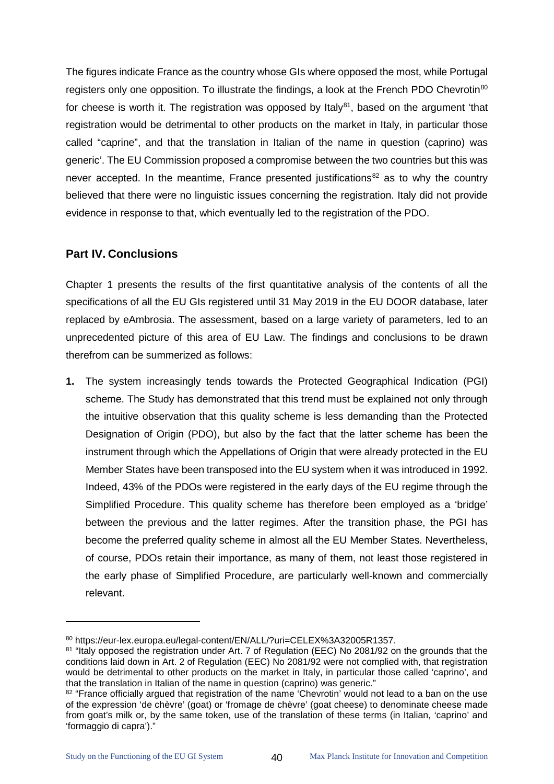The figures indicate France as the country whose GIs where opposed the most, while Portugal registers only one opposition. To illustrate the findings, a look at the French PDO Chevrotin<sup>[80](#page-44-0)</sup> for cheese is worth it. The registration was opposed by Italy<sup>81</sup>, based on the argument 'that registration would be detrimental to other products on the market in Italy, in particular those called "caprine", and that the translation in Italian of the name in question (caprino) was generic'. The EU Commission proposed a compromise between the two countries but this was never accepted. In the meantime, France presented justifications<sup>[82](#page-44-2)</sup> as to why the country believed that there were no linguistic issues concerning the registration. Italy did not provide evidence in response to that, which eventually led to the registration of the PDO.

# **Part IV. Conclusions**

Chapter 1 presents the results of the first quantitative analysis of the contents of all the specifications of all the EU GIs registered until 31 May 2019 in the EU DOOR database, later replaced by eAmbrosia. The assessment, based on a large variety of parameters, led to an unprecedented picture of this area of EU Law. The findings and conclusions to be drawn therefrom can be summerized as follows:

**1.** The system increasingly tends towards the Protected Geographical Indication (PGI) scheme. The Study has demonstrated that this trend must be explained not only through the intuitive observation that this quality scheme is less demanding than the Protected Designation of Origin (PDO), but also by the fact that the latter scheme has been the instrument through which the Appellations of Origin that were already protected in the EU Member States have been transposed into the EU system when it was introduced in 1992. Indeed, 43% of the PDOs were registered in the early days of the EU regime through the Simplified Procedure. This quality scheme has therefore been employed as a 'bridge' between the previous and the latter regimes. After the transition phase, the PGI has become the preferred quality scheme in almost all the EU Member States. Nevertheless, of course, PDOs retain their importance, as many of them, not least those registered in the early phase of Simplified Procedure, are particularly well-known and commercially relevant.

<span id="page-44-1"></span><span id="page-44-0"></span><sup>80</sup> https://eur-lex.europa.eu/legal-content/EN/ALL/?uri=CELEX%3A32005R1357.<br>81 "Italy opposed the registration under Art. 7 of Regulation (EEC) No 2081/92 on the grounds that the conditions laid down in Art. 2 of Regulation (EEC) No 2081/92 were not complied with, that registration would be detrimental to other products on the market in Italy, in particular those called 'caprino', and that the translation in Italian of the name in question (caprino) was generic."

<span id="page-44-2"></span><sup>82 &</sup>quot;France officially argued that registration of the name 'Chevrotin' would not lead to a ban on the use of the expression 'de chèvre' (goat) or 'fromage de chèvre' (goat cheese) to denominate cheese made from goat's milk or, by the same token, use of the translation of these terms (in Italian, 'caprino' and 'formaggio di capra')."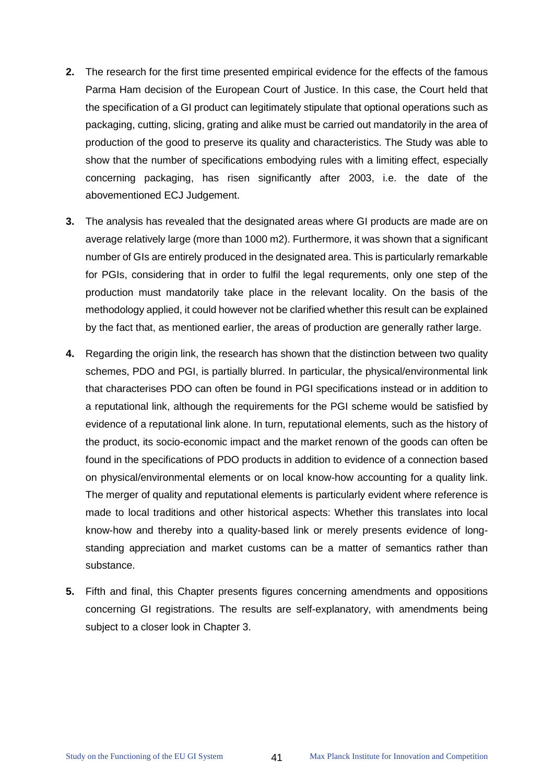- **2.** The research for the first time presented empirical evidence for the effects of the famous Parma Ham decision of the European Court of Justice. In this case, the Court held that the specification of a GI product can legitimately stipulate that optional operations such as packaging, cutting, slicing, grating and alike must be carried out mandatorily in the area of production of the good to preserve its quality and characteristics. The Study was able to show that the number of specifications embodying rules with a limiting effect, especially concerning packaging, has risen significantly after 2003, i.e. the date of the abovementioned ECJ Judgement.
- **3.** The analysis has revealed that the designated areas where GI products are made are on average relatively large (more than 1000 m2). Furthermore, it was shown that a significant number of GIs are entirely produced in the designated area. This is particularly remarkable for PGIs, considering that in order to fulfil the legal requrements, only one step of the production must mandatorily take place in the relevant locality. On the basis of the methodology applied, it could however not be clarified whether this result can be explained by the fact that, as mentioned earlier, the areas of production are generally rather large.
- **4.** Regarding the origin link, the research has shown that the distinction between two quality schemes, PDO and PGI, is partially blurred. In particular, the physical/environmental link that characterises PDO can often be found in PGI specifications instead or in addition to a reputational link, although the requirements for the PGI scheme would be satisfied by evidence of a reputational link alone. In turn, reputational elements, such as the history of the product, its socio-economic impact and the market renown of the goods can often be found in the specifications of PDO products in addition to evidence of a connection based on physical/environmental elements or on local know-how accounting for a quality link. The merger of quality and reputational elements is particularly evident where reference is made to local traditions and other historical aspects: Whether this translates into local know-how and thereby into a quality-based link or merely presents evidence of longstanding appreciation and market customs can be a matter of semantics rather than substance.
- **5.** Fifth and final, this Chapter presents figures concerning amendments and oppositions concerning GI registrations. The results are self-explanatory, with amendments being subject to a closer look in Chapter 3.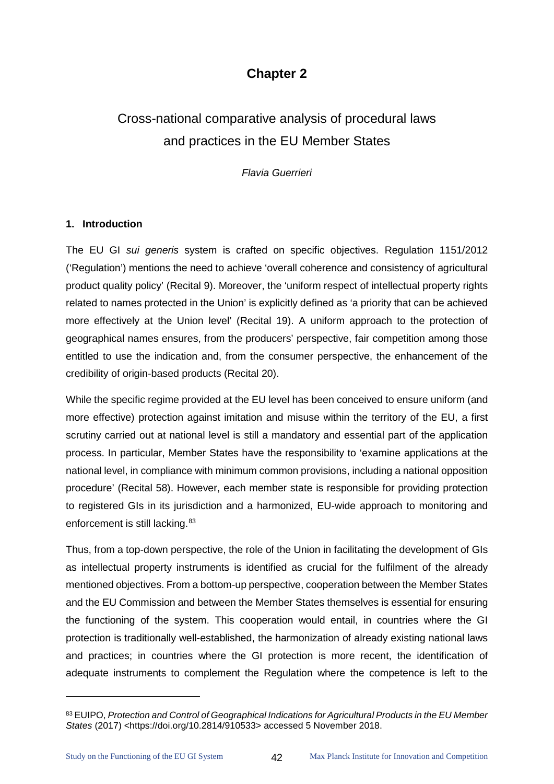# **Chapter 2**

# Cross-national comparative analysis of procedural laws and practices in the EU Member States

*Flavia Guerrieri*

#### **1. Introduction**

The EU GI *sui generis* system is crafted on specific objectives. Regulation 1151/2012 ('Regulation') mentions the need to achieve 'overall coherence and consistency of agricultural product quality policy' (Recital 9). Moreover, the 'uniform respect of intellectual property rights related to names protected in the Union' is explicitly defined as 'a priority that can be achieved more effectively at the Union level' (Recital 19). A uniform approach to the protection of geographical names ensures, from the producers' perspective, fair competition among those entitled to use the indication and, from the consumer perspective, the enhancement of the credibility of origin-based products (Recital 20).

While the specific regime provided at the EU level has been conceived to ensure uniform (and more effective) protection against imitation and misuse within the territory of the EU, a first scrutiny carried out at national level is still a mandatory and essential part of the application process. In particular, Member States have the responsibility to 'examine applications at the national level, in compliance with minimum common provisions, including a national opposition procedure' (Recital 58). However, each member state is responsible for providing protection to registered GIs in its jurisdiction and a harmonized, EU-wide approach to monitoring and enforcement is still lacking.<sup>[83](#page-46-0)</sup>

Thus, from a top-down perspective, the role of the Union in facilitating the development of GIs as intellectual property instruments is identified as crucial for the fulfilment of the already mentioned objectives. From a bottom-up perspective, cooperation between the Member States and the EU Commission and between the Member States themselves is essential for ensuring the functioning of the system. This cooperation would entail, in countries where the GI protection is traditionally well-established, the harmonization of already existing national laws and practices; in countries where the GI protection is more recent, the identification of adequate instruments to complement the Regulation where the competence is left to the

<span id="page-46-0"></span><sup>83</sup> EUIPO, *Protection and Control of Geographical Indications for Agricultural Products in the EU Member States* (2017) <https://doi.org/10.2814/910533> accessed 5 November 2018.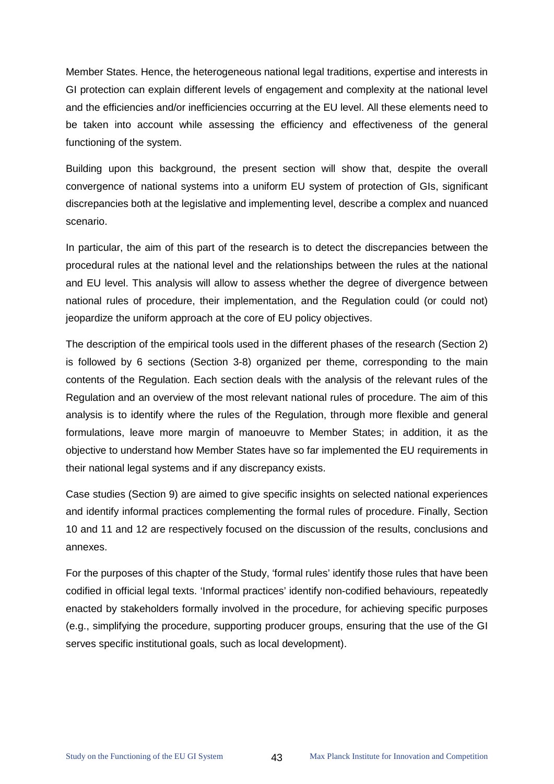Member States. Hence, the heterogeneous national legal traditions, expertise and interests in GI protection can explain different levels of engagement and complexity at the national level and the efficiencies and/or inefficiencies occurring at the EU level. All these elements need to be taken into account while assessing the efficiency and effectiveness of the general functioning of the system.

Building upon this background, the present section will show that, despite the overall convergence of national systems into a uniform EU system of protection of GIs, significant discrepancies both at the legislative and implementing level, describe a complex and nuanced scenario.

In particular, the aim of this part of the research is to detect the discrepancies between the procedural rules at the national level and the relationships between the rules at the national and EU level. This analysis will allow to assess whether the degree of divergence between national rules of procedure, their implementation, and the Regulation could (or could not) jeopardize the uniform approach at the core of EU policy objectives.

The description of the empirical tools used in the different phases of the research (Section 2) is followed by 6 sections (Section 3-8) organized per theme, corresponding to the main contents of the Regulation. Each section deals with the analysis of the relevant rules of the Regulation and an overview of the most relevant national rules of procedure. The aim of this analysis is to identify where the rules of the Regulation, through more flexible and general formulations, leave more margin of manoeuvre to Member States; in addition, it as the objective to understand how Member States have so far implemented the EU requirements in their national legal systems and if any discrepancy exists.

Case studies (Section 9) are aimed to give specific insights on selected national experiences and identify informal practices complementing the formal rules of procedure. Finally, Section 10 and 11 and 12 are respectively focused on the discussion of the results, conclusions and annexes.

For the purposes of this chapter of the Study, 'formal rules' identify those rules that have been codified in official legal texts. 'Informal practices' identify non-codified behaviours, repeatedly enacted by stakeholders formally involved in the procedure, for achieving specific purposes (e.g., simplifying the procedure, supporting producer groups, ensuring that the use of the GI serves specific institutional goals, such as local development).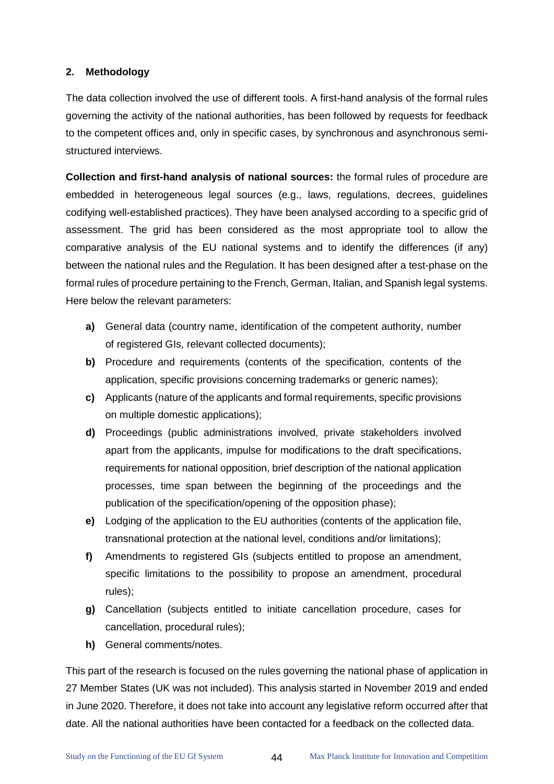# **2. Methodology**

The data collection involved the use of different tools. A first-hand analysis of the formal rules governing the activity of the national authorities, has been followed by requests for feedback to the competent offices and, only in specific cases, by synchronous and asynchronous semistructured interviews.

**Collection and first-hand analysis of national sources:** the formal rules of procedure are embedded in heterogeneous legal sources (e.g., laws, regulations, decrees, guidelines codifying well-established practices). They have been analysed according to a specific grid of assessment. The grid has been considered as the most appropriate tool to allow the comparative analysis of the EU national systems and to identify the differences (if any) between the national rules and the Regulation. It has been designed after a test-phase on the formal rules of procedure pertaining to the French, German, Italian, and Spanish legal systems. Here below the relevant parameters:

- **a)** General data (country name, identification of the competent authority, number of registered GIs, relevant collected documents);
- **b)** Procedure and requirements (contents of the specification, contents of the application, specific provisions concerning trademarks or generic names);
- **c)** Applicants (nature of the applicants and formal requirements, specific provisions on multiple domestic applications);
- **d)** Proceedings (public administrations involved, private stakeholders involved apart from the applicants, impulse for modifications to the draft specifications, requirements for national opposition, brief description of the national application processes, time span between the beginning of the proceedings and the publication of the specification/opening of the opposition phase);
- **e)** Lodging of the application to the EU authorities (contents of the application file, transnational protection at the national level, conditions and/or limitations);
- **f)** Amendments to registered GIs (subjects entitled to propose an amendment, specific limitations to the possibility to propose an amendment, procedural rules);
- **g)** Cancellation (subjects entitled to initiate cancellation procedure, cases for cancellation, procedural rules);
- **h)** General comments/notes.

This part of the research is focused on the rules governing the national phase of application in 27 Member States (UK was not included). This analysis started in November 2019 and ended in June 2020. Therefore, it does not take into account any legislative reform occurred after that date. All the national authorities have been contacted for a feedback on the collected data.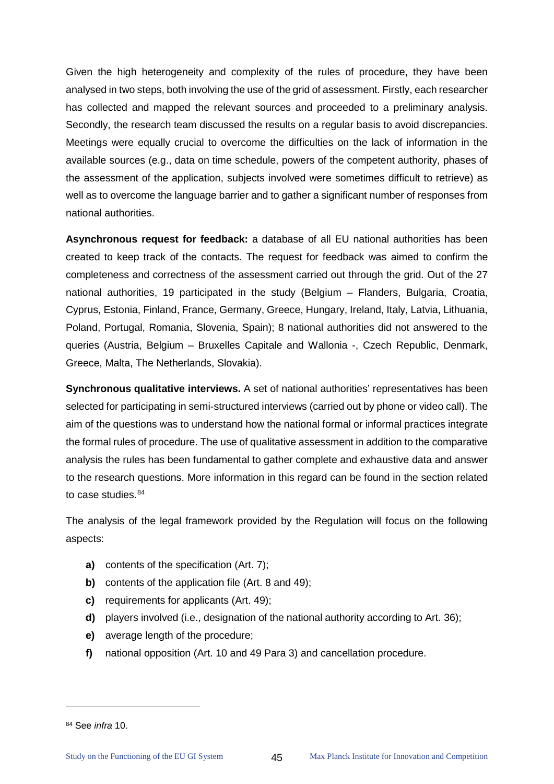Given the high heterogeneity and complexity of the rules of procedure, they have been analysed in two steps, both involving the use of the grid of assessment. Firstly, each researcher has collected and mapped the relevant sources and proceeded to a preliminary analysis. Secondly, the research team discussed the results on a regular basis to avoid discrepancies. Meetings were equally crucial to overcome the difficulties on the lack of information in the available sources (e.g., data on time schedule, powers of the competent authority, phases of the assessment of the application, subjects involved were sometimes difficult to retrieve) as well as to overcome the language barrier and to gather a significant number of responses from national authorities.

**Asynchronous request for feedback:** a database of all EU national authorities has been created to keep track of the contacts. The request for feedback was aimed to confirm the completeness and correctness of the assessment carried out through the grid. Out of the 27 national authorities, 19 participated in the study (Belgium – Flanders, Bulgaria, Croatia, Cyprus, Estonia, Finland, France, Germany, Greece, Hungary, Ireland, Italy, Latvia, Lithuania, Poland, Portugal, Romania, Slovenia, Spain); 8 national authorities did not answered to the queries (Austria, Belgium – Bruxelles Capitale and Wallonia -, Czech Republic, Denmark, Greece, Malta, The Netherlands, Slovakia).

**Synchronous qualitative interviews.** A set of national authorities' representatives has been selected for participating in semi-structured interviews (carried out by phone or video call). The aim of the questions was to understand how the national formal or informal practices integrate the formal rules of procedure. The use of qualitative assessment in addition to the comparative analysis the rules has been fundamental to gather complete and exhaustive data and answer to the research questions. More information in this regard can be found in the section related to case studies. [84](#page-49-0)

The analysis of the legal framework provided by the Regulation will focus on the following aspects:

- **a)** contents of the specification (Art. 7);
- **b)** contents of the application file (Art. 8 and 49);
- **c)** requirements for applicants (Art. 49);
- **d)** players involved (i.e., designation of the national authority according to Art. 36);
- **e)** average length of the procedure;
- **f)** national opposition (Art. 10 and 49 Para 3) and cancellation procedure.

<span id="page-49-0"></span><sup>84</sup> See *infra* 10.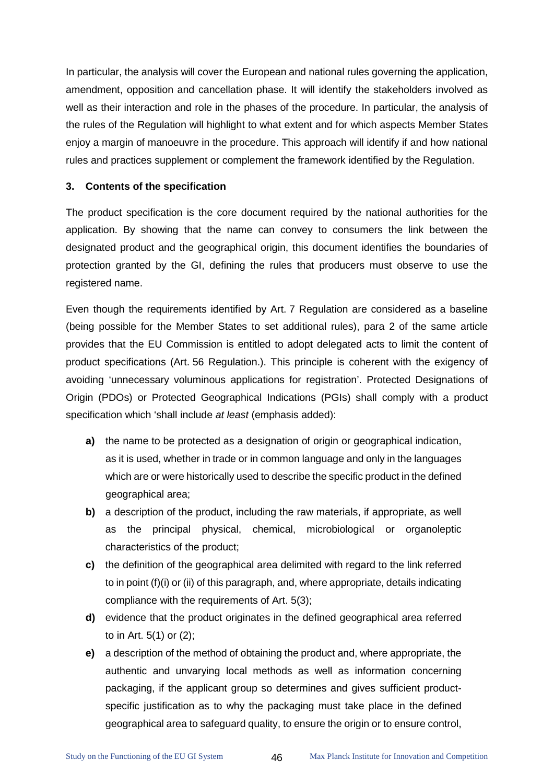In particular, the analysis will cover the European and national rules governing the application, amendment, opposition and cancellation phase. It will identify the stakeholders involved as well as their interaction and role in the phases of the procedure. In particular, the analysis of the rules of the Regulation will highlight to what extent and for which aspects Member States enjoy a margin of manoeuvre in the procedure. This approach will identify if and how national rules and practices supplement or complement the framework identified by the Regulation.

#### **3. Contents of the specification**

The product specification is the core document required by the national authorities for the application. By showing that the name can convey to consumers the link between the designated product and the geographical origin, this document identifies the boundaries of protection granted by the GI, defining the rules that producers must observe to use the registered name.

Even though the requirements identified by Art. 7 Regulation are considered as a baseline (being possible for the Member States to set additional rules), para 2 of the same article provides that the EU Commission is entitled to adopt delegated acts to limit the content of product specifications (Art. 56 Regulation.). This principle is coherent with the exigency of avoiding 'unnecessary voluminous applications for registration'. Protected Designations of Origin (PDOs) or Protected Geographical Indications (PGIs) shall comply with a product specification which 'shall include *at least* (emphasis added):

- **a)** the name to be protected as a designation of origin or geographical indication, as it is used, whether in trade or in common language and only in the languages which are or were historically used to describe the specific product in the defined geographical area;
- **b)** a description of the product, including the raw materials, if appropriate, as well as the principal physical, chemical, microbiological or organoleptic characteristics of the product;
- **c)** the definition of the geographical area delimited with regard to the link referred to in point (f)(i) or (ii) of this paragraph, and, where appropriate, details indicating compliance with the requirements of Art. 5(3);
- **d)** evidence that the product originates in the defined geographical area referred to in Art. 5(1) or (2);
- **e)** a description of the method of obtaining the product and, where appropriate, the authentic and unvarying local methods as well as information concerning packaging, if the applicant group so determines and gives sufficient productspecific justification as to why the packaging must take place in the defined geographical area to safeguard quality, to ensure the origin or to ensure control,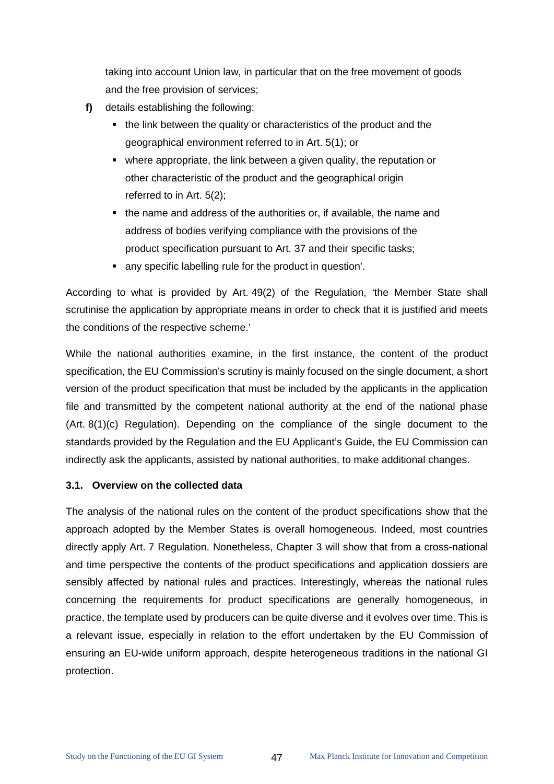taking into account Union law, in particular that on the free movement of goods and the free provision of services;

- **f)** details establishing the following:
	- the link between the quality or characteristics of the product and the geographical environment referred to in Art. 5(1); or
	- where appropriate, the link between a given quality, the reputation or other characteristic of the product and the geographical origin referred to in Art. 5(2);
	- the name and address of the authorities or, if available, the name and address of bodies verifying compliance with the provisions of the product specification pursuant to Art. 37 and their specific tasks;
	- any specific labelling rule for the product in question'.

According to what is provided by Art. 49(2) of the Regulation, 'the Member State shall scrutinise the application by appropriate means in order to check that it is justified and meets the conditions of the respective scheme.'

While the national authorities examine, in the first instance, the content of the product specification, the EU Commission's scrutiny is mainly focused on the single document, a short version of the product specification that must be included by the applicants in the application file and transmitted by the competent national authority at the end of the national phase (Art. 8(1)(c) Regulation). Depending on the compliance of the single document to the standards provided by the Regulation and the EU Applicant's Guide, the EU Commission can indirectly ask the applicants, assisted by national authorities, to make additional changes.

#### **3.1. Overview on the collected data**

The analysis of the national rules on the content of the product specifications show that the approach adopted by the Member States is overall homogeneous. Indeed, most countries directly apply Art. 7 Regulation. Nonetheless, Chapter 3 will show that from a cross-national and time perspective the contents of the product specifications and application dossiers are sensibly affected by national rules and practices. Interestingly, whereas the national rules concerning the requirements for product specifications are generally homogeneous, in practice, the template used by producers can be quite diverse and it evolves over time. This is a relevant issue, especially in relation to the effort undertaken by the EU Commission of ensuring an EU-wide uniform approach, despite heterogeneous traditions in the national GI protection.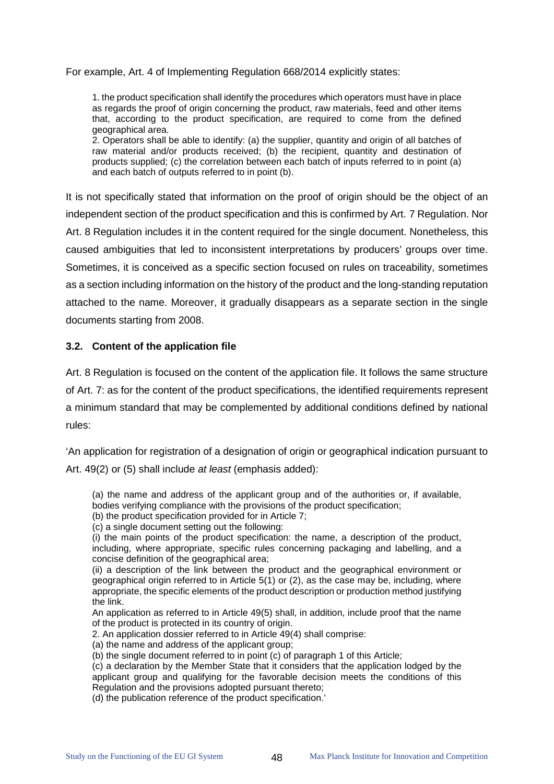For example, Art. 4 of Implementing Regulation 668/2014 explicitly states:

1. the product specification shall identify the procedures which operators must have in place as regards the proof of origin concerning the product, raw materials, feed and other items that, according to the product specification, are required to come from the defined geographical area.

2. Operators shall be able to identify: (a) the supplier, quantity and origin of all batches of raw material and/or products received; (b) the recipient, quantity and destination of products supplied; (c) the correlation between each batch of inputs referred to in point (a) and each batch of outputs referred to in point (b).

It is not specifically stated that information on the proof of origin should be the object of an independent section of the product specification and this is confirmed by Art. 7 Regulation. Nor Art. 8 Regulation includes it in the content required for the single document. Nonetheless, this caused ambiguities that led to inconsistent interpretations by producers' groups over time. Sometimes, it is conceived as a specific section focused on rules on traceability, sometimes as a section including information on the history of the product and the long-standing reputation attached to the name. Moreover, it gradually disappears as a separate section in the single documents starting from 2008.

#### **3.2. Content of the application file**

Art. 8 Regulation is focused on the content of the application file. It follows the same structure of Art. 7: as for the content of the product specifications, the identified requirements represent a minimum standard that may be complemented by additional conditions defined by national rules:

'An application for registration of a designation of origin or geographical indication pursuant to Art. 49(2) or (5) shall include *at least* (emphasis added):

(a) the name and address of the applicant group and of the authorities or, if available, bodies verifying compliance with the provisions of the product specification;

(b) the product specification provided for in Article 7;

(c) a single document setting out the following:

(i) the main points of the product specification: the name, a description of the product, including, where appropriate, specific rules concerning packaging and labelling, and a concise definition of the geographical area;

(ii) a description of the link between the product and the geographical environment or geographical origin referred to in Article 5(1) or (2), as the case may be, including, where appropriate, the specific elements of the product description or production method justifying the link.

An application as referred to in Article 49(5) shall, in addition, include proof that the name of the product is protected in its country of origin.

2. An application dossier referred to in Article 49(4) shall comprise:

(a) the name and address of the applicant group;

(b) the single document referred to in point (c) of paragraph 1 of this Article;

(c) a declaration by the Member State that it considers that the application lodged by the applicant group and qualifying for the favorable decision meets the conditions of this Regulation and the provisions adopted pursuant thereto;

(d) the publication reference of the product specification.'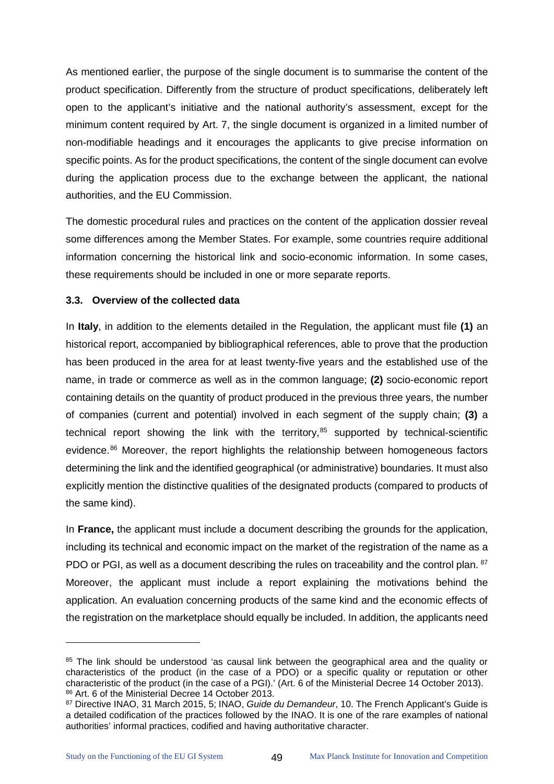As mentioned earlier, the purpose of the single document is to summarise the content of the product specification. Differently from the structure of product specifications, deliberately left open to the applicant's initiative and the national authority's assessment, except for the minimum content required by Art. 7, the single document is organized in a limited number of non-modifiable headings and it encourages the applicants to give precise information on specific points. As for the product specifications, the content of the single document can evolve during the application process due to the exchange between the applicant, the national authorities, and the EU Commission.

The domestic procedural rules and practices on the content of the application dossier reveal some differences among the Member States. For example, some countries require additional information concerning the historical link and socio-economic information. In some cases, these requirements should be included in one or more separate reports.

# **3.3. Overview of the collected data**

In **Italy**, in addition to the elements detailed in the Regulation, the applicant must file **(1)** an historical report, accompanied by bibliographical references, able to prove that the production has been produced in the area for at least twenty-five years and the established use of the name, in trade or commerce as well as in the common language; **(2)** socio-economic report containing details on the quantity of product produced in the previous three years, the number of companies (current and potential) involved in each segment of the supply chain; **(3)** a technical report showing the link with the territory, $85$  supported by technical-scientific evidence.<sup>[86](#page-53-1)</sup> Moreover, the report highlights the relationship between homogeneous factors determining the link and the identified geographical (or administrative) boundaries. It must also explicitly mention the distinctive qualities of the designated products (compared to products of the same kind).

In **France,** the applicant must include a document describing the grounds for the application, including its technical and economic impact on the market of the registration of the name as a PDO or PGI, as well as a document describing the rules on traceability and the control plan. <sup>[87](#page-53-2)</sup> Moreover, the applicant must include a report explaining the motivations behind the application. An evaluation concerning products of the same kind and the economic effects of the registration on the marketplace should equally be included. In addition, the applicants need

<span id="page-53-0"></span><sup>&</sup>lt;sup>85</sup> The link should be understood 'as causal link between the geographical area and the quality or characteristics of the product (in the case of a PDO) or a specific quality or reputation or other characteristic of the product (in the case of a PGI).' (Art. 6 of the Ministerial Decree 14 October 2013). 86 Art. 6 of the Ministerial Decree 14 October 2013.

<span id="page-53-2"></span><span id="page-53-1"></span><sup>87</sup> Directive INAO, 31 March 2015, 5; INAO, *Guide du Demandeur*, 10. The French Applicant's Guide is a detailed codification of the practices followed by the INAO. It is one of the rare examples of national authorities' informal practices, codified and having authoritative character.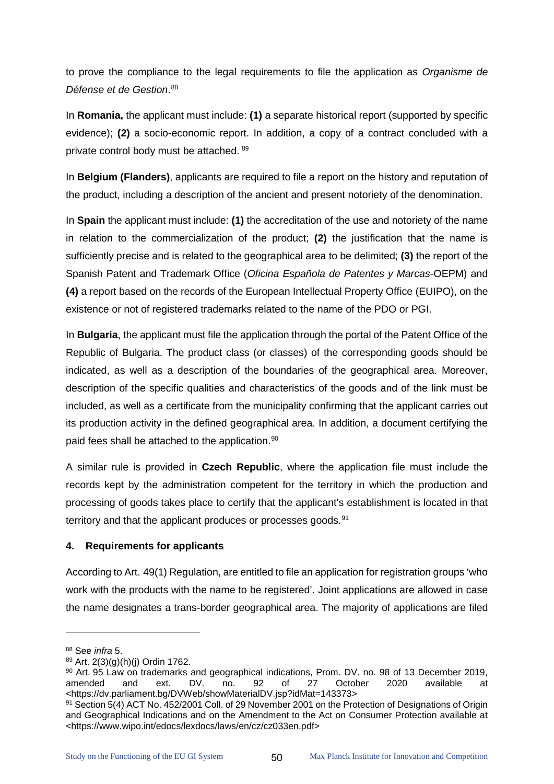to prove the compliance to the legal requirements to file the application as *Organisme de Défense et de Gestion*. [88](#page-54-0)

In **Romania,** the applicant must include: **(1)** a separate historical report (supported by specific evidence); **(2)** a socio-economic report. In addition, a copy of a contract concluded with a private control body must be attached. [89](#page-54-1)

In **Belgium (Flanders)**, applicants are required to file a report on the history and reputation of the product, including a description of the ancient and present notoriety of the denomination.

In **Spain** the applicant must include: **(1)** the accreditation of the use and notoriety of the name in relation to the commercialization of the product; **(2)** the justification that the name is sufficiently precise and is related to the geographical area to be delimited; **(3)** the report of the Spanish Patent and Trademark Office (*Oficina Española de Patentes y Marcas*-OEPM) and **(4)** a report based on the records of the European Intellectual Property Office (EUIPO), on the existence or not of registered trademarks related to the name of the PDO or PGI.

In **Bulgaria**, the applicant must file the application through the portal of the Patent Office of the Republic of Bulgaria. The product class (or classes) of the corresponding goods should be indicated, as well as a description of the boundaries of the geographical area. Moreover, description of the specific qualities and characteristics of the goods and of the link must be included, as well as a certificate from the municipality confirming that the applicant carries out its production activity in the defined geographical area. In addition, a document certifying the paid fees shall be attached to the application.<sup>90</sup>

A similar rule is provided in **Czech Republic**, where the application file must include the records kept by the administration competent for the territory in which the production and processing of goods takes place to certify that the applicant's establishment is located in that territory and that the applicant produces or processes goods.<sup>[91](#page-54-3)</sup>

# **4. Requirements for applicants**

According to Art. 49(1) Regulation, are entitled to file an application for registration groups 'who work with the products with the name to be registered'. Joint applications are allowed in case the name designates a trans-border geographical area. The majority of applications are filed

<span id="page-54-0"></span><sup>88</sup> See *infra* 5.

<span id="page-54-1"></span><sup>89</sup> Art. 2(3)(g)(h)(j) Ordin 1762.

<span id="page-54-2"></span><sup>90</sup> Art. 95 Law on trademarks and geographical indications, Prom. DV. no. 98 of 13 December 2019, amended and ext. DV. no. 92 of 27 October 2020 available at <https://dv.parliament.bg/DVWeb/showMaterialDV.jsp?idMat=143373>

<span id="page-54-3"></span><sup>91</sup> Section 5(4) ACT No. 452/2001 Coll. of 29 November 2001 on the Protection of Designations of Origin and Geographical Indications and on the Amendment to the Act on Consumer Protection available at <https://www.wipo.int/edocs/lexdocs/laws/en/cz/cz033en.pdf>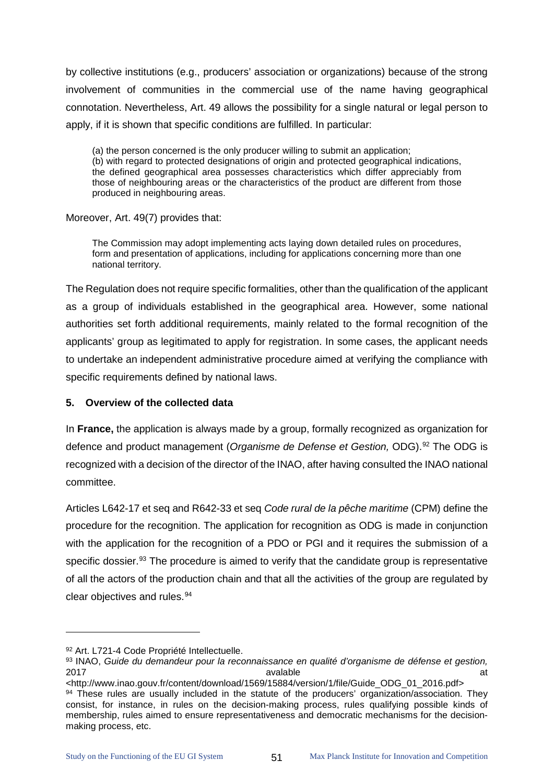by collective institutions (e.g., producers' association or organizations) because of the strong involvement of communities in the commercial use of the name having geographical connotation. Nevertheless, Art. 49 allows the possibility for a single natural or legal person to apply, if it is shown that specific conditions are fulfilled. In particular:

(a) the person concerned is the only producer willing to submit an application; (b) with regard to protected designations of origin and protected geographical indications, the defined geographical area possesses characteristics which differ appreciably from those of neighbouring areas or the characteristics of the product are different from those produced in neighbouring areas.

Moreover, Art. 49(7) provides that:

The Commission may adopt implementing acts laying down detailed rules on procedures, form and presentation of applications, including for applications concerning more than one national territory.

The Regulation does not require specific formalities, other than the qualification of the applicant as a group of individuals established in the geographical area. However, some national authorities set forth additional requirements, mainly related to the formal recognition of the applicants' group as legitimated to apply for registration. In some cases, the applicant needs to undertake an independent administrative procedure aimed at verifying the compliance with specific requirements defined by national laws.

# **5. Overview of the collected data**

In **France,** the application is always made by a group, formally recognized as organization for defence and product management (*Organisme de Defense et Gestion,* ODG).[92](#page-55-0) The ODG is recognized with a decision of the director of the INAO, after having consulted the INAO national committee.

Articles L642-17 et seq and R642-33 et seq *Code rural de la pêche maritime* (CPM) define the procedure for the recognition. The application for recognition as ODG is made in conjunction with the application for the recognition of a PDO or PGI and it requires the submission of a specific dossier.<sup>[93](#page-55-1)</sup> The procedure is aimed to verify that the candidate group is representative of all the actors of the production chain and that all the activities of the group are regulated by clear objectives and rules.<sup>[94](#page-55-2)</sup>

<span id="page-55-0"></span><sup>92</sup> Art. L721-4 Code Propriété Intellectuelle.

<span id="page-55-1"></span><sup>93</sup> INAO, *Guide du demandeur pour la reconnaissance en qualité d'organisme de défense et gestion,*  2017 avalable at

<span id="page-55-2"></span><sup>&</sup>lt;http://www.inao.gouv.fr/content/download/1569/15884/version/1/file/Guide\_ODG\_01\_2016.pdf> 94 These rules are usually included in the statute of the producers' organization/association. They consist, for instance, in rules on the decision-making process, rules qualifying possible kinds of membership, rules aimed to ensure representativeness and democratic mechanisms for the decisionmaking process, etc.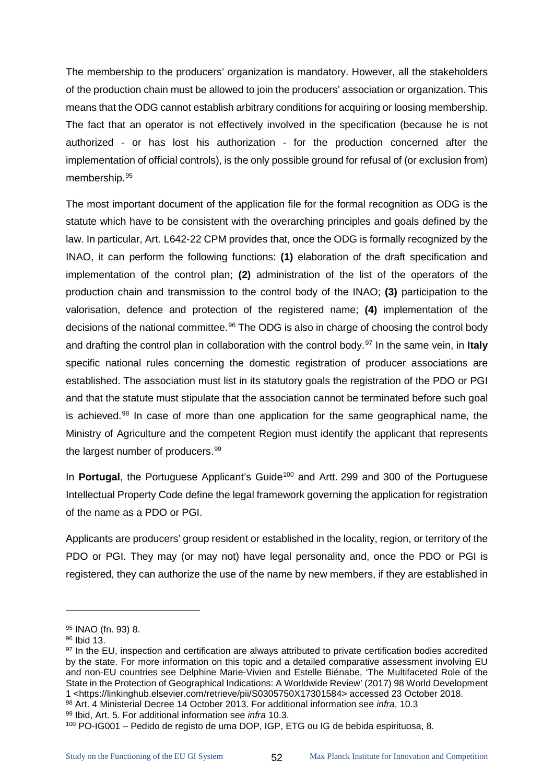The membership to the producers' organization is mandatory. However, all the stakeholders of the production chain must be allowed to join the producers' association or organization. This means that the ODG cannot establish arbitrary conditions for acquiring or loosing membership. The fact that an operator is not effectively involved in the specification (because he is not authorized - or has lost his authorization - for the production concerned after the implementation of official controls), is the only possible ground for refusal of (or exclusion from) membership.[95](#page-56-0) 

The most important document of the application file for the formal recognition as ODG is the statute which have to be consistent with the overarching principles and goals defined by the law. In particular, Art. L642-22 CPM provides that, once the ODG is formally recognized by the INAO, it can perform the following functions: **(1)** elaboration of the draft specification and implementation of the control plan; **(2)** administration of the list of the operators of the production chain and transmission to the control body of the INAO; **(3)** participation to the valorisation, defence and protection of the registered name; **(4)** implementation of the decisions of the national committee.<sup>[96](#page-56-1)</sup> The ODG is also in charge of choosing the control body and drafting the control plan in collaboration with the control body.<sup>[97](#page-56-2)</sup> In the same vein, in **Italy** specific national rules concerning the domestic registration of producer associations are established. The association must list in its statutory goals the registration of the PDO or PGI and that the statute must stipulate that the association cannot be terminated before such goal is achieved. $98$  In case of more than one application for the same geographical name, the Ministry of Agriculture and the competent Region must identify the applicant that represents the largest number of producers.<sup>[99](#page-56-4)</sup>

In **Portugal**, the Portuguese Applicant's Guide<sup>[100](#page-56-5)</sup> and Artt. 299 and 300 of the Portuguese Intellectual Property Code define the legal framework governing the application for registration of the name as a PDO or PGI.

Applicants are producers' group resident or established in the locality, region, or territory of the PDO or PGI. They may (or may not) have legal personality and, once the PDO or PGI is registered, they can authorize the use of the name by new members, if they are established in

<span id="page-56-0"></span><sup>95</sup> INAO (fn. 93) 8.

<span id="page-56-1"></span><sup>96</sup> Ibid 13.

<span id="page-56-2"></span><sup>&</sup>lt;sup>97</sup> In the EU, inspection and certification are always attributed to private certification bodies accredited by the state. For more information on this topic and a detailed comparative assessment involving EU and non-EU countries see Delphine Marie-Vivien and Estelle Biénabe, 'The Multifaceted Role of the State in the Protection of Geographical Indications: A Worldwide Review' (2017) 98 World Development 1 <https://linkinghub.elsevier.com/retrieve/pii/S0305750X17301584> accessed 23 October 2018.

<span id="page-56-3"></span><sup>&</sup>lt;sup>98</sup> Art. 4 Ministerial Decree 14 October 2013. For additional information see *infra*, 10.3

<span id="page-56-5"></span><span id="page-56-4"></span><sup>99</sup> Ibid, Art. 5. For additional information see *infra* 10.3.<br><sup>100</sup> PO-IG001 – Pedido de registo de uma DOP, IGP, ETG ou IG de bebida espirituosa, 8.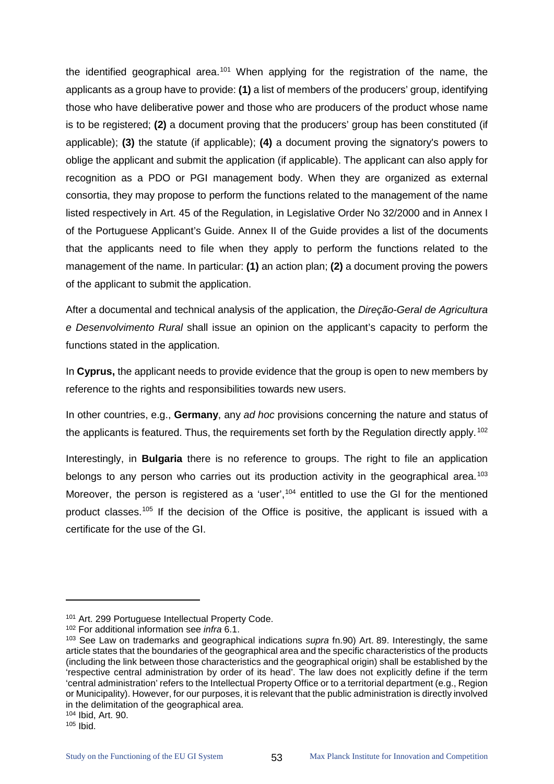the identified geographical area.<sup>[101](#page-57-0)</sup> When applying for the registration of the name, the applicants as a group have to provide: **(1)** a list of members of the producers' group, identifying those who have deliberative power and those who are producers of the product whose name is to be registered; **(2)** a document proving that the producers' group has been constituted (if applicable); **(3)** the statute (if applicable); **(4)** a document proving the signatory's powers to oblige the applicant and submit the application (if applicable). The applicant can also apply for recognition as a PDO or PGI management body. When they are organized as external consortia, they may propose to perform the functions related to the management of the name listed respectively in Art. 45 of the Regulation, in Legislative Order No 32/2000 and in Annex I of the Portuguese Applicant's Guide. Annex II of the Guide provides a list of the documents that the applicants need to file when they apply to perform the functions related to the management of the name. In particular: **(1)** an action plan; **(2)** a document proving the powers of the applicant to submit the application.

After a documental and technical analysis of the application, the *Direção-Geral de Agricultura e Desenvolvimento Rural* shall issue an opinion on the applicant's capacity to perform the functions stated in the application.

In **Cyprus,** the applicant needs to provide evidence that the group is open to new members by reference to the rights and responsibilities towards new users.

In other countries, e.g., **Germany**, any *ad hoc* provisions concerning the nature and status of the applicants is featured. Thus, the requirements set forth by the Regulation directly apply.<sup>[102](#page-57-1)</sup>

Interestingly, in **Bulgaria** there is no reference to groups. The right to file an application belongs to any person who carries out its production activity in the geographical area.<sup>[103](#page-57-2)</sup> Moreover, the person is registered as a 'user', $104$  entitled to use the GI for the mentioned product classes.<sup>[105](#page-57-4)</sup> If the decision of the Office is positive, the applicant is issued with a certificate for the use of the GI.

<span id="page-57-0"></span><sup>&</sup>lt;sup>101</sup> Art. 299 Portuguese Intellectual Property Code.<br><sup>102</sup> For additional information see *infra* 6.1.

<span id="page-57-2"></span><span id="page-57-1"></span><sup>&</sup>lt;sup>103</sup> See Law on trademarks and geographical indications *supra* fn.90) Art. 89. Interestingly, the same article states that the boundaries of the geographical area and the specific characteristics of the products (including the link between those characteristics and the geographical origin) shall be established by the 'respective central administration by order of its head'. The law does not explicitly define if the term 'central administration' refers to the Intellectual Property Office or to a territorial department (e.g., Region or Municipality). However, for our purposes, it is relevant that the public administration is directly involved in the delimitation of the geographical area.

<span id="page-57-3"></span><sup>104</sup> Ibid, Art. 90.<br><sup>105</sup> Ibid.

<span id="page-57-4"></span>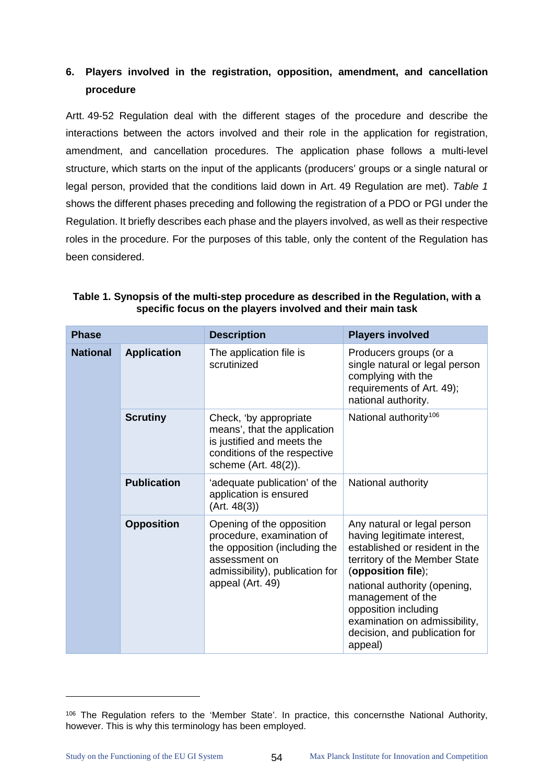# **6. Players involved in the registration, opposition, amendment, and cancellation procedure**

Artt. 49-52 Regulation deal with the different stages of the procedure and describe the interactions between the actors involved and their role in the application for registration, amendment, and cancellation procedures. The application phase follows a multi-level structure, which starts on the input of the applicants (producers' groups or a single natural or legal person, provided that the conditions laid down in Art. 49 Regulation are met). *[Table 1](#page-58-0)* shows the different phases preceding and following the registration of a PDO or PGI under the Regulation. It briefly describes each phase and the players involved, as well as their respective roles in the procedure. For the purposes of this table, only the content of the Regulation has been considered.

| <b>Phase</b>    |                    | <b>Description</b>                                                                                                                                              | <b>Players involved</b>                                                                                                                                                                                                                                                                                       |
|-----------------|--------------------|-----------------------------------------------------------------------------------------------------------------------------------------------------------------|---------------------------------------------------------------------------------------------------------------------------------------------------------------------------------------------------------------------------------------------------------------------------------------------------------------|
| <b>National</b> | <b>Application</b> | The application file is<br>scrutinized                                                                                                                          | Producers groups (or a<br>single natural or legal person<br>complying with the<br>requirements of Art. 49);<br>national authority.                                                                                                                                                                            |
|                 | <b>Scrutiny</b>    | Check, 'by appropriate<br>means', that the application<br>is justified and meets the<br>conditions of the respective<br>scheme (Art. 48(2)).                    | National authority <sup>106</sup>                                                                                                                                                                                                                                                                             |
|                 | <b>Publication</b> | 'adequate publication' of the<br>application is ensured<br>(Art. 48(3))                                                                                         | National authority                                                                                                                                                                                                                                                                                            |
|                 | <b>Opposition</b>  | Opening of the opposition<br>procedure, examination of<br>the opposition (including the<br>assessment on<br>admissibility), publication for<br>appeal (Art. 49) | Any natural or legal person<br>having legitimate interest,<br>established or resident in the<br>territory of the Member State<br>(opposition file);<br>national authority (opening,<br>management of the<br>opposition including<br>examination on admissibility,<br>decision, and publication for<br>appeal) |

<span id="page-58-0"></span>**Table 1. Synopsis of the multi-step procedure as described in the Regulation, with a specific focus on the players involved and their main task**

<span id="page-58-1"></span><sup>106</sup> The Regulation refers to the 'Member State'. In practice, this concernsthe National Authority, however. This is why this terminology has been employed.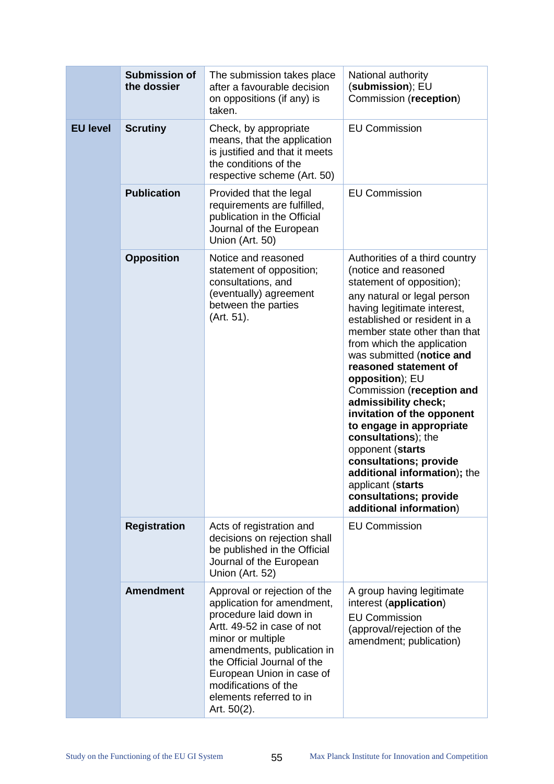|                                    | <b>Submission of</b><br>the dossier | The submission takes place<br>after a favourable decision<br>on oppositions (if any) is<br>taken.                                                                                                                                                                                                      | National authority<br>(submission); EU<br>Commission (reception)                                                                                                                                                                                                                                                                                                                                                                                                                                                                                                                                                       |
|------------------------------------|-------------------------------------|--------------------------------------------------------------------------------------------------------------------------------------------------------------------------------------------------------------------------------------------------------------------------------------------------------|------------------------------------------------------------------------------------------------------------------------------------------------------------------------------------------------------------------------------------------------------------------------------------------------------------------------------------------------------------------------------------------------------------------------------------------------------------------------------------------------------------------------------------------------------------------------------------------------------------------------|
| <b>EU level</b><br><b>Scrutiny</b> |                                     | Check, by appropriate<br>means, that the application<br>is justified and that it meets<br>the conditions of the<br>respective scheme (Art. 50)                                                                                                                                                         | <b>EU Commission</b>                                                                                                                                                                                                                                                                                                                                                                                                                                                                                                                                                                                                   |
|                                    | <b>Publication</b>                  | Provided that the legal<br>requirements are fulfilled,<br>publication in the Official<br>Journal of the European<br>Union (Art. 50)                                                                                                                                                                    | <b>EU Commission</b>                                                                                                                                                                                                                                                                                                                                                                                                                                                                                                                                                                                                   |
|                                    | <b>Opposition</b>                   | Notice and reasoned<br>statement of opposition;<br>consultations, and<br>(eventually) agreement<br>between the parties<br>(Art. 51).                                                                                                                                                                   | Authorities of a third country<br>(notice and reasoned<br>statement of opposition);<br>any natural or legal person<br>having legitimate interest,<br>established or resident in a<br>member state other than that<br>from which the application<br>was submitted (notice and<br>reasoned statement of<br>opposition); EU<br>Commission (reception and<br>admissibility check;<br>invitation of the opponent<br>to engage in appropriate<br>consultations); the<br>opponent (starts<br>consultations; provide<br>additional information); the<br>applicant (starts<br>consultations; provide<br>additional information) |
|                                    | <b>Registration</b>                 | Acts of registration and<br>decisions on rejection shall<br>be published in the Official<br>Journal of the European<br>Union (Art. 52)                                                                                                                                                                 | <b>EU Commission</b>                                                                                                                                                                                                                                                                                                                                                                                                                                                                                                                                                                                                   |
|                                    | <b>Amendment</b>                    | Approval or rejection of the<br>application for amendment,<br>procedure laid down in<br>Artt. 49-52 in case of not<br>minor or multiple<br>amendments, publication in<br>the Official Journal of the<br>European Union in case of<br>modifications of the<br>elements referred to in<br>Art. $50(2)$ . | A group having legitimate<br>interest (application)<br><b>EU Commission</b><br>(approval/rejection of the<br>amendment; publication)                                                                                                                                                                                                                                                                                                                                                                                                                                                                                   |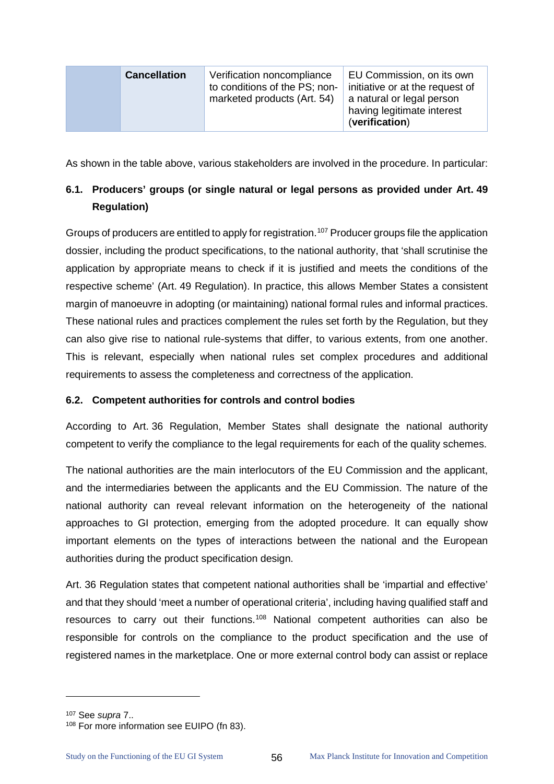| <b>Cancellation</b> | Verification noncompliance<br>to conditions of the PS; non-<br>marketed products (Art. 54) | EU Commission, on its own<br>initiative or at the request of<br>a natural or legal person<br>having legitimate interest<br>(verification) |
|---------------------|--------------------------------------------------------------------------------------------|-------------------------------------------------------------------------------------------------------------------------------------------|
|---------------------|--------------------------------------------------------------------------------------------|-------------------------------------------------------------------------------------------------------------------------------------------|

As shown in the table above, various stakeholders are involved in the procedure. In particular:

# **6.1. Producers' groups (or single natural or legal persons as provided under Art. 49 Regulation)**

Groups of producers are entitled to apply for registration.<sup>[107](#page-60-0)</sup> Producer groups file the application dossier, including the product specifications, to the national authority, that 'shall scrutinise the application by appropriate means to check if it is justified and meets the conditions of the respective scheme' (Art. 49 Regulation). In practice, this allows Member States a consistent margin of manoeuvre in adopting (or maintaining) national formal rules and informal practices. These national rules and practices complement the rules set forth by the Regulation, but they can also give rise to national rule-systems that differ, to various extents, from one another. This is relevant, especially when national rules set complex procedures and additional requirements to assess the completeness and correctness of the application.

# **6.2. Competent authorities for controls and control bodies**

According to Art. 36 Regulation, Member States shall designate the national authority competent to verify the compliance to the legal requirements for each of the quality schemes.

The national authorities are the main interlocutors of the EU Commission and the applicant, and the intermediaries between the applicants and the EU Commission. The nature of the national authority can reveal relevant information on the heterogeneity of the national approaches to GI protection, emerging from the adopted procedure. It can equally show important elements on the types of interactions between the national and the European authorities during the product specification design.

Art. 36 Regulation states that competent national authorities shall be 'impartial and effective' and that they should 'meet a number of operational criteria', including having qualified staff and resources to carry out their functions.[108](#page-60-1) National competent authorities can also be responsible for controls on the compliance to the product specification and the use of registered names in the marketplace. One or more external control body can assist or replace

<span id="page-60-1"></span><span id="page-60-0"></span><sup>&</sup>lt;sup>107</sup> See *supra* 7..<br><sup>108</sup> For more information see EUIPO (fn 83).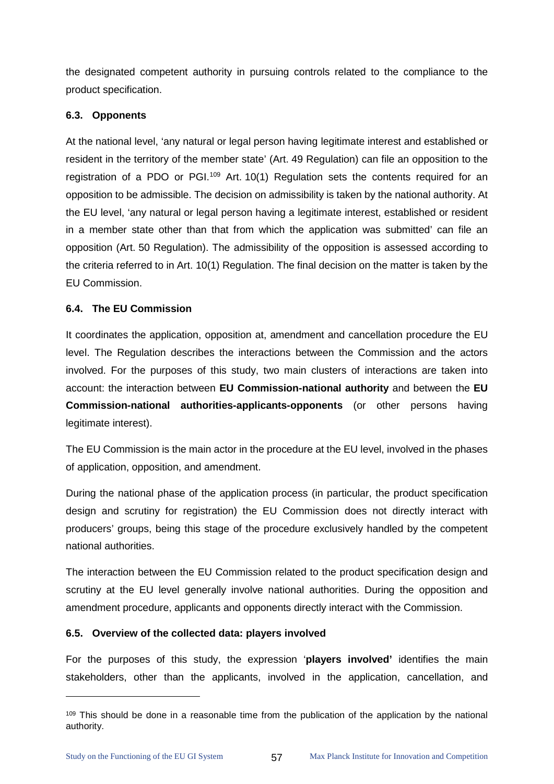the designated competent authority in pursuing controls related to the compliance to the product specification.

# **6.3. Opponents**

At the national level, 'any natural or legal person having legitimate interest and established or resident in the territory of the member state' (Art. 49 Regulation) can file an opposition to the registration of a PDO or PGI.<sup>109</sup> Art. 10(1) Regulation sets the contents required for an opposition to be admissible. The decision on admissibility is taken by the national authority. At the EU level, 'any natural or legal person having a legitimate interest, established or resident in a member state other than that from which the application was submitted' can file an opposition (Art. 50 Regulation). The admissibility of the opposition is assessed according to the criteria referred to in Art. 10(1) Regulation. The final decision on the matter is taken by the EU Commission.

# **6.4. The EU Commission**

It coordinates the application, opposition at, amendment and cancellation procedure the EU level. The Regulation describes the interactions between the Commission and the actors involved. For the purposes of this study, two main clusters of interactions are taken into account: the interaction between **EU Commission-national authority** and between the **EU Commission-national authorities-applicants-opponents** (or other persons having legitimate interest).

The EU Commission is the main actor in the procedure at the EU level, involved in the phases of application, opposition, and amendment.

During the national phase of the application process (in particular, the product specification design and scrutiny for registration) the EU Commission does not directly interact with producers' groups, being this stage of the procedure exclusively handled by the competent national authorities.

The interaction between the EU Commission related to the product specification design and scrutiny at the EU level generally involve national authorities. During the opposition and amendment procedure, applicants and opponents directly interact with the Commission.

#### **6.5. Overview of the collected data: players involved**

For the purposes of this study, the expression '**players involved'** identifies the main stakeholders, other than the applicants, involved in the application, cancellation, and

<span id="page-61-0"></span><sup>109</sup> This should be done in a reasonable time from the publication of the application by the national authority.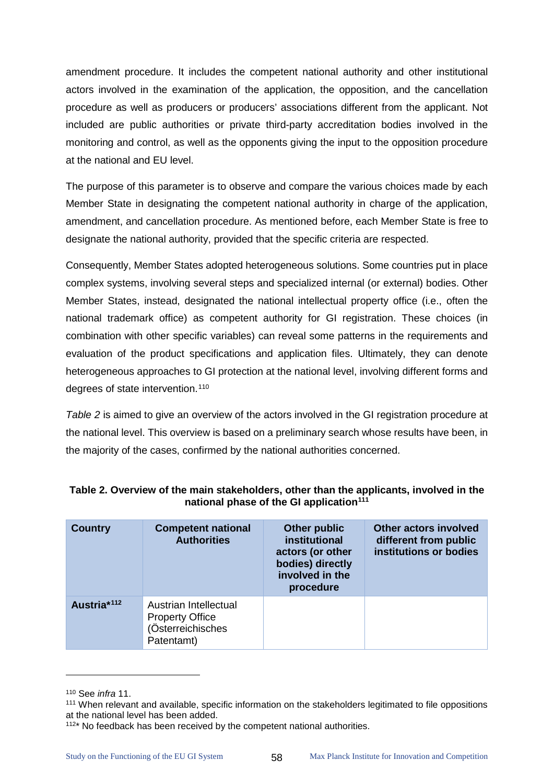amendment procedure. It includes the competent national authority and other institutional actors involved in the examination of the application, the opposition, and the cancellation procedure as well as producers or producers' associations different from the applicant. Not included are public authorities or private third-party accreditation bodies involved in the monitoring and control, as well as the opponents giving the input to the opposition procedure at the national and EU level.

The purpose of this parameter is to observe and compare the various choices made by each Member State in designating the competent national authority in charge of the application, amendment, and cancellation procedure. As mentioned before, each Member State is free to designate the national authority, provided that the specific criteria are respected.

Consequently, Member States adopted heterogeneous solutions. Some countries put in place complex systems, involving several steps and specialized internal (or external) bodies. Other Member States, instead, designated the national intellectual property office (i.e., often the national trademark office) as competent authority for GI registration. These choices (in combination with other specific variables) can reveal some patterns in the requirements and evaluation of the product specifications and application files. Ultimately, they can denote heterogeneous approaches to GI protection at the national level, involving different forms and degrees of state intervention.<sup>110</sup>

*[Table 2](#page-62-0)* is aimed to give an overview of the actors involved in the GI registration procedure at the national level. This overview is based on a preliminary search whose results have been, in the majority of the cases, confirmed by the national authorities concerned.

| <b>Country</b>          | <b>Competent national</b><br><b>Authorities</b>                                    | Other public<br>institutional<br>actors (or other<br>bodies) directly<br>involved in the<br>procedure | <b>Other actors involved</b><br>different from public<br>institutions or bodies |
|-------------------------|------------------------------------------------------------------------------------|-------------------------------------------------------------------------------------------------------|---------------------------------------------------------------------------------|
| Austria* <sup>112</sup> | Austrian Intellectual<br><b>Property Office</b><br>(Österreichisches<br>Patentamt) |                                                                                                       |                                                                                 |

#### <span id="page-62-0"></span>**Table 2. Overview of the main stakeholders, other than the applicants, involved in the national phase of the GI application[111](#page-62-2)**

<span id="page-62-2"></span><span id="page-62-1"></span><sup>&</sup>lt;sup>110</sup> See *infra* 11.<br><sup>111</sup> When relevant and available, specific information on the stakeholders legitimated to file oppositions at the national level has been added.

<span id="page-62-3"></span> $112*$  No feedback has been received by the competent national authorities.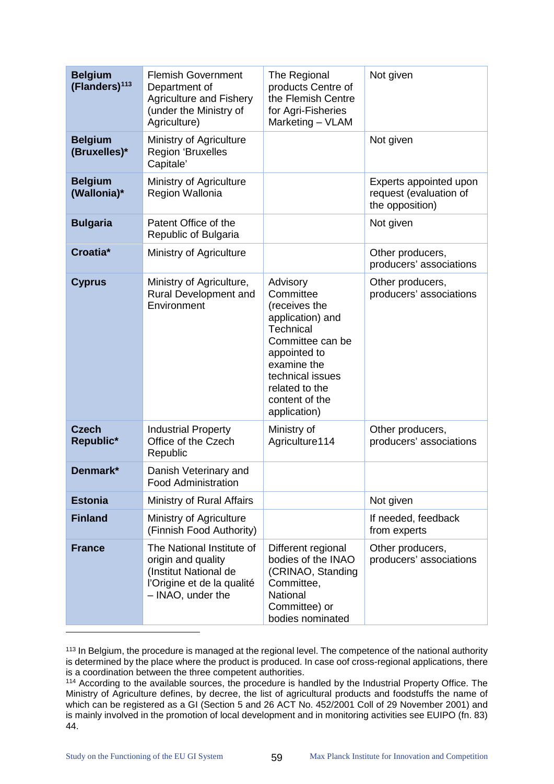| <b>Belgium</b><br>(Flanders) <sup>113</sup> | <b>Flemish Government</b><br>Department of<br><b>Agriculture and Fishery</b><br>(under the Ministry of<br>Agriculture)      | The Regional<br>products Centre of<br>the Flemish Centre<br>for Agri-Fisheries<br>Marketing - VLAM                                                                                                 | Not given                                                           |
|---------------------------------------------|-----------------------------------------------------------------------------------------------------------------------------|----------------------------------------------------------------------------------------------------------------------------------------------------------------------------------------------------|---------------------------------------------------------------------|
| <b>Belgium</b><br>(Bruxelles)*              | Ministry of Agriculture<br><b>Region 'Bruxelles</b><br>Capitale'                                                            |                                                                                                                                                                                                    | Not given                                                           |
| <b>Belgium</b><br>(Wallonia)*               | Ministry of Agriculture<br>Region Wallonia                                                                                  |                                                                                                                                                                                                    | Experts appointed upon<br>request (evaluation of<br>the opposition) |
| <b>Bulgaria</b>                             | Patent Office of the<br>Republic of Bulgaria                                                                                |                                                                                                                                                                                                    | Not given                                                           |
| Croatia*                                    | Ministry of Agriculture                                                                                                     |                                                                                                                                                                                                    | Other producers,<br>producers' associations                         |
| <b>Cyprus</b>                               | Ministry of Agriculture,<br>Rural Development and<br>Environment                                                            | Advisory<br>Committee<br>(receives the<br>application) and<br>Technical<br>Committee can be<br>appointed to<br>examine the<br>technical issues<br>related to the<br>content of the<br>application) | Other producers,<br>producers' associations                         |
| <b>Czech</b><br>Republic*                   | <b>Industrial Property</b><br>Office of the Czech<br>Republic                                                               | Ministry of<br>Agriculture114                                                                                                                                                                      | Other producers,<br>producers' associations                         |
| Denmark*                                    | Danish Veterinary and<br><b>Food Administration</b>                                                                         |                                                                                                                                                                                                    |                                                                     |
| <b>Estonia</b>                              | Ministry of Rural Affairs                                                                                                   |                                                                                                                                                                                                    | Not given                                                           |
| <b>Finland</b>                              | Ministry of Agriculture<br>(Finnish Food Authority)                                                                         |                                                                                                                                                                                                    | If needed, feedback<br>from experts                                 |
| <b>France</b>                               | The National Institute of<br>origin and quality<br>(Institut National de<br>l'Origine et de la qualité<br>- INAO, under the | Different regional<br>bodies of the INAO<br>(CRINAO, Standing<br>Committee,<br><b>National</b><br>Committee) or<br>bodies nominated                                                                | Other producers,<br>producers' associations                         |

<span id="page-63-0"></span>113 In Belgium, the procedure is managed at the regional level. The competence of the national authority is determined by the place where the product is produced. In case oof cross-regional applications, there is a coordination between the three competent authorities.

<span id="page-63-1"></span><sup>114</sup> According to the available sources, the procedure is handled by the Industrial Property Office. The Ministry of Agriculture defines, by decree, the list of agricultural products and foodstuffs the name of which can be registered as a GI (Section 5 and 26 ACT No. 452/2001 Coll of 29 November 2001) and is mainly involved in the promotion of local development and in monitoring activities see EUIPO (fn. 83) 44.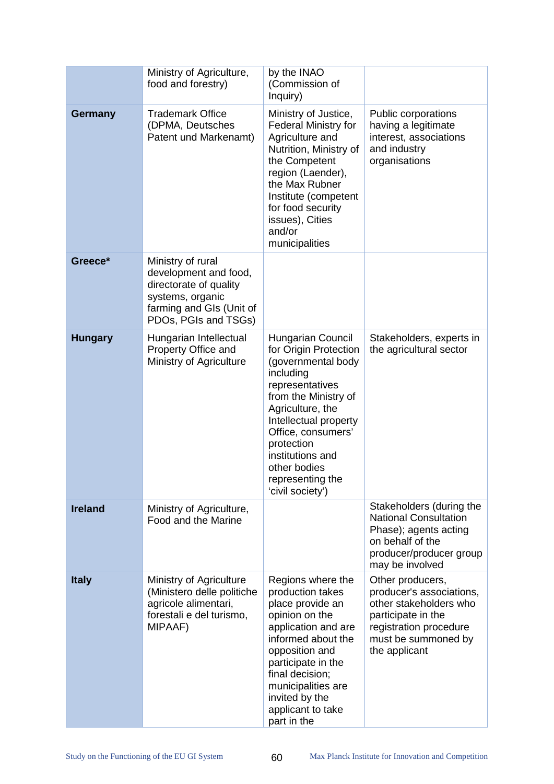|                | Ministry of Agriculture,<br>food and forestry)                                                                                               | by the INAO<br>(Commission of<br>Inquiry)                                                                                                                                                                                                                                             |                                                                                                                                                                |
|----------------|----------------------------------------------------------------------------------------------------------------------------------------------|---------------------------------------------------------------------------------------------------------------------------------------------------------------------------------------------------------------------------------------------------------------------------------------|----------------------------------------------------------------------------------------------------------------------------------------------------------------|
| <b>Germany</b> | <b>Trademark Office</b><br>(DPMA, Deutsches<br>Patent und Markenamt)                                                                         | Ministry of Justice,<br><b>Federal Ministry for</b><br>Agriculture and<br>Nutrition, Ministry of<br>the Competent<br>region (Laender),<br>the Max Rubner<br>Institute (competent<br>for food security<br>issues), Cities<br>and/or<br>municipalities                                  | Public corporations<br>having a legitimate<br>interest, associations<br>and industry<br>organisations                                                          |
| Greece*        | Ministry of rural<br>development and food,<br>directorate of quality<br>systems, organic<br>farming and GIs (Unit of<br>PDOs, PGIs and TSGs) |                                                                                                                                                                                                                                                                                       |                                                                                                                                                                |
| <b>Hungary</b> | Hungarian Intellectual<br>Property Office and<br>Ministry of Agriculture                                                                     | Hungarian Council<br>for Origin Protection<br>(governmental body<br>including<br>representatives<br>from the Ministry of<br>Agriculture, the<br>Intellectual property<br>Office, consumers'<br>protection<br>institutions and<br>other bodies<br>representing the<br>'civil society') | Stakeholders, experts in<br>the agricultural sector                                                                                                            |
| <b>Ireland</b> | Ministry of Agriculture,<br>Food and the Marine                                                                                              |                                                                                                                                                                                                                                                                                       | Stakeholders (during the<br><b>National Consultation</b><br>Phase); agents acting<br>on behalf of the<br>producer/producer group<br>may be involved            |
| <b>Italy</b>   | Ministry of Agriculture<br>(Ministero delle politiche<br>agricole alimentari,<br>forestali e del turismo,<br>MIPAAF)                         | Regions where the<br>production takes<br>place provide an<br>opinion on the<br>application and are<br>informed about the<br>opposition and<br>participate in the<br>final decision;<br>municipalities are<br>invited by the<br>applicant to take<br>part in the                       | Other producers,<br>producer's associations,<br>other stakeholders who<br>participate in the<br>registration procedure<br>must be summoned by<br>the applicant |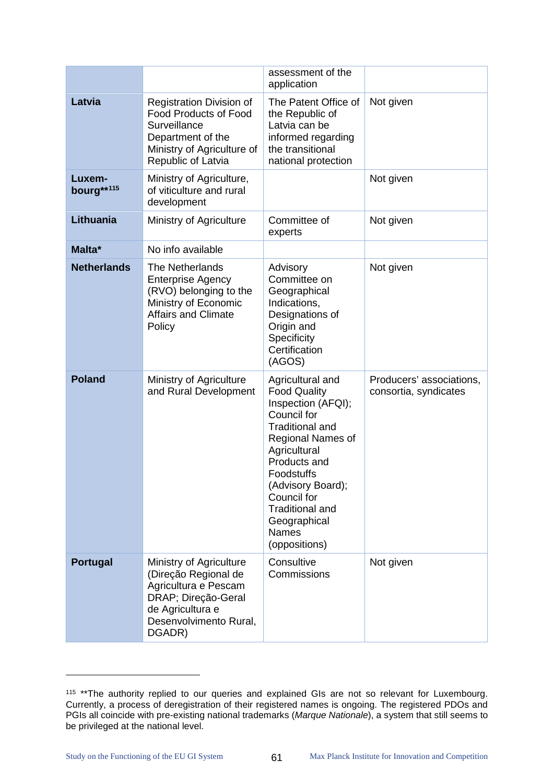|                      |                                                                                                                                                          | assessment of the<br>application                                                                                                                                                                                                                                                         |                                                   |
|----------------------|----------------------------------------------------------------------------------------------------------------------------------------------------------|------------------------------------------------------------------------------------------------------------------------------------------------------------------------------------------------------------------------------------------------------------------------------------------|---------------------------------------------------|
| Latvia               | <b>Registration Division of</b><br><b>Food Products of Food</b><br>Surveillance<br>Department of the<br>Ministry of Agriculture of<br>Republic of Latvia | The Patent Office of<br>the Republic of<br>Latvia can be<br>informed regarding<br>the transitional<br>national protection                                                                                                                                                                | Not given                                         |
| Luxem-<br>bourg**115 | Ministry of Agriculture,<br>of viticulture and rural<br>development                                                                                      |                                                                                                                                                                                                                                                                                          | Not given                                         |
| Lithuania            | Ministry of Agriculture                                                                                                                                  | Committee of<br>experts                                                                                                                                                                                                                                                                  | Not given                                         |
| Malta*               | No info available                                                                                                                                        |                                                                                                                                                                                                                                                                                          |                                                   |
| <b>Netherlands</b>   | <b>The Netherlands</b><br><b>Enterprise Agency</b><br>(RVO) belonging to the<br>Ministry of Economic<br><b>Affairs and Climate</b><br>Policy             | Advisory<br>Committee on<br>Geographical<br>Indications,<br>Designations of<br>Origin and<br>Specificity<br>Certification<br>(AGOS)                                                                                                                                                      | Not given                                         |
| <b>Poland</b>        | Ministry of Agriculture<br>and Rural Development                                                                                                         | Agricultural and<br><b>Food Quality</b><br>Inspection (AFQI);<br>Council for<br><b>Traditional and</b><br>Regional Names of<br>Agricultural<br>Products and<br>Foodstuffs<br>(Advisory Board);<br>Council for<br><b>Traditional and</b><br>Geographical<br><b>Names</b><br>(oppositions) | Producers' associations,<br>consortia, syndicates |
| <b>Portugal</b>      | Ministry of Agriculture<br>(Direção Regional de<br>Agricultura e Pescam<br>DRAP; Direção-Geral<br>de Agricultura e<br>Desenvolvimento Rural,<br>DGADR)   | Consultive<br>Commissions                                                                                                                                                                                                                                                                | Not given                                         |

<span id="page-65-0"></span><sup>&</sup>lt;sup>115</sup> \*\* The authority replied to our queries and explained GIs are not so relevant for Luxembourg. Currently, a process of deregistration of their registered names is ongoing. The registered PDOs and PGIs all coincide with pre-existing national trademarks (*Marque Nationale*), a system that still seems to be privileged at the national level.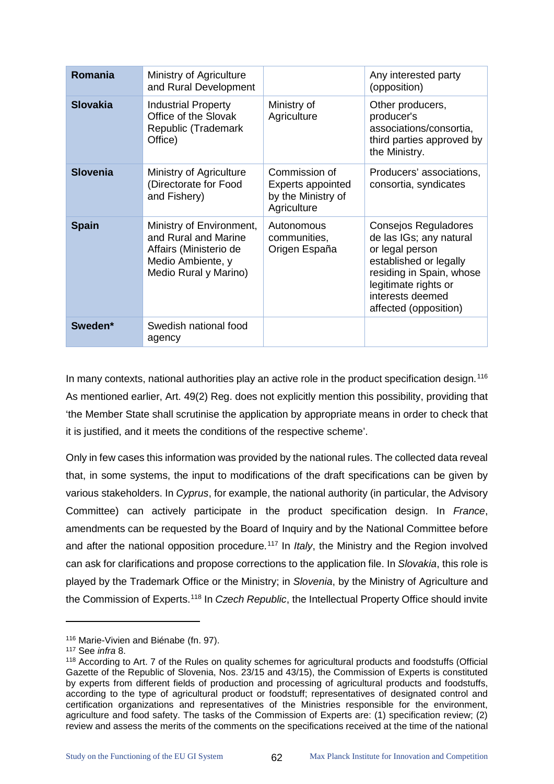| Romania         | Ministry of Agriculture<br>and Rural Development                                                                         |                                                                                | Any interested party<br>(opposition)                                                                                                                                                          |
|-----------------|--------------------------------------------------------------------------------------------------------------------------|--------------------------------------------------------------------------------|-----------------------------------------------------------------------------------------------------------------------------------------------------------------------------------------------|
| <b>Slovakia</b> | <b>Industrial Property</b><br>Office of the Slovak<br>Republic (Trademark<br>Office)                                     | Ministry of<br>Agriculture                                                     | Other producers,<br>producer's<br>associations/consortia,<br>third parties approved by<br>the Ministry.                                                                                       |
| <b>Slovenia</b> | Ministry of Agriculture<br>(Directorate for Food<br>and Fishery)                                                         | Commission of<br><b>Experts appointed</b><br>by the Ministry of<br>Agriculture | Producers' associations,<br>consortia, syndicates                                                                                                                                             |
| <b>Spain</b>    | Ministry of Environment,<br>and Rural and Marine<br>Affairs (Ministerio de<br>Medio Ambiente, y<br>Medio Rural y Marino) | Autonomous<br>communities,<br>Origen España                                    | Consejos Reguladores<br>de las IGs; any natural<br>or legal person<br>established or legally<br>residing in Spain, whose<br>legitimate rights or<br>interests deemed<br>affected (opposition) |
| Sweden*         | Swedish national food<br>agency                                                                                          |                                                                                |                                                                                                                                                                                               |

In many contexts, national authorities play an active role in the product specification design.<sup>[116](#page-66-0)</sup> As mentioned earlier, Art. 49(2) Reg. does not explicitly mention this possibility, providing that 'the Member State shall scrutinise the application by appropriate means in order to check that it is justified, and it meets the conditions of the respective scheme'.

Only in few cases this information was provided by the national rules. The collected data reveal that, in some systems, the input to modifications of the draft specifications can be given by various stakeholders. In *Cyprus*, for example, the national authority (in particular, the Advisory Committee) can actively participate in the product specification design. In *France*, amendments can be requested by the Board of Inquiry and by the National Committee before and after the national opposition procedure.<sup>[117](#page-66-1)</sup> In *Italy*, the Ministry and the Region involved can ask for clarifications and propose corrections to the application file. In *Slovakia*, this role is played by the Trademark Office or the Ministry; in *Slovenia*, by the Ministry of Agriculture and the Commission of Experts.[118](#page-66-2) In *Czech Republic*, the Intellectual Property Office should invite

<span id="page-66-0"></span><sup>116</sup> Marie-Vivien and Biénabe (fn. 97).

<span id="page-66-1"></span><sup>117</sup> See *infra* 8.

<span id="page-66-2"></span><sup>118</sup> According to Art. 7 of the Rules on quality schemes for agricultural products and foodstuffs (Official Gazette of the Republic of Slovenia, Nos. 23/15 and 43/15), the Commission of Experts is constituted by experts from different fields of production and processing of agricultural products and foodstuffs, according to the type of agricultural product or foodstuff; representatives of designated control and certification organizations and representatives of the Ministries responsible for the environment, agriculture and food safety. The tasks of the Commission of Experts are: (1) specification review; (2) review and assess the merits of the comments on the specifications received at the time of the national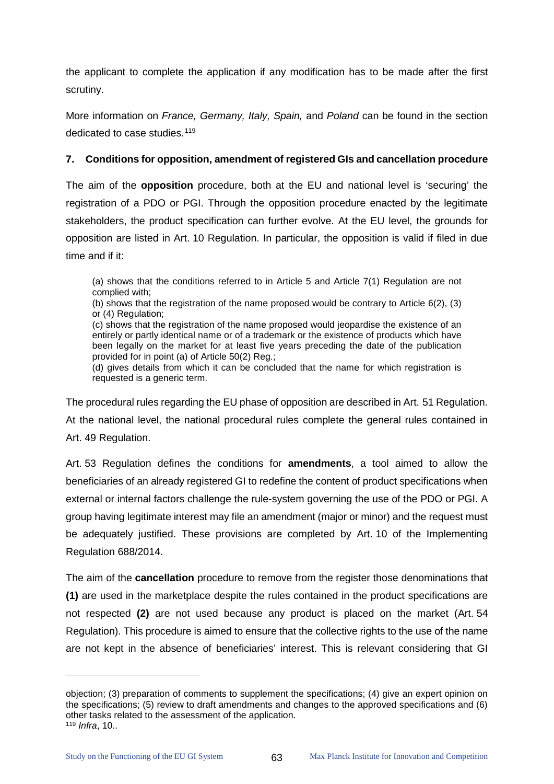the applicant to complete the application if any modification has to be made after the first scrutiny.

More information on *France, Germany, Italy, Spain,* and *Poland* can be found in the section dedicated to case studies.<sup>[119](#page-67-0)</sup>

# **7. Conditions for opposition, amendment of registered GIs and cancellation procedure**

The aim of the **opposition** procedure, both at the EU and national level is 'securing' the registration of a PDO or PGI. Through the opposition procedure enacted by the legitimate stakeholders, the product specification can further evolve. At the EU level, the grounds for opposition are listed in Art. 10 Regulation. In particular, the opposition is valid if filed in due time and if it:

(a) shows that the conditions referred to in Article 5 and Article 7(1) Regulation are not complied with;

(b) shows that the registration of the name proposed would be contrary to Article 6(2), (3) or (4) Regulation;

(c) shows that the registration of the name proposed would jeopardise the existence of an entirely or partly identical name or of a trademark or the existence of products which have been legally on the market for at least five years preceding the date of the publication provided for in point (a) of Article 50(2) Reg.;

(d) gives details from which it can be concluded that the name for which registration is requested is a generic term.

The procedural rules regarding the EU phase of opposition are described in Art. 51 Regulation. At the national level, the national procedural rules complete the general rules contained in Art. 49 Regulation.

Art. 53 Regulation defines the conditions for **amendments**, a tool aimed to allow the beneficiaries of an already registered GI to redefine the content of product specifications when external or internal factors challenge the rule-system governing the use of the PDO or PGI. A group having legitimate interest may file an amendment (major or minor) and the request must be adequately justified. These provisions are completed by Art. 10 of the Implementing Regulation 688/2014.

The aim of the **cancellation** procedure to remove from the register those denominations that **(1)** are used in the marketplace despite the rules contained in the product specifications are not respected **(2)** are not used because any product is placed on the market (Art. 54 Regulation). This procedure is aimed to ensure that the collective rights to the use of the name are not kept in the absence of beneficiaries' interest. This is relevant considering that GI

objection; (3) preparation of comments to supplement the specifications; (4) give an expert opinion on the specifications; (5) review to draft amendments and changes to the approved specifications and (6) other tasks related to the assessment of the application. <sup>119</sup> *Infra*, 10..

<span id="page-67-0"></span>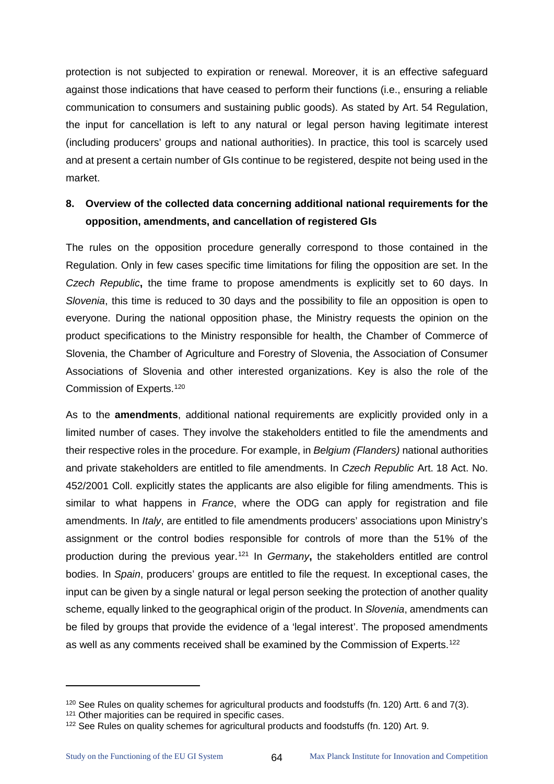protection is not subjected to expiration or renewal. Moreover, it is an effective safeguard against those indications that have ceased to perform their functions (i.e., ensuring a reliable communication to consumers and sustaining public goods). As stated by Art. 54 Regulation, the input for cancellation is left to any natural or legal person having legitimate interest (including producers' groups and national authorities). In practice, this tool is scarcely used and at present a certain number of GIs continue to be registered, despite not being used in the market.

# **8. Overview of the collected data concerning additional national requirements for the opposition, amendments, and cancellation of registered GIs**

The rules on the opposition procedure generally correspond to those contained in the Regulation. Only in few cases specific time limitations for filing the opposition are set. In the *Czech Republic***,** the time frame to propose amendments is explicitly set to 60 days. In *Slovenia*, this time is reduced to 30 days and the possibility to file an opposition is open to everyone. During the national opposition phase, the Ministry requests the opinion on the product specifications to the Ministry responsible for health, the Chamber of Commerce of Slovenia, the Chamber of Agriculture and Forestry of Slovenia, the Association of Consumer Associations of Slovenia and other interested organizations. Key is also the role of the Commission of Experts[.120](#page-68-0)

As to the **amendments**, additional national requirements are explicitly provided only in a limited number of cases. They involve the stakeholders entitled to file the amendments and their respective roles in the procedure. For example, in *Belgium (Flanders)* national authorities and private stakeholders are entitled to file amendments. In *Czech Republic* Art. 18 Act. No. 452/2001 Coll. explicitly states the applicants are also eligible for filing amendments. This is similar to what happens in *France*, where the ODG can apply for registration and file amendments. In *Italy*, are entitled to file amendments producers' associations upon Ministry's assignment or the control bodies responsible for controls of more than the 51% of the production during the previous year.[121](#page-68-1) In *Germany***,** the stakeholders entitled are control bodies. In *Spain*, producers' groups are entitled to file the request. In exceptional cases, the input can be given by a single natural or legal person seeking the protection of another quality scheme, equally linked to the geographical origin of the product. In *Slovenia*, amendments can be filed by groups that provide the evidence of a 'legal interest'. The proposed amendments as well as any comments received shall be examined by the Commission of Experts.<sup>[122](#page-68-2)</sup>

<span id="page-68-0"></span><sup>120</sup> See Rules on quality schemes for agricultural products and foodstuffs (fn. 120) Artt. 6 and 7(3).

<span id="page-68-1"></span><sup>&</sup>lt;sup>121</sup> Other majorities can be required in specific cases.

<span id="page-68-2"></span><sup>122</sup> See Rules on quality schemes for agricultural products and foodstuffs (fn. 120) Art. 9.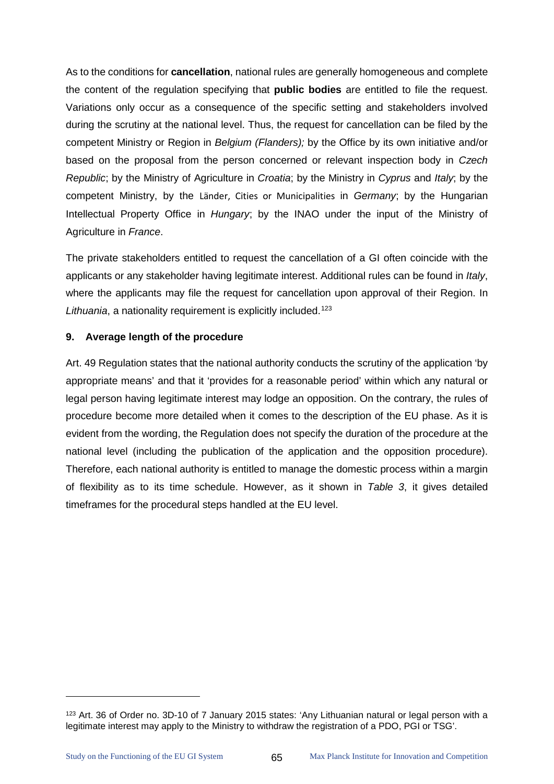As to the conditions for **cancellation**, national rules are generally homogeneous and complete the content of the regulation specifying that **public bodies** are entitled to file the request. Variations only occur as a consequence of the specific setting and stakeholders involved during the scrutiny at the national level. Thus, the request for cancellation can be filed by the competent Ministry or Region in *Belgium (Flanders);* by the Office by its own initiative and/or based on the proposal from the person concerned or relevant inspection body in *Czech Republic*; by the Ministry of Agriculture in *Croatia*; by the Ministry in *Cyprus* and *Italy*; by the competent Ministry, by the Länder, Cities or Municipalities in *Germany*; by the Hungarian Intellectual Property Office in *Hungary*; by the INAO under the input of the Ministry of Agriculture in *France*.

The private stakeholders entitled to request the cancellation of a GI often coincide with the applicants or any stakeholder having legitimate interest. Additional rules can be found in *Italy*, where the applicants may file the request for cancellation upon approval of their Region. In Lithuania, a nationality requirement is explicitly included.<sup>[123](#page-69-0)</sup>

# **9. Average length of the procedure**

Art. 49 Regulation states that the national authority conducts the scrutiny of the application 'by appropriate means' and that it 'provides for a reasonable period' within which any natural or legal person having legitimate interest may lodge an opposition. On the contrary, the rules of procedure become more detailed when it comes to the description of the EU phase. As it is evident from the wording, the Regulation does not specify the duration of the procedure at the national level (including the publication of the application and the opposition procedure). Therefore, each national authority is entitled to manage the domestic process within a margin of flexibility as to its time schedule. However, as it shown in *Table 3*, it gives detailed timeframes for the procedural steps handled at the EU level.

<span id="page-69-0"></span><sup>123</sup> Art. 36 of Order no. 3D-10 of 7 January 2015 states: 'Any Lithuanian natural or legal person with a legitimate interest may apply to the Ministry to withdraw the registration of a PDO, PGI or TSG'.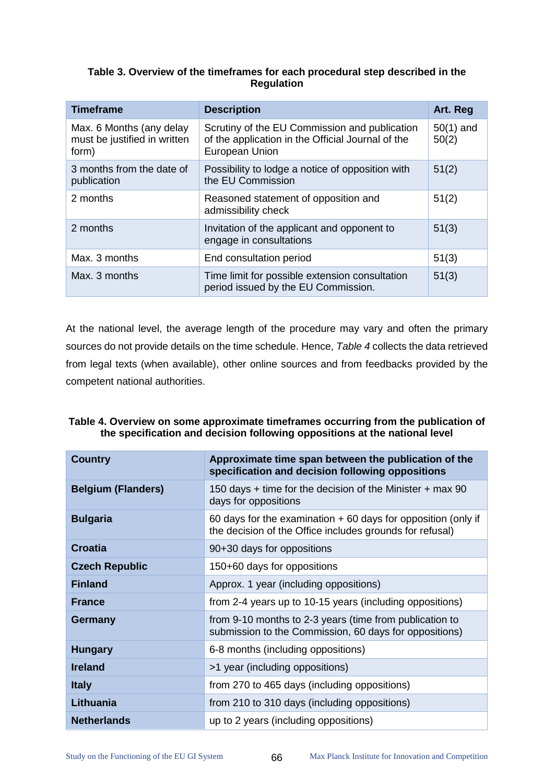#### **Table 3. Overview of the timeframes for each procedural step described in the Regulation**

| <b>Timeframe</b>                                                  | <b>Description</b>                                                                                                   | Art. Reg             |
|-------------------------------------------------------------------|----------------------------------------------------------------------------------------------------------------------|----------------------|
| Max. 6 Months (any delay<br>must be justified in written<br>form) | Scrutiny of the EU Commission and publication<br>of the application in the Official Journal of the<br>European Union | $50(1)$ and<br>50(2) |
| 3 months from the date of<br>publication                          | Possibility to lodge a notice of opposition with<br>the EU Commission                                                | 51(2)                |
| 2 months                                                          | Reasoned statement of opposition and<br>admissibility check                                                          | 51(2)                |
| 2 months                                                          | Invitation of the applicant and opponent to<br>engage in consultations                                               | 51(3)                |
| Max. 3 months                                                     | End consultation period                                                                                              | 51(3)                |
| Max. 3 months                                                     | Time limit for possible extension consultation<br>period issued by the EU Commission.                                | 51(3)                |

At the national level, the average length of the procedure may vary and often the primary sources do not provide details on the time schedule. Hence, *[Table 4](#page-70-0)* collects the data retrieved from legal texts (when available), other online sources and from feedbacks provided by the competent national authorities.

# <span id="page-70-0"></span>**Table 4. Overview on some approximate timeframes occurring from the publication of the specification and decision following oppositions at the national level**

| <b>Country</b>            | Approximate time span between the publication of the<br>specification and decision following oppositions                    |
|---------------------------|-----------------------------------------------------------------------------------------------------------------------------|
| <b>Belgium (Flanders)</b> | 150 days $+$ time for the decision of the Minister $+$ max 90<br>days for oppositions                                       |
| <b>Bulgaria</b>           | 60 days for the examination $+$ 60 days for opposition (only if<br>the decision of the Office includes grounds for refusal) |
| Croatia                   | 90+30 days for oppositions                                                                                                  |
| <b>Czech Republic</b>     | 150+60 days for oppositions                                                                                                 |
| <b>Finland</b>            | Approx. 1 year (including oppositions)                                                                                      |
| <b>France</b>             | from 2-4 years up to 10-15 years (including oppositions)                                                                    |
| Germany                   | from 9-10 months to 2-3 years (time from publication to<br>submission to the Commission, 60 days for oppositions)           |
| <b>Hungary</b>            | 6-8 months (including oppositions)                                                                                          |
| <b>Ireland</b>            | >1 year (including oppositions)                                                                                             |
| <b>Italy</b>              | from 270 to 465 days (including oppositions)                                                                                |
| Lithuania                 | from 210 to 310 days (including oppositions)                                                                                |
| <b>Netherlands</b>        | up to 2 years (including oppositions)                                                                                       |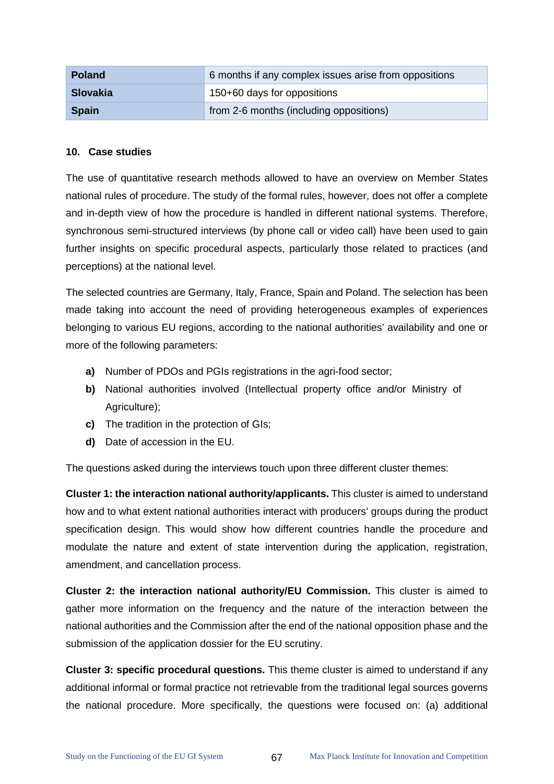| <b>Poland</b>   | 6 months if any complex issues arise from oppositions |
|-----------------|-------------------------------------------------------|
| <b>Slovakia</b> | 150+60 days for oppositions                           |
| <b>Spain</b>    | from 2-6 months (including oppositions)               |

#### **10. Case studies**

The use of quantitative research methods allowed to have an overview on Member States national rules of procedure. The study of the formal rules, however, does not offer a complete and in-depth view of how the procedure is handled in different national systems. Therefore, synchronous semi-structured interviews (by phone call or video call) have been used to gain further insights on specific procedural aspects, particularly those related to practices (and perceptions) at the national level.

The selected countries are Germany, Italy, France, Spain and Poland. The selection has been made taking into account the need of providing heterogeneous examples of experiences belonging to various EU regions, according to the national authorities' availability and one or more of the following parameters:

- **a)** Number of PDOs and PGIs registrations in the agri-food sector;
- **b)** National authorities involved (Intellectual property office and/or Ministry of Agriculture);
- **c)** The tradition in the protection of GIs;
- **d)** Date of accession in the EU.

The questions asked during the interviews touch upon three different cluster themes:

**Cluster 1: the interaction national authority/applicants.** This cluster is aimed to understand how and to what extent national authorities interact with producers' groups during the product specification design. This would show how different countries handle the procedure and modulate the nature and extent of state intervention during the application, registration, amendment, and cancellation process.

**Cluster 2: the interaction national authority/EU Commission.** This cluster is aimed to gather more information on the frequency and the nature of the interaction between the national authorities and the Commission after the end of the national opposition phase and the submission of the application dossier for the EU scrutiny.

**Cluster 3: specific procedural questions.** This theme cluster is aimed to understand if any additional informal or formal practice not retrievable from the traditional legal sources governs the national procedure. More specifically, the questions were focused on: (a) additional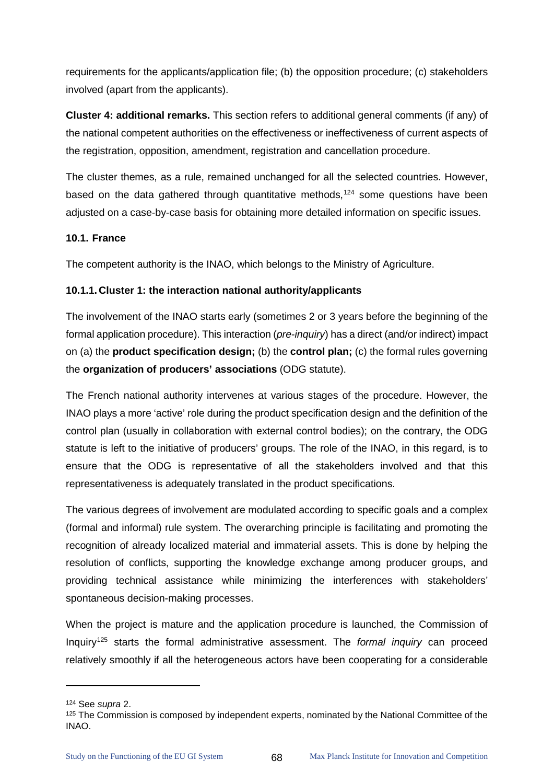requirements for the applicants/application file; (b) the opposition procedure; (c) stakeholders involved (apart from the applicants).

**Cluster 4: additional remarks.** This section refers to additional general comments (if any) of the national competent authorities on the effectiveness or ineffectiveness of current aspects of the registration, opposition, amendment, registration and cancellation procedure.

The cluster themes, as a rule, remained unchanged for all the selected countries. However, based on the data gathered through quantitative methods,<sup>[124](#page-72-0)</sup> some questions have been adjusted on a case-by-case basis for obtaining more detailed information on specific issues.

### **10.1. France**

The competent authority is the INAO, which belongs to the Ministry of Agriculture.

### **10.1.1. Cluster 1: the interaction national authority/applicants**

The involvement of the INAO starts early (sometimes 2 or 3 years before the beginning of the formal application procedure). This interaction (*pre-inquiry*) has a direct (and/or indirect) impact on (a) the **product specification design;** (b) the **control plan;** (c) the formal rules governing the **organization of producers' associations** (ODG statute).

The French national authority intervenes at various stages of the procedure. However, the INAO plays a more 'active' role during the product specification design and the definition of the control plan (usually in collaboration with external control bodies); on the contrary, the ODG statute is left to the initiative of producers' groups. The role of the INAO, in this regard, is to ensure that the ODG is representative of all the stakeholders involved and that this representativeness is adequately translated in the product specifications.

The various degrees of involvement are modulated according to specific goals and a complex (formal and informal) rule system. The overarching principle is facilitating and promoting the recognition of already localized material and immaterial assets. This is done by helping the resolution of conflicts, supporting the knowledge exchange among producer groups, and providing technical assistance while minimizing the interferences with stakeholders' spontaneous decision-making processes.

When the project is mature and the application procedure is launched, the Commission of Inquiry[125](#page-72-1) starts the formal administrative assessment. The *formal inquiry* can proceed relatively smoothly if all the heterogeneous actors have been cooperating for a considerable

<span id="page-72-0"></span><sup>124</sup> See *supra* 2.

<span id="page-72-1"></span><sup>&</sup>lt;sup>125</sup> The Commission is composed by independent experts, nominated by the National Committee of the INAO.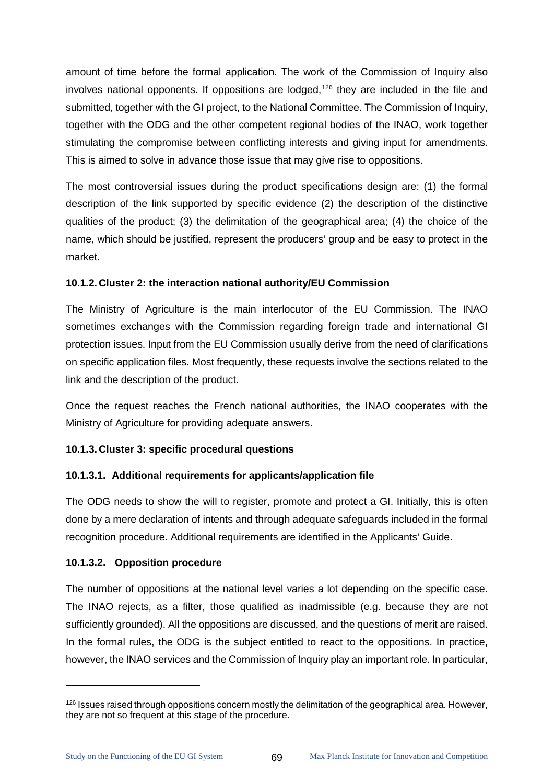amount of time before the formal application. The work of the Commission of Inquiry also involves national opponents. If oppositions are lodged,<sup>[126](#page-73-0)</sup> they are included in the file and submitted, together with the GI project, to the National Committee. The Commission of Inquiry, together with the ODG and the other competent regional bodies of the INAO, work together stimulating the compromise between conflicting interests and giving input for amendments. This is aimed to solve in advance those issue that may give rise to oppositions.

The most controversial issues during the product specifications design are: (1) the formal description of the link supported by specific evidence (2) the description of the distinctive qualities of the product; (3) the delimitation of the geographical area; (4) the choice of the name, which should be justified, represent the producers' group and be easy to protect in the market.

### **10.1.2. Cluster 2: the interaction national authority/EU Commission**

The Ministry of Agriculture is the main interlocutor of the EU Commission. The INAO sometimes exchanges with the Commission regarding foreign trade and international GI protection issues. Input from the EU Commission usually derive from the need of clarifications on specific application files. Most frequently, these requests involve the sections related to the link and the description of the product.

Once the request reaches the French national authorities, the INAO cooperates with the Ministry of Agriculture for providing adequate answers.

# **10.1.3. Cluster 3: specific procedural questions**

# **10.1.3.1. Additional requirements for applicants/application file**

The ODG needs to show the will to register, promote and protect a GI. Initially, this is often done by a mere declaration of intents and through adequate safeguards included in the formal recognition procedure. Additional requirements are identified in the Applicants' Guide.

#### **10.1.3.2. Opposition procedure**

The number of oppositions at the national level varies a lot depending on the specific case. The INAO rejects, as a filter, those qualified as inadmissible (e.g. because they are not sufficiently grounded). All the oppositions are discussed, and the questions of merit are raised. In the formal rules, the ODG is the subject entitled to react to the oppositions. In practice, however, the INAO services and the Commission of Inquiry play an important role. In particular,

<span id="page-73-0"></span><sup>&</sup>lt;sup>126</sup> Issues raised through oppositions concern mostly the delimitation of the geographical area. However, they are not so frequent at this stage of the procedure.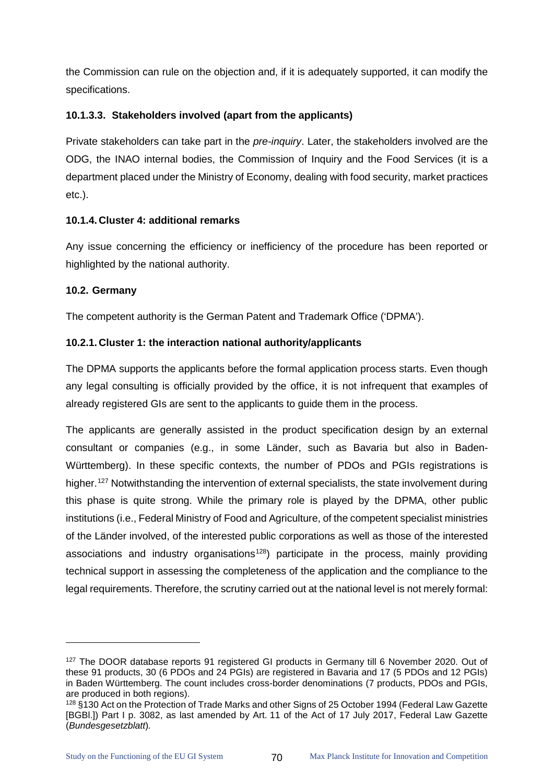the Commission can rule on the objection and, if it is adequately supported, it can modify the specifications.

# **10.1.3.3. Stakeholders involved (apart from the applicants)**

Private stakeholders can take part in the *pre-inquiry*. Later, the stakeholders involved are the ODG, the INAO internal bodies, the Commission of Inquiry and the Food Services (it is a department placed under the Ministry of Economy, dealing with food security, market practices etc.).

# **10.1.4. Cluster 4: additional remarks**

Any issue concerning the efficiency or inefficiency of the procedure has been reported or highlighted by the national authority.

# **10.2. Germany**

The competent authority is the German Patent and Trademark Office ('DPMA').

# **10.2.1. Cluster 1: the interaction national authority/applicants**

The DPMA supports the applicants before the formal application process starts. Even though any legal consulting is officially provided by the office, it is not infrequent that examples of already registered GIs are sent to the applicants to guide them in the process.

The applicants are generally assisted in the product specification design by an external consultant or companies (e.g., in some Länder, such as Bavaria but also in Baden-Württemberg). In these specific contexts, the number of PDOs and PGIs registrations is higher.<sup>[127](#page-74-0)</sup> Notwithstanding the intervention of external specialists, the state involvement during this phase is quite strong. While the primary role is played by the DPMA, other public institutions (i.e., Federal Ministry of Food and Agriculture, of the competent specialist ministries of the Länder involved, of the interested public corporations as well as those of the interested associations and industry organisations<sup>[128](#page-74-1)</sup>) participate in the process, mainly providing technical support in assessing the completeness of the application and the compliance to the legal requirements. Therefore, the scrutiny carried out at the national level is not merely formal:

<span id="page-74-0"></span><sup>&</sup>lt;sup>127</sup> The DOOR database reports 91 registered GI products in Germany till 6 November 2020. Out of these 91 products, 30 (6 PDOs and 24 PGIs) are registered in Bavaria and 17 (5 PDOs and 12 PGIs) in Baden Württemberg. The count includes cross-border denominations (7 products, PDOs and PGIs, are produced in both regions).

<span id="page-74-1"></span><sup>128</sup> §130 Act on the Protection of Trade Marks and other Signs of 25 October 1994 (Federal Law Gazette [BGBl.]) Part I p. 3082, as last amended by Art. 11 of the Act of 17 July 2017, Federal Law Gazette (*Bundesgesetzblatt*)*.*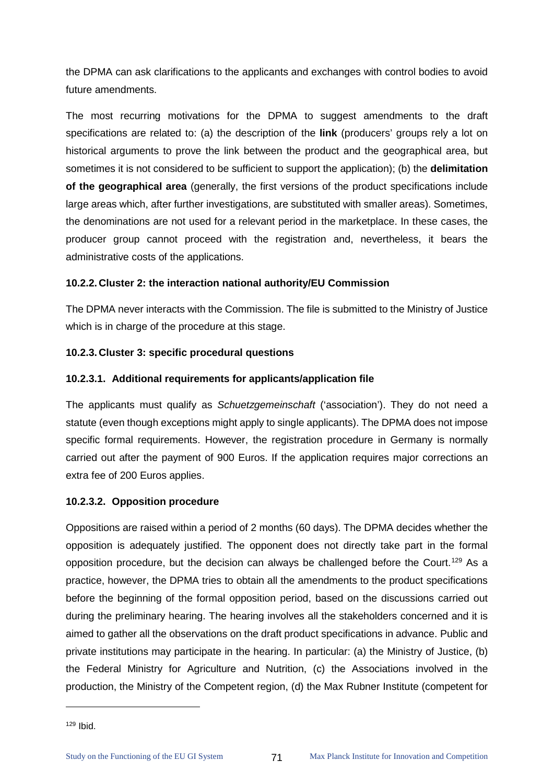the DPMA can ask clarifications to the applicants and exchanges with control bodies to avoid future amendments.

The most recurring motivations for the DPMA to suggest amendments to the draft specifications are related to: (a) the description of the **link** (producers' groups rely a lot on historical arguments to prove the link between the product and the geographical area, but sometimes it is not considered to be sufficient to support the application); (b) the **delimitation of the geographical area** (generally, the first versions of the product specifications include large areas which, after further investigations, are substituted with smaller areas). Sometimes, the denominations are not used for a relevant period in the marketplace. In these cases, the producer group cannot proceed with the registration and, nevertheless, it bears the administrative costs of the applications.

### **10.2.2. Cluster 2: the interaction national authority/EU Commission**

The DPMA never interacts with the Commission. The file is submitted to the Ministry of Justice which is in charge of the procedure at this stage.

### **10.2.3. Cluster 3: specific procedural questions**

### **10.2.3.1. Additional requirements for applicants/application file**

The applicants must qualify as *Schuetzgemeinschaft* ('association'). They do not need a statute (even though exceptions might apply to single applicants). The DPMA does not impose specific formal requirements. However, the registration procedure in Germany is normally carried out after the payment of 900 Euros. If the application requires major corrections an extra fee of 200 Euros applies.

# **10.2.3.2. Opposition procedure**

Oppositions are raised within a period of 2 months (60 days). The DPMA decides whether the opposition is adequately justified. The opponent does not directly take part in the formal opposition procedure, but the decision can always be challenged before the Court.<sup>[129](#page-75-0)</sup> As a practice, however, the DPMA tries to obtain all the amendments to the product specifications before the beginning of the formal opposition period, based on the discussions carried out during the preliminary hearing. The hearing involves all the stakeholders concerned and it is aimed to gather all the observations on the draft product specifications in advance. Public and private institutions may participate in the hearing. In particular: (a) the Ministry of Justice, (b) the Federal Ministry for Agriculture and Nutrition, (c) the Associations involved in the production, the Ministry of the Competent region, (d) the Max Rubner Institute (competent for

<span id="page-75-0"></span><sup>129</sup> Ibid.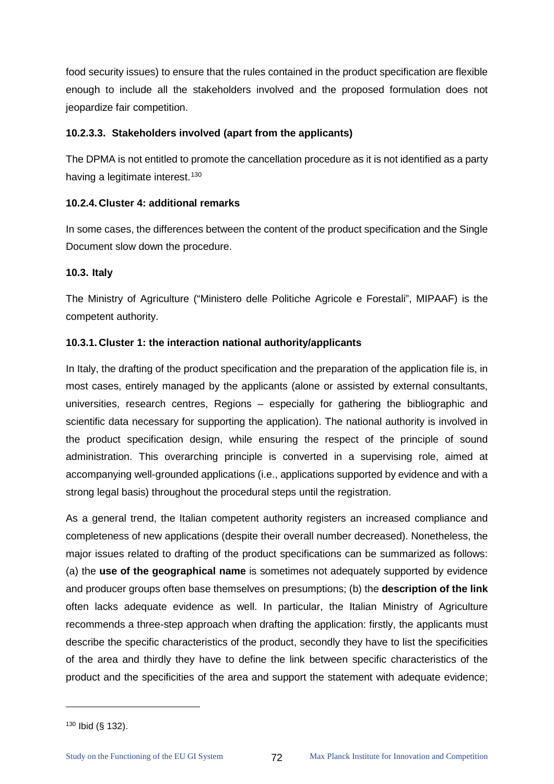food security issues) to ensure that the rules contained in the product specification are flexible enough to include all the stakeholders involved and the proposed formulation does not jeopardize fair competition.

#### **10.2.3.3. Stakeholders involved (apart from the applicants)**

The DPMA is not entitled to promote the cancellation procedure as it is not identified as a party having a legitimate interest.<sup>[130](#page-76-0)</sup>

### **10.2.4. Cluster 4: additional remarks**

In some cases, the differences between the content of the product specification and the Single Document slow down the procedure.

### **10.3. Italy**

The Ministry of Agriculture ("Ministero delle Politiche Agricole e Forestali", MIPAAF) is the competent authority.

### **10.3.1. Cluster 1: the interaction national authority/applicants**

In Italy, the drafting of the product specification and the preparation of the application file is, in most cases, entirely managed by the applicants (alone or assisted by external consultants, universities, research centres, Regions – especially for gathering the bibliographic and scientific data necessary for supporting the application). The national authority is involved in the product specification design, while ensuring the respect of the principle of sound administration. This overarching principle is converted in a supervising role, aimed at accompanying well-grounded applications (i.e., applications supported by evidence and with a strong legal basis) throughout the procedural steps until the registration.

As a general trend, the Italian competent authority registers an increased compliance and completeness of new applications (despite their overall number decreased). Nonetheless, the major issues related to drafting of the product specifications can be summarized as follows: (a) the **use of the geographical name** is sometimes not adequately supported by evidence and producer groups often base themselves on presumptions; (b) the **description of the link**  often lacks adequate evidence as well. In particular, the Italian Ministry of Agriculture recommends a three-step approach when drafting the application: firstly, the applicants must describe the specific characteristics of the product, secondly they have to list the specificities of the area and thirdly they have to define the link between specific characteristics of the product and the specificities of the area and support the statement with adequate evidence;

<span id="page-76-0"></span><sup>130</sup> Ibid (§ 132).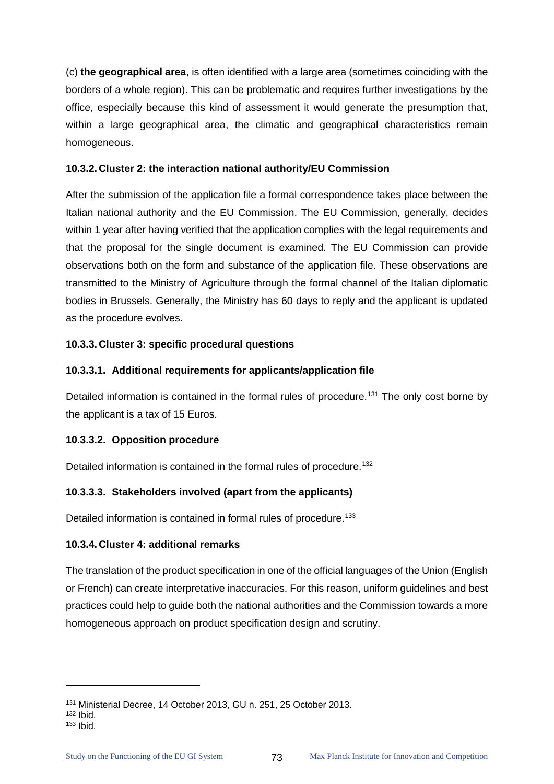(c) **the geographical area**, is often identified with a large area (sometimes coinciding with the borders of a whole region). This can be problematic and requires further investigations by the office, especially because this kind of assessment it would generate the presumption that, within a large geographical area, the climatic and geographical characteristics remain homogeneous.

#### **10.3.2. Cluster 2: the interaction national authority/EU Commission**

After the submission of the application file a formal correspondence takes place between the Italian national authority and the EU Commission. The EU Commission, generally, decides within 1 year after having verified that the application complies with the legal requirements and that the proposal for the single document is examined. The EU Commission can provide observations both on the form and substance of the application file. These observations are transmitted to the Ministry of Agriculture through the formal channel of the Italian diplomatic bodies in Brussels. Generally, the Ministry has 60 days to reply and the applicant is updated as the procedure evolves.

### **10.3.3. Cluster 3: specific procedural questions**

### **10.3.3.1. Additional requirements for applicants/application file**

Detailed information is contained in the formal rules of procedure.<sup>[131](#page-77-0)</sup> The only cost borne by the applicant is a tax of 15 Euros.

# **10.3.3.2. Opposition procedure**

Detailed information is contained in the formal rules of procedure.<sup>[132](#page-77-1)</sup>

# **10.3.3.3. Stakeholders involved (apart from the applicants)**

Detailed information is contained in formal rules of procedure.<sup>[133](#page-77-2)</sup>

#### **10.3.4. Cluster 4: additional remarks**

The translation of the product specification in one of the official languages of the Union (English or French) can create interpretative inaccuracies. For this reason, uniform guidelines and best practices could help to guide both the national authorities and the Commission towards a more homogeneous approach on product specification design and scrutiny.

 $\ddot{\phantom{a}}$ 

<span id="page-77-0"></span><sup>131</sup> Ministerial Decree, 14 October 2013, GU n. 251, 25 October 2013.

<sup>132</sup> Ibid.

<span id="page-77-2"></span><span id="page-77-1"></span><sup>133</sup> Ibid.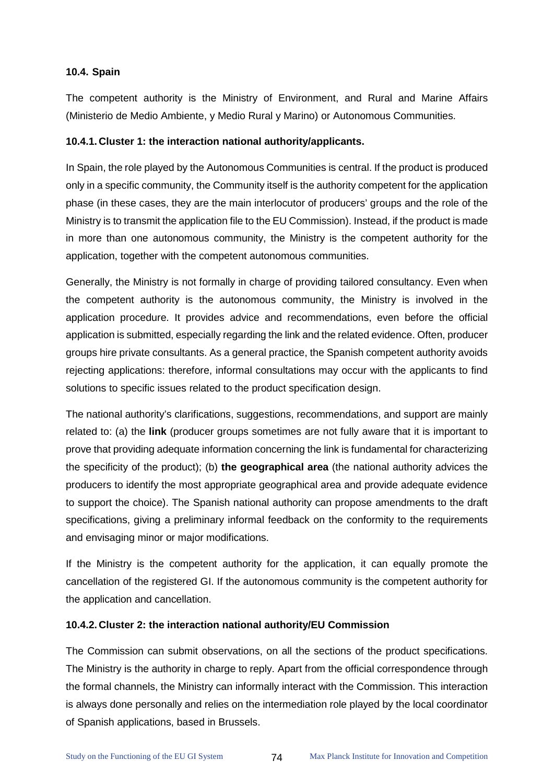#### **10.4. Spain**

The competent authority is the Ministry of Environment, and Rural and Marine Affairs (Ministerio de Medio Ambiente, y Medio Rural y Marino) or Autonomous Communities.

# **10.4.1. Cluster 1: the interaction national authority/applicants.**

In Spain, the role played by the Autonomous Communities is central. If the product is produced only in a specific community, the Community itself is the authority competent for the application phase (in these cases, they are the main interlocutor of producers' groups and the role of the Ministry is to transmit the application file to the EU Commission). Instead, if the product is made in more than one autonomous community, the Ministry is the competent authority for the application, together with the competent autonomous communities.

Generally, the Ministry is not formally in charge of providing tailored consultancy. Even when the competent authority is the autonomous community, the Ministry is involved in the application procedure. It provides advice and recommendations, even before the official application is submitted, especially regarding the link and the related evidence. Often, producer groups hire private consultants. As a general practice, the Spanish competent authority avoids rejecting applications: therefore, informal consultations may occur with the applicants to find solutions to specific issues related to the product specification design.

The national authority's clarifications, suggestions, recommendations, and support are mainly related to: (a) the **link** (producer groups sometimes are not fully aware that it is important to prove that providing adequate information concerning the link is fundamental for characterizing the specificity of the product); (b) **the geographical area** (the national authority advices the producers to identify the most appropriate geographical area and provide adequate evidence to support the choice). The Spanish national authority can propose amendments to the draft specifications, giving a preliminary informal feedback on the conformity to the requirements and envisaging minor or major modifications.

If the Ministry is the competent authority for the application, it can equally promote the cancellation of the registered GI. If the autonomous community is the competent authority for the application and cancellation.

#### **10.4.2. Cluster 2: the interaction national authority/EU Commission**

The Commission can submit observations, on all the sections of the product specifications. The Ministry is the authority in charge to reply. Apart from the official correspondence through the formal channels, the Ministry can informally interact with the Commission. This interaction is always done personally and relies on the intermediation role played by the local coordinator of Spanish applications, based in Brussels.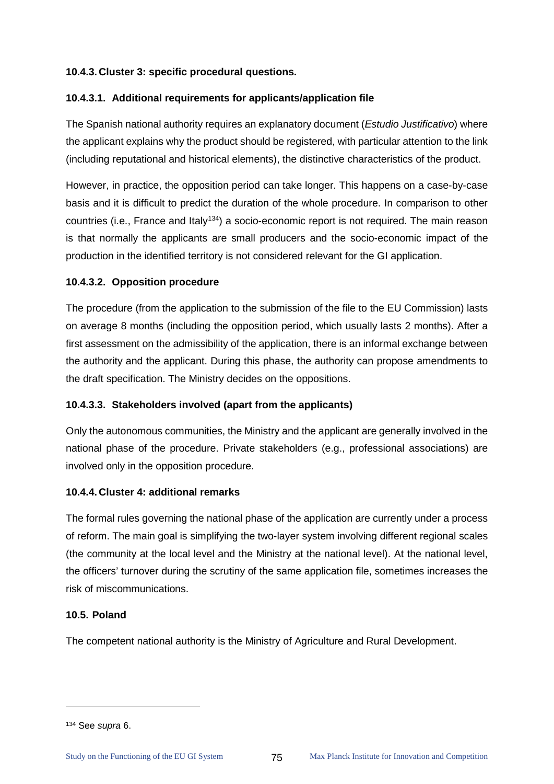# **10.4.3. Cluster 3: specific procedural questions.**

# **10.4.3.1. Additional requirements for applicants/application file**

The Spanish national authority requires an explanatory document (*Estudio Justificativo*) where the applicant explains why the product should be registered, with particular attention to the link (including reputational and historical elements), the distinctive characteristics of the product.

However, in practice, the opposition period can take longer. This happens on a case-by-case basis and it is difficult to predict the duration of the whole procedure. In comparison to other countries (i.e., France and Italy<sup>[134](#page-79-0)</sup>) a socio-economic report is not required. The main reason is that normally the applicants are small producers and the socio-economic impact of the production in the identified territory is not considered relevant for the GI application.

### **10.4.3.2. Opposition procedure**

The procedure (from the application to the submission of the file to the EU Commission) lasts on average 8 months (including the opposition period, which usually lasts 2 months). After a first assessment on the admissibility of the application, there is an informal exchange between the authority and the applicant. During this phase, the authority can propose amendments to the draft specification. The Ministry decides on the oppositions.

# **10.4.3.3. Stakeholders involved (apart from the applicants)**

Only the autonomous communities, the Ministry and the applicant are generally involved in the national phase of the procedure. Private stakeholders (e.g., professional associations) are involved only in the opposition procedure.

# **10.4.4. Cluster 4: additional remarks**

The formal rules governing the national phase of the application are currently under a process of reform. The main goal is simplifying the two-layer system involving different regional scales (the community at the local level and the Ministry at the national level). At the national level, the officers' turnover during the scrutiny of the same application file, sometimes increases the risk of miscommunications.

# **10.5. Poland**

The competent national authority is the Ministry of Agriculture and Rural Development.

<span id="page-79-0"></span><sup>134</sup> See *supra* 6.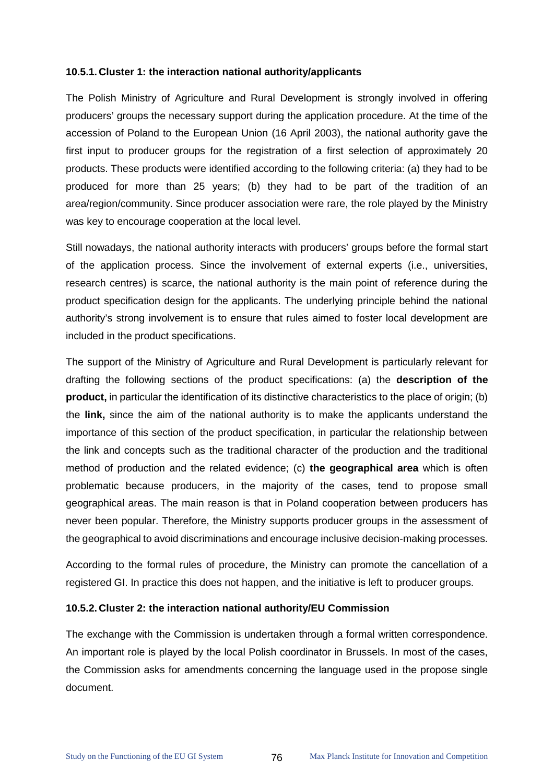#### **10.5.1. Cluster 1: the interaction national authority/applicants**

The Polish Ministry of Agriculture and Rural Development is strongly involved in offering producers' groups the necessary support during the application procedure. At the time of the accession of Poland to the European Union (16 April 2003), the national authority gave the first input to producer groups for the registration of a first selection of approximately 20 products. These products were identified according to the following criteria: (a) they had to be produced for more than 25 years; (b) they had to be part of the tradition of an area/region/community. Since producer association were rare, the role played by the Ministry was key to encourage cooperation at the local level.

Still nowadays, the national authority interacts with producers' groups before the formal start of the application process. Since the involvement of external experts (i.e., universities, research centres) is scarce, the national authority is the main point of reference during the product specification design for the applicants. The underlying principle behind the national authority's strong involvement is to ensure that rules aimed to foster local development are included in the product specifications.

The support of the Ministry of Agriculture and Rural Development is particularly relevant for drafting the following sections of the product specifications: (a) the **description of the product,** in particular the identification of its distinctive characteristics to the place of origin; (b) the **link,** since the aim of the national authority is to make the applicants understand the importance of this section of the product specification, in particular the relationship between the link and concepts such as the traditional character of the production and the traditional method of production and the related evidence; (c) **the geographical area** which is often problematic because producers, in the majority of the cases, tend to propose small geographical areas. The main reason is that in Poland cooperation between producers has never been popular. Therefore, the Ministry supports producer groups in the assessment of the geographical to avoid discriminations and encourage inclusive decision-making processes.

According to the formal rules of procedure, the Ministry can promote the cancellation of a registered GI. In practice this does not happen, and the initiative is left to producer groups.

#### **10.5.2. Cluster 2: the interaction national authority/EU Commission**

The exchange with the Commission is undertaken through a formal written correspondence. An important role is played by the local Polish coordinator in Brussels. In most of the cases, the Commission asks for amendments concerning the language used in the propose single document.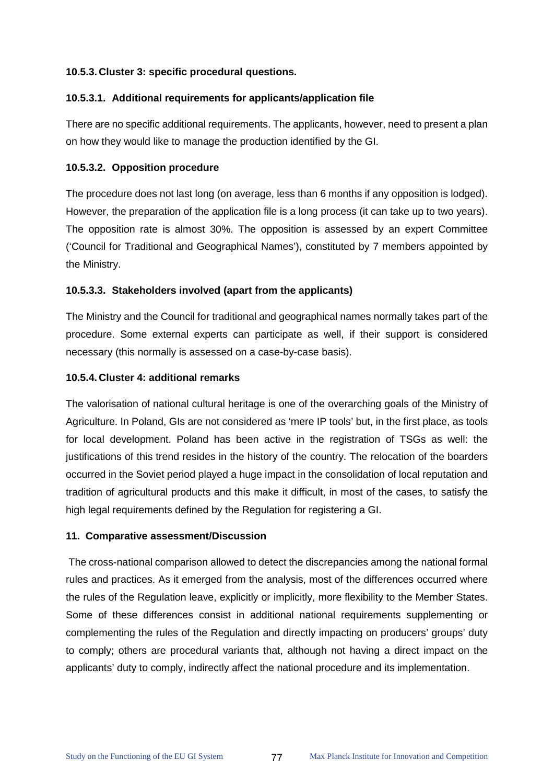# **10.5.3. Cluster 3: specific procedural questions.**

#### **10.5.3.1. Additional requirements for applicants/application file**

There are no specific additional requirements. The applicants, however, need to present a plan on how they would like to manage the production identified by the GI.

### **10.5.3.2. Opposition procedure**

The procedure does not last long (on average, less than 6 months if any opposition is lodged). However, the preparation of the application file is a long process (it can take up to two years). The opposition rate is almost 30%. The opposition is assessed by an expert Committee ('Council for Traditional and Geographical Names'), constituted by 7 members appointed by the Ministry.

# **10.5.3.3. Stakeholders involved (apart from the applicants)**

The Ministry and the Council for traditional and geographical names normally takes part of the procedure. Some external experts can participate as well, if their support is considered necessary (this normally is assessed on a case-by-case basis).

### **10.5.4. Cluster 4: additional remarks**

The valorisation of national cultural heritage is one of the overarching goals of the Ministry of Agriculture. In Poland, GIs are not considered as 'mere IP tools' but, in the first place, as tools for local development. Poland has been active in the registration of TSGs as well: the justifications of this trend resides in the history of the country. The relocation of the boarders occurred in the Soviet period played a huge impact in the consolidation of local reputation and tradition of agricultural products and this make it difficult, in most of the cases, to satisfy the high legal requirements defined by the Regulation for registering a GI.

#### **11. Comparative assessment/Discussion**

The cross-national comparison allowed to detect the discrepancies among the national formal rules and practices. As it emerged from the analysis, most of the differences occurred where the rules of the Regulation leave, explicitly or implicitly, more flexibility to the Member States. Some of these differences consist in additional national requirements supplementing or complementing the rules of the Regulation and directly impacting on producers' groups' duty to comply; others are procedural variants that, although not having a direct impact on the applicants' duty to comply, indirectly affect the national procedure and its implementation.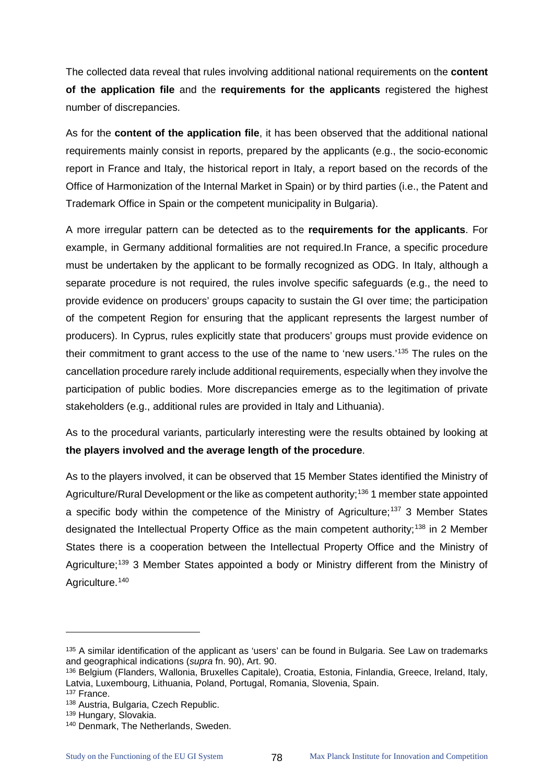The collected data reveal that rules involving additional national requirements on the **content of the application file** and the **requirements for the applicants** registered the highest number of discrepancies.

As for the **content of the application file**, it has been observed that the additional national requirements mainly consist in reports, prepared by the applicants (e.g., the socio-economic report in France and Italy, the historical report in Italy, a report based on the records of the Office of Harmonization of the Internal Market in Spain) or by third parties (i.e., the Patent and Trademark Office in Spain or the competent municipality in Bulgaria).

A more irregular pattern can be detected as to the **requirements for the applicants**. For example, in Germany additional formalities are not required.In France, a specific procedure must be undertaken by the applicant to be formally recognized as ODG. In Italy, although a separate procedure is not required, the rules involve specific safeguards (e.g., the need to provide evidence on producers' groups capacity to sustain the GI over time; the participation of the competent Region for ensuring that the applicant represents the largest number of producers). In Cyprus, rules explicitly state that producers' groups must provide evidence on their commitment to grant access to the use of the name to 'new users.'[135](#page-82-0) The rules on the cancellation procedure rarely include additional requirements, especially when they involve the participation of public bodies. More discrepancies emerge as to the legitimation of private stakeholders (e.g., additional rules are provided in Italy and Lithuania).

As to the procedural variants, particularly interesting were the results obtained by looking at **the players involved and the average length of the procedure**.

As to the players involved, it can be observed that 15 Member States identified the Ministry of Agriculture/Rural Development or the like as competent authority;<sup>[136](#page-82-1)</sup> 1 member state appointed a specific body within the competence of the Ministry of Agriculture;<sup>[137](#page-82-2)</sup> 3 Member States designated the Intellectual Property Office as the main competent authority;<sup>[138](#page-82-3)</sup> in 2 Member States there is a cooperation between the Intellectual Property Office and the Ministry of Agriculture;<sup>[139](#page-82-4)</sup> 3 Member States appointed a body or Ministry different from the Ministry of Agriculture.<sup>[140](#page-82-5)</sup>

 $\ddot{\phantom{a}}$ 

<span id="page-82-0"></span><sup>&</sup>lt;sup>135</sup> A similar identification of the applicant as 'users' can be found in Bulgaria. See Law on trademarks and geographical indications (*supra* fn. 90), Art. 90.

<span id="page-82-1"></span><sup>136</sup> Belgium (Flanders, Wallonia, Bruxelles Capitale), Croatia, Estonia, Finlandia, Greece, Ireland, Italy, Latvia, Luxembourg, Lithuania, Poland, Portugal, Romania, Slovenia, Spain. <sup>137</sup> France.

<span id="page-82-2"></span><sup>138</sup> Austria, Bulgaria, Czech Republic.

<span id="page-82-4"></span><span id="page-82-3"></span><sup>139</sup> Hungary, Slovakia.

<span id="page-82-5"></span><sup>140</sup> Denmark, The Netherlands, Sweden.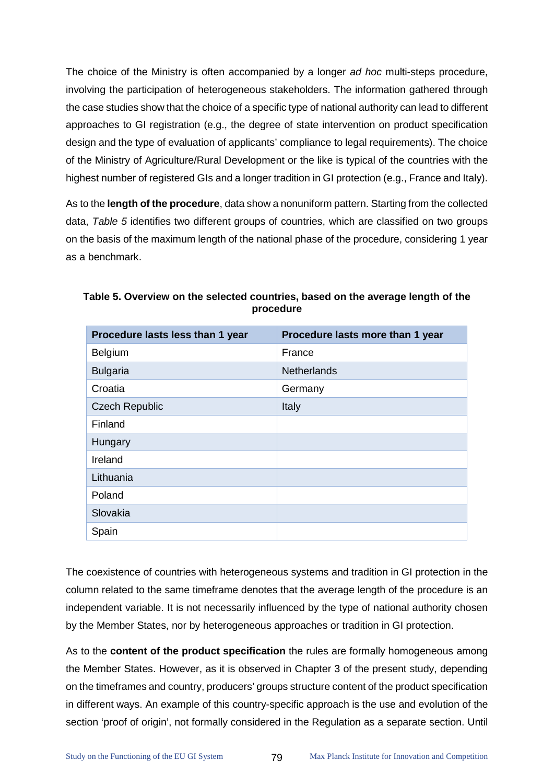The choice of the Ministry is often accompanied by a longer *ad hoc* multi-steps procedure, involving the participation of heterogeneous stakeholders. The information gathered through the case studies show that the choice of a specific type of national authority can lead to different approaches to GI registration (e.g., the degree of state intervention on product specification design and the type of evaluation of applicants' compliance to legal requirements). The choice of the Ministry of Agriculture/Rural Development or the like is typical of the countries with the highest number of registered GIs and a longer tradition in GI protection (e.g., France and Italy).

As to the **length of the procedure**, data show a nonuniform pattern. Starting from the collected data, *[Table 5](#page-83-0)* identifies two different groups of countries, which are classified on two groups on the basis of the maximum length of the national phase of the procedure, considering 1 year as a benchmark.

| Procedure lasts less than 1 year | Procedure lasts more than 1 year |
|----------------------------------|----------------------------------|
| Belgium                          | France                           |
| <b>Bulgaria</b>                  | <b>Netherlands</b>               |
| Croatia                          | Germany                          |
| <b>Czech Republic</b>            | Italy                            |
| Finland                          |                                  |
| Hungary                          |                                  |
| Ireland                          |                                  |
| Lithuania                        |                                  |
| Poland                           |                                  |
| Slovakia                         |                                  |
| Spain                            |                                  |

<span id="page-83-0"></span>**Table 5. Overview on the selected countries, based on the average length of the procedure**

The coexistence of countries with heterogeneous systems and tradition in GI protection in the column related to the same timeframe denotes that the average length of the procedure is an independent variable. It is not necessarily influenced by the type of national authority chosen by the Member States, nor by heterogeneous approaches or tradition in GI protection.

As to the **content of the product specification** the rules are formally homogeneous among the Member States. However, as it is observed in Chapter 3 of the present study, depending on the timeframes and country, producers' groups structure content of the product specification in different ways. An example of this country-specific approach is the use and evolution of the section 'proof of origin', not formally considered in the Regulation as a separate section. Until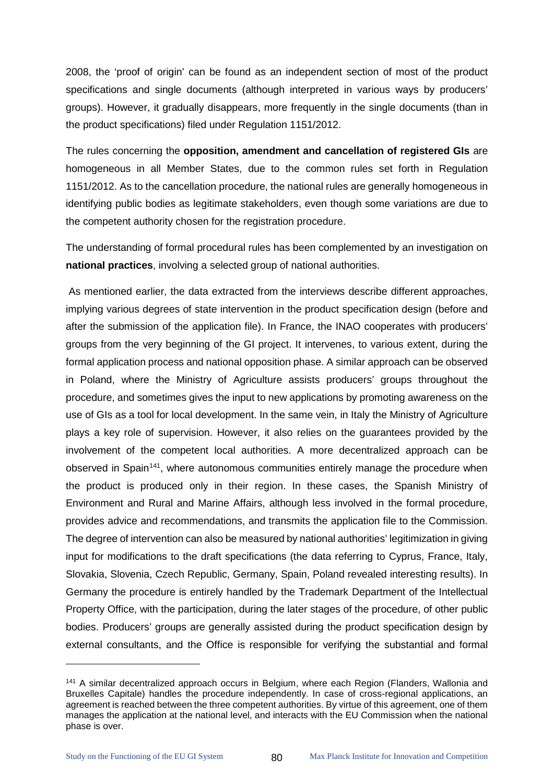2008, the 'proof of origin' can be found as an independent section of most of the product specifications and single documents (although interpreted in various ways by producers' groups). However, it gradually disappears, more frequently in the single documents (than in the product specifications) filed under Regulation 1151/2012.

The rules concerning the **opposition, amendment and cancellation of registered GIs** are homogeneous in all Member States, due to the common rules set forth in Regulation 1151/2012. As to the cancellation procedure, the national rules are generally homogeneous in identifying public bodies as legitimate stakeholders, even though some variations are due to the competent authority chosen for the registration procedure.

The understanding of formal procedural rules has been complemented by an investigation on **national practices**, involving a selected group of national authorities.

As mentioned earlier, the data extracted from the interviews describe different approaches, implying various degrees of state intervention in the product specification design (before and after the submission of the application file). In France, the INAO cooperates with producers' groups from the very beginning of the GI project. It intervenes, to various extent, during the formal application process and national opposition phase. A similar approach can be observed in Poland, where the Ministry of Agriculture assists producers' groups throughout the procedure, and sometimes gives the input to new applications by promoting awareness on the use of GIs as a tool for local development. In the same vein, in Italy the Ministry of Agriculture plays a key role of supervision. However, it also relies on the guarantees provided by the involvement of the competent local authorities. A more decentralized approach can be observed in Spain<sup>[141](#page-84-0)</sup>, where autonomous communities entirely manage the procedure when the product is produced only in their region. In these cases, the Spanish Ministry of Environment and Rural and Marine Affairs, although less involved in the formal procedure, provides advice and recommendations, and transmits the application file to the Commission. The degree of intervention can also be measured by national authorities' legitimization in giving input for modifications to the draft specifications (the data referring to Cyprus, France, Italy, Slovakia, Slovenia, Czech Republic, Germany, Spain, Poland revealed interesting results). In Germany the procedure is entirely handled by the Trademark Department of the Intellectual Property Office, with the participation, during the later stages of the procedure, of other public bodies. Producers' groups are generally assisted during the product specification design by external consultants, and the Office is responsible for verifying the substantial and formal

<span id="page-84-0"></span><sup>&</sup>lt;sup>141</sup> A similar decentralized approach occurs in Belgium, where each Region (Flanders, Wallonia and Bruxelles Capitale) handles the procedure independently. In case of cross-regional applications, an agreement is reached between the three competent authorities. By virtue of this agreement, one of them manages the application at the national level, and interacts with the EU Commission when the national phase is over.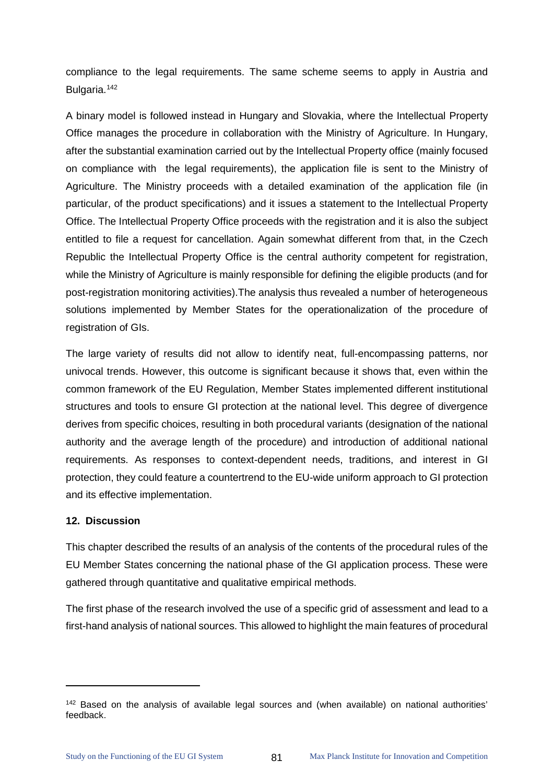compliance to the legal requirements. The same scheme seems to apply in Austria and Bulgaria.<sup>[142](#page-85-0)</sup>

A binary model is followed instead in Hungary and Slovakia, where the Intellectual Property Office manages the procedure in collaboration with the Ministry of Agriculture. In Hungary, after the substantial examination carried out by the Intellectual Property office (mainly focused on compliance with the legal requirements), the application file is sent to the Ministry of Agriculture. The Ministry proceeds with a detailed examination of the application file (in particular, of the product specifications) and it issues a statement to the Intellectual Property Office. The Intellectual Property Office proceeds with the registration and it is also the subject entitled to file a request for cancellation. Again somewhat different from that, in the Czech Republic the Intellectual Property Office is the central authority competent for registration, while the Ministry of Agriculture is mainly responsible for defining the eligible products (and for post-registration monitoring activities).The analysis thus revealed a number of heterogeneous solutions implemented by Member States for the operationalization of the procedure of registration of GIs.

The large variety of results did not allow to identify neat, full-encompassing patterns, nor univocal trends. However, this outcome is significant because it shows that, even within the common framework of the EU Regulation, Member States implemented different institutional structures and tools to ensure GI protection at the national level. This degree of divergence derives from specific choices, resulting in both procedural variants (designation of the national authority and the average length of the procedure) and introduction of additional national requirements. As responses to context-dependent needs, traditions, and interest in GI protection, they could feature a countertrend to the EU-wide uniform approach to GI protection and its effective implementation.

# **12. Discussion**

 $\ddot{\phantom{a}}$ 

This chapter described the results of an analysis of the contents of the procedural rules of the EU Member States concerning the national phase of the GI application process. These were gathered through quantitative and qualitative empirical methods.

The first phase of the research involved the use of a specific grid of assessment and lead to a first-hand analysis of national sources. This allowed to highlight the main features of procedural

<span id="page-85-0"></span><sup>142</sup> Based on the analysis of available legal sources and (when available) on national authorities' feedback.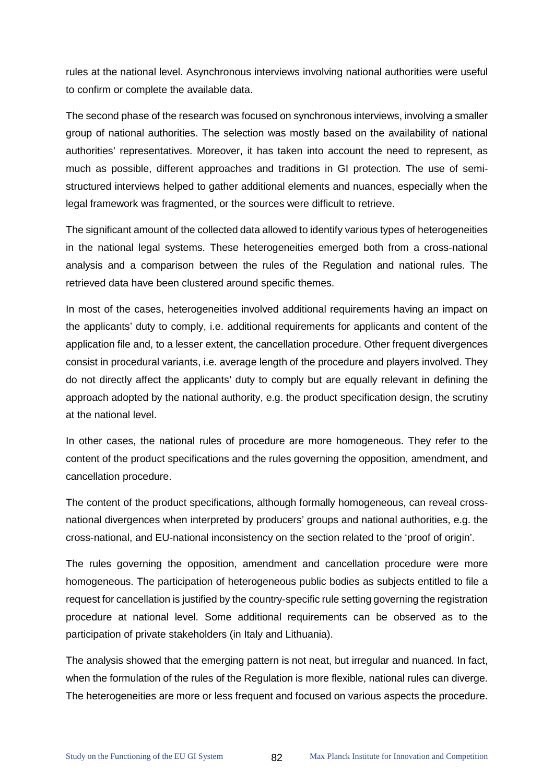rules at the national level. Asynchronous interviews involving national authorities were useful to confirm or complete the available data.

The second phase of the research was focused on synchronous interviews, involving a smaller group of national authorities. The selection was mostly based on the availability of national authorities' representatives. Moreover, it has taken into account the need to represent, as much as possible, different approaches and traditions in GI protection. The use of semistructured interviews helped to gather additional elements and nuances, especially when the legal framework was fragmented, or the sources were difficult to retrieve.

The significant amount of the collected data allowed to identify various types of heterogeneities in the national legal systems. These heterogeneities emerged both from a cross-national analysis and a comparison between the rules of the Regulation and national rules. The retrieved data have been clustered around specific themes.

In most of the cases, heterogeneities involved additional requirements having an impact on the applicants' duty to comply, i.e. additional requirements for applicants and content of the application file and, to a lesser extent, the cancellation procedure. Other frequent divergences consist in procedural variants, i.e. average length of the procedure and players involved. They do not directly affect the applicants' duty to comply but are equally relevant in defining the approach adopted by the national authority, e.g. the product specification design, the scrutiny at the national level.

In other cases, the national rules of procedure are more homogeneous. They refer to the content of the product specifications and the rules governing the opposition, amendment, and cancellation procedure.

The content of the product specifications, although formally homogeneous, can reveal crossnational divergences when interpreted by producers' groups and national authorities, e.g. the cross-national, and EU-national inconsistency on the section related to the 'proof of origin'.

The rules governing the opposition, amendment and cancellation procedure were more homogeneous. The participation of heterogeneous public bodies as subjects entitled to file a request for cancellation is justified by the country-specific rule setting governing the registration procedure at national level. Some additional requirements can be observed as to the participation of private stakeholders (in Italy and Lithuania).

The analysis showed that the emerging pattern is not neat, but irregular and nuanced. In fact, when the formulation of the rules of the Regulation is more flexible, national rules can diverge. The heterogeneities are more or less frequent and focused on various aspects the procedure.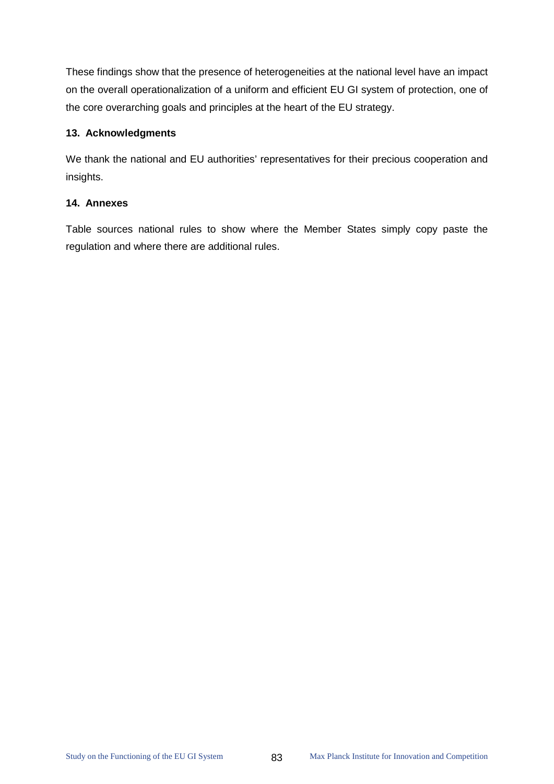These findings show that the presence of heterogeneities at the national level have an impact on the overall operationalization of a uniform and efficient EU GI system of protection, one of the core overarching goals and principles at the heart of the EU strategy.

### **13. Acknowledgments**

We thank the national and EU authorities' representatives for their precious cooperation and insights.

### **14. Annexes**

Table sources national rules to show where the Member States simply copy paste the regulation and where there are additional rules.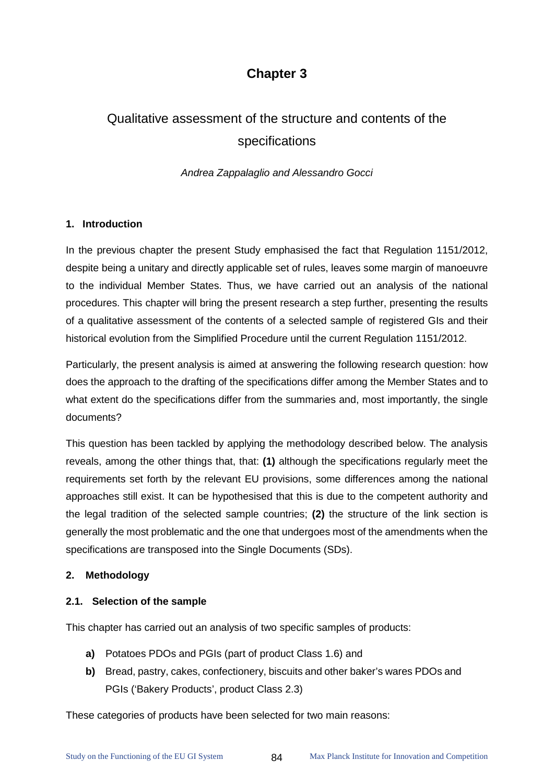# **Chapter 3**

# Qualitative assessment of the structure and contents of the specifications

*Andrea Zappalaglio and Alessandro Gocci*

### **1. Introduction**

In the previous chapter the present Study emphasised the fact that Regulation 1151/2012, despite being a unitary and directly applicable set of rules, leaves some margin of manoeuvre to the individual Member States. Thus, we have carried out an analysis of the national procedures. This chapter will bring the present research a step further, presenting the results of a qualitative assessment of the contents of a selected sample of registered GIs and their historical evolution from the Simplified Procedure until the current Regulation 1151/2012.

Particularly, the present analysis is aimed at answering the following research question: how does the approach to the drafting of the specifications differ among the Member States and to what extent do the specifications differ from the summaries and, most importantly, the single documents?

This question has been tackled by applying the methodology described below. The analysis reveals, among the other things that, that: **(1)** although the specifications regularly meet the requirements set forth by the relevant EU provisions, some differences among the national approaches still exist. It can be hypothesised that this is due to the competent authority and the legal tradition of the selected sample countries; **(2)** the structure of the link section is generally the most problematic and the one that undergoes most of the amendments when the specifications are transposed into the Single Documents (SDs).

# **2. Methodology**

# **2.1. Selection of the sample**

This chapter has carried out an analysis of two specific samples of products:

- **a)** Potatoes PDOs and PGIs (part of product Class 1.6) and
- **b)** Bread, pastry, cakes, confectionery, biscuits and other baker's wares PDOs and PGIs ('Bakery Products', product Class 2.3)

These categories of products have been selected for two main reasons: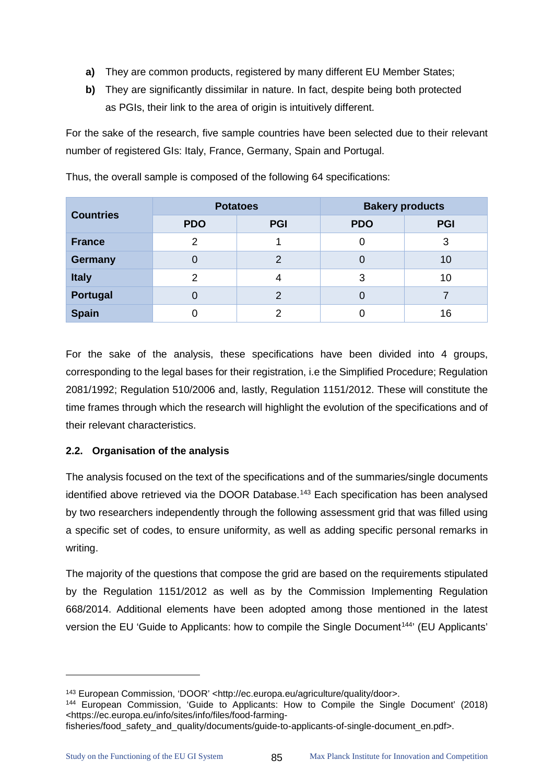- **a)** They are common products, registered by many different EU Member States;
- **b)** They are significantly dissimilar in nature. In fact, despite being both protected as PGIs, their link to the area of origin is intuitively different.

For the sake of the research, five sample countries have been selected due to their relevant number of registered GIs: Italy, France, Germany, Spain and Portugal.

| <b>Potatoes</b><br><b>Countries</b> |               |               | <b>Bakery products</b> |            |  |
|-------------------------------------|---------------|---------------|------------------------|------------|--|
|                                     | <b>PDO</b>    | <b>PGI</b>    | <b>PDO</b>             | <b>PGI</b> |  |
| <b>France</b>                       | $\mathcal{P}$ |               |                        | 3          |  |
| <b>Germany</b>                      | 0             | ⌒             |                        | 10         |  |
| <b>Italy</b>                        | 2             |               | 3                      | 10         |  |
| <b>Portugal</b>                     |               | $\mathcal{P}$ |                        |            |  |
| <b>Spain</b>                        |               | ⌒             |                        | 16         |  |

Thus, the overall sample is composed of the following 64 specifications:

For the sake of the analysis, these specifications have been divided into 4 groups, corresponding to the legal bases for their registration, i.e the Simplified Procedure; Regulation 2081/1992; Regulation 510/2006 and, lastly, Regulation 1151/2012. These will constitute the time frames through which the research will highlight the evolution of the specifications and of their relevant characteristics.

# **2.2. Organisation of the analysis**

The analysis focused on the text of the specifications and of the summaries/single documents identified above retrieved via the DOOR Database.<sup>[143](#page-89-0)</sup> Each specification has been analysed by two researchers independently through the following assessment grid that was filled using a specific set of codes, to ensure uniformity, as well as adding specific personal remarks in writing.

The majority of the questions that compose the grid are based on the requirements stipulated by the Regulation 1151/2012 as well as by the Commission Implementing Regulation 668/2014. Additional elements have been adopted among those mentioned in the latest version the EU 'Guide to Applicants: how to compile the Single Document<sup>[144](#page-89-1)</sup>' (EU Applicants'

<span id="page-89-0"></span><sup>143</sup> European Commission, 'DOOR' <http://ec.europa.eu/agriculture/quality/door>.

<span id="page-89-1"></span><sup>144</sup> European Commission, 'Guide to Applicants: How to Compile the Single Document' (2018) <https://ec.europa.eu/info/sites/info/files/food-farming-

fisheries/food\_safety\_and\_quality/documents/guide-to-applicants-of-single-document\_en.pdf>.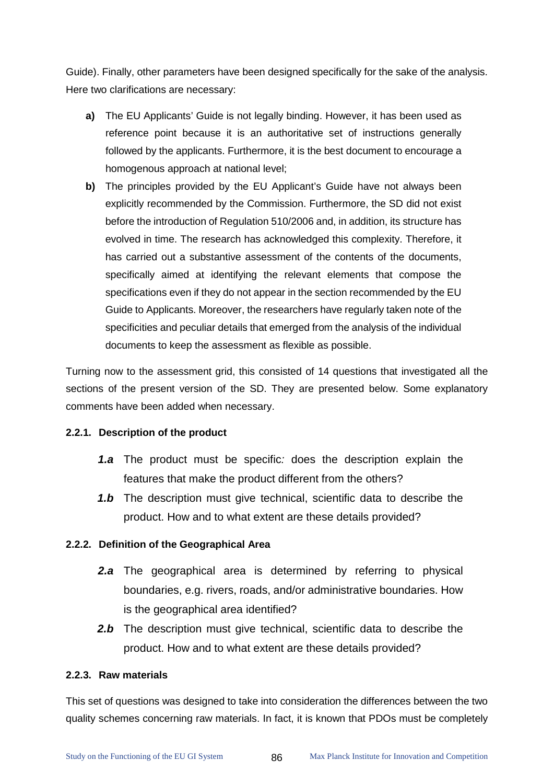Guide). Finally, other parameters have been designed specifically for the sake of the analysis. Here two clarifications are necessary:

- **a)** The EU Applicants' Guide is not legally binding. However, it has been used as reference point because it is an authoritative set of instructions generally followed by the applicants. Furthermore, it is the best document to encourage a homogenous approach at national level;
- **b)** The principles provided by the EU Applicant's Guide have not always been explicitly recommended by the Commission. Furthermore, the SD did not exist before the introduction of Regulation 510/2006 and, in addition, its structure has evolved in time. The research has acknowledged this complexity. Therefore, it has carried out a substantive assessment of the contents of the documents, specifically aimed at identifying the relevant elements that compose the specifications even if they do not appear in the section recommended by the EU Guide to Applicants. Moreover, the researchers have regularly taken note of the specificities and peculiar details that emerged from the analysis of the individual documents to keep the assessment as flexible as possible.

Turning now to the assessment grid, this consisted of 14 questions that investigated all the sections of the present version of the SD. They are presented below. Some explanatory comments have been added when necessary.

#### **2.2.1. Description of the product**

- *1.a* The product must be specific*:* does the description explain the features that make the product different from the others?
- *1.b* The description must give technical, scientific data to describe the product. How and to what extent are these details provided?

# **2.2.2. Definition of the Geographical Area**

- *2.a* The geographical area is determined by referring to physical boundaries, e.g. rivers, roads, and/or administrative boundaries. How is the geographical area identified?
- **2.b** The description must give technical, scientific data to describe the product. How and to what extent are these details provided?

# **2.2.3. Raw materials**

This set of questions was designed to take into consideration the differences between the two quality schemes concerning raw materials. In fact, it is known that PDOs must be completely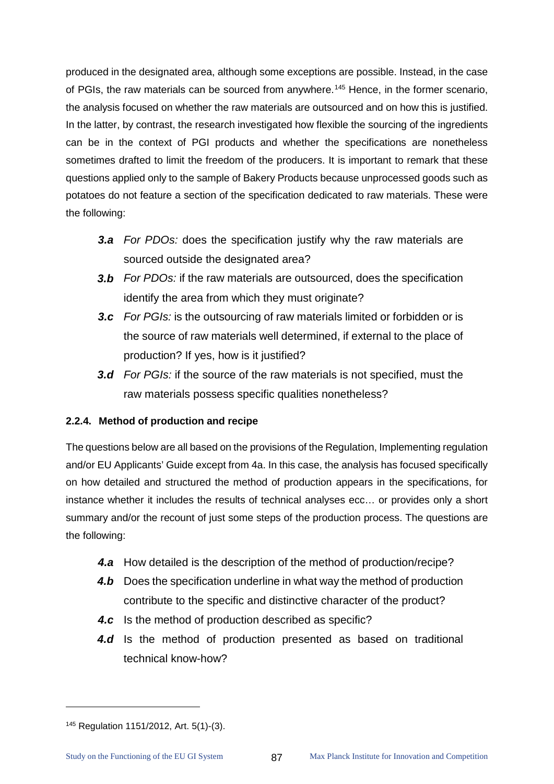produced in the designated area, although some exceptions are possible. Instead, in the case of PGIs, the raw materials can be sourced from anywhere.<sup>[145](#page-91-0)</sup> Hence, in the former scenario, the analysis focused on whether the raw materials are outsourced and on how this is justified. In the latter, by contrast, the research investigated how flexible the sourcing of the ingredients can be in the context of PGI products and whether the specifications are nonetheless sometimes drafted to limit the freedom of the producers. It is important to remark that these questions applied only to the sample of Bakery Products because unprocessed goods such as potatoes do not feature a section of the specification dedicated to raw materials. These were the following:

- *3.a For PDOs:* does the specification justify why the raw materials are sourced outside the designated area?
- *3.b For PDOs:* if the raw materials are outsourced, does the specification identify the area from which they must originate?
- *3.c For PGIs:* is the outsourcing of raw materials limited or forbidden or is the source of raw materials well determined, if external to the place of production? If yes, how is it justified?
- *3.d For PGIs:* if the source of the raw materials is not specified, must the raw materials possess specific qualities nonetheless?

# **2.2.4. Method of production and recipe**

The questions below are all based on the provisions of the Regulation, Implementing regulation and/or EU Applicants' Guide except from 4a. In this case, the analysis has focused specifically on how detailed and structured the method of production appears in the specifications, for instance whether it includes the results of technical analyses ecc… or provides only a short summary and/or the recount of just some steps of the production process. The questions are the following:

- *4.a* How detailed is the description of the method of production/recipe?
- **4.b** Does the specification underline in what way the method of production contribute to the specific and distinctive character of the product?
- *4.c* Is the method of production described as specific?
- *4.d* Is the method of production presented as based on traditional technical know-how?

<span id="page-91-0"></span><sup>145</sup> Regulation 1151/2012, Art. 5(1)-(3).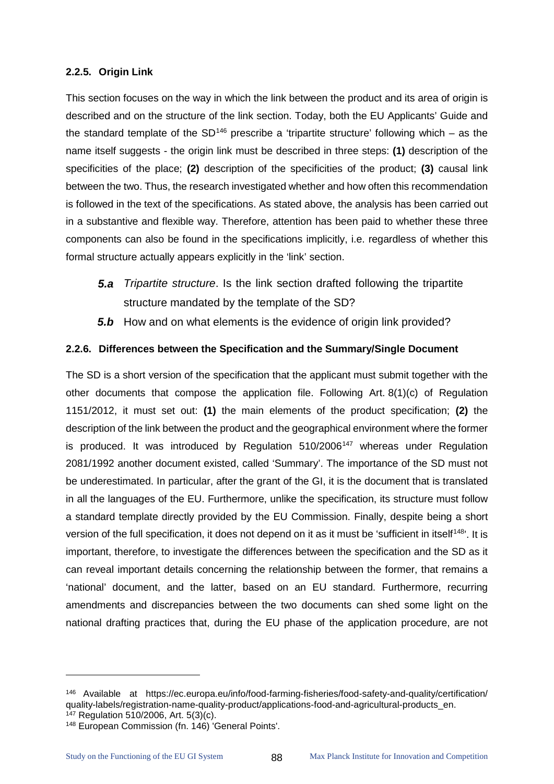# **2.2.5. Origin Link**

This section focuses on the way in which the link between the product and its area of origin is described and on the structure of the link section. Today, both the EU Applicants' Guide and the standard template of the  $SD^{146}$  $SD^{146}$  $SD^{146}$  prescribe a 'tripartite structure' following which – as the name itself suggests - the origin link must be described in three steps: **(1)** description of the specificities of the place; **(2)** description of the specificities of the product; **(3)** causal link between the two. Thus, the research investigated whether and how often this recommendation is followed in the text of the specifications. As stated above, the analysis has been carried out in a substantive and flexible way. Therefore, attention has been paid to whether these three components can also be found in the specifications implicitly, i.e. regardless of whether this formal structure actually appears explicitly in the 'link' section.

- *5.a Tripartite structure*. Is the link section drafted following the tripartite structure mandated by the template of the SD?
- *5.b* How and on what elements is the evidence of origin link provided?

### **2.2.6. Differences between the Specification and the Summary/Single Document**

The SD is a short version of the specification that the applicant must submit together with the other documents that compose the application file. Following Art. 8(1)(c) of Regulation 1151/2012, it must set out: **(1)** the main elements of the product specification; **(2)** the description of the link between the product and the geographical environment where the former is produced. It was introduced by Regulation  $510/2006<sup>147</sup>$  $510/2006<sup>147</sup>$  $510/2006<sup>147</sup>$  whereas under Regulation 2081/1992 another document existed, called 'Summary'. The importance of the SD must not be underestimated. In particular, after the grant of the GI, it is the document that is translated in all the languages of the EU. Furthermore, unlike the specification, its structure must follow a standard template directly provided by the EU Commission. Finally, despite being a short version of the full specification, it does not depend on it as it must be 'sufficient in itself<sup>148</sup>'. It is important, therefore, to investigate the differences between the specification and the SD as it can reveal important details concerning the relationship between the former, that remains a 'national' document, and the latter, based on an EU standard. Furthermore, recurring amendments and discrepancies between the two documents can shed some light on the national drafting practices that, during the EU phase of the application procedure, are not

<span id="page-92-0"></span><sup>146</sup> Available at [https://ec.europa.eu/info/food-farming-fisheries/food-safety-and-quality/certification/](https://ec.europa.eu/info/food-farming-fisheries/food-safety-and-quality/certification/quality-labels/registration-name-quality-product/applications-food-and-agricultural-products_en) [quality-labels/registration-name-quality-product/applications-food-and-agricultural-products\\_en.](https://ec.europa.eu/info/food-farming-fisheries/food-safety-and-quality/certification/quality-labels/registration-name-quality-product/applications-food-and-agricultural-products_en)<br><sup>147</sup> Regulation 510/2006, Art. 5(3)(c).

<span id="page-92-1"></span>

<span id="page-92-2"></span><sup>148</sup> European Commission (fn. 146) 'General Points'.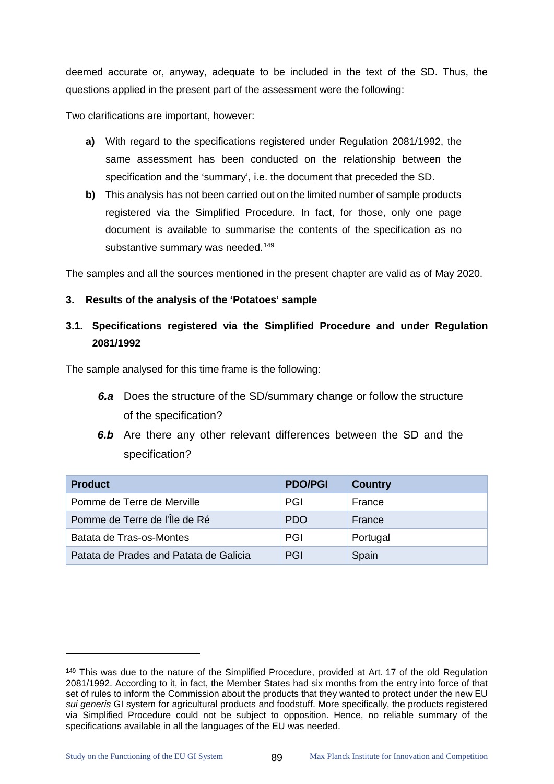deemed accurate or, anyway, adequate to be included in the text of the SD. Thus, the questions applied in the present part of the assessment were the following:

Two clarifications are important, however:

- **a)** With regard to the specifications registered under Regulation 2081/1992, the same assessment has been conducted on the relationship between the specification and the 'summary', i.e. the document that preceded the SD.
- **b)** This analysis has not been carried out on the limited number of sample products registered via the Simplified Procedure. In fact, for those, only one page document is available to summarise the contents of the specification as no substantive summary was needed.<sup>[149](#page-93-0)</sup>

The samples and all the sources mentioned in the present chapter are valid as of May 2020.

### **3. Results of the analysis of the 'Potatoes' sample**

# **3.1. Specifications registered via the Simplified Procedure and under Regulation 2081/1992**

The sample analysed for this time frame is the following:

- *6.a* Does the structure of the SD/summary change or follow the structure of the specification?
- *6.b* Are there any other relevant differences between the SD and the specification?

| <b>Product</b>                         | <b>PDO/PGI</b> | <b>Country</b> |
|----------------------------------------|----------------|----------------|
| Pomme de Terre de Merville             | PGI            | France         |
| Pomme de Terre de l'Île de Ré          | <b>PDO</b>     | France         |
| Batata de Tras-os-Montes               | PGI            | Portugal       |
| Patata de Prades and Patata de Galicia | PGI            | Spain          |

 $\ddot{\phantom{a}}$ 

<span id="page-93-0"></span><sup>&</sup>lt;sup>149</sup> This was due to the nature of the Simplified Procedure, provided at Art. 17 of the old Regulation 2081/1992. According to it, in fact, the Member States had six months from the entry into force of that set of rules to inform the Commission about the products that they wanted to protect under the new EU *sui generis* GI system for agricultural products and foodstuff. More specifically, the products registered via Simplified Procedure could not be subject to opposition. Hence, no reliable summary of the specifications available in all the languages of the EU was needed.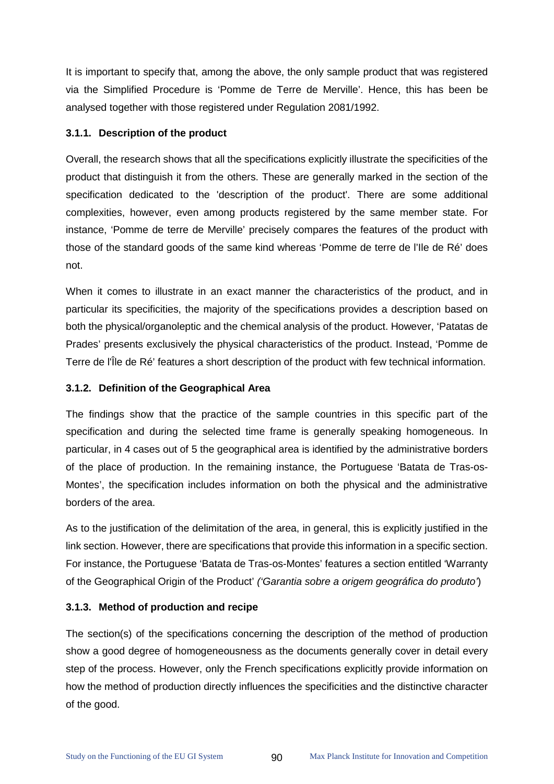It is important to specify that, among the above, the only sample product that was registered via the Simplified Procedure is 'Pomme de Terre de Merville'. Hence, this has been be analysed together with those registered under Regulation 2081/1992.

# **3.1.1. Description of the product**

Overall, the research shows that all the specifications explicitly illustrate the specificities of the product that distinguish it from the others. These are generally marked in the section of the specification dedicated to the 'description of the product'. There are some additional complexities, however, even among products registered by the same member state. For instance, 'Pomme de terre de Merville' precisely compares the features of the product with those of the standard goods of the same kind whereas 'Pomme de terre de l'Ile de Ré' does not.

When it comes to illustrate in an exact manner the characteristics of the product, and in particular its specificities, the majority of the specifications provides a description based on both the physical/organoleptic and the chemical analysis of the product. However, 'Patatas de Prades' presents exclusively the physical characteristics of the product. Instead, 'Pomme de Terre de l'Île de Ré' features a short description of the product with few technical information.

# **3.1.2. Definition of the Geographical Area**

The findings show that the practice of the sample countries in this specific part of the specification and during the selected time frame is generally speaking homogeneous. In particular, in 4 cases out of 5 the geographical area is identified by the administrative borders of the place of production. In the remaining instance, the Portuguese 'Batata de Tras-os-Montes', the specification includes information on both the physical and the administrative borders of the area.

As to the justification of the delimitation of the area, in general, this is explicitly justified in the link section. However, there are specifications that provide this information in a specific section. For instance, the Portuguese 'Batata de Tras-os-Montes' features a section entitled 'Warranty of the Geographical Origin of the Product' *('Garantia sobre a origem geográfica do produto'*)

# **3.1.3. Method of production and recipe**

The section(s) of the specifications concerning the description of the method of production show a good degree of homogeneousness as the documents generally cover in detail every step of the process. However, only the French specifications explicitly provide information on how the method of production directly influences the specificities and the distinctive character of the good.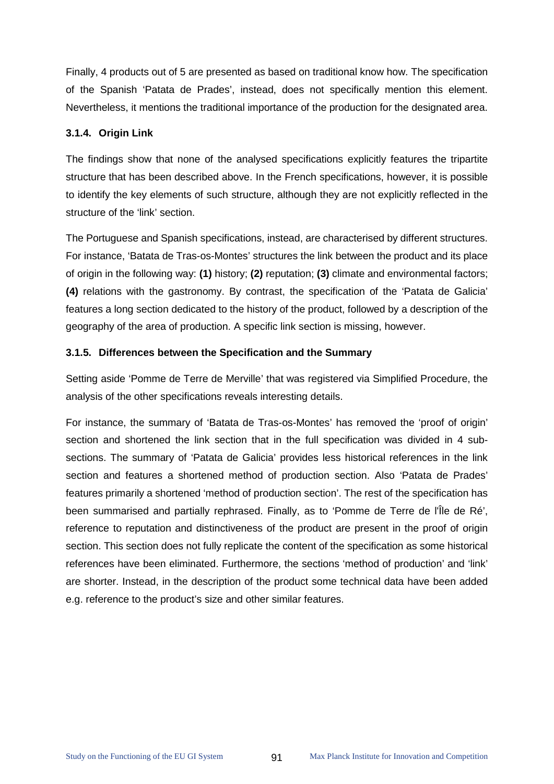Finally, 4 products out of 5 are presented as based on traditional know how. The specification of the Spanish 'Patata de Prades', instead, does not specifically mention this element. Nevertheless, it mentions the traditional importance of the production for the designated area.

# **3.1.4. Origin Link**

The findings show that none of the analysed specifications explicitly features the tripartite structure that has been described above. In the French specifications, however, it is possible to identify the key elements of such structure, although they are not explicitly reflected in the structure of the 'link' section.

The Portuguese and Spanish specifications, instead, are characterised by different structures. For instance, 'Batata de Tras-os-Montes' structures the link between the product and its place of origin in the following way: **(1)** history; **(2)** reputation; **(3)** climate and environmental factors; **(4)** relations with the gastronomy. By contrast, the specification of the 'Patata de Galicia' features a long section dedicated to the history of the product, followed by a description of the geography of the area of production. A specific link section is missing, however.

### **3.1.5. Differences between the Specification and the Summary**

Setting aside 'Pomme de Terre de Merville' that was registered via Simplified Procedure, the analysis of the other specifications reveals interesting details.

For instance, the summary of 'Batata de Tras-os-Montes' has removed the 'proof of origin' section and shortened the link section that in the full specification was divided in 4 subsections. The summary of 'Patata de Galicia' provides less historical references in the link section and features a shortened method of production section. Also 'Patata de Prades' features primarily a shortened 'method of production section'. The rest of the specification has been summarised and partially rephrased. Finally, as to 'Pomme de Terre de l'Île de Ré', reference to reputation and distinctiveness of the product are present in the proof of origin section. This section does not fully replicate the content of the specification as some historical references have been eliminated. Furthermore, the sections 'method of production' and 'link' are shorter. Instead, in the description of the product some technical data have been added e.g. reference to the product's size and other similar features.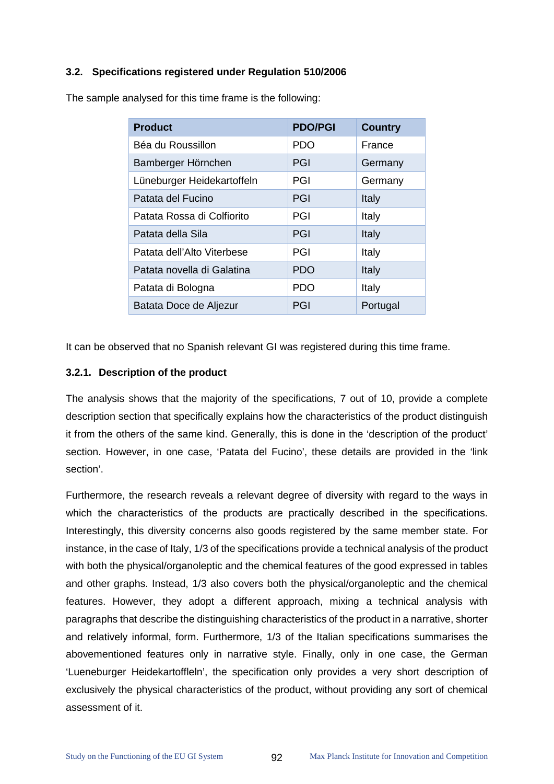#### **3.2. Specifications registered under Regulation 510/2006**

| <b>Product</b>             | <b>PDO/PGI</b> | <b>Country</b> |
|----------------------------|----------------|----------------|
| Béa du Roussillon          | <b>PDO</b>     | France         |
| Bamberger Hörnchen         | <b>PGI</b>     | Germany        |
| Lüneburger Heidekartoffeln | PGI            | Germany        |
| Patata del Fucino          | PGI            | Italy          |
| Patata Rossa di Colfiorito | PGI            | Italy          |
| Patata della Sila          | PGI            | Italy          |
| Patata dell'Alto Viterbese | PGI            | Italy          |
| Patata novella di Galatina | <b>PDO</b>     | Italy          |
| Patata di Bologna          | <b>PDO</b>     | Italy          |
| Batata Doce de Aljezur     | PGI            | Portugal       |

The sample analysed for this time frame is the following:

It can be observed that no Spanish relevant GI was registered during this time frame.

#### **3.2.1. Description of the product**

The analysis shows that the majority of the specifications, 7 out of 10, provide a complete description section that specifically explains how the characteristics of the product distinguish it from the others of the same kind. Generally, this is done in the 'description of the product' section. However, in one case, 'Patata del Fucino', these details are provided in the 'link section'.

Furthermore, the research reveals a relevant degree of diversity with regard to the ways in which the characteristics of the products are practically described in the specifications. Interestingly, this diversity concerns also goods registered by the same member state. For instance, in the case of Italy, 1/3 of the specifications provide a technical analysis of the product with both the physical/organoleptic and the chemical features of the good expressed in tables and other graphs. Instead, 1/3 also covers both the physical/organoleptic and the chemical features. However, they adopt a different approach, mixing a technical analysis with paragraphs that describe the distinguishing characteristics of the product in a narrative, shorter and relatively informal, form. Furthermore, 1/3 of the Italian specifications summarises the abovementioned features only in narrative style. Finally, only in one case, the German 'Lueneburger Heidekartoffleln', the specification only provides a very short description of exclusively the physical characteristics of the product, without providing any sort of chemical assessment of it.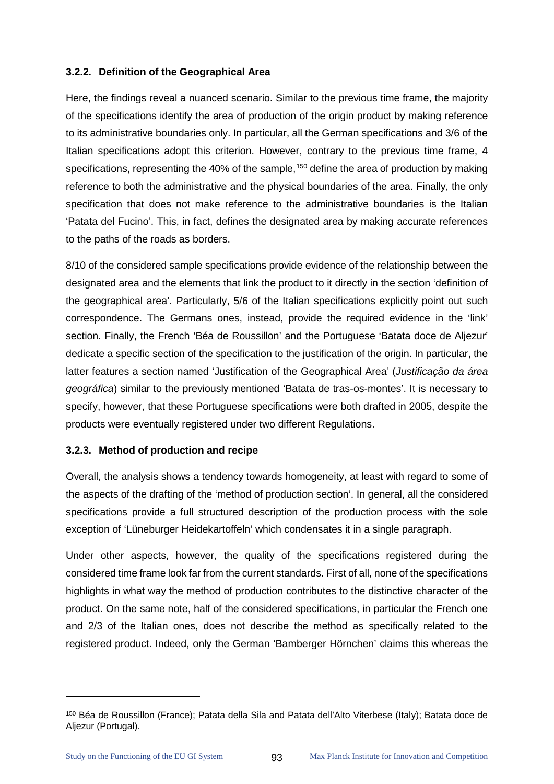#### **3.2.2. Definition of the Geographical Area**

Here, the findings reveal a nuanced scenario. Similar to the previous time frame, the majority of the specifications identify the area of production of the origin product by making reference to its administrative boundaries only. In particular, all the German specifications and 3/6 of the Italian specifications adopt this criterion. However, contrary to the previous time frame, 4 specifications, representing the 40% of the sample,<sup>[150](#page-97-0)</sup> define the area of production by making reference to both the administrative and the physical boundaries of the area. Finally, the only specification that does not make reference to the administrative boundaries is the Italian 'Patata del Fucino'. This, in fact, defines the designated area by making accurate references to the paths of the roads as borders.

8/10 of the considered sample specifications provide evidence of the relationship between the designated area and the elements that link the product to it directly in the section 'definition of the geographical area'. Particularly, 5/6 of the Italian specifications explicitly point out such correspondence. The Germans ones, instead, provide the required evidence in the 'link' section. Finally, the French 'Béa de Roussillon' and the Portuguese 'Batata doce de Aljezur' dedicate a specific section of the specification to the justification of the origin. In particular, the latter features a section named 'Justification of the Geographical Area' (*Justificação da área geográfica*) similar to the previously mentioned 'Batata de tras-os-montes'. It is necessary to specify, however, that these Portuguese specifications were both drafted in 2005, despite the products were eventually registered under two different Regulations.

#### **3.2.3. Method of production and recipe**

Overall, the analysis shows a tendency towards homogeneity, at least with regard to some of the aspects of the drafting of the 'method of production section'. In general, all the considered specifications provide a full structured description of the production process with the sole exception of 'Lüneburger Heidekartoffeln' which condensates it in a single paragraph.

Under other aspects, however, the quality of the specifications registered during the considered time frame look far from the current standards. First of all, none of the specifications highlights in what way the method of production contributes to the distinctive character of the product. On the same note, half of the considered specifications, in particular the French one and 2/3 of the Italian ones, does not describe the method as specifically related to the registered product. Indeed, only the German 'Bamberger Hörnchen' claims this whereas the

 $\ddot{\phantom{a}}$ 

<span id="page-97-0"></span><sup>150</sup> Béa de Roussillon (France); Patata della Sila and Patata dell'Alto Viterbese (Italy); Batata doce de Aljezur (Portugal).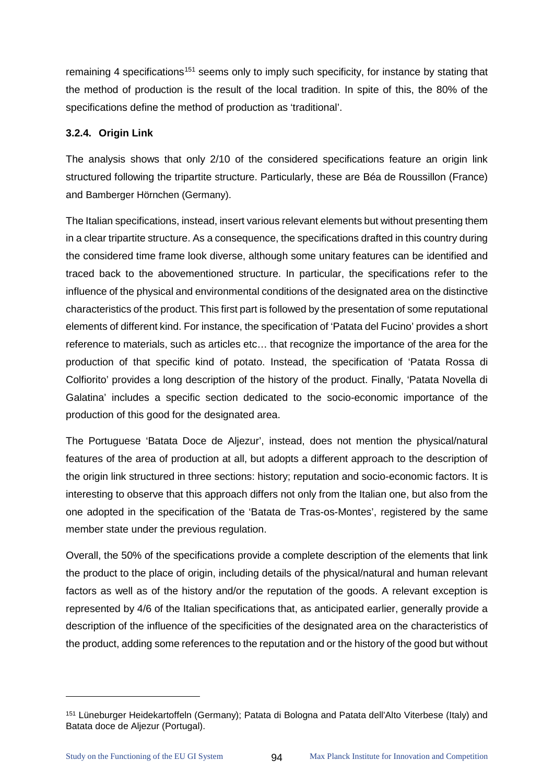remaining 4 specifications<sup>[151](#page-98-0)</sup> seems only to imply such specificity, for instance by stating that the method of production is the result of the local tradition. In spite of this, the 80% of the specifications define the method of production as 'traditional'.

# **3.2.4. Origin Link**

The analysis shows that only 2/10 of the considered specifications feature an origin link structured following the tripartite structure. Particularly, these are Béa de Roussillon (France) and Bamberger Hörnchen (Germany).

The Italian specifications, instead, insert various relevant elements but without presenting them in a clear tripartite structure. As a consequence, the specifications drafted in this country during the considered time frame look diverse, although some unitary features can be identified and traced back to the abovementioned structure. In particular, the specifications refer to the influence of the physical and environmental conditions of the designated area on the distinctive characteristics of the product. This first part is followed by the presentation of some reputational elements of different kind. For instance, the specification of 'Patata del Fucino' provides a short reference to materials, such as articles etc… that recognize the importance of the area for the production of that specific kind of potato. Instead, the specification of 'Patata Rossa di Colfiorito' provides a long description of the history of the product. Finally, 'Patata Novella di Galatina' includes a specific section dedicated to the socio-economic importance of the production of this good for the designated area.

The Portuguese 'Batata Doce de Aljezur', instead, does not mention the physical/natural features of the area of production at all, but adopts a different approach to the description of the origin link structured in three sections: history; reputation and socio-economic factors. It is interesting to observe that this approach differs not only from the Italian one, but also from the one adopted in the specification of the 'Batata de Tras-os-Montes', registered by the same member state under the previous regulation.

Overall, the 50% of the specifications provide a complete description of the elements that link the product to the place of origin, including details of the physical/natural and human relevant factors as well as of the history and/or the reputation of the goods. A relevant exception is represented by 4/6 of the Italian specifications that, as anticipated earlier, generally provide a description of the influence of the specificities of the designated area on the characteristics of the product, adding some references to the reputation and or the history of the good but without

 $\ddot{\phantom{a}}$ 

<span id="page-98-0"></span><sup>151</sup> Lüneburger Heidekartoffeln (Germany); Patata di Bologna and Patata dell'Alto Viterbese (Italy) and Batata doce de Aljezur (Portugal).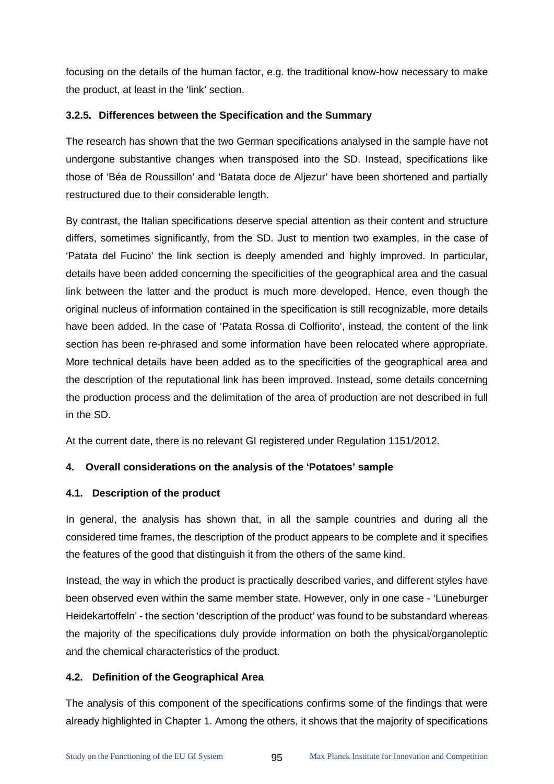focusing on the details of the human factor, e.g. the traditional know-how necessary to make the product, at least in the 'link' section.

# **3.2.5. Differences between the Specification and the Summary**

The research has shown that the two German specifications analysed in the sample have not undergone substantive changes when transposed into the SD. Instead, specifications like those of 'Béa de Roussillon' and 'Batata doce de Aljezur' have been shortened and partially restructured due to their considerable length.

By contrast, the Italian specifications deserve special attention as their content and structure differs, sometimes significantly, from the SD. Just to mention two examples, in the case of 'Patata del Fucino' the link section is deeply amended and highly improved. In particular, details have been added concerning the specificities of the geographical area and the casual link between the latter and the product is much more developed. Hence, even though the original nucleus of information contained in the specification is still recognizable, more details have been added. In the case of 'Patata Rossa di Colfiorito', instead, the content of the link section has been re-phrased and some information have been relocated where appropriate. More technical details have been added as to the specificities of the geographical area and the description of the reputational link has been improved. Instead, some details concerning the production process and the delimitation of the area of production are not described in full in the SD.

At the current date, there is no relevant GI registered under Regulation 1151/2012.

# **4. Overall considerations on the analysis of the 'Potatoes' sample**

# **4.1. Description of the product**

In general, the analysis has shown that, in all the sample countries and during all the considered time frames, the description of the product appears to be complete and it specifies the features of the good that distinguish it from the others of the same kind.

Instead, the way in which the product is practically described varies, and different styles have been observed even within the same member state. However, only in one case - 'Lüneburger Heidekartoffeln' - the section 'description of the product' was found to be substandard whereas the majority of the specifications duly provide information on both the physical/organoleptic and the chemical characteristics of the product.

# **4.2. Definition of the Geographical Area**

The analysis of this component of the specifications confirms some of the findings that were already highlighted in Chapter 1. Among the others, it shows that the majority of specifications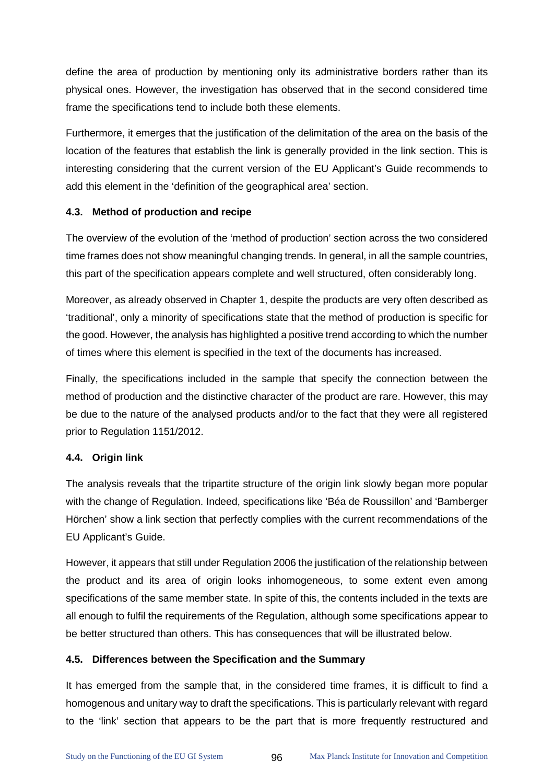define the area of production by mentioning only its administrative borders rather than its physical ones. However, the investigation has observed that in the second considered time frame the specifications tend to include both these elements.

Furthermore, it emerges that the justification of the delimitation of the area on the basis of the location of the features that establish the link is generally provided in the link section. This is interesting considering that the current version of the EU Applicant's Guide recommends to add this element in the 'definition of the geographical area' section.

# **4.3. Method of production and recipe**

The overview of the evolution of the 'method of production' section across the two considered time frames does not show meaningful changing trends. In general, in all the sample countries, this part of the specification appears complete and well structured, often considerably long.

Moreover, as already observed in Chapter 1, despite the products are very often described as 'traditional', only a minority of specifications state that the method of production is specific for the good. However, the analysis has highlighted a positive trend according to which the number of times where this element is specified in the text of the documents has increased.

Finally, the specifications included in the sample that specify the connection between the method of production and the distinctive character of the product are rare. However, this may be due to the nature of the analysed products and/or to the fact that they were all registered prior to Regulation 1151/2012.

# **4.4. Origin link**

The analysis reveals that the tripartite structure of the origin link slowly began more popular with the change of Regulation. Indeed, specifications like 'Béa de Roussillon' and 'Bamberger Hörchen' show a link section that perfectly complies with the current recommendations of the EU Applicant's Guide.

However, it appears that still under Regulation 2006 the justification of the relationship between the product and its area of origin looks inhomogeneous, to some extent even among specifications of the same member state. In spite of this, the contents included in the texts are all enough to fulfil the requirements of the Regulation, although some specifications appear to be better structured than others. This has consequences that will be illustrated below.

# **4.5. Differences between the Specification and the Summary**

It has emerged from the sample that, in the considered time frames, it is difficult to find a homogenous and unitary way to draft the specifications. This is particularly relevant with regard to the 'link' section that appears to be the part that is more frequently restructured and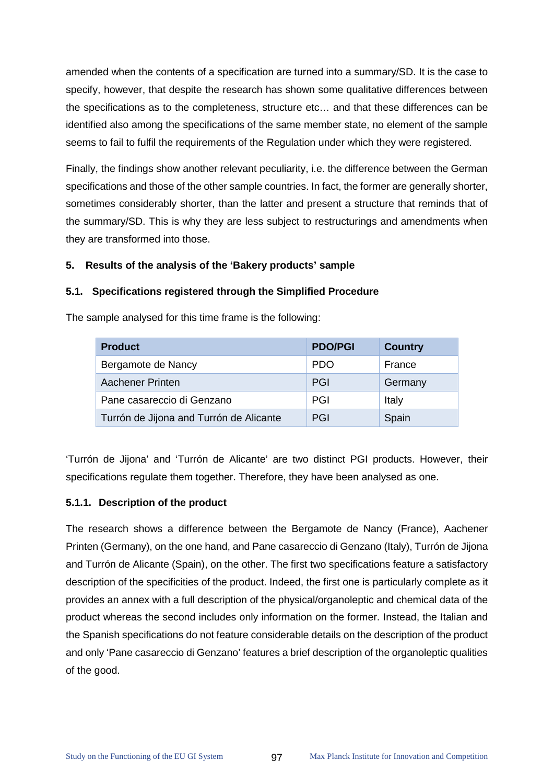amended when the contents of a specification are turned into a summary/SD. It is the case to specify, however, that despite the research has shown some qualitative differences between the specifications as to the completeness, structure etc… and that these differences can be identified also among the specifications of the same member state, no element of the sample seems to fail to fulfil the requirements of the Regulation under which they were registered.

Finally, the findings show another relevant peculiarity, i.e. the difference between the German specifications and those of the other sample countries. In fact, the former are generally shorter, sometimes considerably shorter, than the latter and present a structure that reminds that of the summary/SD. This is why they are less subject to restructurings and amendments when they are transformed into those.

### **5. Results of the analysis of the 'Bakery products' sample**

### **5.1. Specifications registered through the Simplified Procedure**

The sample analysed for this time frame is the following:

| <b>Product</b>                          | <b>PDO/PGI</b> | <b>Country</b> |
|-----------------------------------------|----------------|----------------|
| Bergamote de Nancy                      | <b>PDO</b>     | France         |
| Aachener Printen                        | PGI            | Germany        |
| Pane casareccio di Genzano              | PGI            | Italy          |
| Turrón de Jijona and Turrón de Alicante | PGI            | Spain          |

'Turrón de Jijona' and 'Turrón de Alicante' are two distinct PGI products. However, their specifications regulate them together. Therefore, they have been analysed as one.

#### **5.1.1. Description of the product**

The research shows a difference between the Bergamote de Nancy (France), Aachener Printen (Germany), on the one hand, and Pane casareccio di Genzano (Italy), Turrón de Jijona and Turrón de Alicante (Spain), on the other. The first two specifications feature a satisfactory description of the specificities of the product. Indeed, the first one is particularly complete as it provides an annex with a full description of the physical/organoleptic and chemical data of the product whereas the second includes only information on the former. Instead, the Italian and the Spanish specifications do not feature considerable details on the description of the product and only 'Pane casareccio di Genzano' features a brief description of the organoleptic qualities of the good.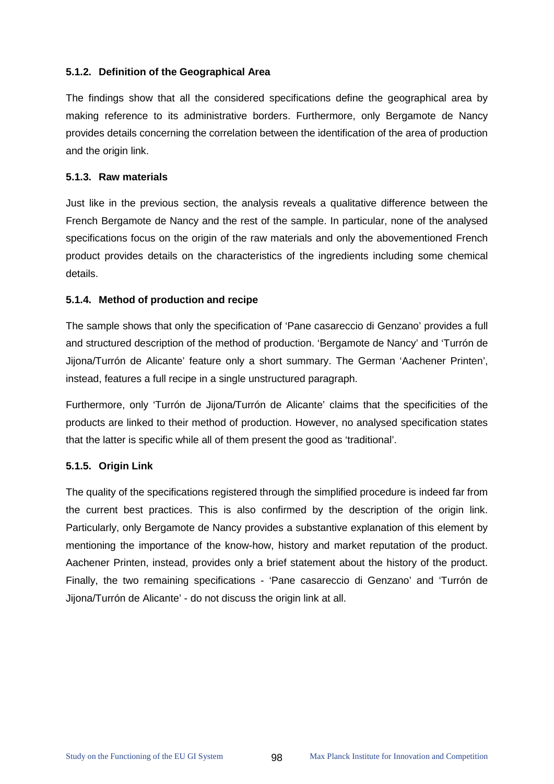# **5.1.2. Definition of the Geographical Area**

The findings show that all the considered specifications define the geographical area by making reference to its administrative borders. Furthermore, only Bergamote de Nancy provides details concerning the correlation between the identification of the area of production and the origin link.

#### **5.1.3. Raw materials**

Just like in the previous section, the analysis reveals a qualitative difference between the French Bergamote de Nancy and the rest of the sample. In particular, none of the analysed specifications focus on the origin of the raw materials and only the abovementioned French product provides details on the characteristics of the ingredients including some chemical details.

### **5.1.4. Method of production and recipe**

The sample shows that only the specification of 'Pane casareccio di Genzano' provides a full and structured description of the method of production. 'Bergamote de Nancy' and 'Turrón de Jijona/Turrón de Alicante' feature only a short summary. The German 'Aachener Printen', instead, features a full recipe in a single unstructured paragraph.

Furthermore, only 'Turrón de Jijona/Turrón de Alicante' claims that the specificities of the products are linked to their method of production. However, no analysed specification states that the latter is specific while all of them present the good as 'traditional'.

# **5.1.5. Origin Link**

The quality of the specifications registered through the simplified procedure is indeed far from the current best practices. This is also confirmed by the description of the origin link. Particularly, only Bergamote de Nancy provides a substantive explanation of this element by mentioning the importance of the know-how, history and market reputation of the product. Aachener Printen, instead, provides only a brief statement about the history of the product. Finally, the two remaining specifications - 'Pane casareccio di Genzano' and 'Turrón de Jijona/Turrón de Alicante' - do not discuss the origin link at all.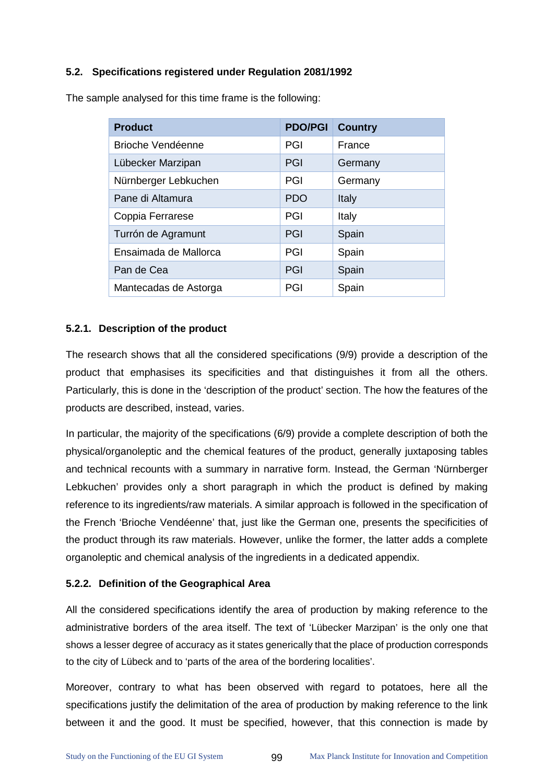# **5.2. Specifications registered under Regulation 2081/1992**

| <b>Product</b>           | <b>PDO/PGI</b> | <b>Country</b> |
|--------------------------|----------------|----------------|
| <b>Brioche Vendéenne</b> | PGI            | France         |
| Lübecker Marzipan        | PGI            | Germany        |
| Nürnberger Lebkuchen     | PGI            | Germany        |
| Pane di Altamura         | <b>PDO</b>     | Italy          |
| Coppia Ferrarese         | PGI            | Italy          |
| Turrón de Agramunt       | PGI            | Spain          |
| Ensaimada de Mallorca    | PGI            | Spain          |
| Pan de Cea               | PGI            | Spain          |
| Mantecadas de Astorga    | PGI            | Spain          |

The sample analysed for this time frame is the following:

# **5.2.1. Description of the product**

The research shows that all the considered specifications (9/9) provide a description of the product that emphasises its specificities and that distinguishes it from all the others. Particularly, this is done in the 'description of the product' section. The how the features of the products are described, instead, varies.

In particular, the majority of the specifications (6/9) provide a complete description of both the physical/organoleptic and the chemical features of the product, generally juxtaposing tables and technical recounts with a summary in narrative form. Instead, the German 'Nürnberger Lebkuchen' provides only a short paragraph in which the product is defined by making reference to its ingredients/raw materials. A similar approach is followed in the specification of the French 'Brioche Vendéenne' that, just like the German one, presents the specificities of the product through its raw materials. However, unlike the former, the latter adds a complete organoleptic and chemical analysis of the ingredients in a dedicated appendix.

#### **5.2.2. Definition of the Geographical Area**

All the considered specifications identify the area of production by making reference to the administrative borders of the area itself. The text of 'Lübecker Marzipan' is the only one that shows a lesser degree of accuracy as it states generically that the place of production corresponds to the city of Lübeck and to 'parts of the area of the bordering localities'.

Moreover, contrary to what has been observed with regard to potatoes, here all the specifications justify the delimitation of the area of production by making reference to the link between it and the good. It must be specified, however, that this connection is made by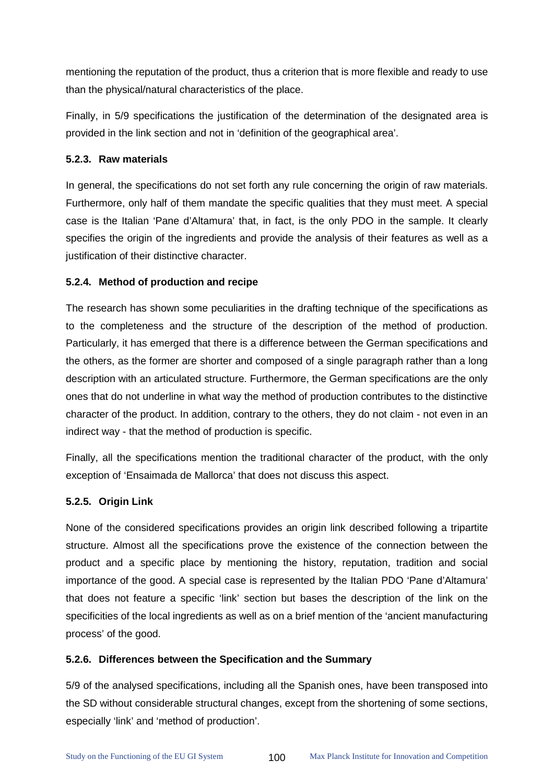mentioning the reputation of the product, thus a criterion that is more flexible and ready to use than the physical/natural characteristics of the place.

Finally, in 5/9 specifications the justification of the determination of the designated area is provided in the link section and not in 'definition of the geographical area'.

# **5.2.3. Raw materials**

In general, the specifications do not set forth any rule concerning the origin of raw materials. Furthermore, only half of them mandate the specific qualities that they must meet. A special case is the Italian 'Pane d'Altamura' that, in fact, is the only PDO in the sample. It clearly specifies the origin of the ingredients and provide the analysis of their features as well as a justification of their distinctive character.

# **5.2.4. Method of production and recipe**

The research has shown some peculiarities in the drafting technique of the specifications as to the completeness and the structure of the description of the method of production. Particularly, it has emerged that there is a difference between the German specifications and the others, as the former are shorter and composed of a single paragraph rather than a long description with an articulated structure. Furthermore, the German specifications are the only ones that do not underline in what way the method of production contributes to the distinctive character of the product. In addition, contrary to the others, they do not claim - not even in an indirect way - that the method of production is specific.

Finally, all the specifications mention the traditional character of the product, with the only exception of 'Ensaimada de Mallorca' that does not discuss this aspect.

# **5.2.5. Origin Link**

None of the considered specifications provides an origin link described following a tripartite structure. Almost all the specifications prove the existence of the connection between the product and a specific place by mentioning the history, reputation, tradition and social importance of the good. A special case is represented by the Italian PDO 'Pane d'Altamura' that does not feature a specific 'link' section but bases the description of the link on the specificities of the local ingredients as well as on a brief mention of the 'ancient manufacturing process' of the good.

# **5.2.6. Differences between the Specification and the Summary**

5/9 of the analysed specifications, including all the Spanish ones, have been transposed into the SD without considerable structural changes, except from the shortening of some sections, especially 'link' and 'method of production'.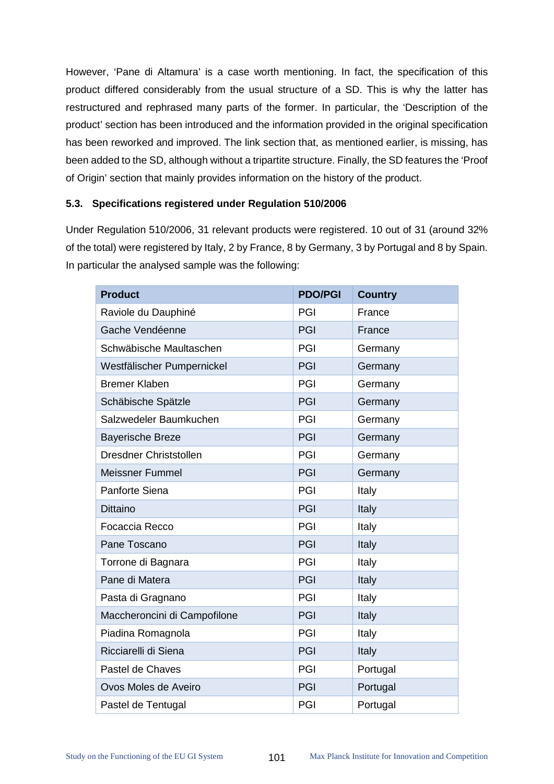However, 'Pane di Altamura' is a case worth mentioning. In fact, the specification of this product differed considerably from the usual structure of a SD. This is why the latter has restructured and rephrased many parts of the former. In particular, the 'Description of the product' section has been introduced and the information provided in the original specification has been reworked and improved. The link section that, as mentioned earlier, is missing, has been added to the SD, although without a tripartite structure. Finally, the SD features the 'Proof of Origin' section that mainly provides information on the history of the product.

#### **5.3. Specifications registered under Regulation 510/2006**

Under Regulation 510/2006, 31 relevant products were registered. 10 out of 31 (around 32% of the total) were registered by Italy, 2 by France, 8 by Germany, 3 by Portugal and 8 by Spain. In particular the analysed sample was the following:

| <b>Product</b>               | <b>PDO/PGI</b> | <b>Country</b> |
|------------------------------|----------------|----------------|
| Raviole du Dauphiné          | PGI            | France         |
| Gache Vendéenne              | PGI            | France         |
| Schwäbische Maultaschen      | PGI            | Germany        |
| Westfälischer Pumpernickel   | PGI            | Germany        |
| <b>Bremer Klaben</b>         | PGI            | Germany        |
| Schäbische Spätzle           | PGI            | Germany        |
| Salzwedeler Baumkuchen       | PGI            | Germany        |
| <b>Bayerische Breze</b>      | PGI            | Germany        |
| Dresdner Christstollen       | PGI            | Germany        |
| <b>Meissner Fummel</b>       | PGI            | Germany        |
| Panforte Siena               | PGI            | Italy          |
| <b>Dittaino</b>              | PGI            | Italy          |
| Focaccia Recco               | PGI            | Italy          |
| Pane Toscano                 | PGI            | Italy          |
| Torrone di Bagnara           | PGI            | Italy          |
| Pane di Matera               | PGI            | Italy          |
| Pasta di Gragnano            | PGI            | Italy          |
| Maccheroncini di Campofilone | PGI            | Italy          |
| Piadina Romagnola            | PGI            | Italy          |
| Ricciarelli di Siena         | PGI            | Italy          |
| Pastel de Chaves             | PGI            | Portugal       |
| Ovos Moles de Aveiro         | PGI            | Portugal       |
| Pastel de Tentugal           | PGI            | Portugal       |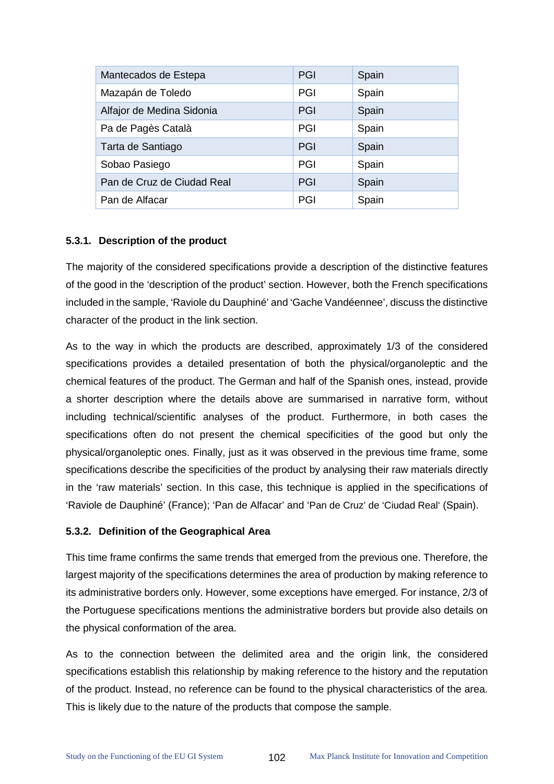| Mantecados de Estepa       | PGI | Spain |
|----------------------------|-----|-------|
| Mazapán de Toledo          | PGI | Spain |
| Alfajor de Medina Sidonia  | PGI | Spain |
| Pa de Pagès Català         | PGI | Spain |
| Tarta de Santiago          | PGI | Spain |
| Sobao Pasiego              | PGI | Spain |
| Pan de Cruz de Ciudad Real | PGI | Spain |
| Pan de Alfacar             | PGI | Spain |

### **5.3.1. Description of the product**

The majority of the considered specifications provide a description of the distinctive features of the good in the 'description of the product' section. However, both the French specifications included in the sample, 'Raviole du Dauphiné' and 'Gache Vandéennee', discuss the distinctive character of the product in the link section.

As to the way in which the products are described, approximately 1/3 of the considered specifications provides a detailed presentation of both the physical/organoleptic and the chemical features of the product. The German and half of the Spanish ones, instead, provide a shorter description where the details above are summarised in narrative form, without including technical/scientific analyses of the product. Furthermore, in both cases the specifications often do not present the chemical specificities of the good but only the physical/organoleptic ones. Finally, just as it was observed in the previous time frame, some specifications describe the specificities of the product by analysing their raw materials directly in the 'raw materials' section. In this case, this technique is applied in the specifications of 'Raviole de Dauphiné' (France); 'Pan de Alfacar' and 'Pan de Cruz' de 'Ciudad Real' (Spain).

#### **5.3.2. Definition of the Geographical Area**

This time frame confirms the same trends that emerged from the previous one. Therefore, the largest majority of the specifications determines the area of production by making reference to its administrative borders only. However, some exceptions have emerged. For instance, 2/3 of the Portuguese specifications mentions the administrative borders but provide also details on the physical conformation of the area.

As to the connection between the delimited area and the origin link, the considered specifications establish this relationship by making reference to the history and the reputation of the product. Instead, no reference can be found to the physical characteristics of the area. This is likely due to the nature of the products that compose the sample.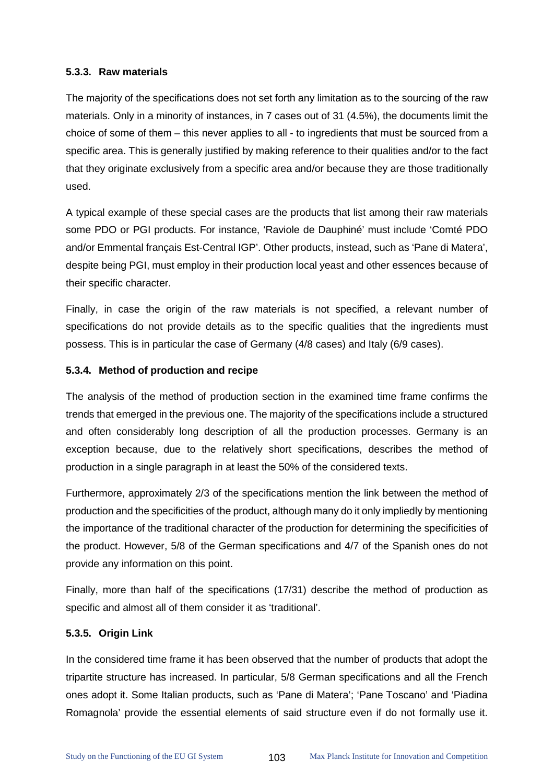### **5.3.3. Raw materials**

The majority of the specifications does not set forth any limitation as to the sourcing of the raw materials. Only in a minority of instances, in 7 cases out of 31 (4.5%), the documents limit the choice of some of them – this never applies to all - to ingredients that must be sourced from a specific area. This is generally justified by making reference to their qualities and/or to the fact that they originate exclusively from a specific area and/or because they are those traditionally used.

A typical example of these special cases are the products that list among their raw materials some PDO or PGI products. For instance, 'Raviole de Dauphiné' must include 'Comté PDO and/or Emmental français Est-Central IGP'. Other products, instead, such as 'Pane di Matera', despite being PGI, must employ in their production local yeast and other essences because of their specific character.

Finally, in case the origin of the raw materials is not specified, a relevant number of specifications do not provide details as to the specific qualities that the ingredients must possess. This is in particular the case of Germany (4/8 cases) and Italy (6/9 cases).

# **5.3.4. Method of production and recipe**

The analysis of the method of production section in the examined time frame confirms the trends that emerged in the previous one. The majority of the specifications include a structured and often considerably long description of all the production processes. Germany is an exception because, due to the relatively short specifications, describes the method of production in a single paragraph in at least the 50% of the considered texts.

Furthermore, approximately 2/3 of the specifications mention the link between the method of production and the specificities of the product, although many do it only impliedly by mentioning the importance of the traditional character of the production for determining the specificities of the product. However, 5/8 of the German specifications and 4/7 of the Spanish ones do not provide any information on this point.

Finally, more than half of the specifications (17/31) describe the method of production as specific and almost all of them consider it as 'traditional'.

# **5.3.5. Origin Link**

In the considered time frame it has been observed that the number of products that adopt the tripartite structure has increased. In particular, 5/8 German specifications and all the French ones adopt it. Some Italian products, such as 'Pane di Matera'; 'Pane Toscano' and 'Piadina Romagnola' provide the essential elements of said structure even if do not formally use it.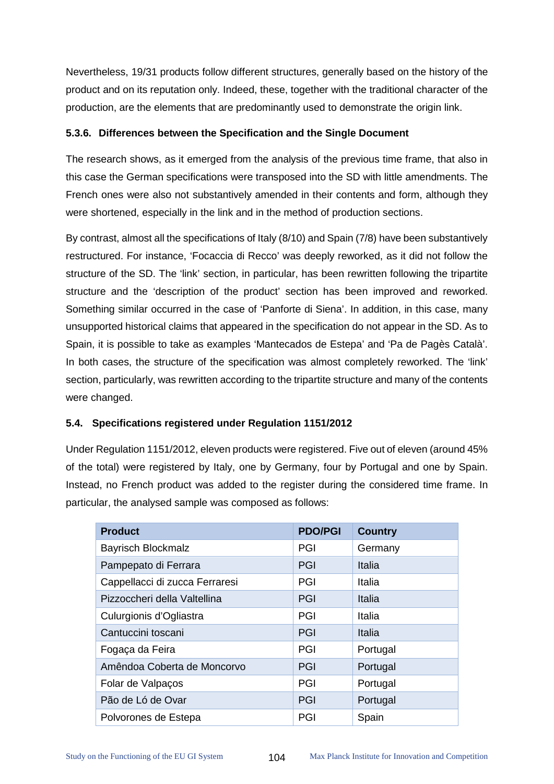Nevertheless, 19/31 products follow different structures, generally based on the history of the product and on its reputation only. Indeed, these, together with the traditional character of the production, are the elements that are predominantly used to demonstrate the origin link.

# **5.3.6. Differences between the Specification and the Single Document**

The research shows, as it emerged from the analysis of the previous time frame, that also in this case the German specifications were transposed into the SD with little amendments. The French ones were also not substantively amended in their contents and form, although they were shortened, especially in the link and in the method of production sections.

By contrast, almost all the specifications of Italy (8/10) and Spain (7/8) have been substantively restructured. For instance, 'Focaccia di Recco' was deeply reworked, as it did not follow the structure of the SD. The 'link' section, in particular, has been rewritten following the tripartite structure and the 'description of the product' section has been improved and reworked. Something similar occurred in the case of 'Panforte di Siena'. In addition, in this case, many unsupported historical claims that appeared in the specification do not appear in the SD. As to Spain, it is possible to take as examples 'Mantecados de Estepa' and 'Pa de Pagès Català'. In both cases, the structure of the specification was almost completely reworked. The 'link' section, particularly, was rewritten according to the tripartite structure and many of the contents were changed.

# **5.4. Specifications registered under Regulation 1151/2012**

Under Regulation 1151/2012, eleven products were registered. Five out of eleven (around 45% of the total) were registered by Italy, one by Germany, four by Portugal and one by Spain. Instead, no French product was added to the register during the considered time frame. In particular, the analysed sample was composed as follows:

| <b>Product</b>                 | <b>PDO/PGI</b> | <b>Country</b> |
|--------------------------------|----------------|----------------|
| <b>Bayrisch Blockmalz</b>      | PGI            | Germany        |
| Pampepato di Ferrara           | PGI            | Italia         |
| Cappellacci di zucca Ferraresi | PGI            | Italia         |
| Pizzoccheri della Valtellina   | PGI            | Italia         |
| Culurgionis d'Ogliastra        | PGI            | Italia         |
| Cantuccini toscani             | PGI            | Italia         |
| Fogaça da Feira                | PGI            | Portugal       |
| Amêndoa Coberta de Moncorvo    | PGI            | Portugal       |
| Folar de Valpaços              | PGI            | Portugal       |
| Pão de Ló de Ovar              | PGI            | Portugal       |
| Polvorones de Estepa           | PGI            | Spain          |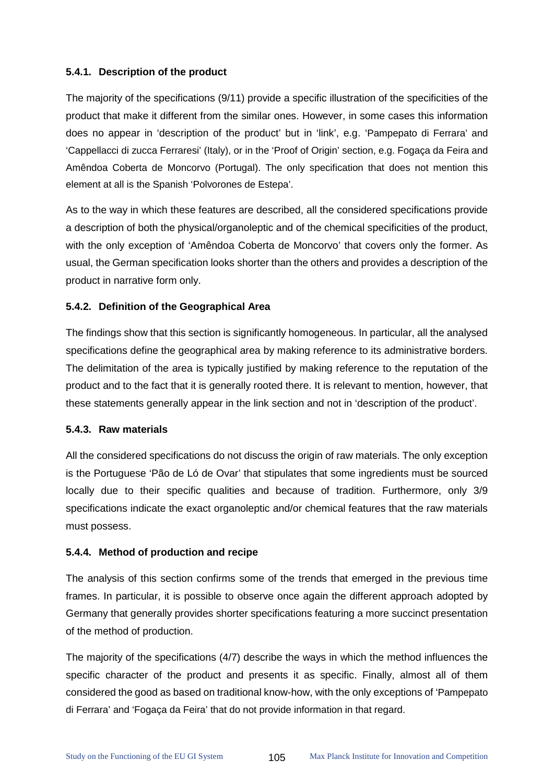# **5.4.1. Description of the product**

The majority of the specifications (9/11) provide a specific illustration of the specificities of the product that make it different from the similar ones. However, in some cases this information does no appear in 'description of the product' but in 'link', e.g. 'Pampepato di Ferrara' and 'Cappellacci di zucca Ferraresi' (Italy), or in the 'Proof of Origin' section, e.g. Fogaça da Feira and Amêndoa Coberta de Moncorvo (Portugal). The only specification that does not mention this element at all is the Spanish 'Polvorones de Estepa'.

As to the way in which these features are described, all the considered specifications provide a description of both the physical/organoleptic and of the chemical specificities of the product, with the only exception of 'Amêndoa Coberta de Moncorvo' that covers only the former. As usual, the German specification looks shorter than the others and provides a description of the product in narrative form only.

# **5.4.2. Definition of the Geographical Area**

The findings show that this section is significantly homogeneous. In particular, all the analysed specifications define the geographical area by making reference to its administrative borders. The delimitation of the area is typically justified by making reference to the reputation of the product and to the fact that it is generally rooted there. It is relevant to mention, however, that these statements generally appear in the link section and not in 'description of the product'.

# **5.4.3. Raw materials**

All the considered specifications do not discuss the origin of raw materials. The only exception is the Portuguese 'Pão de Ló de Ovar' that stipulates that some ingredients must be sourced locally due to their specific qualities and because of tradition. Furthermore, only 3/9 specifications indicate the exact organoleptic and/or chemical features that the raw materials must possess.

# **5.4.4. Method of production and recipe**

The analysis of this section confirms some of the trends that emerged in the previous time frames. In particular, it is possible to observe once again the different approach adopted by Germany that generally provides shorter specifications featuring a more succinct presentation of the method of production.

The majority of the specifications (4/7) describe the ways in which the method influences the specific character of the product and presents it as specific. Finally, almost all of them considered the good as based on traditional know-how, with the only exceptions of 'Pampepato di Ferrara' and 'Fogaça da Feira' that do not provide information in that regard.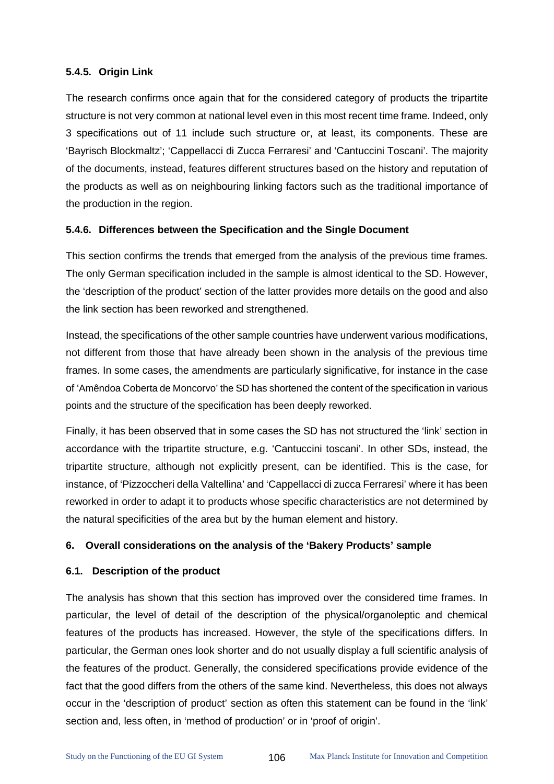# **5.4.5. Origin Link**

The research confirms once again that for the considered category of products the tripartite structure is not very common at national level even in this most recent time frame. Indeed, only 3 specifications out of 11 include such structure or, at least, its components. These are 'Bayrisch Blockmaltz'; 'Cappellacci di Zucca Ferraresi' and 'Cantuccini Toscani'. The majority of the documents, instead, features different structures based on the history and reputation of the products as well as on neighbouring linking factors such as the traditional importance of the production in the region.

## **5.4.6. Differences between the Specification and the Single Document**

This section confirms the trends that emerged from the analysis of the previous time frames. The only German specification included in the sample is almost identical to the SD. However, the 'description of the product' section of the latter provides more details on the good and also the link section has been reworked and strengthened.

Instead, the specifications of the other sample countries have underwent various modifications, not different from those that have already been shown in the analysis of the previous time frames. In some cases, the amendments are particularly significative, for instance in the case of 'Amêndoa Coberta de Moncorvo' the SD has shortened the content of the specification in various points and the structure of the specification has been deeply reworked.

Finally, it has been observed that in some cases the SD has not structured the 'link' section in accordance with the tripartite structure, e.g. 'Cantuccini toscani'. In other SDs, instead, the tripartite structure, although not explicitly present, can be identified. This is the case, for instance, of 'Pizzoccheri della Valtellina' and 'Cappellacci di zucca Ferraresi' where it has been reworked in order to adapt it to products whose specific characteristics are not determined by the natural specificities of the area but by the human element and history.

# **6. Overall considerations on the analysis of the 'Bakery Products' sample**

# **6.1. Description of the product**

The analysis has shown that this section has improved over the considered time frames. In particular, the level of detail of the description of the physical/organoleptic and chemical features of the products has increased. However, the style of the specifications differs. In particular, the German ones look shorter and do not usually display a full scientific analysis of the features of the product. Generally, the considered specifications provide evidence of the fact that the good differs from the others of the same kind. Nevertheless, this does not always occur in the 'description of product' section as often this statement can be found in the 'link' section and, less often, in 'method of production' or in 'proof of origin'.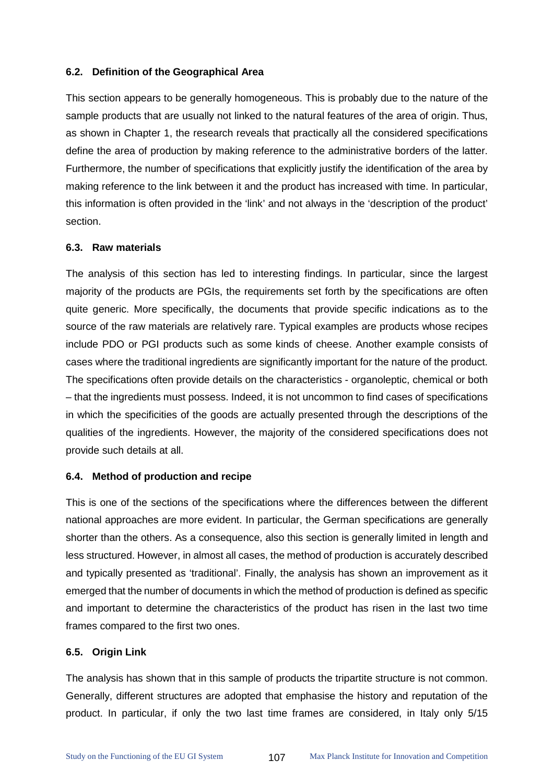#### **6.2. Definition of the Geographical Area**

This section appears to be generally homogeneous. This is probably due to the nature of the sample products that are usually not linked to the natural features of the area of origin. Thus, as shown in Chapter 1, the research reveals that practically all the considered specifications define the area of production by making reference to the administrative borders of the latter. Furthermore, the number of specifications that explicitly justify the identification of the area by making reference to the link between it and the product has increased with time. In particular, this information is often provided in the 'link' and not always in the 'description of the product' section.

#### **6.3. Raw materials**

The analysis of this section has led to interesting findings. In particular, since the largest majority of the products are PGIs, the requirements set forth by the specifications are often quite generic. More specifically, the documents that provide specific indications as to the source of the raw materials are relatively rare. Typical examples are products whose recipes include PDO or PGI products such as some kinds of cheese. Another example consists of cases where the traditional ingredients are significantly important for the nature of the product. The specifications often provide details on the characteristics - organoleptic, chemical or both – that the ingredients must possess. Indeed, it is not uncommon to find cases of specifications in which the specificities of the goods are actually presented through the descriptions of the qualities of the ingredients. However, the majority of the considered specifications does not provide such details at all.

#### **6.4. Method of production and recipe**

This is one of the sections of the specifications where the differences between the different national approaches are more evident. In particular, the German specifications are generally shorter than the others. As a consequence, also this section is generally limited in length and less structured. However, in almost all cases, the method of production is accurately described and typically presented as 'traditional'. Finally, the analysis has shown an improvement as it emerged that the number of documents in which the method of production is defined as specific and important to determine the characteristics of the product has risen in the last two time frames compared to the first two ones.

# **6.5. Origin Link**

The analysis has shown that in this sample of products the tripartite structure is not common. Generally, different structures are adopted that emphasise the history and reputation of the product. In particular, if only the two last time frames are considered, in Italy only 5/15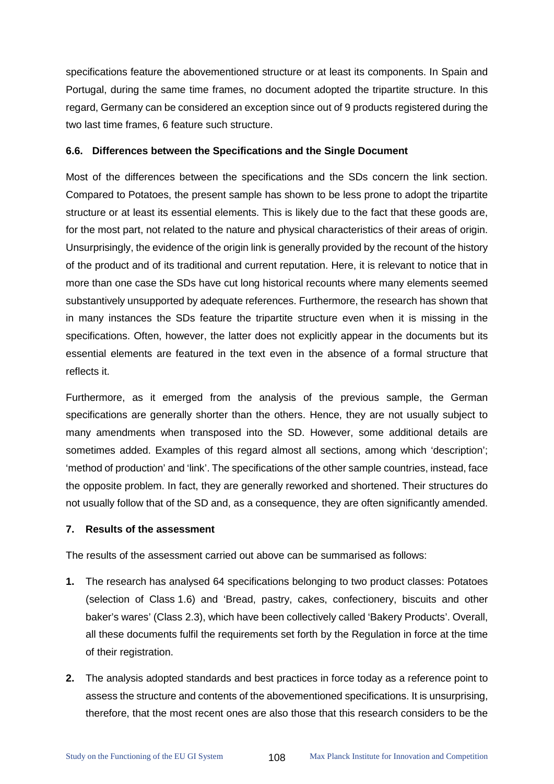specifications feature the abovementioned structure or at least its components. In Spain and Portugal, during the same time frames, no document adopted the tripartite structure. In this regard, Germany can be considered an exception since out of 9 products registered during the two last time frames, 6 feature such structure.

#### **6.6. Differences between the Specifications and the Single Document**

Most of the differences between the specifications and the SDs concern the link section. Compared to Potatoes, the present sample has shown to be less prone to adopt the tripartite structure or at least its essential elements. This is likely due to the fact that these goods are, for the most part, not related to the nature and physical characteristics of their areas of origin. Unsurprisingly, the evidence of the origin link is generally provided by the recount of the history of the product and of its traditional and current reputation. Here, it is relevant to notice that in more than one case the SDs have cut long historical recounts where many elements seemed substantively unsupported by adequate references. Furthermore, the research has shown that in many instances the SDs feature the tripartite structure even when it is missing in the specifications. Often, however, the latter does not explicitly appear in the documents but its essential elements are featured in the text even in the absence of a formal structure that reflects it.

Furthermore, as it emerged from the analysis of the previous sample, the German specifications are generally shorter than the others. Hence, they are not usually subject to many amendments when transposed into the SD. However, some additional details are sometimes added. Examples of this regard almost all sections, among which 'description'; 'method of production' and 'link'. The specifications of the other sample countries, instead, face the opposite problem. In fact, they are generally reworked and shortened. Their structures do not usually follow that of the SD and, as a consequence, they are often significantly amended.

#### **7. Results of the assessment**

The results of the assessment carried out above can be summarised as follows:

- **1.** The research has analysed 64 specifications belonging to two product classes: Potatoes (selection of Class 1.6) and 'Bread, pastry, cakes, confectionery, biscuits and other baker's wares' (Class 2.3), which have been collectively called 'Bakery Products'. Overall, all these documents fulfil the requirements set forth by the Regulation in force at the time of their registration.
- **2.** The analysis adopted standards and best practices in force today as a reference point to assess the structure and contents of the abovementioned specifications. It is unsurprising, therefore, that the most recent ones are also those that this research considers to be the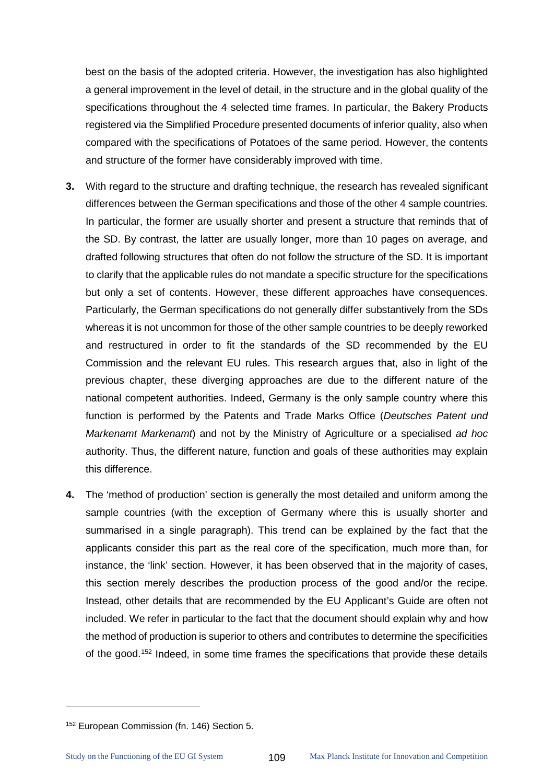best on the basis of the adopted criteria. However, the investigation has also highlighted a general improvement in the level of detail, in the structure and in the global quality of the specifications throughout the 4 selected time frames. In particular, the Bakery Products registered via the Simplified Procedure presented documents of inferior quality, also when compared with the specifications of Potatoes of the same period. However, the contents and structure of the former have considerably improved with time.

- **3.** With regard to the structure and drafting technique, the research has revealed significant differences between the German specifications and those of the other 4 sample countries. In particular, the former are usually shorter and present a structure that reminds that of the SD. By contrast, the latter are usually longer, more than 10 pages on average, and drafted following structures that often do not follow the structure of the SD. It is important to clarify that the applicable rules do not mandate a specific structure for the specifications but only a set of contents. However, these different approaches have consequences. Particularly, the German specifications do not generally differ substantively from the SDs whereas it is not uncommon for those of the other sample countries to be deeply reworked and restructured in order to fit the standards of the SD recommended by the EU Commission and the relevant EU rules. This research argues that, also in light of the previous chapter, these diverging approaches are due to the different nature of the national competent authorities. Indeed, Germany is the only sample country where this function is performed by the Patents and Trade Marks Office (*Deutsches Patent und Markenamt Markenamt*) and not by the Ministry of Agriculture or a specialised *ad hoc* authority. Thus, the different nature, function and goals of these authorities may explain this difference.
- **4.** The 'method of production' section is generally the most detailed and uniform among the sample countries (with the exception of Germany where this is usually shorter and summarised in a single paragraph). This trend can be explained by the fact that the applicants consider this part as the real core of the specification, much more than, for instance, the 'link' section. However, it has been observed that in the majority of cases, this section merely describes the production process of the good and/or the recipe. Instead, other details that are recommended by the EU Applicant's Guide are often not included. We refer in particular to the fact that the document should explain why and how the method of production is superior to others and contributes to determine the specificities of the good.<sup>[152](#page-113-0)</sup> Indeed, in some time frames the specifications that provide these details

<span id="page-113-0"></span><sup>152</sup> European Commission (fn. 146) Section 5.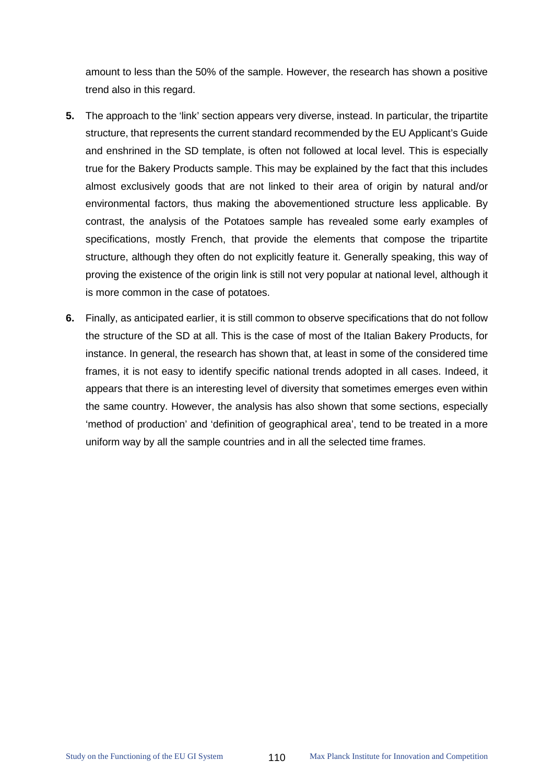amount to less than the 50% of the sample. However, the research has shown a positive trend also in this regard.

- **5.** The approach to the 'link' section appears very diverse, instead. In particular, the tripartite structure, that represents the current standard recommended by the EU Applicant's Guide and enshrined in the SD template, is often not followed at local level. This is especially true for the Bakery Products sample. This may be explained by the fact that this includes almost exclusively goods that are not linked to their area of origin by natural and/or environmental factors, thus making the abovementioned structure less applicable. By contrast, the analysis of the Potatoes sample has revealed some early examples of specifications, mostly French, that provide the elements that compose the tripartite structure, although they often do not explicitly feature it. Generally speaking, this way of proving the existence of the origin link is still not very popular at national level, although it is more common in the case of potatoes.
- **6.** Finally, as anticipated earlier, it is still common to observe specifications that do not follow the structure of the SD at all. This is the case of most of the Italian Bakery Products, for instance. In general, the research has shown that, at least in some of the considered time frames, it is not easy to identify specific national trends adopted in all cases. Indeed, it appears that there is an interesting level of diversity that sometimes emerges even within the same country. However, the analysis has also shown that some sections, especially 'method of production' and 'definition of geographical area', tend to be treated in a more uniform way by all the sample countries and in all the selected time frames.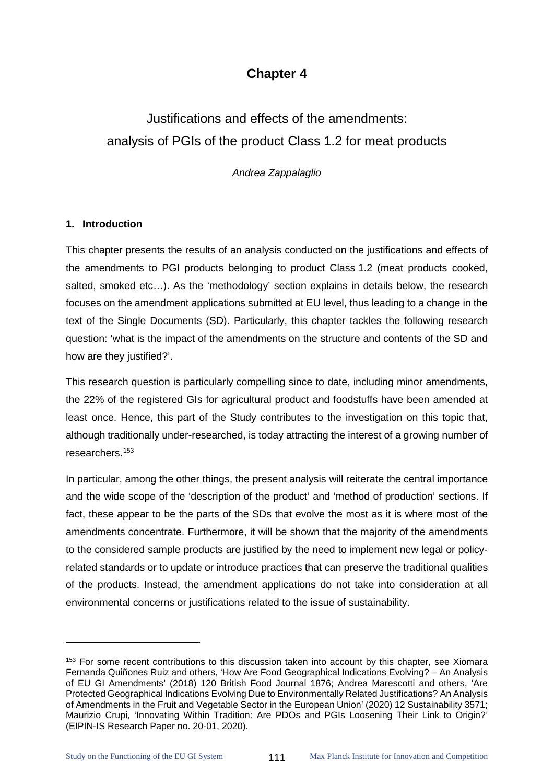# **Chapter 4**

# Justifications and effects of the amendments: analysis of PGIs of the product Class 1.2 for meat products

*Andrea Zappalaglio* 

#### **1. Introduction**

This chapter presents the results of an analysis conducted on the justifications and effects of the amendments to PGI products belonging to product Class 1.2 (meat products cooked, salted, smoked etc…). As the 'methodology' section explains in details below, the research focuses on the amendment applications submitted at EU level, thus leading to a change in the text of the Single Documents (SD). Particularly, this chapter tackles the following research question: 'what is the impact of the amendments on the structure and contents of the SD and how are they justified?'.

This research question is particularly compelling since to date, including minor amendments, the 22% of the registered GIs for agricultural product and foodstuffs have been amended at least once. Hence, this part of the Study contributes to the investigation on this topic that, although traditionally under-researched, is today attracting the interest of a growing number of researchers.[153](#page-115-0)

In particular, among the other things, the present analysis will reiterate the central importance and the wide scope of the 'description of the product' and 'method of production' sections. If fact, these appear to be the parts of the SDs that evolve the most as it is where most of the amendments concentrate. Furthermore, it will be shown that the majority of the amendments to the considered sample products are justified by the need to implement new legal or policyrelated standards or to update or introduce practices that can preserve the traditional qualities of the products. Instead, the amendment applications do not take into consideration at all environmental concerns or justifications related to the issue of sustainability.

<span id="page-115-0"></span><sup>&</sup>lt;sup>153</sup> For some recent contributions to this discussion taken into account by this chapter, see Xiomara Fernanda Quiñones Ruiz and others, 'How Are Food Geographical Indications Evolving? – An Analysis of EU GI Amendments' (2018) 120 British Food Journal 1876; Andrea Marescotti and others, 'Are Protected Geographical Indications Evolving Due to Environmentally Related Justifications? An Analysis of Amendments in the Fruit and Vegetable Sector in the European Union' (2020) 12 Sustainability 3571; Maurizio Crupi, 'Innovating Within Tradition: Are PDOs and PGIs Loosening Their Link to Origin?' (EIPIN-IS Research Paper no. 20-01, 2020).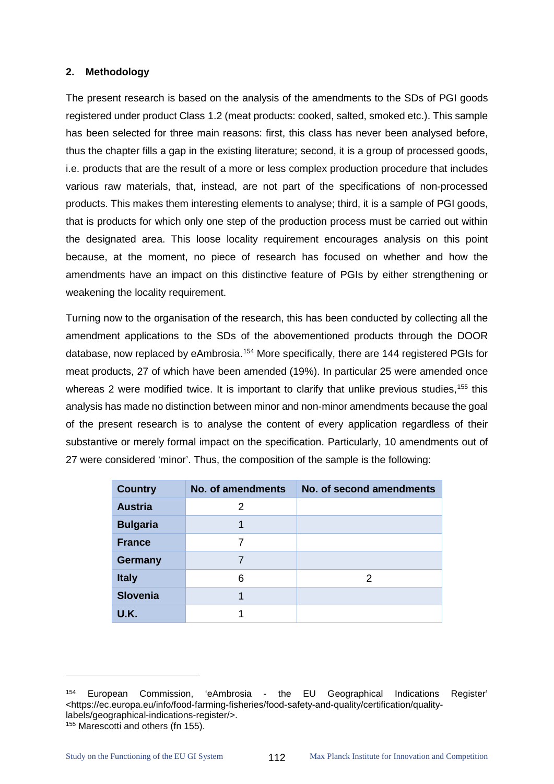#### **2. Methodology**

The present research is based on the analysis of the amendments to the SDs of PGI goods registered under product Class 1.2 (meat products: cooked, salted, smoked etc.). This sample has been selected for three main reasons: first, this class has never been analysed before, thus the chapter fills a gap in the existing literature; second, it is a group of processed goods, i.e. products that are the result of a more or less complex production procedure that includes various raw materials, that, instead, are not part of the specifications of non-processed products. This makes them interesting elements to analyse; third, it is a sample of PGI goods, that is products for which only one step of the production process must be carried out within the designated area. This loose locality requirement encourages analysis on this point because, at the moment, no piece of research has focused on whether and how the amendments have an impact on this distinctive feature of PGIs by either strengthening or weakening the locality requirement.

Turning now to the organisation of the research, this has been conducted by collecting all the amendment applications to the SDs of the abovementioned products through the DOOR database, now replaced by eAmbrosia.<sup>[154](#page-116-0)</sup> More specifically, there are 144 registered PGIs for meat products, 27 of which have been amended (19%). In particular 25 were amended once whereas 2 were modified twice. It is important to clarify that unlike previous studies,  $155$  this analysis has made no distinction between minor and non-minor amendments because the goal of the present research is to analyse the content of every application regardless of their substantive or merely formal impact on the specification. Particularly, 10 amendments out of 27 were considered 'minor'. Thus, the composition of the sample is the following:

| <b>Country</b>  | No. of amendments | No. of second amendments |
|-----------------|-------------------|--------------------------|
| <b>Austria</b>  | 2                 |                          |
| <b>Bulgaria</b> |                   |                          |
| <b>France</b>   |                   |                          |
| <b>Germany</b>  |                   |                          |
| <b>Italy</b>    | 6                 | 2                        |
| <b>Slovenia</b> |                   |                          |
| <b>U.K.</b>     |                   |                          |

<span id="page-116-0"></span><sup>154</sup> European Commission, 'eAmbrosia - the EU Geographical Indications Register' <https://ec.europa.eu/info/food-farming-fisheries/food-safety-and-quality/certification/qualitylabels/geographical-indications-register/>. 155 Marescotti and others (fn 155).

<span id="page-116-1"></span>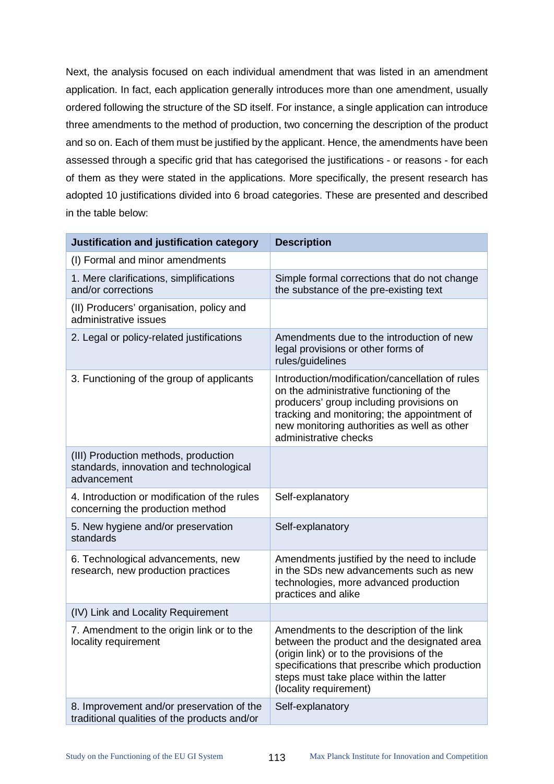Next, the analysis focused on each individual amendment that was listed in an amendment application. In fact, each application generally introduces more than one amendment, usually ordered following the structure of the SD itself. For instance, a single application can introduce three amendments to the method of production, two concerning the description of the product and so on. Each of them must be justified by the applicant. Hence, the amendments have been assessed through a specific grid that has categorised the justifications - or reasons - for each of them as they were stated in the applications. More specifically, the present research has adopted 10 justifications divided into 6 broad categories. These are presented and described in the table below:

| Justification and justification category                                                       | <b>Description</b>                                                                                                                                                                                                                                             |
|------------------------------------------------------------------------------------------------|----------------------------------------------------------------------------------------------------------------------------------------------------------------------------------------------------------------------------------------------------------------|
| (I) Formal and minor amendments                                                                |                                                                                                                                                                                                                                                                |
| 1. Mere clarifications, simplifications<br>and/or corrections                                  | Simple formal corrections that do not change<br>the substance of the pre-existing text                                                                                                                                                                         |
| (II) Producers' organisation, policy and<br>administrative issues                              |                                                                                                                                                                                                                                                                |
| 2. Legal or policy-related justifications                                                      | Amendments due to the introduction of new<br>legal provisions or other forms of<br>rules/guidelines                                                                                                                                                            |
| 3. Functioning of the group of applicants                                                      | Introduction/modification/cancellation of rules<br>on the administrative functioning of the<br>producers' group including provisions on<br>tracking and monitoring; the appointment of<br>new monitoring authorities as well as other<br>administrative checks |
| (III) Production methods, production<br>standards, innovation and technological<br>advancement |                                                                                                                                                                                                                                                                |
| 4. Introduction or modification of the rules<br>concerning the production method               | Self-explanatory                                                                                                                                                                                                                                               |
| 5. New hygiene and/or preservation<br>standards                                                | Self-explanatory                                                                                                                                                                                                                                               |
| 6. Technological advancements, new<br>research, new production practices                       | Amendments justified by the need to include<br>in the SDs new advancements such as new<br>technologies, more advanced production<br>practices and alike                                                                                                        |
| (IV) Link and Locality Requirement                                                             |                                                                                                                                                                                                                                                                |
| 7. Amendment to the origin link or to the<br>locality requirement                              | Amendments to the description of the link<br>between the product and the designated area<br>(origin link) or to the provisions of the<br>specifications that prescribe which production<br>steps must take place within the latter<br>(locality requirement)   |
| 8. Improvement and/or preservation of the<br>traditional qualities of the products and/or      | Self-explanatory                                                                                                                                                                                                                                               |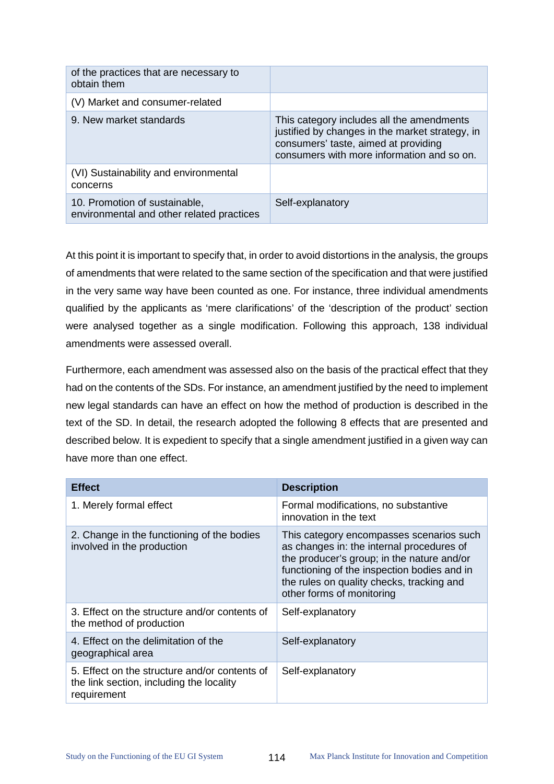| of the practices that are necessary to<br>obtain them                      |                                                                                                                                                                                    |
|----------------------------------------------------------------------------|------------------------------------------------------------------------------------------------------------------------------------------------------------------------------------|
| (V) Market and consumer-related                                            |                                                                                                                                                                                    |
| 9. New market standards                                                    | This category includes all the amendments<br>justified by changes in the market strategy, in<br>consumers' taste, aimed at providing<br>consumers with more information and so on. |
| (VI) Sustainability and environmental<br>concerns                          |                                                                                                                                                                                    |
| 10. Promotion of sustainable,<br>environmental and other related practices | Self-explanatory                                                                                                                                                                   |

At this point it is important to specify that, in order to avoid distortions in the analysis, the groups of amendments that were related to the same section of the specification and that were justified in the very same way have been counted as one. For instance, three individual amendments qualified by the applicants as 'mere clarifications' of the 'description of the product' section were analysed together as a single modification. Following this approach, 138 individual amendments were assessed overall.

Furthermore, each amendment was assessed also on the basis of the practical effect that they had on the contents of the SDs. For instance, an amendment justified by the need to implement new legal standards can have an effect on how the method of production is described in the text of the SD. In detail, the research adopted the following 8 effects that are presented and described below. It is expedient to specify that a single amendment justified in a given way can have more than one effect.

| <b>Effect</b>                                                                                            | <b>Description</b>                                                                                                                                                                                                                                           |
|----------------------------------------------------------------------------------------------------------|--------------------------------------------------------------------------------------------------------------------------------------------------------------------------------------------------------------------------------------------------------------|
| 1. Merely formal effect                                                                                  | Formal modifications, no substantive<br>innovation in the text                                                                                                                                                                                               |
| 2. Change in the functioning of the bodies<br>involved in the production                                 | This category encompasses scenarios such<br>as changes in: the internal procedures of<br>the producer's group; in the nature and/or<br>functioning of the inspection bodies and in<br>the rules on quality checks, tracking and<br>other forms of monitoring |
| 3. Effect on the structure and/or contents of<br>the method of production                                | Self-explanatory                                                                                                                                                                                                                                             |
| 4. Effect on the delimitation of the<br>geographical area                                                | Self-explanatory                                                                                                                                                                                                                                             |
| 5. Effect on the structure and/or contents of<br>the link section, including the locality<br>requirement | Self-explanatory                                                                                                                                                                                                                                             |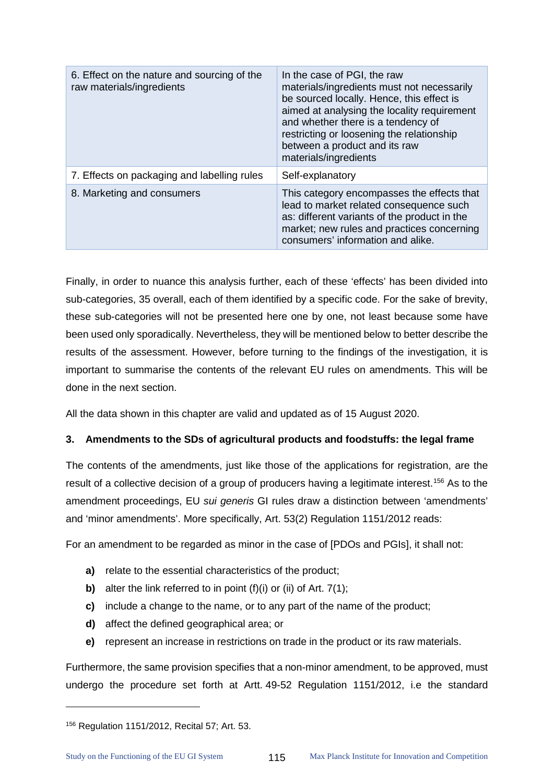| 6. Effect on the nature and sourcing of the<br>raw materials/ingredients | In the case of PGI, the raw<br>materials/ingredients must not necessarily<br>be sourced locally. Hence, this effect is<br>aimed at analysing the locality requirement<br>and whether there is a tendency of<br>restricting or loosening the relationship<br>between a product and its raw<br>materials/ingredients |
|--------------------------------------------------------------------------|--------------------------------------------------------------------------------------------------------------------------------------------------------------------------------------------------------------------------------------------------------------------------------------------------------------------|
| 7. Effects on packaging and labelling rules                              | Self-explanatory                                                                                                                                                                                                                                                                                                   |
| 8. Marketing and consumers                                               | This category encompasses the effects that<br>lead to market related consequence such<br>as: different variants of the product in the<br>market; new rules and practices concerning<br>consumers' information and alike.                                                                                           |

Finally, in order to nuance this analysis further, each of these 'effects' has been divided into sub-categories, 35 overall, each of them identified by a specific code. For the sake of brevity, these sub-categories will not be presented here one by one, not least because some have been used only sporadically. Nevertheless, they will be mentioned below to better describe the results of the assessment. However, before turning to the findings of the investigation, it is important to summarise the contents of the relevant EU rules on amendments. This will be done in the next section.

All the data shown in this chapter are valid and updated as of 15 August 2020.

# **3. Amendments to the SDs of agricultural products and foodstuffs: the legal frame**

The contents of the amendments, just like those of the applications for registration, are the result of a collective decision of a group of producers having a legitimate interest.<sup>[156](#page-119-0)</sup> As to the amendment proceedings, EU *sui generis* GI rules draw a distinction between 'amendments' and 'minor amendments'. More specifically, Art. 53(2) Regulation 1151/2012 reads:

For an amendment to be regarded as minor in the case of [PDOs and PGIs], it shall not:

- **a)** relate to the essential characteristics of the product;
- **b)** alter the link referred to in point (f)(i) or (ii) of Art. 7(1);
- **c)** include a change to the name, or to any part of the name of the product;
- **d)** affect the defined geographical area; or
- **e)** represent an increase in restrictions on trade in the product or its raw materials.

Furthermore, the same provision specifies that a non-minor amendment, to be approved, must undergo the procedure set forth at Artt. 49-52 Regulation 1151/2012, i.e the standard

<span id="page-119-0"></span><sup>156</sup> Regulation 1151/2012, Recital 57; Art. 53.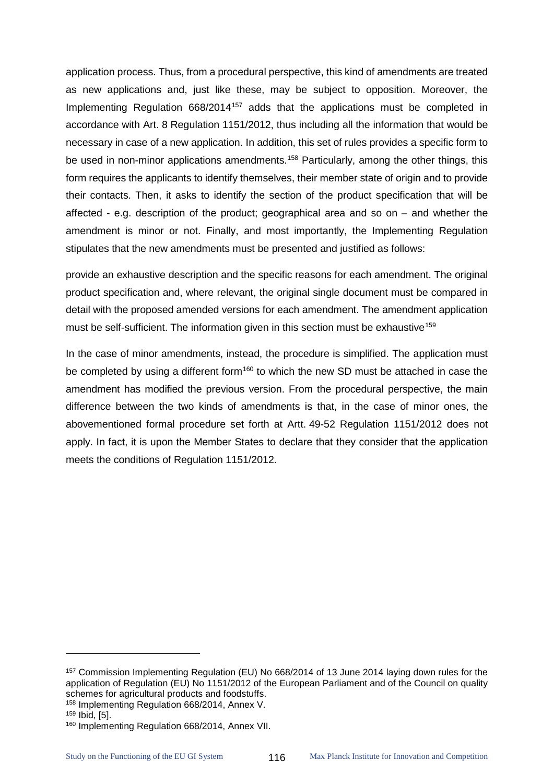application process. Thus, from a procedural perspective, this kind of amendments are treated as new applications and, just like these, may be subject to opposition. Moreover, the Implementing Regulation 668/2014<sup>[157](#page-120-0)</sup> adds that the applications must be completed in accordance with Art. 8 Regulation 1151/2012, thus including all the information that would be necessary in case of a new application. In addition, this set of rules provides a specific form to be used in non-minor applications amendments.<sup>[158](#page-120-1)</sup> Particularly, among the other things, this form requires the applicants to identify themselves, their member state of origin and to provide their contacts. Then, it asks to identify the section of the product specification that will be affected - e.g. description of the product; geographical area and so on – and whether the amendment is minor or not. Finally, and most importantly, the Implementing Regulation stipulates that the new amendments must be presented and justified as follows:

provide an exhaustive description and the specific reasons for each amendment. The original product specification and, where relevant, the original single document must be compared in detail with the proposed amended versions for each amendment. The amendment application must be self-sufficient. The information given in this section must be exhaustive<sup>[159](#page-120-2)</sup>

In the case of minor amendments, instead, the procedure is simplified. The application must be completed by using a different form<sup>[160](#page-120-3)</sup> to which the new SD must be attached in case the amendment has modified the previous version. From the procedural perspective, the main difference between the two kinds of amendments is that, in the case of minor ones, the abovementioned formal procedure set forth at Artt. 49-52 Regulation 1151/2012 does not apply. In fact, it is upon the Member States to declare that they consider that the application meets the conditions of Regulation 1151/2012.

 $\ddot{\phantom{a}}$ 

<span id="page-120-0"></span><sup>157</sup> Commission Implementing Regulation (EU) No 668/2014 of 13 June 2014 laying down rules for the application of Regulation (EU) No 1151/2012 of the European Parliament and of the Council on quality schemes for agricultural products and foodstuffs.

<span id="page-120-1"></span><sup>158</sup> Implementing Regulation 668/2014, Annex V.

<span id="page-120-2"></span><sup>159</sup> Ibid, [5].

<span id="page-120-3"></span><sup>160</sup> Implementing Regulation 668/2014, Annex VII.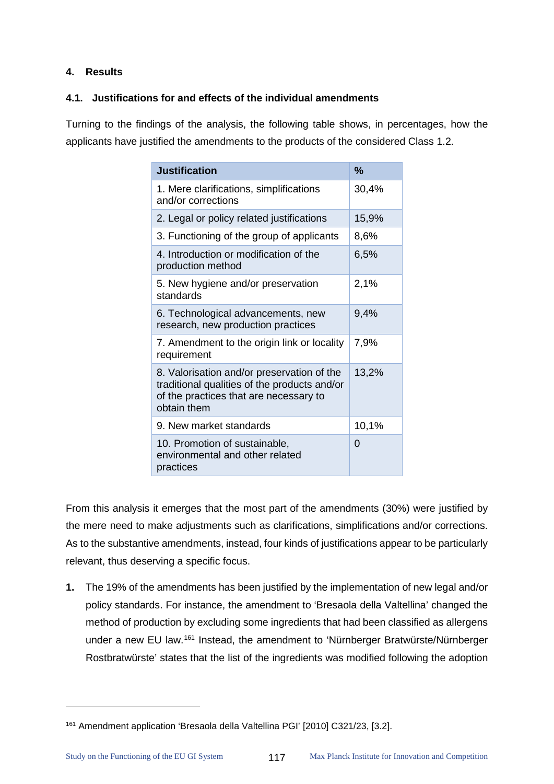# **4. Results**

 $\overline{a}$ 

# **4.1. Justifications for and effects of the individual amendments**

Turning to the findings of the analysis, the following table shows, in percentages, how the applicants have justified the amendments to the products of the considered Class 1.2.

| <b>Justification</b>                                                                                                                                | $\frac{9}{6}$ |
|-----------------------------------------------------------------------------------------------------------------------------------------------------|---------------|
| 1. Mere clarifications, simplifications<br>and/or corrections                                                                                       | 30,4%         |
| 2. Legal or policy related justifications                                                                                                           | 15,9%         |
| 3. Functioning of the group of applicants                                                                                                           | 8,6%          |
| 4. Introduction or modification of the<br>production method                                                                                         | 6,5%          |
| 5. New hygiene and/or preservation<br>standards                                                                                                     | 2,1%          |
| 6. Technological advancements, new<br>research, new production practices                                                                            | 9,4%          |
| 7. Amendment to the origin link or locality<br>requirement                                                                                          | 7,9%          |
| 8. Valorisation and/or preservation of the<br>traditional qualities of the products and/or<br>of the practices that are necessary to<br>obtain them | 13,2%         |
| 9. New market standards                                                                                                                             | 10,1%         |
| 10. Promotion of sustainable,<br>environmental and other related<br>practices                                                                       | $\Omega$      |

From this analysis it emerges that the most part of the amendments (30%) were justified by the mere need to make adjustments such as clarifications, simplifications and/or corrections. As to the substantive amendments, instead, four kinds of justifications appear to be particularly relevant, thus deserving a specific focus.

**1.** The 19% of the amendments has been justified by the implementation of new legal and/or policy standards. For instance, the amendment to 'Bresaola della Valtellina' changed the method of production by excluding some ingredients that had been classified as allergens under a new EU law.[161](#page-121-0) Instead, the amendment to 'Nürnberger Bratwürste/Nürnberger Rostbratwürste' states that the list of the ingredients was modified following the adoption

<span id="page-121-0"></span><sup>161</sup> Amendment application 'Bresaola della Valtellina PGI' [2010] C321/23, [3.2].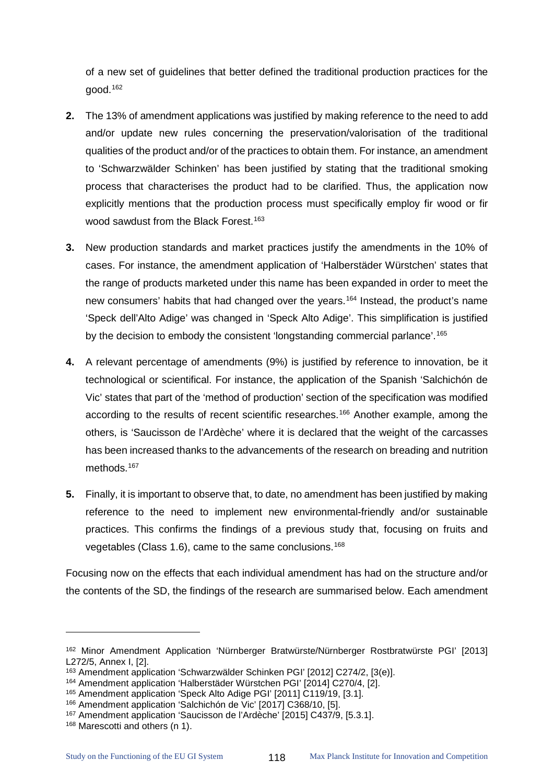of a new set of guidelines that better defined the traditional production practices for the good.[162](#page-122-0)

- **2.** The 13% of amendment applications was justified by making reference to the need to add and/or update new rules concerning the preservation/valorisation of the traditional qualities of the product and/or of the practices to obtain them. For instance, an amendment to 'Schwarzwälder Schinken' has been justified by stating that the traditional smoking process that characterises the product had to be clarified. Thus, the application now explicitly mentions that the production process must specifically employ fir wood or fir wood sawdust from the Black Forest.<sup>[163](#page-122-1)</sup>
- **3.** New production standards and market practices justify the amendments in the 10% of cases. For instance, the amendment application of 'Halberstäder Würstchen' states that the range of products marketed under this name has been expanded in order to meet the new consumers' habits that had changed over the years.<sup>[164](#page-122-2)</sup> Instead, the product's name 'Speck dell'Alto Adige' was changed in 'Speck Alto Adige'. This simplification is justified by the decision to embody the consistent 'longstanding commercial parlance'.<sup>[165](#page-122-3)</sup>
- **4.** A relevant percentage of amendments (9%) is justified by reference to innovation, be it technological or scientifical. For instance, the application of the Spanish 'Salchichón de Vic' states that part of the 'method of production' section of the specification was modified according to the results of recent scientific researches.<sup>[166](#page-122-4)</sup> Another example, among the others, is 'Saucisson de l'Ardèche' where it is declared that the weight of the carcasses has been increased thanks to the advancements of the research on breading and nutrition methods.<sup>[167](#page-122-5)</sup>
- **5.** Finally, it is important to observe that, to date, no amendment has been justified by making reference to the need to implement new environmental-friendly and/or sustainable practices. This confirms the findings of a previous study that, focusing on fruits and vegetables (Class 1.6), came to the same conclusions.[168](#page-122-6)

Focusing now on the effects that each individual amendment has had on the structure and/or the contents of the SD, the findings of the research are summarised below. Each amendment

 $\ddot{\phantom{a}}$ 

<span id="page-122-0"></span><sup>162</sup> Minor Amendment Application 'Nürnberger Bratwürste/Nürnberger Rostbratwürste PGI' [2013] L272/5, Annex I, [2].

<span id="page-122-1"></span><sup>163</sup> Amendment application 'Schwarzwälder Schinken PGI' [2012] C274/2, [3(e)].

<span id="page-122-2"></span><sup>164</sup> Amendment application 'Halberstäder Würstchen PGI' [2014] C270/4, [2].

<span id="page-122-3"></span><sup>165</sup> Amendment application 'Speck Alto Adige PGI' [2011] C119/19, [3.1].

<span id="page-122-4"></span><sup>166</sup> Amendment application 'Salchichón de Vic' [2017] C368/10, [5].

<span id="page-122-5"></span><sup>&</sup>lt;sup>167</sup> Amendment application 'Saucisson de l'Ardèche' [2015] C437/9, [5.3.1].

<span id="page-122-6"></span><sup>168</sup> Marescotti and others (n 1).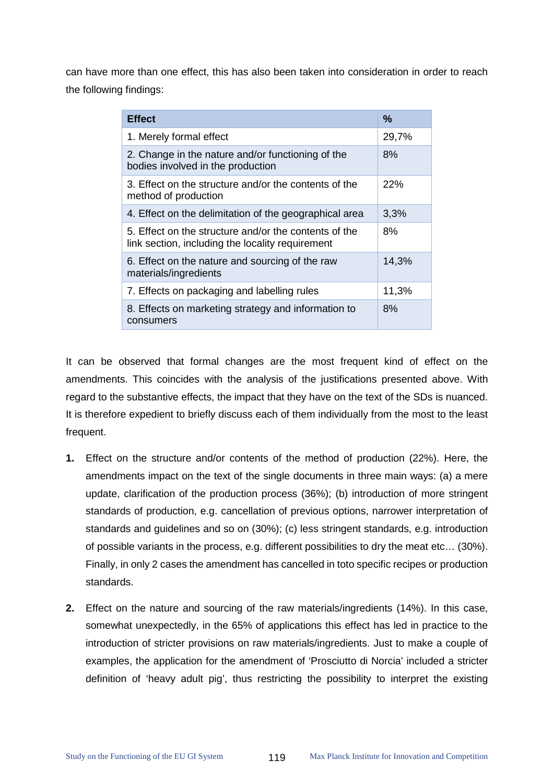can have more than one effect, this has also been taken into consideration in order to reach the following findings:

| <b>Effect</b>                                                                                             | $\%$  |
|-----------------------------------------------------------------------------------------------------------|-------|
| 1. Merely formal effect                                                                                   | 29,7% |
| 2. Change in the nature and/or functioning of the<br>bodies involved in the production                    | 8%    |
| 3. Effect on the structure and/or the contents of the<br>method of production                             | 22%   |
| 4. Effect on the delimitation of the geographical area                                                    | 3,3%  |
| 5. Effect on the structure and/or the contents of the<br>link section, including the locality requirement | 8%    |
| 6. Effect on the nature and sourcing of the raw<br>materials/ingredients                                  | 14,3% |
| 7. Effects on packaging and labelling rules                                                               | 11,3% |
| 8. Effects on marketing strategy and information to<br>consumers                                          | 8%    |

It can be observed that formal changes are the most frequent kind of effect on the amendments. This coincides with the analysis of the justifications presented above. With regard to the substantive effects, the impact that they have on the text of the SDs is nuanced. It is therefore expedient to briefly discuss each of them individually from the most to the least frequent.

- **1.** Effect on the structure and/or contents of the method of production (22%). Here, the amendments impact on the text of the single documents in three main ways: (a) a mere update, clarification of the production process (36%); (b) introduction of more stringent standards of production, e.g. cancellation of previous options, narrower interpretation of standards and guidelines and so on (30%); (c) less stringent standards, e.g. introduction of possible variants in the process, e.g. different possibilities to dry the meat etc… (30%). Finally, in only 2 cases the amendment has cancelled in toto specific recipes or production standards.
- **2.** Effect on the nature and sourcing of the raw materials/ingredients (14%). In this case, somewhat unexpectedly, in the 65% of applications this effect has led in practice to the introduction of stricter provisions on raw materials/ingredients. Just to make a couple of examples, the application for the amendment of 'Prosciutto di Norcia' included a stricter definition of 'heavy adult pig', thus restricting the possibility to interpret the existing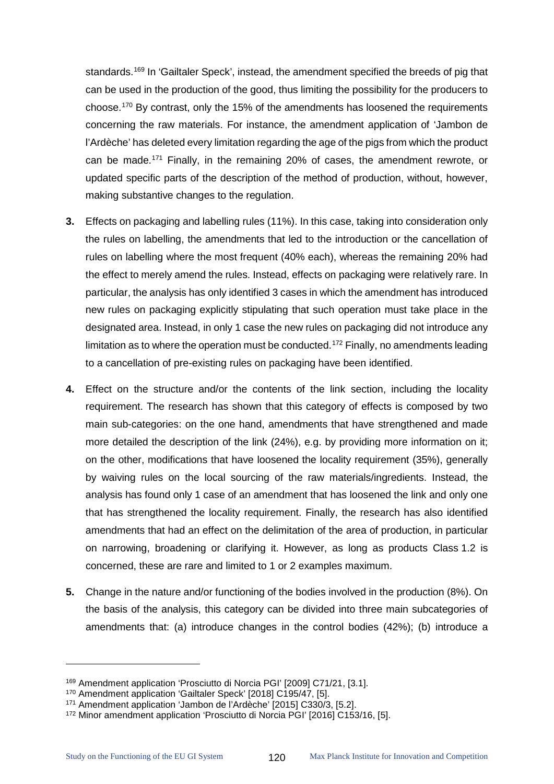standards.<sup>[169](#page-124-0)</sup> In 'Gailtaler Speck', instead, the amendment specified the breeds of pig that can be used in the production of the good, thus limiting the possibility for the producers to choose.[170](#page-124-1) By contrast, only the 15% of the amendments has loosened the requirements concerning the raw materials. For instance, the amendment application of 'Jambon de l'Ardèche' has deleted every limitation regarding the age of the pigs from which the product can be made.[171](#page-124-2) Finally, in the remaining 20% of cases, the amendment rewrote, or updated specific parts of the description of the method of production, without, however, making substantive changes to the regulation.

- **3.** Effects on packaging and labelling rules (11%). In this case, taking into consideration only the rules on labelling, the amendments that led to the introduction or the cancellation of rules on labelling where the most frequent (40% each), whereas the remaining 20% had the effect to merely amend the rules. Instead, effects on packaging were relatively rare. In particular, the analysis has only identified 3 cases in which the amendment has introduced new rules on packaging explicitly stipulating that such operation must take place in the designated area. Instead, in only 1 case the new rules on packaging did not introduce any limitation as to where the operation must be conducted.<sup>[172](#page-124-3)</sup> Finally, no amendments leading to a cancellation of pre-existing rules on packaging have been identified.
- **4.** Effect on the structure and/or the contents of the link section, including the locality requirement. The research has shown that this category of effects is composed by two main sub-categories: on the one hand, amendments that have strengthened and made more detailed the description of the link (24%), e.g. by providing more information on it; on the other, modifications that have loosened the locality requirement (35%), generally by waiving rules on the local sourcing of the raw materials/ingredients. Instead, the analysis has found only 1 case of an amendment that has loosened the link and only one that has strengthened the locality requirement. Finally, the research has also identified amendments that had an effect on the delimitation of the area of production, in particular on narrowing, broadening or clarifying it. However, as long as products Class 1.2 is concerned, these are rare and limited to 1 or 2 examples maximum.
- **5.** Change in the nature and/or functioning of the bodies involved in the production (8%). On the basis of the analysis, this category can be divided into three main subcategories of amendments that: (a) introduce changes in the control bodies (42%); (b) introduce a

<span id="page-124-0"></span><sup>169</sup> Amendment application 'Prosciutto di Norcia PGI' [2009] C71/21, [3.1].

<span id="page-124-1"></span><sup>170</sup> Amendment application 'Gailtaler Speck' [2018] C195/47, [5].

<span id="page-124-2"></span><sup>171</sup> Amendment application 'Jambon de l'Ardèche' [2015] C330/3, [5.2].

<span id="page-124-3"></span><sup>172</sup> Minor amendment application 'Prosciutto di Norcia PGI' [2016] C153/16, [5].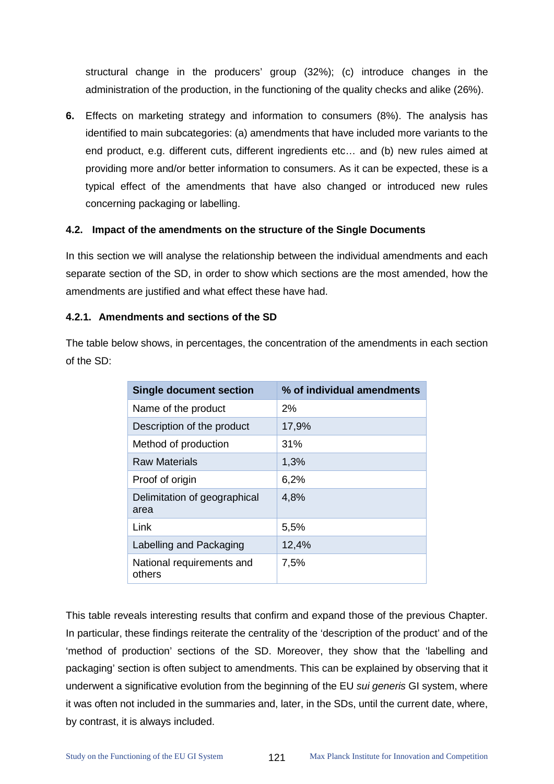structural change in the producers' group (32%); (c) introduce changes in the administration of the production, in the functioning of the quality checks and alike (26%).

**6.** Effects on marketing strategy and information to consumers (8%). The analysis has identified to main subcategories: (a) amendments that have included more variants to the end product, e.g. different cuts, different ingredients etc… and (b) new rules aimed at providing more and/or better information to consumers. As it can be expected, these is a typical effect of the amendments that have also changed or introduced new rules concerning packaging or labelling.

#### **4.2. Impact of the amendments on the structure of the Single Documents**

In this section we will analyse the relationship between the individual amendments and each separate section of the SD, in order to show which sections are the most amended, how the amendments are justified and what effect these have had.

#### **4.2.1. Amendments and sections of the SD**

The table below shows, in percentages, the concentration of the amendments in each section of the SD:

| <b>Single document section</b>       | % of individual amendments |
|--------------------------------------|----------------------------|
| Name of the product                  | 2%                         |
| Description of the product           | 17,9%                      |
| Method of production                 | 31%                        |
| <b>Raw Materials</b>                 | 1,3%                       |
| Proof of origin                      | 6,2%                       |
| Delimitation of geographical<br>area | 4,8%                       |
| Link                                 | 5,5%                       |
| Labelling and Packaging              | 12,4%                      |
| National requirements and<br>others  | 7,5%                       |

This table reveals interesting results that confirm and expand those of the previous Chapter. In particular, these findings reiterate the centrality of the 'description of the product' and of the 'method of production' sections of the SD. Moreover, they show that the 'labelling and packaging' section is often subject to amendments. This can be explained by observing that it underwent a significative evolution from the beginning of the EU *sui generis* GI system, where it was often not included in the summaries and, later, in the SDs, until the current date, where, by contrast, it is always included.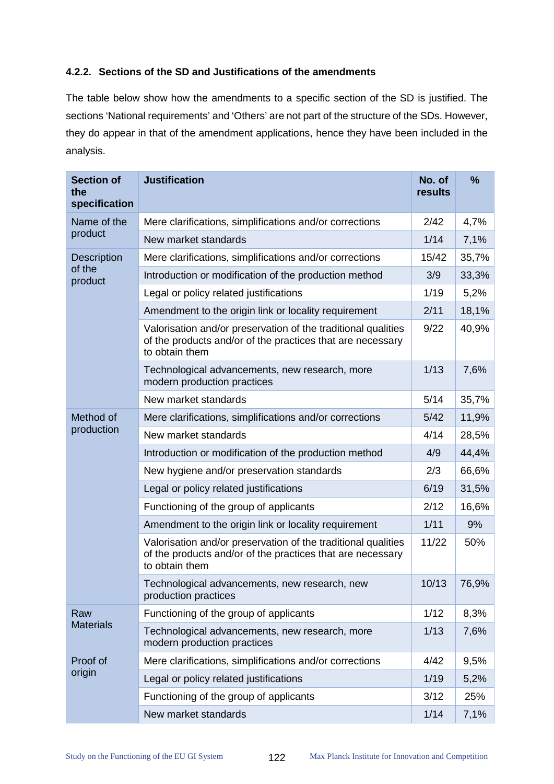# **4.2.2. Sections of the SD and Justifications of the amendments**

The table below show how the amendments to a specific section of the SD is justified. The sections 'National requirements' and 'Others' are not part of the structure of the SDs. However, they do appear in that of the amendment applications, hence they have been included in the analysis.

| <b>Section of</b><br>the<br>specification | <b>Justification</b>                                                                                                                          | No. of<br>results | $\frac{9}{6}$ |
|-------------------------------------------|-----------------------------------------------------------------------------------------------------------------------------------------------|-------------------|---------------|
| Name of the                               | Mere clarifications, simplifications and/or corrections                                                                                       | 2/42              | 4,7%          |
| product                                   | New market standards                                                                                                                          | 1/14              | 7,1%          |
| <b>Description</b>                        | Mere clarifications, simplifications and/or corrections                                                                                       | 15/42             | 35,7%         |
| of the<br>product                         | Introduction or modification of the production method                                                                                         | 3/9               | 33,3%         |
|                                           | Legal or policy related justifications                                                                                                        | 1/19              | 5,2%          |
|                                           | Amendment to the origin link or locality requirement                                                                                          | 2/11              | 18,1%         |
|                                           | Valorisation and/or preservation of the traditional qualities<br>of the products and/or of the practices that are necessary<br>to obtain them | 9/22              | 40,9%         |
|                                           | Technological advancements, new research, more<br>modern production practices                                                                 | 1/13              | 7,6%          |
|                                           | New market standards                                                                                                                          | 5/14              | 35,7%         |
| Method of                                 | Mere clarifications, simplifications and/or corrections                                                                                       | 5/42              | 11,9%         |
| production                                | New market standards                                                                                                                          | 4/14              | 28,5%         |
|                                           | Introduction or modification of the production method                                                                                         | 4/9               | 44,4%         |
|                                           | New hygiene and/or preservation standards                                                                                                     | 2/3               | 66,6%         |
|                                           | Legal or policy related justifications                                                                                                        | 6/19              | 31,5%         |
|                                           | Functioning of the group of applicants                                                                                                        | 2/12              | 16,6%         |
|                                           | Amendment to the origin link or locality requirement                                                                                          | 1/11              | 9%            |
|                                           | Valorisation and/or preservation of the traditional qualities<br>of the products and/or of the practices that are necessary<br>to obtain them | 11/22             | 50%           |
|                                           | Technological advancements, new research, new<br>production practices                                                                         | 10/13             | 76,9%         |
| Raw                                       | Functioning of the group of applicants                                                                                                        | 1/12              | 8,3%          |
| <b>Materials</b>                          | Technological advancements, new research, more<br>modern production practices                                                                 | 1/13              | 7,6%          |
| Proof of                                  | Mere clarifications, simplifications and/or corrections                                                                                       | 4/42              | 9,5%          |
| origin                                    | Legal or policy related justifications                                                                                                        | 1/19              | 5,2%          |
|                                           | Functioning of the group of applicants                                                                                                        | 3/12              | 25%           |
|                                           | New market standards                                                                                                                          | 1/14              | 7,1%          |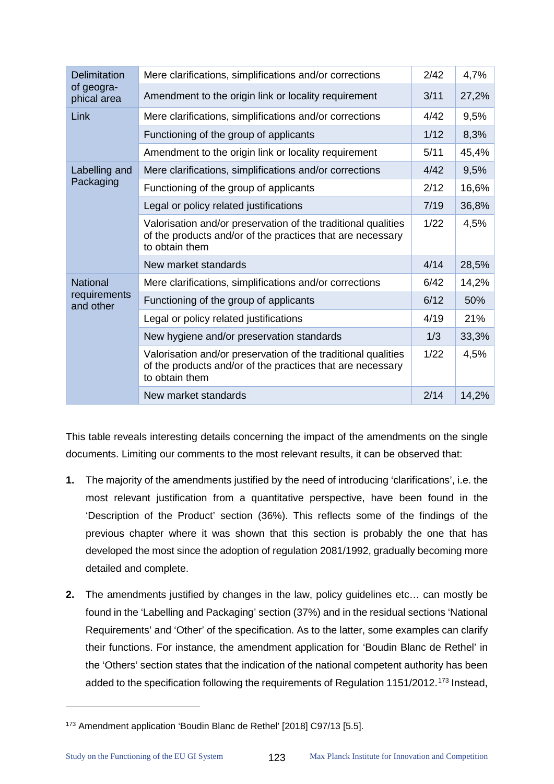| <b>Delimitation</b>       | Mere clarifications, simplifications and/or corrections                                                                                       | 2/42 | 4,7%  |
|---------------------------|-----------------------------------------------------------------------------------------------------------------------------------------------|------|-------|
| of geogra-<br>phical area | Amendment to the origin link or locality requirement                                                                                          | 3/11 | 27,2% |
| Link                      | Mere clarifications, simplifications and/or corrections                                                                                       | 4/42 | 9,5%  |
|                           | Functioning of the group of applicants                                                                                                        | 1/12 | 8,3%  |
|                           | Amendment to the origin link or locality requirement                                                                                          | 5/11 | 45,4% |
| Labelling and             | Mere clarifications, simplifications and/or corrections                                                                                       | 4/42 | 9,5%  |
| Packaging                 | Functioning of the group of applicants                                                                                                        | 2/12 | 16,6% |
|                           | Legal or policy related justifications                                                                                                        | 7/19 | 36,8% |
|                           | Valorisation and/or preservation of the traditional qualities<br>of the products and/or of the practices that are necessary<br>to obtain them | 1/22 | 4,5%  |
|                           | New market standards                                                                                                                          | 4/14 | 28,5% |
| <b>National</b>           | Mere clarifications, simplifications and/or corrections                                                                                       | 6/42 | 14,2% |
| requirements<br>and other | Functioning of the group of applicants                                                                                                        | 6/12 | 50%   |
|                           | Legal or policy related justifications                                                                                                        | 4/19 | 21%   |
|                           | New hygiene and/or preservation standards                                                                                                     | 1/3  | 33,3% |
|                           | Valorisation and/or preservation of the traditional qualities<br>of the products and/or of the practices that are necessary<br>to obtain them | 1/22 | 4,5%  |
|                           | New market standards                                                                                                                          | 2/14 | 14,2% |

This table reveals interesting details concerning the impact of the amendments on the single documents. Limiting our comments to the most relevant results, it can be observed that:

- **1.** The majority of the amendments justified by the need of introducing 'clarifications', i.e. the most relevant justification from a quantitative perspective, have been found in the 'Description of the Product' section (36%). This reflects some of the findings of the previous chapter where it was shown that this section is probably the one that has developed the most since the adoption of regulation 2081/1992, gradually becoming more detailed and complete.
- **2.** The amendments justified by changes in the law, policy guidelines etc… can mostly be found in the 'Labelling and Packaging' section (37%) and in the residual sections 'National Requirements' and 'Other' of the specification. As to the latter, some examples can clarify their functions. For instance, the amendment application for 'Boudin Blanc de Rethel' in the 'Others' section states that the indication of the national competent authority has been added to the specification following the requirements of Regulation 1151/2012.<sup>[173](#page-127-0)</sup> Instead,

<span id="page-127-0"></span><sup>173</sup> Amendment application 'Boudin Blanc de Rethel' [2018] C97/13 [5.5].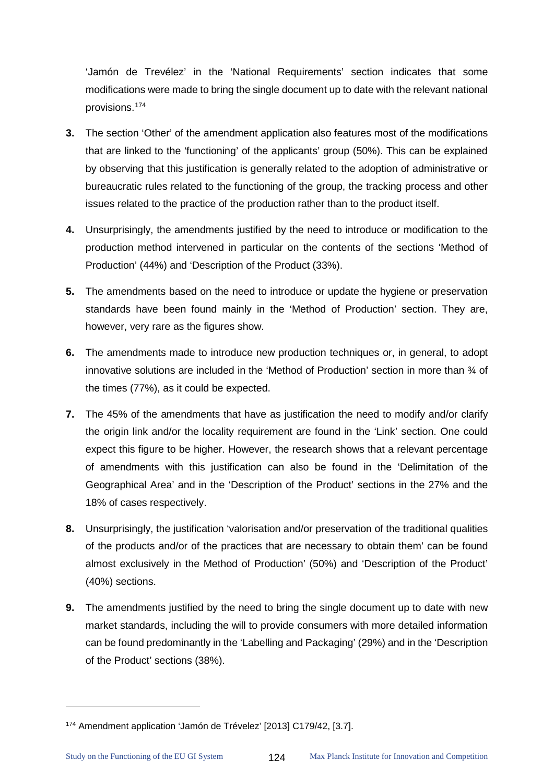'Jamón de Trevélez' in the 'National Requirements' section indicates that some modifications were made to bring the single document up to date with the relevant national provisions.[174](#page-128-0)

- **3.** The section 'Other' of the amendment application also features most of the modifications that are linked to the 'functioning' of the applicants' group (50%). This can be explained by observing that this justification is generally related to the adoption of administrative or bureaucratic rules related to the functioning of the group, the tracking process and other issues related to the practice of the production rather than to the product itself.
- **4.** Unsurprisingly, the amendments justified by the need to introduce or modification to the production method intervened in particular on the contents of the sections 'Method of Production' (44%) and 'Description of the Product (33%).
- **5.** The amendments based on the need to introduce or update the hygiene or preservation standards have been found mainly in the 'Method of Production' section. They are, however, very rare as the figures show.
- **6.** The amendments made to introduce new production techniques or, in general, to adopt innovative solutions are included in the 'Method of Production' section in more than  $\frac{3}{4}$  of the times (77%), as it could be expected.
- **7.** The 45% of the amendments that have as justification the need to modify and/or clarify the origin link and/or the locality requirement are found in the 'Link' section. One could expect this figure to be higher. However, the research shows that a relevant percentage of amendments with this justification can also be found in the 'Delimitation of the Geographical Area' and in the 'Description of the Product' sections in the 27% and the 18% of cases respectively.
- **8.** Unsurprisingly, the justification 'valorisation and/or preservation of the traditional qualities of the products and/or of the practices that are necessary to obtain them' can be found almost exclusively in the Method of Production' (50%) and 'Description of the Product' (40%) sections.
- **9.** The amendments justified by the need to bring the single document up to date with new market standards, including the will to provide consumers with more detailed information can be found predominantly in the 'Labelling and Packaging' (29%) and in the 'Description of the Product' sections (38%).

<span id="page-128-0"></span><sup>174</sup> Amendment application 'Jamón de Trévelez' [2013] C179/42, [3.7].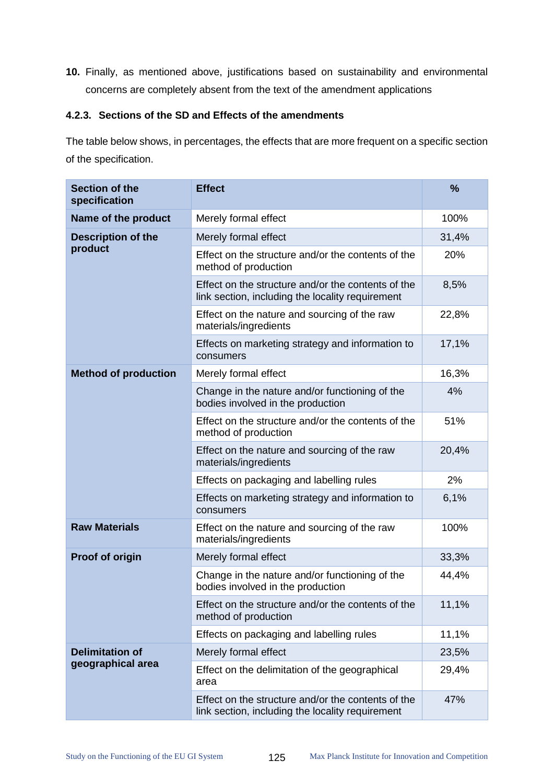**10.** Finally, as mentioned above, justifications based on sustainability and environmental concerns are completely absent from the text of the amendment applications

# **4.2.3. Sections of the SD and Effects of the amendments**

The table below shows, in percentages, the effects that are more frequent on a specific section of the specification.

| <b>Section of the</b><br>specification | <b>Effect</b>                                                                                          | $\frac{9}{6}$ |
|----------------------------------------|--------------------------------------------------------------------------------------------------------|---------------|
| Name of the product                    | Merely formal effect                                                                                   | 100%          |
| <b>Description of the</b><br>product   | Merely formal effect                                                                                   | 31,4%         |
|                                        | Effect on the structure and/or the contents of the<br>method of production                             | 20%           |
|                                        | Effect on the structure and/or the contents of the<br>link section, including the locality requirement | 8,5%          |
|                                        | Effect on the nature and sourcing of the raw<br>materials/ingredients                                  | 22,8%         |
|                                        | Effects on marketing strategy and information to<br>consumers                                          | 17,1%         |
| <b>Method of production</b>            | Merely formal effect                                                                                   | 16,3%         |
|                                        | Change in the nature and/or functioning of the<br>bodies involved in the production                    | 4%            |
|                                        | Effect on the structure and/or the contents of the<br>method of production                             | 51%           |
|                                        | Effect on the nature and sourcing of the raw<br>materials/ingredients                                  | 20,4%         |
|                                        | Effects on packaging and labelling rules                                                               | 2%            |
|                                        | Effects on marketing strategy and information to<br>consumers                                          | 6,1%          |
| <b>Raw Materials</b>                   | Effect on the nature and sourcing of the raw<br>materials/ingredients                                  | 100%          |
| Proof of origin                        | Merely formal effect                                                                                   | 33,3%         |
|                                        | Change in the nature and/or functioning of the<br>bodies involved in the production                    | 44,4%         |
|                                        | Effect on the structure and/or the contents of the<br>method of production                             | 11,1%         |
|                                        | Effects on packaging and labelling rules                                                               | 11,1%         |
| <b>Delimitation of</b>                 | Merely formal effect                                                                                   | 23,5%         |
| geographical area                      | Effect on the delimitation of the geographical<br>area                                                 | 29,4%         |
|                                        | Effect on the structure and/or the contents of the<br>link section, including the locality requirement | 47%           |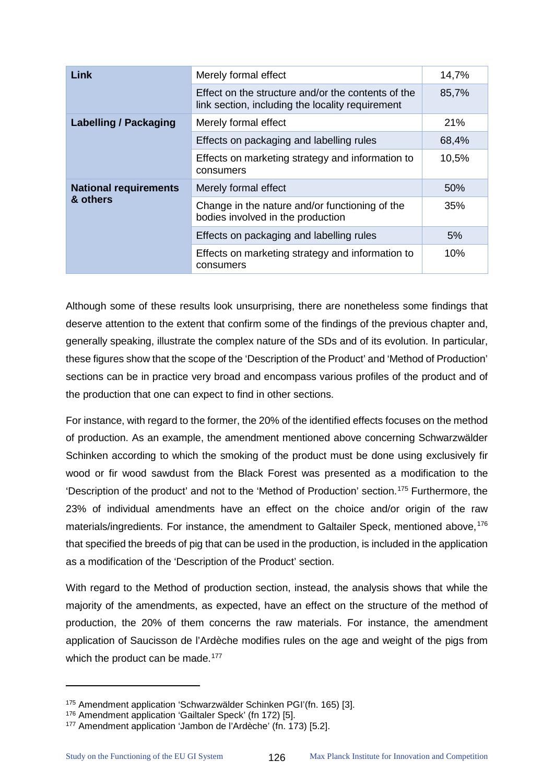| Link                                     | Merely formal effect                                                                                   | 14,7% |
|------------------------------------------|--------------------------------------------------------------------------------------------------------|-------|
|                                          | Effect on the structure and/or the contents of the<br>link section, including the locality requirement | 85,7% |
| <b>Labelling / Packaging</b>             | Merely formal effect                                                                                   | 21%   |
|                                          | Effects on packaging and labelling rules                                                               | 68,4% |
|                                          | Effects on marketing strategy and information to<br>consumers                                          | 10,5% |
| <b>National requirements</b><br>& others | Merely formal effect                                                                                   | 50%   |
|                                          | Change in the nature and/or functioning of the<br>bodies involved in the production                    | 35%   |
|                                          | Effects on packaging and labelling rules                                                               | 5%    |
|                                          | Effects on marketing strategy and information to<br>consumers                                          | 10%   |

Although some of these results look unsurprising, there are nonetheless some findings that deserve attention to the extent that confirm some of the findings of the previous chapter and, generally speaking, illustrate the complex nature of the SDs and of its evolution. In particular, these figures show that the scope of the 'Description of the Product' and 'Method of Production' sections can be in practice very broad and encompass various profiles of the product and of the production that one can expect to find in other sections.

For instance, with regard to the former, the 20% of the identified effects focuses on the method of production. As an example, the amendment mentioned above concerning Schwarzwälder Schinken according to which the smoking of the product must be done using exclusively fir wood or fir wood sawdust from the Black Forest was presented as a modification to the 'Description of the product' and not to the 'Method of Production' section.[175](#page-130-0) Furthermore, the 23% of individual amendments have an effect on the choice and/or origin of the raw materials/ingredients. For instance, the amendment to Galtailer Speck, mentioned above.<sup>[176](#page-130-1)</sup> that specified the breeds of pig that can be used in the production, is included in the application as a modification of the 'Description of the Product' section.

With regard to the Method of production section, instead, the analysis shows that while the majority of the amendments, as expected, have an effect on the structure of the method of production, the 20% of them concerns the raw materials. For instance, the amendment application of Saucisson de l'Ardèche modifies rules on the age and weight of the pigs from which the product can be made.<sup>[177](#page-130-2)</sup>

 $\ddot{\phantom{a}}$ 

<span id="page-130-0"></span><sup>175</sup> Amendment application 'Schwarzwälder Schinken PGI'(fn. 165) [3].

<span id="page-130-1"></span><sup>&</sup>lt;sup>176</sup> Amendment application 'Gailtaler Speck' (fn 172) [5].

<span id="page-130-2"></span><sup>177</sup> Amendment application 'Jambon de l'Ardèche' (fn. 173) [5.2].